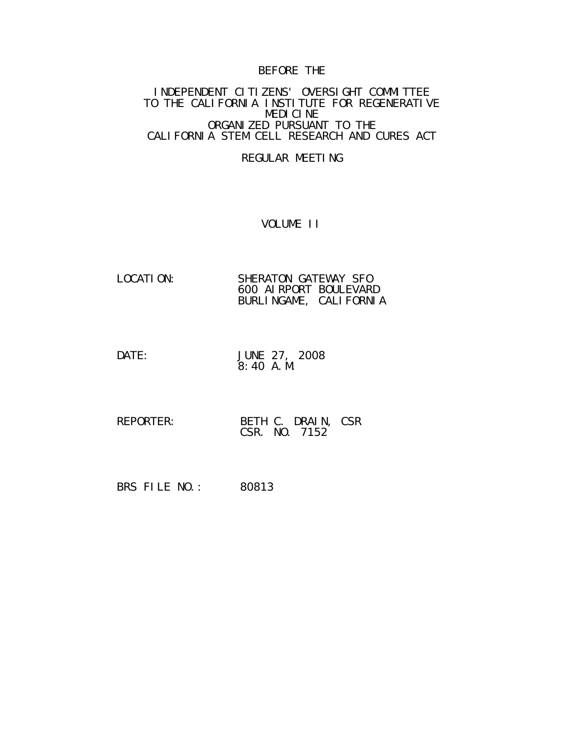## BEFORE THE

#### INDEPENDENT CITIZENS' OVERSIGHT COMMITTEE TO THE CALIFORNIA INSTITUTE FOR REGENERATIVE MEDICINE ORGANIZED PURSUANT TO THE CALIFORNIA STEM CELL RESEARCH AND CURES ACT

#### REGULAR MEETING

#### VOLUME II

| LOCATI ON: | SHERATON GATEWAY SFO   |
|------------|------------------------|
|            | 600 AI RPORT BOULEVARD |
|            | BURLINGAME, CALIFORNIA |

- DATE: JUNE 27, 2008 8:40 A.M.
- REPORTER: BETH C. DRAIN, CSR CSR. NO. 7152

BRS FILE NO.: 80813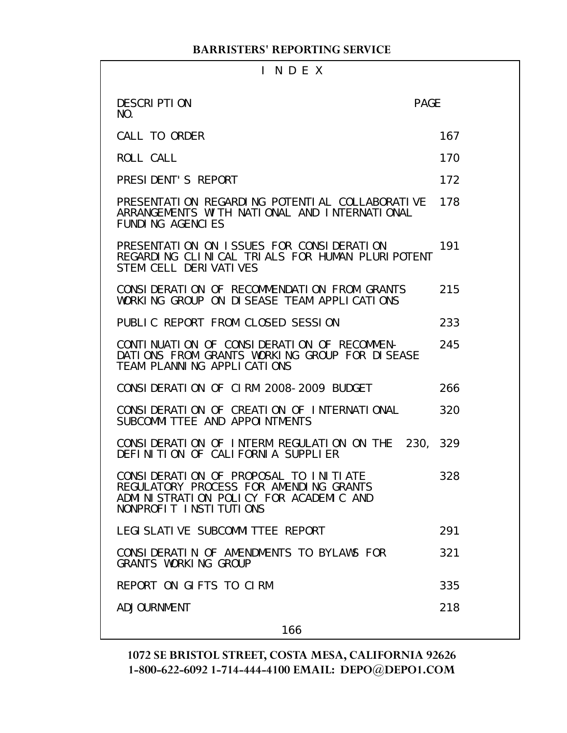| INDEX                                                                                                                                               |             |  |
|-----------------------------------------------------------------------------------------------------------------------------------------------------|-------------|--|
| <b>DESCRIPTION</b><br>NO.                                                                                                                           | <b>PAGE</b> |  |
| CALL TO ORDER                                                                                                                                       | 167         |  |
| ROLL CALL                                                                                                                                           | 170         |  |
| PRESIDENT'S REPORT                                                                                                                                  | 172         |  |
| PRESENTATION REGARDING POTENTIAL COLLABORATIVE<br>ARRANGEMENTS WITH NATIONAL AND INTERNATIONAL<br><b>FUNDING AGENCIES</b>                           | 178         |  |
| PRESENTATION ON ISSUES FOR CONSIDERATION<br>REGARDING CLINICAL TRIALS FOR HUMAN PLURIPOTENT<br>STEM CELL DERIVATIVES                                | 191         |  |
| CONSIDERATION OF RECOMMENDATION FROM GRANTS<br>WORKING GROUP ON DISEASE TEAM APPLICATIONS                                                           | 215         |  |
| PUBLIC REPORT FROM CLOSED SESSION                                                                                                                   | 233         |  |
| CONTINUATION OF CONSIDERATION OF RECOMMEN-<br>DATIONS FROM GRANTS WORKING GROUP FOR DISEASE<br>TEAM PLANNING APPLICATIONS                           | 245         |  |
| CONSIDERATION OF CIRM 2008-2009 BUDGET                                                                                                              | 266         |  |
| CONSIDERATION OF CREATION OF INTERNATIONAL<br>SUBCOMMITTEE AND APPOINTMENTS                                                                         | 320         |  |
| CONSIDERATION OF INTERM REGULATION ON THE 230, 329<br>DEFINITION OF CALIFORNIA SUPPLIER                                                             |             |  |
| CONSIDERATION OF PROPOSAL TO INITIATE<br>REGULATORY PROCESS FOR AMENDING GRANTS<br>ADMINISTRATION POLICY FOR ACADEMIC AND<br>NONPROFIT INSTITUTIONS | 328         |  |
| LEGI SLATI VE SUBCOMMI TTEE REPORT                                                                                                                  | 291         |  |
| CONSIDERATIN OF AMENDMENTS TO BYLAWS FOR<br><b>GRANTS WORKING GROUP</b>                                                                             | 321         |  |
| REPORT ON GLFTS TO CLRM                                                                                                                             | 335         |  |
| ADJOURNMENT                                                                                                                                         | 218         |  |
|                                                                                                                                                     |             |  |

166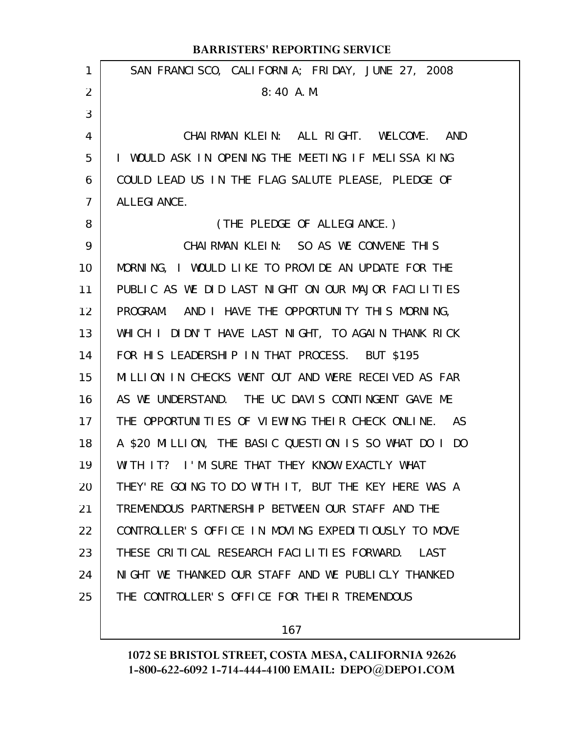|                | <b>BARRISTERS' REPORTING SERVICE</b>                  |
|----------------|-------------------------------------------------------|
| 1              | SAN FRANCISCO, CALIFORNIA; FRIDAY, JUNE 27, 2008      |
| 2              | 8:40A. M.                                             |
| 3              |                                                       |
| 4              | CHAIRMAN KLEIN: ALL RIGHT. WELCOME. AND               |
| 5              | I WOULD ASK IN OPENING THE MEETING IF MELISSA KING    |
| 6              | COULD LEAD US IN THE FLAG SALUTE PLEASE, PLEDGE OF    |
| $\overline{7}$ | ALLEGI ANCE.                                          |
| 8              | (THE PLEDGE OF ALLEGIANCE.)                           |
| 9              | CHAIRMAN KLEIN: SO AS WE CONVENE THIS                 |
| 10             | MORNING, I WOULD LIKE TO PROVIDE AN UPDATE FOR THE    |
| 11             | PUBLIC AS WE DID LAST NIGHT ON OUR MAJOR FACILITIES   |
| 12             | PROGRAM. AND I HAVE THE OPPORTUNITY THIS MORNING,     |
| 13             | WHICH I DIDN'T HAVE LAST NIGHT, TO AGAIN THANK RICK   |
| 14             | FOR HIS LEADERSHIP IN THAT PROCESS. BUT \$195         |
| 15             | MILLION IN CHECKS WENT OUT AND WERE RECEIVED AS FAR   |
| 16             | AS WE UNDERSTAND. THE UC DAVIS CONTINGENT GAVE ME     |
| 17             | THE OPPORTUNITIES OF VIEWING THEIR CHECK ONLINE. AS   |
| 18             | A \$20 MILLION, THE BASIC QUESTION IS SO WHAT DO I DO |
| 19             | WITH IT? I'M SURE THAT THEY KNOW EXACTLY WHAT         |
| 20             | THEY' RE GOING TO DO WITH IT, BUT THE KEY HERE WAS A  |
| 21             | TREMENDOUS PARTNERSHIP BETWEEN OUR STAFF AND THE      |
| 22             | CONTROLLER'S OFFICE IN MOVING EXPEDITIOUSLY TO MOVE   |
| 23             | THESE CRITICAL RESEARCH FACILITIES FORWARD.<br>LAST   |
| 24             | NIGHT WE THANKED OUR STAFF AND WE PUBLICLY THANKED    |
| 25             | THE CONTROLLER'S OFFICE FOR THEIR TREMENDOUS          |
|                |                                                       |

167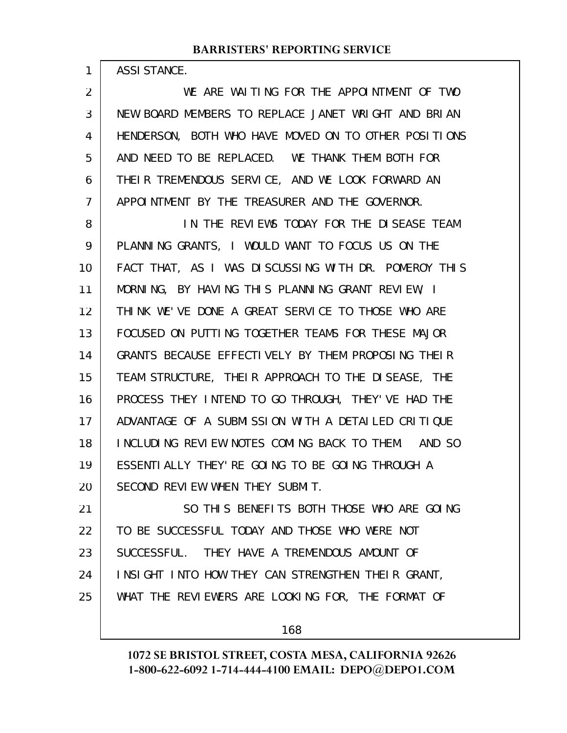ASSISTANCE.

1

WE ARE WAITING FOR THE APPOINTMENT OF TWO NEW BOARD MEMBERS TO REPLACE JANET WRIGHT AND BRIAN HENDERSON, BOTH WHO HAVE MOVED ON TO OTHER POSITIONS AND NEED TO BE REPLACED. WE THANK THEM BOTH FOR THEIR TREMENDOUS SERVICE, AND WE LOOK FORWARD AN APPOINTMENT BY THE TREASURER AND THE GOVERNOR. 2 3 4 5 6 7

IN THE REVIEWS TODAY FOR THE DISEASE TEAM PLANNING GRANTS, I WOULD WANT TO FOCUS US ON THE FACT THAT, AS I WAS DISCUSSING WITH DR. POMEROY THIS MORNING, BY HAVING THIS PLANNING GRANT REVIEW, I THINK WE'VE DONE A GREAT SERVICE TO THOSE WHO ARE FOCUSED ON PUTTING TOGETHER TEAMS FOR THESE MAJOR GRANTS BECAUSE EFFECTIVELY BY THEM PROPOSING THEIR TEAM STRUCTURE, THEIR APPROACH TO THE DISEASE, THE PROCESS THEY INTEND TO GO THROUGH, THEY'VE HAD THE ADVANTAGE OF A SUBMISSION WITH A DETAILED CRITIQUE INCLUDING REVIEW NOTES COMING BACK TO THEM. AND SO ESSENTIALLY THEY'RE GOING TO BE GOING THROUGH A SECOND REVIEW WHEN THEY SUBMIT. 8 9 10 11 12 13 14 15 16 17 18 19 20

SO THIS BENEFITS BOTH THOSE WHO ARE GOING TO BE SUCCESSFUL TODAY AND THOSE WHO WERE NOT SUCCESSFUL. THEY HAVE A TREMENDOUS AMOUNT OF INSIGHT INTO HOW THEY CAN STRENGTHEN THEIR GRANT, WHAT THE REVIEWERS ARE LOOKING FOR, THE FORMAT OF 21 22 23 24 25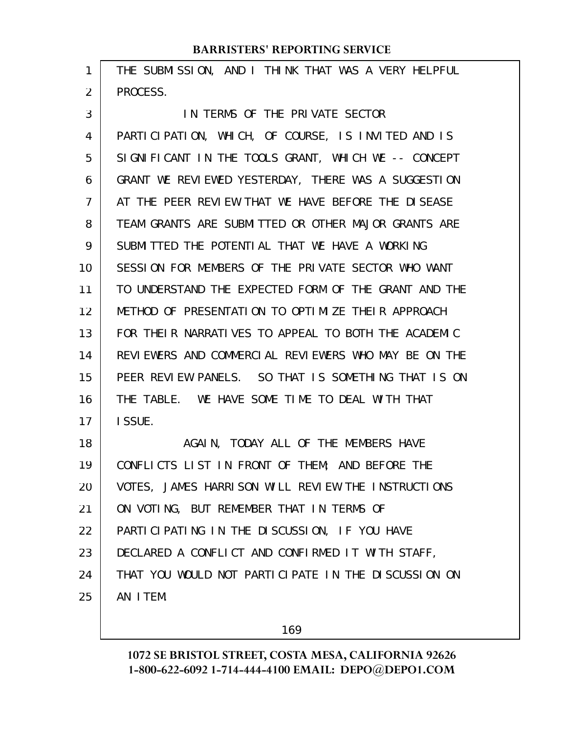| $\mathbf{1}$   | THE SUBMISSION, AND I THINK THAT WAS A VERY HELPFUL  |
|----------------|------------------------------------------------------|
| $\overline{2}$ | PROCESS.                                             |
| 3              | IN TERMS OF THE PRIVATE SECTOR                       |
| $\overline{4}$ | PARTICIPATION, WHICH, OF COURSE, IS INVITED AND IS   |
| 5              | SIGNIFICANT IN THE TOOLS GRANT, WHICH WE -- CONCEPT  |
| 6              | GRANT WE REVIEWED YESTERDAY, THERE WAS A SUGGESTION  |
| $\overline{7}$ | AT THE PEER REVIEW THAT WE HAVE BEFORE THE DISEASE   |
| 8              | TEAM GRANTS ARE SUBMITTED OR OTHER MAJOR GRANTS ARE  |
| 9              | SUBMITTED THE POTENTIAL THAT WE HAVE A WORKING       |
| 10             | SESSION FOR MEMBERS OF THE PRIVATE SECTOR WHO WANT   |
| 11             | TO UNDERSTAND THE EXPECTED FORM OF THE GRANT AND THE |
| 12             | METHOD OF PRESENTATION TO OPTIMIZE THEIR APPROACH    |
| 13             | FOR THEIR NARRATIVES TO APPEAL TO BOTH THE ACADEMIC  |
| 14             | REVIEWERS AND COMMERCIAL REVIEWERS WHO MAY BE ON THE |
| 15             | PEER REVIEW PANELS. SO THAT IS SOMETHING THAT IS ON  |
| 16             | THE TABLE. WE HAVE SOME TIME TO DEAL WITH THAT       |
| 17             | I SSUE.                                              |
| 18             | AGAIN, TODAY ALL OF THE MEMBERS HAVE                 |
| 19             | CONFLICTS LIST IN FRONT OF THEM; AND BEFORE THE      |
| 20             | VOTES, JAMES HARRISON WILL REVIEW THE INSTRUCTIONS   |

ON VOTING, BUT REMEMBER THAT IN TERMS OF 21

PARTICIPATING IN THE DISCUSSION, IF YOU HAVE 22

DECLARED A CONFLICT AND CONFIRMED IT WITH STAFF, 23

THAT YOU WOULD NOT PARTICIPATE IN THE DISCUSSION ON AN ITEM. 24 25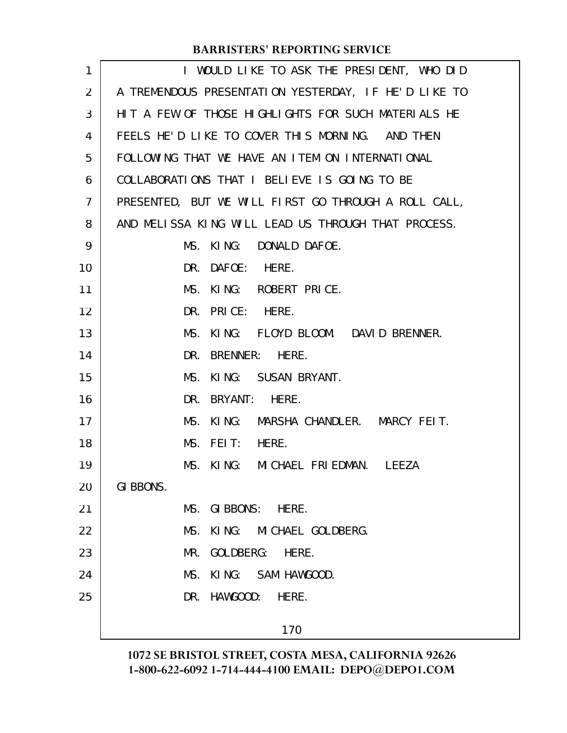| 1              | I WOULD LIKE TO ASK THE PRESIDENT, WHO DID           |
|----------------|------------------------------------------------------|
| $\overline{2}$ | A TREMENDOUS PRESENTATION YESTERDAY, IF HE'D LIKE TO |
| 3              | HIT A FEW OF THOSE HIGHLIGHTS FOR SUCH MATERIALS HE  |
| 4              | FEELS HE'D LIKE TO COVER THIS MORNING. AND THEN      |
| 5              | FOLLOWING THAT WE HAVE AN ITEM ON INTERNATIONAL      |
| 6              | COLLABORATIONS THAT I BELIEVE IS GOING TO BE         |
| 7              | PRESENTED, BUT WE WILL FIRST GO THROUGH A ROLL CALL, |
| 8              | AND MELISSA KING WILL LEAD US THROUGH THAT PROCESS.  |
| 9              | MS. KING: DONALD DAFOE.                              |
| 10             | DR. DAFOE: HERE.                                     |
| 11             | MS. KING: ROBERT PRICE.                              |
| 12             | DR. PRICE: HERE.                                     |
| 13             | MS. KING: FLOYD BLOOM. DAVID BRENNER.                |
| 14             | DR. BRENNER: HERE.                                   |
| 15             | MS. KING: SUSAN BRYANT.                              |
| 16             | DR. BRYANT: HERE.                                    |
| 17             | MS. KING: MARSHA CHANDLER. MARCY FEIT.               |
| 18             | MS. FEIT: HERE.                                      |
| 19             | MS. KING: MICHAEL FRIEDMAN. LEEZA                    |
| 20             | GI BBONS.                                            |
| 21             | MS. GIBBONS: HERE.                                   |
| 22             | MS. KING: MICHAEL GOLDBERG.                          |
| 23             | GOLDBERG:<br>MR.<br>HERE.                            |
| 24             | MS. KING: SAM HAWGOOD.                               |
| 25             | DR. HAWGOOD:<br>HERE.                                |
|                | 170                                                  |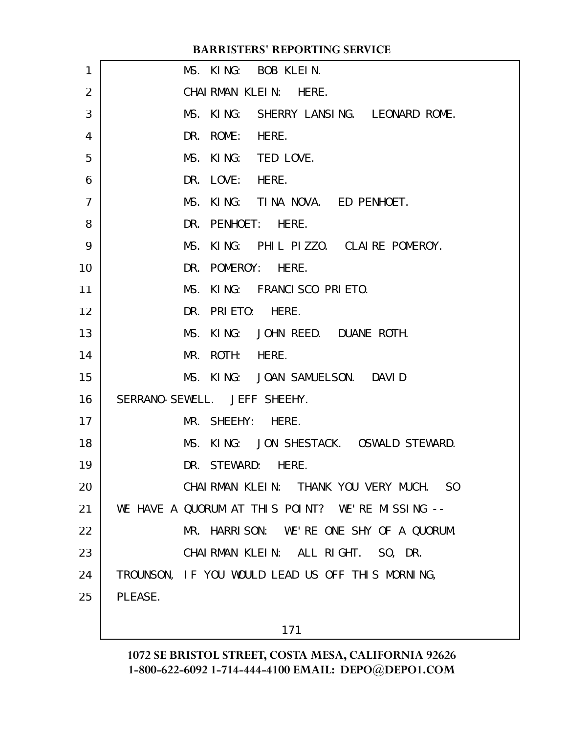| 1              | MS. KING: BOB KLEIN.                             |
|----------------|--------------------------------------------------|
| 2              | CHAIRMAN KLEIN: HERE.                            |
| 3              | MS. KING: SHERRY LANSING. LEONARD ROME.          |
| 4              | DR. ROME: HERE.                                  |
| 5              | MS. KING: TED LOVE.                              |
| 6              | DR. LOVE: HERE.                                  |
| $\overline{7}$ | MS. KING: TINA NOVA. ED PENHOET.                 |
| 8              | DR. PENHOET: HERE.                               |
| 9              | MS. KING: PHIL PIZZO. CLAIRE POMEROY.            |
| 10             | DR. POMEROY: HERE.                               |
| 11             | MS. KING: FRANCISCO PRIETO.                      |
| 12             | DR. PRIETO: HERE.                                |
| 13             | MS. KING: JOHN REED. DUANE ROTH.                 |
| 14             | MR. ROTH: HERE.                                  |
| 15             | MS. KING: JOAN SAMUELSON. DAVID                  |
| 16             | SERRANO-SEWELL. JEFF SHEEHY.                     |
| 17             | MR. SHEEHY: HERE.                                |
| 18             | MS. KING: JON SHESTACK. OSWALD STEWARD.          |
| 19             | DR. STEWARD: HERE.                               |
| 20             | CHAIRMAN KLEIN: THANK YOU VERY MUCH. SO          |
| 21             | WE HAVE A QUORUM AT THIS POINT? WE'RE MISSING -- |
| 22             | MR. HARRISON: WE'RE ONE SHY OF A QUORUM.         |
| 23             | CHAIRMAN KLEIN: ALL RIGHT. SO, DR.               |
| 24             | TROUNSON, IF YOU WOULD LEAD US OFF THIS MORNING, |
| 25             | PLEASE.                                          |
|                |                                                  |
|                | 171                                              |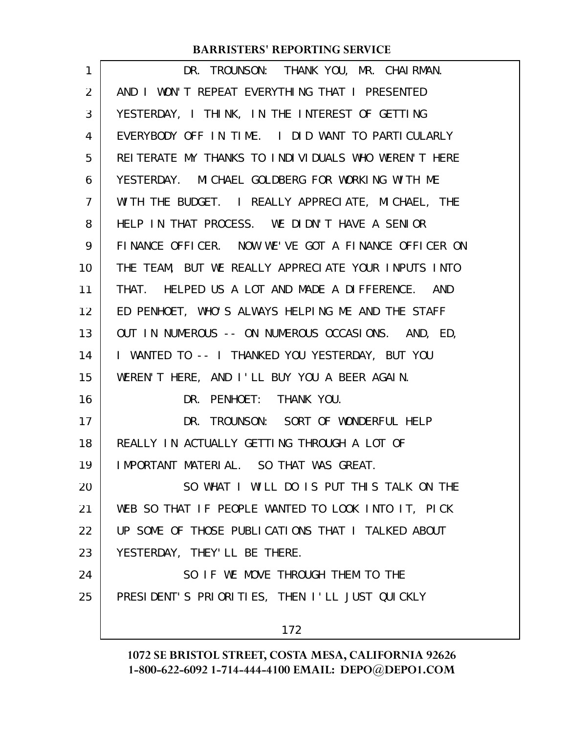| 1              | DR. TROUNSON: THANK YOU, MR. CHAIRMAN.              |
|----------------|-----------------------------------------------------|
| 2              | AND I WON'T REPEAT EVERYTHING THAT I PRESENTED      |
| 3              | YESTERDAY, I THINK, IN THE INTEREST OF GETTING      |
| 4              | EVERYBODY OFF IN TIME. I DID WANT TO PARTICULARLY   |
| 5              | REITERATE MY THANKS TO INDIVIDUALS WHO WEREN'T HERE |
| 6              | YESTERDAY. MICHAEL GOLDBERG FOR WORKING WITH ME     |
| $\overline{7}$ | WITH THE BUDGET. I REALLY APPRECIATE, MICHAEL, THE  |
| 8              | HELP IN THAT PROCESS. WE DIDN'T HAVE A SENIOR       |
| 9              | FINANCE OFFICER. NOW WE'VE GOT A FINANCE OFFICER ON |
| 10             | THE TEAM, BUT WE REALLY APPRECIATE YOUR INPUTS INTO |
| 11             | THAT. HELPED US A LOT AND MADE A DIFFERENCE. AND    |
| 12             | ED PENHOET, WHO'S ALWAYS HELPING ME AND THE STAFF   |
| 13             | OUT IN NUMEROUS -- ON NUMEROUS OCCASIONS. AND, ED,  |
| 14             | I WANTED TO -- I THANKED YOU YESTERDAY, BUT YOU     |
| 15             | WEREN'T HERE, AND I'LL BUY YOU A BEER AGAIN.        |
| 16             | DR. PENHOET: THANK YOU.                             |
| 17             | DR. TROUNSON: SORT OF WONDERFUL HELP                |
| 18             | REALLY IN ACTUALLY GETTING THROUGH A LOT OF         |
| 19             | IMPORTANT MATERIAL. SO THAT WAS GREAT.              |
| 20             | SO WHAT I WILL DO IS PUT THIS TALK ON THE           |
| 21             | WEB SO THAT IF PEOPLE WANTED TO LOOK INTO IT, PICK  |
| 22             | UP SOME OF THOSE PUBLICATIONS THAT I TALKED ABOUT   |
| 23             | YESTERDAY, THEY'LL BE THERE.                        |
| 24             | SO IF WE MOVE THROUGH THEM TO THE                   |
| 25             | PRESIDENT'S PRIORITIES, THEN I'LL JUST QUICKLY      |
|                | 172                                                 |
|                |                                                     |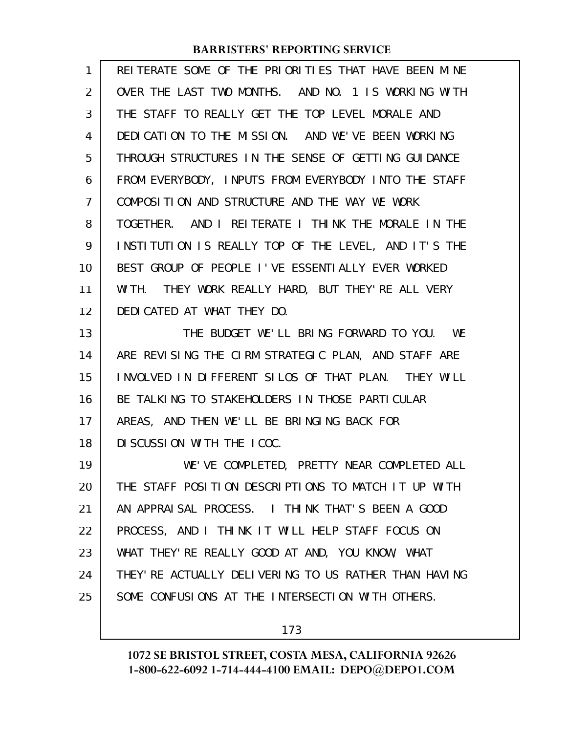| 1  | REITERATE SOME OF THE PRIORITIES THAT HAVE BEEN MINE  |
|----|-------------------------------------------------------|
| 2  | OVER THE LAST TWO MONTHS. AND NO. 1 IS WORKING WITH   |
| 3  | THE STAFF TO REALLY GET THE TOP LEVEL MORALE AND      |
| 4  | DEDICATION TO THE MISSION. AND WE'VE BEEN WORKING     |
| 5  | THROUGH STRUCTURES IN THE SENSE OF GETTING GUIDANCE   |
| 6  | FROM EVERYBODY, INPUTS FROM EVERYBODY INTO THE STAFF  |
| 7  | COMPOSITION AND STRUCTURE AND THE WAY WE WORK         |
| 8  | TOGETHER. AND I REITERATE I THINK THE MORALE IN THE   |
| 9  | INSTITUTION IS REALLY TOP OF THE LEVEL, AND IT'S THE  |
| 10 | BEST GROUP OF PEOPLE I'VE ESSENTIALLY EVER WORKED     |
| 11 | WITH. THEY WORK REALLY HARD, BUT THEY'RE ALL VERY     |
| 12 | DEDICATED AT WHAT THEY DO.                            |
| 13 | THE BUDGET WE'LL BRING FORWARD TO YOU. WE             |
| 14 | ARE REVISING THE CIRM STRATEGIC PLAN, AND STAFF ARE   |
| 15 | INVOLVED IN DIFFERENT SILOS OF THAT PLAN. THEY WILL   |
| 16 | BE TALKING TO STAKEHOLDERS IN THOSE PARTICULAR        |
| 17 | AREAS, AND THEN WE'LL BE BRINGING BACK FOR            |
| 18 | DI SCUSSION WITH THE ICOC.                            |
| 19 | WE'VE COMPLETED, PRETTY NEAR COMPLETED ALL            |
| 20 | THE STAFF POSITION DESCRIPTIONS TO MATCH IT UP WITH   |
| 21 | AN APPRAISAL PROCESS. I THINK THAT'S BEEN A GOOD      |
| 22 | PROCESS, AND I THINK IT WILL HELP STAFF FOCUS ON      |
| 23 | WHAT THEY' RE REALLY GOOD AT AND, YOU KNOW, WHAT      |
| 24 | THEY' RE ACTUALLY DELIVERING TO US RATHER THAN HAVING |
| 25 | SOME CONFUSIONS AT THE INTERSECTION WITH OTHERS.      |
|    |                                                       |

173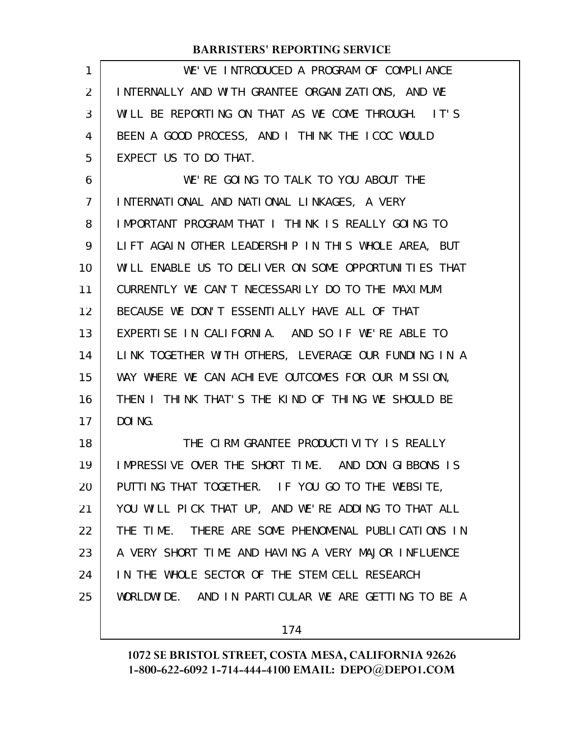| 1              | WE'VE INTRODUCED A PROGRAM OF COMPLIANCE             |
|----------------|------------------------------------------------------|
| $\overline{2}$ | INTERNALLY AND WITH GRANTEE ORGANIZATIONS, AND WE    |
| 3              | WILL BE REPORTING ON THAT AS WE COME THROUGH. IT'S   |
| 4              | BEEN A GOOD PROCESS, AND I THINK THE ICOC WOULD      |
| 5              | EXPECT US TO DO THAT.                                |
| 6              | WE'RE GOING TO TALK TO YOU ABOUT THE                 |
| $\overline{7}$ | INTERNATIONAL AND NATIONAL LINKAGES, A VERY          |
| 8              | IMPORTANT PROGRAM THAT I THINK IS REALLY GOING TO    |
| 9              | LIFT AGAIN OTHER LEADERSHIP IN THIS WHOLE AREA, BUT  |
| 10             | WILL ENABLE US TO DELIVER ON SOME OPPORTUNITIES THAT |
| 11             | CURRENTLY WE CAN'T NECESSARILY DO TO THE MAXIMUM     |
| 12             | BECAUSE WE DON'T ESSENTIALLY HAVE ALL OF THAT        |
| 13             | EXPERTISE IN CALIFORNIA. AND SO IF WE'RE ABLE TO     |
| 14             | LINK TOGETHER WITH OTHERS, LEVERAGE OUR FUNDING IN A |
| 15             | WAY WHERE WE CAN ACHIEVE OUTCOMES FOR OUR MISSION,   |
| 16             | THEN I THINK THAT'S THE KIND OF THING WE SHOULD BE   |
| 17             | DOI NG.                                              |
| 18             | THE CIRM GRANTEE PRODUCTIVITY IS REALLY              |
| 19             | IMPRESSIVE OVER THE SHORT TIME. AND DON GIBBONS IS   |
| 20             | PUTTING THAT TOGETHER. IF YOU GO TO THE WEBSITE,     |
| 21             | YOU WILL PICK THAT UP, AND WE'RE ADDING TO THAT ALL  |
| 22             | THE TIME. THERE ARE SOME PHENOMENAL PUBLICATIONS IN  |
| 23             | A VERY SHORT TIME AND HAVING A VERY MAJOR INFLUENCE  |
| 24             | IN THE WHOLE SECTOR OF THE STEM CELL RESEARCH        |
| 25             | WORLDWIDE. AND IN PARTICULAR WE ARE GETTING TO BE A  |
|                |                                                      |

174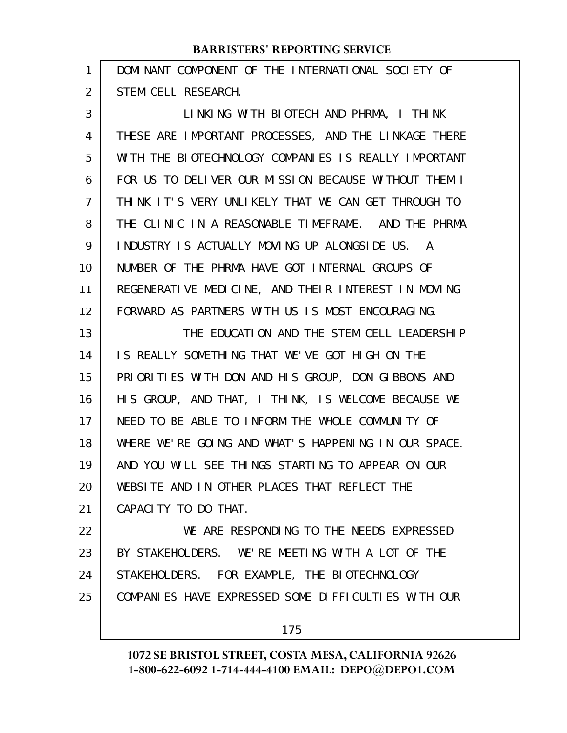| 1  | DOMINANT COMPONENT OF THE INTERNATIONAL SOCIETY OF   |
|----|------------------------------------------------------|
| 2  | STEM CELL RESEARCH.                                  |
| 3  | LINKING WITH BIOTECH AND PHRMA, I THINK              |
| 4  | THESE ARE IMPORTANT PROCESSES, AND THE LINKAGE THERE |
| 5  | WITH THE BIOTECHNOLOGY COMPANIES IS REALLY IMPORTANT |
| 6  | FOR US TO DELIVER OUR MISSION BECAUSE WITHOUT THEM I |
| 7  | THINK IT'S VERY UNLIKELY THAT WE CAN GET THROUGH TO  |
| 8  | THE CLINIC IN A REASONABLE TIMEFRAME. AND THE PHRMA  |
| 9  | INDUSTRY IS ACTUALLY MOVING UP ALONGSIDE US.<br>A    |
| 10 | NUMBER OF THE PHRMA HAVE GOT INTERNAL GROUPS OF      |
| 11 | REGENERATIVE MEDICINE, AND THEIR INTEREST IN MOVING  |
| 12 | FORWARD AS PARTNERS WITH US IS MOST ENCOURAGING.     |
| 13 | THE EDUCATION AND THE STEM CELL LEADERSHIP           |
| 14 | IS REALLY SOMETHING THAT WE'VE GOT HIGH ON THE       |
| 15 | PRIORITIES WITH DON AND HIS GROUP, DON GIBBONS AND   |
| 16 | HIS GROUP, AND THAT, I THINK, IS WELCOME BECAUSE WE  |
| 17 | NEED TO BE ABLE TO INFORM THE WHOLE COMMUNITY OF     |
| 18 | WHERE WE'RE GOING AND WHAT'S HAPPENING IN OUR SPACE. |
| 19 | AND YOU WILL SEE THINGS STARTING TO APPEAR ON OUR    |
| 20 | WEBSITE AND IN OTHER PLACES THAT REFLECT THE         |
| 21 | CAPACITY TO DO THAT.                                 |
| 22 | WE ARE RESPONDING TO THE NEEDS EXPRESSED             |
| 23 | BY STAKEHOLDERS. WE'RE MEETING WITH A LOT OF THE     |
| 24 | STAKEHOLDERS. FOR EXAMPLE, THE BIOTECHNOLOGY         |
| 25 | COMPANIES HAVE EXPRESSED SOME DIFFICULTIES WITH OUR  |
|    |                                                      |

175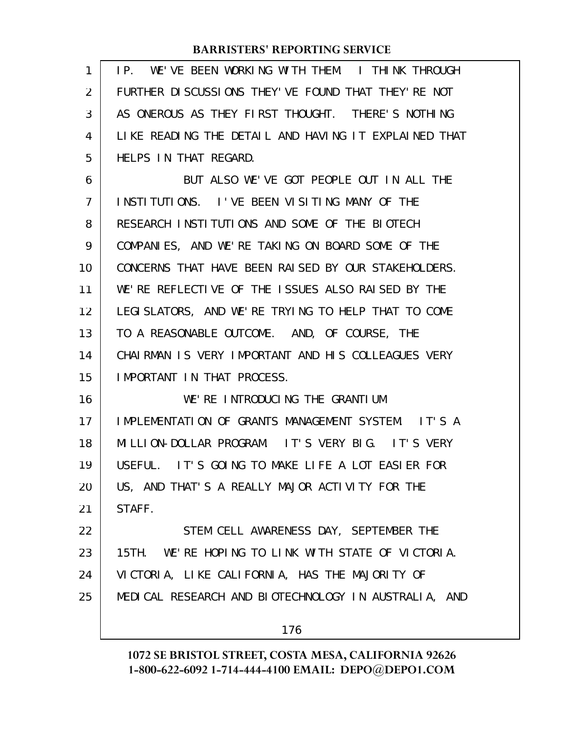| 1              | WE'VE BEEN WORKING WITH THEM. I THINK THROUGH<br>IP. |
|----------------|------------------------------------------------------|
| 2              | FURTHER DISCUSSIONS THEY'VE FOUND THAT THEY'RE NOT   |
| 3              | AS ONEROUS AS THEY FIRST THOUGHT. THERE'S NOTHING    |
| 4              | LIKE READING THE DETAIL AND HAVING IT EXPLAINED THAT |
| 5              | HELPS IN THAT REGARD.                                |
| 6              | BUT ALSO WE'VE GOT PEOPLE OUT IN ALL THE             |
| $\overline{7}$ | INSTITUTIONS. I'VE BEEN VISITING MANY OF THE         |
| 8              | RESEARCH INSTITUTIONS AND SOME OF THE BIOTECH        |
| 9              | COMPANIES, AND WE'RE TAKING ON BOARD SOME OF THE     |
| 10             | CONCERNS THAT HAVE BEEN RAISED BY OUR STAKEHOLDERS.  |
| 11             | WE'RE REFLECTIVE OF THE ISSUES ALSO RAISED BY THE    |
| 12             | LEGISLATORS, AND WE'RE TRYING TO HELP THAT TO COME   |
| 13             | TO A REASONABLE OUTCOME. AND, OF COURSE, THE         |
| 14             | CHAIRMAN IS VERY IMPORTANT AND HIS COLLEAGUES VERY   |
| 15             | IMPORTANT IN THAT PROCESS.                           |
| 16             | WE'RE INTRODUCING THE GRANTIUM                       |
| 17             | IMPLEMENTATION OF GRANTS MANAGEMENT SYSTEM. IT'S A   |
| 18             | MILLION-DOLLAR PROGRAM. IT'S VERY BIG. IT'S VERY     |
| 19             | USEFUL. IT'S GOING TO MAKE LIFE A LOT EASIER FOR     |
| 20             | US, AND THAT'S A REALLY MAJOR ACTIVITY FOR THE       |
| 21             | STAFF.                                               |
| 22             | STEM CELL AWARENESS DAY, SEPTEMBER THE               |
| 23             | 15TH. WE'RE HOPING TO LINK WITH STATE OF VICTORIA.   |
| 24             | VICTORIA, LIKE CALIFORNIA, HAS THE MAJORITY OF       |
| 25             | MEDICAL RESEARCH AND BIOTECHNOLOGY IN AUSTRALIA, AND |
|                | 176                                                  |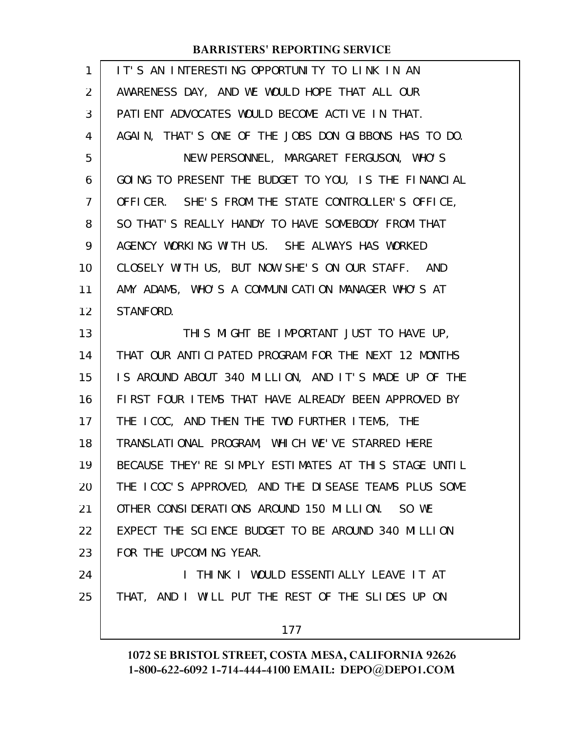| 1              | IT'S AN INTERESTING OPPORTUNITY TO LINK IN AN         |
|----------------|-------------------------------------------------------|
| $\overline{2}$ | AWARENESS DAY, AND WE WOULD HOPE THAT ALL OUR         |
| 3              | PATIENT ADVOCATES WOULD BECOME ACTIVE IN THAT.        |
| 4              | AGAIN, THAT'S ONE OF THE JOBS DON GIBBONS HAS TO DO.  |
| 5              | NEW PERSONNEL, MARGARET FERGUSON, WHO'S               |
| 6              | GOING TO PRESENT THE BUDGET TO YOU, IS THE FINANCIAL  |
| $\overline{7}$ | OFFICER. SHE'S FROM THE STATE CONTROLLER'S OFFICE,    |
| 8              | SO THAT'S REALLY HANDY TO HAVE SOMEBODY FROM THAT     |
| 9              | AGENCY WORKING WITH US. SHE ALWAYS HAS WORKED         |
| 10             | CLOSELY WITH US, BUT NOW SHE'S ON OUR STAFF. AND      |
| 11             | AMY ADAMS, WHO'S A COMMUNICATION MANAGER WHO'S AT     |
| 12             | STANFORD.                                             |
| 13             | THIS MIGHT BE IMPORTANT JUST TO HAVE UP,              |
| 14             | THAT OUR ANTICIPATED PROGRAM FOR THE NEXT 12 MONTHS   |
| 15             | IS AROUND ABOUT 340 MILLION, AND IT'S MADE UP OF THE  |
| 16             | FIRST FOUR ITEMS THAT HAVE ALREADY BEEN APPROVED BY   |
| 17             | THE ICOC, AND THEN THE TWO FURTHER ITEMS, THE         |
| 18             | TRANSLATIONAL PROGRAM, WHICH WE'VE STARRED HERE       |
| 19             | BECAUSE THEY' RE SIMPLY ESTIMATES AT THIS STAGE UNTIL |
| 20             | THE ICOC'S APPROVED, AND THE DISEASE TEAMS PLUS SOME  |
| 21             | OTHER CONSIDERATIONS AROUND 150 MILLION. SO WE        |
| 22             | EXPECT THE SCIENCE BUDGET TO BE AROUND 340 MILLION    |
| 23             | FOR THE UPCOMING YEAR.                                |
| 24             | I THINK I WOULD ESSENTIALLY LEAVE IT AT               |
| 25             | THAT, AND I WILL PUT THE REST OF THE SLIDES UP ON     |
|                | 177                                                   |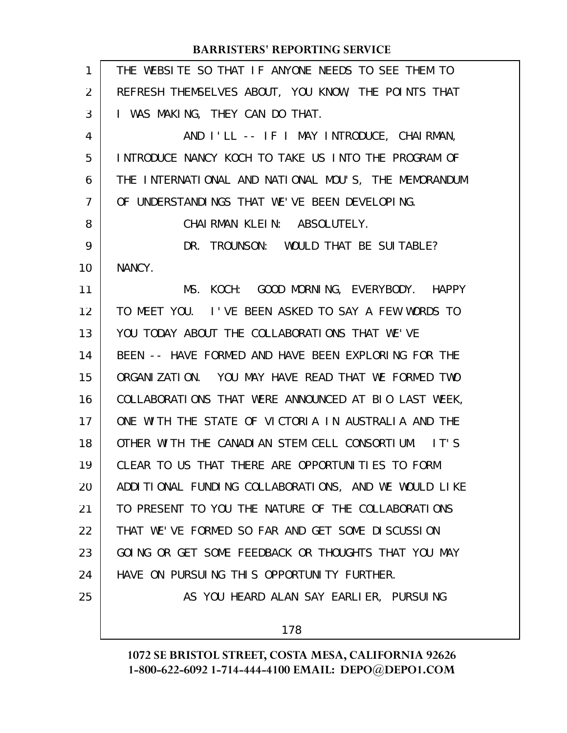| 1  | THE WEBSITE SO THAT IF ANYONE NEEDS TO SEE THEM TO   |
|----|------------------------------------------------------|
| 2  | REFRESH THEMSELVES ABOUT, YOU KNOW, THE POINTS THAT  |
| 3  | I WAS MAKING, THEY CAN DO THAT.                      |
| 4  | AND I'LL -- IF I MAY INTRODUCE, CHAIRMAN,            |
| 5  | INTRODUCE NANCY KOCH TO TAKE US INTO THE PROGRAM OF  |
| 6  | THE INTERNATIONAL AND NATIONAL MOU'S, THE MEMORANDUM |
| 7  | OF UNDERSTANDINGS THAT WE'VE BEEN DEVELOPING.        |
| 8  | CHAI RMAN KLEIN: ABSOLUTELY.                         |
| 9  | DR. TROUNSON: WOULD THAT BE SUITABLE?                |
| 10 | NANCY.                                               |
| 11 | MS. KOCH: GOOD MORNING, EVERYBODY. HAPPY             |
| 12 | TO MEET YOU. I'VE BEEN ASKED TO SAY A FEW WORDS TO   |
| 13 | YOU TODAY ABOUT THE COLLABORATIONS THAT WE'VE        |
| 14 | BEEN -- HAVE FORMED AND HAVE BEEN EXPLORING FOR THE  |
| 15 | ORGANIZATION. YOU MAY HAVE READ THAT WE FORMED TWO   |
| 16 | COLLABORATIONS THAT WERE ANNOUNCED AT BIO LAST WEEK, |
| 17 | ONE WITH THE STATE OF VICTORIA IN AUSTRALIA AND THE  |
| 18 | OTHER WITH THE CANADIAN STEM CELL CONSORTIUM. IT'S   |
| 19 | CLEAR TO US THAT THERE ARE OPPORTUNITIES TO FORM     |
| 20 | ADDITIONAL FUNDING COLLABORATIONS, AND WE WOULD LIKE |
| 21 | TO PRESENT TO YOU THE NATURE OF THE COLLABORATIONS   |
| 22 | THAT WE'VE FORMED SO FAR AND GET SOME DISCUSSION     |
| 23 | GOING OR GET SOME FEEDBACK OR THOUGHTS THAT YOU MAY  |
| 24 | HAVE ON PURSUING THIS OPPORTUNITY FURTHER.           |
| 25 | AS YOU HEARD ALAN SAY EARLIER, PURSUING              |
|    | 178                                                  |
|    |                                                      |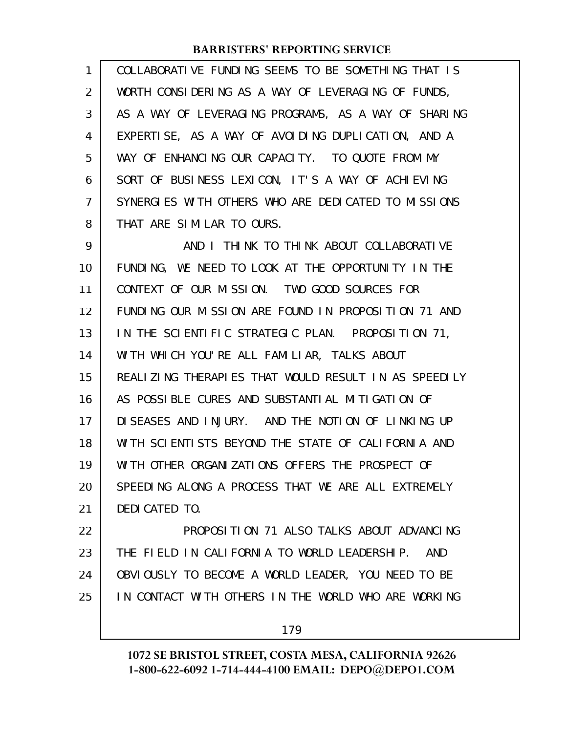| 1  | COLLABORATIVE FUNDING SEEMS TO BE SOMETHING THAT IS        |
|----|------------------------------------------------------------|
| 2  | WORTH CONSIDERING AS A WAY OF LEVERAGING OF FUNDS,         |
| 3  | AS A WAY OF LEVERAGING PROGRAMS, AS A WAY OF SHARING       |
| 4  | EXPERTISE, AS A WAY OF AVOIDING DUPLICATION, AND A         |
| 5  | WAY OF ENHANCING OUR CAPACITY. TO QUOTE FROM MY            |
| 6  | SORT OF BUSINESS LEXICON, IT'S A WAY OF ACHIEVING          |
| 7  | SYNERGIES WITH OTHERS WHO ARE DEDICATED TO MISSIONS        |
| 8  | THAT ARE SIMILAR TO OURS.                                  |
| 9  | AND I THINK TO THINK ABOUT COLLABORATIVE                   |
| 10 | FUNDING, WE NEED TO LOOK AT THE OPPORTUNITY IN THE         |
| 11 | CONTEXT OF OUR MISSION. TWO GOOD SOURCES FOR               |
| 12 | FUNDING OUR MISSION ARE FOUND IN PROPOSITION 71 AND        |
| 13 | IN THE SCIENTIFIC STRATEGIC PLAN. PROPOSITION 71,          |
| 14 | WITH WHICH YOU'RE ALL FAMILIAR, TALKS ABOUT                |
| 15 | REALIZING THERAPIES THAT WOULD RESULT IN AS SPEEDILY       |
| 16 | AS POSSIBLE CURES AND SUBSTANTIAL MITIGATION OF            |
| 17 | DISEASES AND INJURY. AND THE NOTION OF LINKING UP          |
| 18 | WITH SCIENTISTS BEYOND THE STATE OF CALIFORNIA AND         |
| 19 | WITH OTHER ORGANIZATIONS OFFERS THE PROSPECT OF            |
| 20 | SPEEDING ALONG A PROCESS THAT WE ARE ALL EXTREMELY         |
| 21 | DEDICATED TO.                                              |
| 22 | PROPOSITION 71 ALSO TALKS ABOUT ADVANCING                  |
| 23 | THE FIELD IN CALIFORNIA TO WORLD LEADERSHIP.<br><b>AND</b> |
| 24 | OBVIOUSLY TO BECOME A WORLD LEADER, YOU NEED TO BE         |
| 25 | IN CONTACT WITH OTHERS IN THE WORLD WHO ARE WORKING        |
|    |                                                            |

179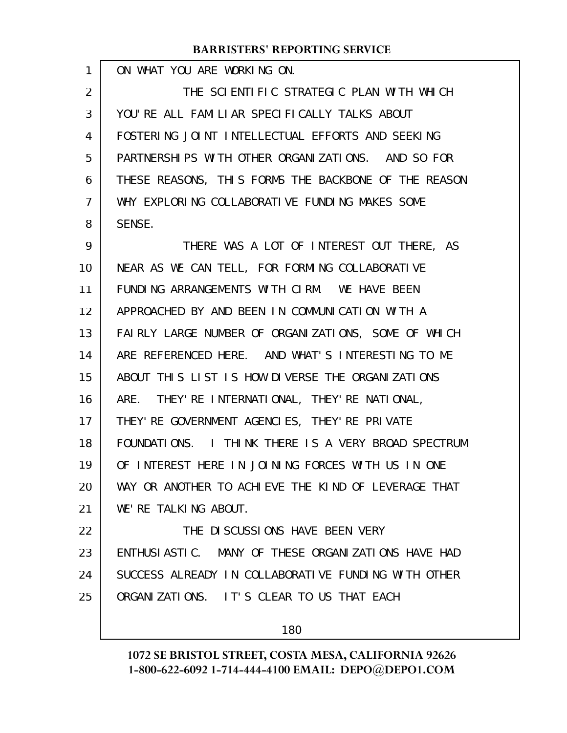ON WHAT YOU ARE WORKING ON. THE SCIENTIFIC STRATEGIC PLAN WITH WHICH YOU'RE ALL FAMILIAR SPECIFICALLY TALKS ABOUT FOSTERING JOINT INTELLECTUAL EFFORTS AND SEEKING PARTNERSHIPS WITH OTHER ORGANIZATIONS. AND SO FOR THESE REASONS, THIS FORMS THE BACKBONE OF THE REASON WHY EXPLORING COLLABORATIVE FUNDING MAKES SOME SENSE. THERE WAS A LOT OF INTEREST OUT THERE, AS NEAR AS WE CAN TELL, FOR FORMING COLLABORATIVE FUNDING ARRANGEMENTS WITH CIRM. WE HAVE BEEN APPROACHED BY AND BEEN IN COMMUNICATION WITH A FAIRLY LARGE NUMBER OF ORGANIZATIONS, SOME OF WHICH ARE REFERENCED HERE. AND WHAT'S INTERESTING TO ME ABOUT THIS LIST IS HOW DIVERSE THE ORGANIZATIONS ARE. THEY'RE INTERNATIONAL, THEY'RE NATIONAL, THEY'RE GOVERNMENT AGENCIES, THEY'RE PRIVATE FOUNDATIONS. I THINK THERE IS A VERY BROAD SPECTRUM OF INTEREST HERE IN JOINING FORCES WITH US IN ONE WAY OR ANOTHER TO ACHIEVE THE KIND OF LEVERAGE THAT WE'RE TALKING ABOUT. THE DISCUSSIONS HAVE BEEN VERY ENTHUSIASTIC. MANY OF THESE ORGANIZATIONS HAVE HAD SUCCESS ALREADY IN COLLABORATIVE FUNDING WITH OTHER ORGANIZATIONS. IT'S CLEAR TO US THAT EACH 1 2 3 4 5 6 7 8 9 10 11 12 13 14 15 16 17 18 19 20 21 22 23 24 25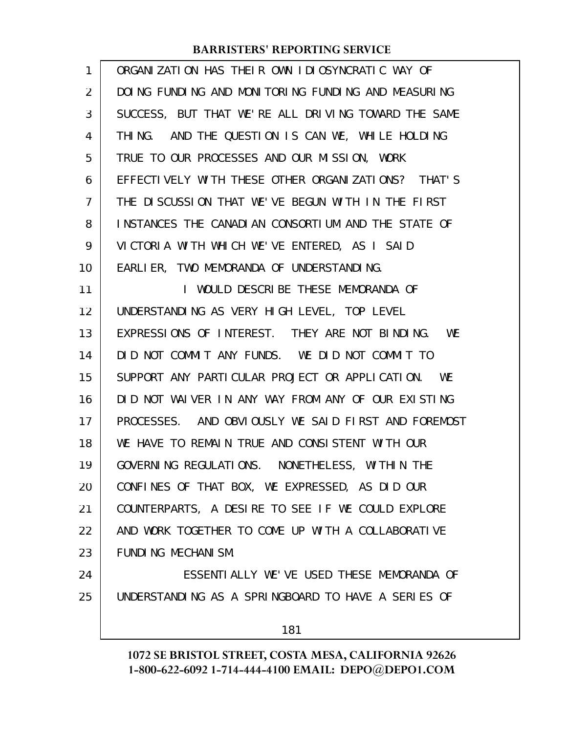| 1  | ORGANIZATION HAS THEIR OWN IDIOSYNCRATIC WAY OF     |
|----|-----------------------------------------------------|
| 2  | DOING FUNDING AND MONITORING FUNDING AND MEASURING  |
| 3  | SUCCESS, BUT THAT WE'RE ALL DRIVING TOWARD THE SAME |
| 4  | THING. AND THE QUESTION IS CAN WE, WHILE HOLDING    |
| 5  | TRUE TO OUR PROCESSES AND OUR MISSION, WORK         |
| 6  | EFFECTIVELY WITH THESE OTHER ORGANIZATIONS? THAT'S  |
| 7  | THE DISCUSSION THAT WE'VE BEGUN WITH IN THE FIRST   |
| 8  | INSTANCES THE CANADIAN CONSORTIUM AND THE STATE OF  |
| 9  | VICTORIA WITH WHICH WE'VE ENTERED, AS I SAID        |
| 10 | EARLIER, TWO MEMORANDA OF UNDERSTANDING.            |
| 11 | I WOULD DESCRIBE THESE MEMORANDA OF                 |
| 12 | UNDERSTANDING AS VERY HIGH LEVEL, TOP LEVEL         |
| 13 | EXPRESSIONS OF INTEREST. THEY ARE NOT BINDING. WE   |
| 14 | DID NOT COMMIT ANY FUNDS. WE DID NOT COMMIT TO      |
| 15 | SUPPORT ANY PARTICULAR PROJECT OR APPLICATION. WE   |
| 16 | DID NOT WAIVER IN ANY WAY FROM ANY OF OUR EXISTING  |
| 17 | PROCESSES. AND OBVIOUSLY WE SAID FIRST AND FOREMOST |
| 18 | WE HAVE TO REMAIN TRUE AND CONSISTENT WITH OUR      |
| 19 | GOVERNING REGULATIONS. NONETHELESS, WITHIN THE      |
| 20 | CONFINES OF THAT BOX, WE EXPRESSED, AS DID OUR      |
| 21 | COUNTERPARTS, A DESIRE TO SEE IF WE COULD EXPLORE   |
| 22 | AND WORK TOGETHER TO COME UP WITH A COLLABORATIVE   |
| 23 | FUNDING MECHANISM.                                  |
| 24 | ESSENTIALLY WE'VE USED THESE MEMORANDA OF           |
| 25 | UNDERSTANDING AS A SPRINGBOARD TO HAVE A SERIES OF  |
|    | 181                                                 |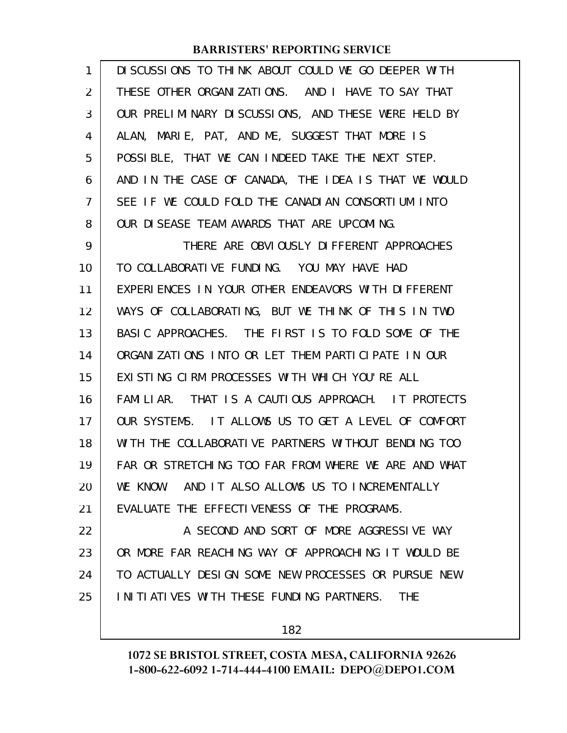| 1  | DISCUSSIONS TO THINK ABOUT COULD WE GO DEEPER WITH     |
|----|--------------------------------------------------------|
| 2  | THESE OTHER ORGANIZATIONS. AND I HAVE TO SAY THAT      |
| 3  | OUR PRELIMINARY DISCUSSIONS, AND THESE WERE HELD BY    |
| 4  | ALAN, MARIE, PAT, AND ME, SUGGEST THAT MORE IS         |
| 5  | POSSIBLE, THAT WE CAN INDEED TAKE THE NEXT STEP.       |
| 6  | AND IN THE CASE OF CANADA, THE IDEA IS THAT WE WOULD   |
| 7  | SEE IF WE COULD FOLD THE CANADIAN CONSORTIUM INTO      |
| 8  | OUR DISEASE TEAM AWARDS THAT ARE UPCOMING.             |
| 9  | THERE ARE OBVIOUSLY DIFFERENT APPROACHES               |
| 10 | TO COLLABORATIVE FUNDING. YOU MAY HAVE HAD             |
| 11 | EXPERIENCES IN YOUR OTHER ENDEAVORS WITH DIFFERENT     |
| 12 | WAYS OF COLLABORATING, BUT WE THINK OF THIS IN TWO     |
| 13 | BASIC APPROACHES. THE FIRST IS TO FOLD SOME OF THE     |
| 14 | ORGANIZATIONS INTO OR LET THEM PARTICIPATE IN OUR      |
| 15 | EXISTING CIRM PROCESSES WITH WHICH YOU'RE ALL          |
| 16 | FAMILIAR. THAT IS A CAUTIOUS APPROACH. IT PROTECTS     |
| 17 | OUR SYSTEMS. IT ALLOWS US TO GET A LEVEL OF COMFORT    |
| 18 | WITH THE COLLABORATIVE PARTNERS WITHOUT BENDING TOO    |
| 19 | FAR OR STRETCHING TOO FAR FROM WHERE WE ARE AND WHAT   |
| 20 | AND IT ALSO ALLOWS US TO INCREMENTALLY<br>WE KNOW.     |
| 21 | EVALUATE THE EFFECTIVENESS OF THE PROGRAMS.            |
| 22 | A SECOND AND SORT OF MORE AGGRESSIVE WAY               |
| 23 | OR MORE FAR REACHING WAY OF APPROACHING IT WOULD BE    |
| 24 | TO ACTUALLY DESIGN SOME NEW PROCESSES OR PURSUE NEW    |
| 25 | INITIATIVES WITH THESE FUNDING PARTNERS.<br><b>THE</b> |
|    |                                                        |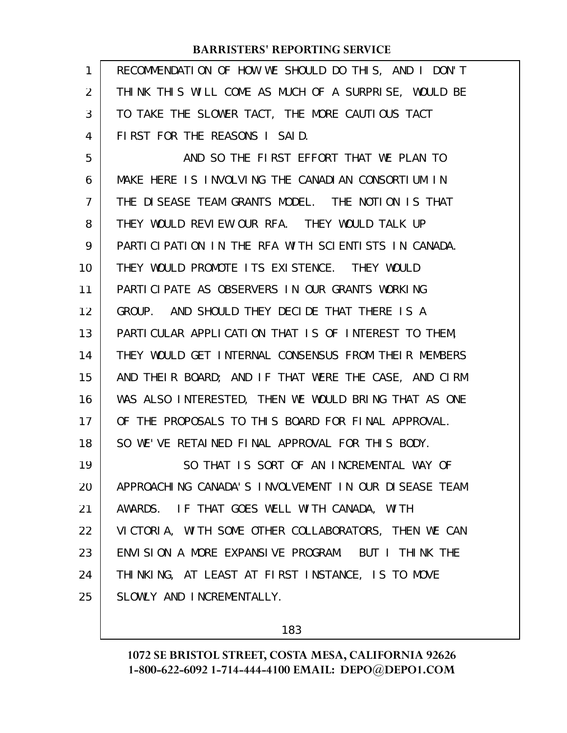| 1              | RECOMMENDATION OF HOW WE SHOULD DO THIS, AND I DON'T |
|----------------|------------------------------------------------------|
| 2              | THINK THIS WILL COME AS MUCH OF A SURPRISE, WOULD BE |
| 3              | TO TAKE THE SLOWER TACT, THE MORE CAUTIOUS TACT      |
| 4              | FIRST FOR THE REASONS I SAID.                        |
| 5              | AND SO THE FIRST EFFORT THAT WE PLAN TO              |
| 6              | MAKE HERE IS INVOLVING THE CANADIAN CONSORTIUM IN    |
| $\overline{7}$ | THE DISEASE TEAM GRANTS MODEL. THE NOTION IS THAT    |
| 8              | THEY WOULD REVIEW OUR RFA. THEY WOULD TALK UP        |
| 9              | PARTICIPATION IN THE RFA WITH SCIENTISTS IN CANADA.  |
| 10             | THEY WOULD PROMOTE ITS EXISTENCE. THEY WOULD         |
| 11             | PARTICIPATE AS OBSERVERS IN OUR GRANTS WORKING       |
| 12             | GROUP. AND SHOULD THEY DECIDE THAT THERE IS A        |
| 13             | PARTICULAR APPLICATION THAT IS OF INTEREST TO THEM,  |
| 14             | THEY WOULD GET INTERNAL CONSENSUS FROM THEIR MEMBERS |
| 15             | AND THEIR BOARD; AND IF THAT WERE THE CASE, AND CIRM |
| 16             | WAS ALSO INTERESTED, THEN WE WOULD BRING THAT AS ONE |
| 17             | OF THE PROPOSALS TO THIS BOARD FOR FINAL APPROVAL.   |
| 18             | SO WE'VE RETAINED FINAL APPROVAL FOR THIS BODY.      |
| 19             | SO THAT IS SORT OF AN INCREMENTAL WAY OF             |
| 20             | APPROACHING CANADA'S INVOLVEMENT IN OUR DISEASE TEAM |
| 21             | AWARDS. IF THAT GOES WELL WITH CANADA, WITH          |
| 22             | VICTORIA, WITH SOME OTHER COLLABORATORS, THEN WE CAN |
| 23             | ENVISION A MORE EXPANSIVE PROGRAM. BUT I THINK THE   |
| 24             | THINKING, AT LEAST AT FIRST INSTANCE, IS TO MOVE     |
| 25             | SLOWLY AND INCREMENTALLY.                            |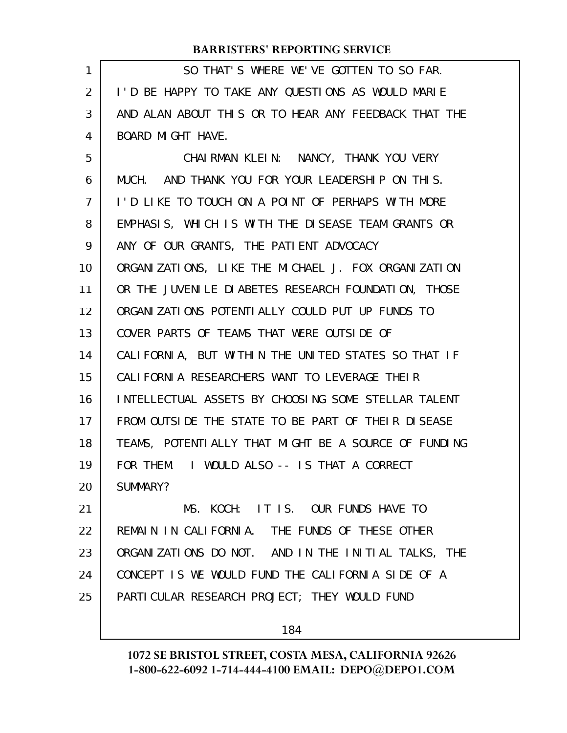| $\mathbf{1}$ | SO THAT'S WHERE WE'VE GOTTEN TO SO FAR.               |
|--------------|-------------------------------------------------------|
| 2            | I'D BE HAPPY TO TAKE ANY QUESTIONS AS WOULD MARIE     |
| 3            | AND ALAN ABOUT THIS OR TO HEAR ANY FEEDBACK THAT THE  |
| 4            | BOARD MIGHT HAVE.                                     |
| 5            | CHAIRMAN KLEIN: NANCY, THANK YOU VERY                 |
| 6            | MUCH. AND THANK YOU FOR YOUR LEADERSHIP ON THIS.      |
| 7            | I'D LIKE TO TOUCH ON A POINT OF PERHAPS WITH MORE     |
| 8            | EMPHASIS, WHICH IS WITH THE DISEASE TEAM GRANTS OR    |
| 9            | ANY OF OUR GRANTS, THE PATIENT ADVOCACY               |
| 10           | ORGANIZATIONS, LIKE THE MICHAEL J. FOX ORGANIZATION   |
| 11           | OR THE JUVENILE DIABETES RESEARCH FOUNDATION, THOSE   |
| 12           | ORGANIZATIONS POTENTIALLY COULD PUT UP FUNDS TO       |
| 13           | COVER PARTS OF TEAMS THAT WERE OUTSIDE OF             |
| 14           | CALIFORNIA, BUT WITHIN THE UNITED STATES SO THAT IF   |
| 15           | CALIFORNIA RESEARCHERS WANT TO LEVERAGE THEIR         |
| 16           | INTELLECTUAL ASSETS BY CHOOSING SOME STELLAR TALENT   |
| 17           | FROM OUTSIDE THE STATE TO BE PART OF THEIR DISEASE    |
| 18           | TEAMS, POTENTI ALLY THAT MIGHT BE A SOURCE OF FUNDING |
| 19           | FOR THEM. I WOULD ALSO -- IS THAT A CORRECT           |
| 20           | SUMMARY?                                              |
| 21           | MS. KOCH: IT IS. OUR FUNDS HAVE TO                    |
| 22           | REMAIN IN CALIFORNIA. THE FUNDS OF THESE OTHER        |
| 23           | ORGANIZATIONS DO NOT. AND IN THE INITIAL TALKS, THE   |
| 24           | CONCEPT IS WE WOULD FUND THE CALIFORNIA SIDE OF A     |
| 25           | PARTI CULAR RESEARCH PROJECT; THEY WOULD FUND         |
|              |                                                       |

184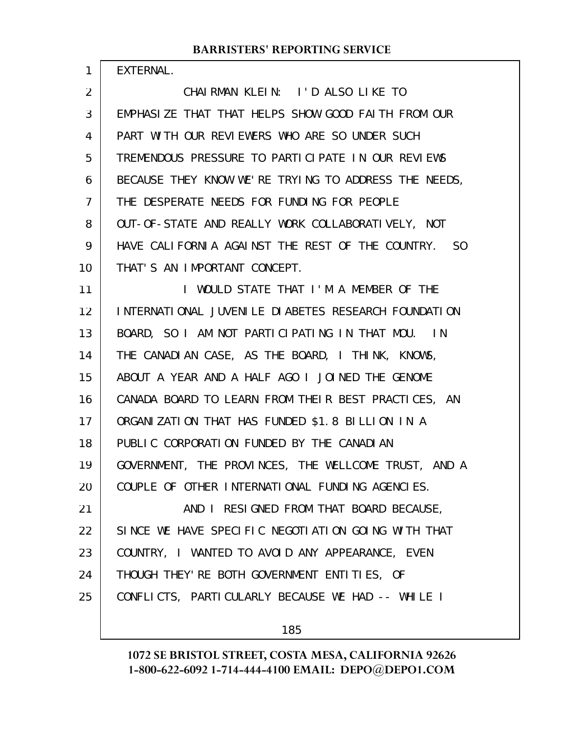EXTERNAL.

1

CHAIRMAN KLEIN: I'D ALSO LIKE TO EMPHASIZE THAT THAT HELPS SHOW GOOD FAITH FROM OUR PART WITH OUR REVIEWERS WHO ARE SO UNDER SUCH TREMENDOUS PRESSURE TO PARTICIPATE IN OUR REVIEWS BECAUSE THEY KNOW WE'RE TRYING TO ADDRESS THE NEEDS, THE DESPERATE NEEDS FOR FUNDING FOR PEOPLE OUT-OF-STATE AND REALLY WORK COLLABORATIVELY, NOT HAVE CALIFORNIA AGAINST THE REST OF THE COUNTRY. SO THAT'S AN IMPORTANT CONCEPT. I WOULD STATE THAT I'M A MEMBER OF THE INTERNATIONAL JUVENILE DIABETES RESEARCH FOUNDATION BOARD, SO I AM NOT PARTICIPATING IN THAT MOU. IN THE CANADIAN CASE, AS THE BOARD, I THINK, KNOWS, ABOUT A YEAR AND A HALF AGO I JOINED THE GENOME CANADA BOARD TO LEARN FROM THEIR BEST PRACTICES, AN ORGANIZATION THAT HAS FUNDED \$1.8 BILLION IN A PUBLIC CORPORATION FUNDED BY THE CANADIAN GOVERNMENT, THE PROVINCES, THE WELLCOME TRUST, AND A COUPLE OF OTHER INTERNATIONAL FUNDING AGENCIES. AND I RESIGNED FROM THAT BOARD BECAUSE, SINCE WE HAVE SPECIFIC NEGOTIATION GOING WITH THAT COUNTRY, I WANTED TO AVOID ANY APPEARANCE, EVEN THOUGH THEY'RE BOTH GOVERNMENT ENTITIES, OF CONFLICTS, PARTICULARLY BECAUSE WE HAD -- WHILE I 2 3 4 5 6 7 8 9 10 11 12 13 14 15 16 17 18 19 20 21 22 23 24 25

185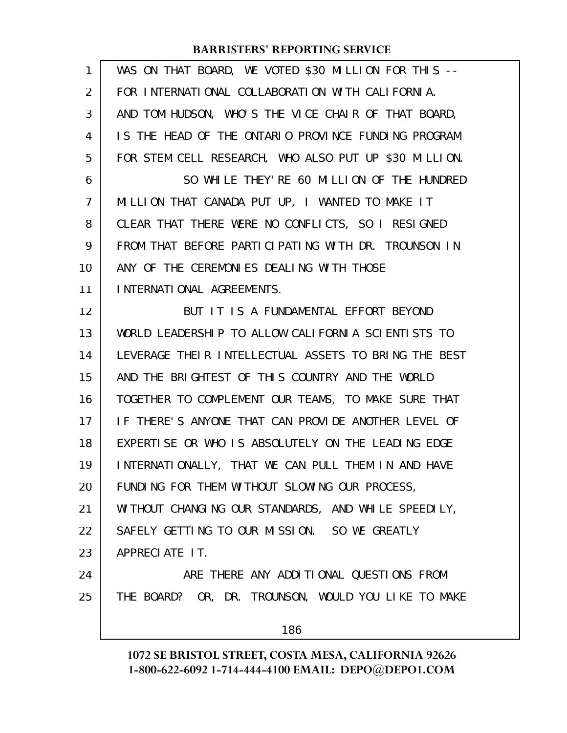| $\mathbf{1}$   | WAS ON THAT BOARD, WE VOTED \$30 MILLION FOR THIS --  |
|----------------|-------------------------------------------------------|
| 2              | FOR INTERNATIONAL COLLABORATION WITH CALIFORNIA.      |
| 3              | AND TOM HUDSON, WHO'S THE VICE CHAIR OF THAT BOARD,   |
| 4              | IS THE HEAD OF THE ONTARIO PROVINCE FUNDING PROGRAM   |
| 5              | FOR STEM CELL RESEARCH, WHO ALSO PUT UP \$30 MILLION. |
| 6              | SO WHILE THEY' RE 60 MILLION OF THE HUNDRED           |
| $\overline{7}$ | MILLION THAT CANADA PUT UP, I WANTED TO MAKE IT       |
| 8              | CLEAR THAT THERE WERE NO CONFLICTS, SO I RESIGNED     |
| 9              | FROM THAT BEFORE PARTICIPATING WITH DR. TROUNSON IN   |
| 10             | ANY OF THE CEREMONIES DEALING WITH THOSE              |
| 11             | INTERNATIONAL AGREEMENTS.                             |
| 12             | BUT IT IS A FUNDAMENTAL EFFORT BEYOND                 |
| 13             | WORLD LEADERSHIP TO ALLOW CALIFORNIA SCIENTISTS TO    |
| 14             | LEVERAGE THEIR INTELLECTUAL ASSETS TO BRING THE BEST  |
| 15             | AND THE BRIGHTEST OF THIS COUNTRY AND THE WORLD       |
| 16             | TOGETHER TO COMPLEMENT OUR TEAMS, TO MAKE SURE THAT   |
| 17             | IF THERE'S ANYONE THAT CAN PROVIDE ANOTHER LEVEL OF   |
| 18             | EXPERTISE OR WHO IS ABSOLUTELY ON THE LEADING EDGE    |
| 19             | INTERNATIONALLY, THAT WE CAN PULL THEM IN AND HAVE    |
| 20             | FUNDING FOR THEM WITHOUT SLOWING OUR PROCESS,         |
| 21             | WITHOUT CHANGING OUR STANDARDS, AND WHILE SPEEDILY,   |
| 22             | SAFELY GETTING TO OUR MISSION. SO WE GREATLY          |
| 23             | APPRECIATE IT.                                        |
| 24             | ARE THERE ANY ADDITIONAL QUESTIONS FROM               |
| 25             | THE BOARD? OR, DR. TROUNSON, WOULD YOU LIKE TO MAKE   |
|                | 186                                                   |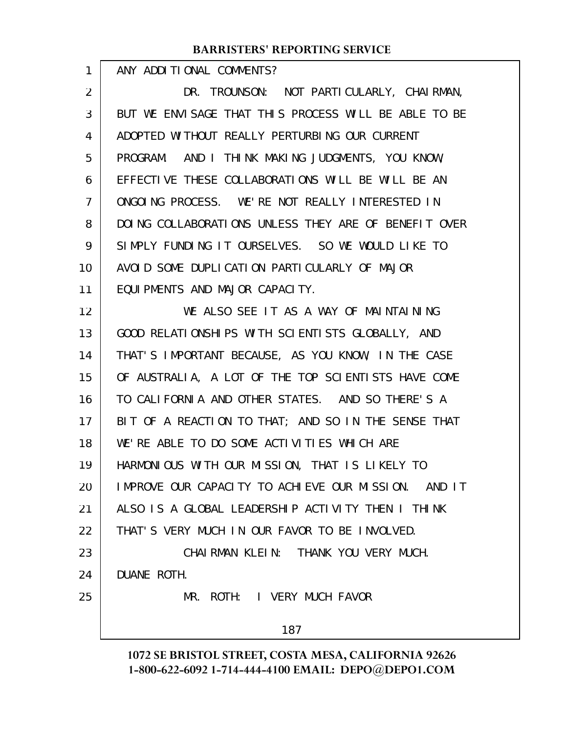| 1              | ANY ADDITIONAL COMMENTS?                               |
|----------------|--------------------------------------------------------|
| $\overline{2}$ | DR. TROUNSON: NOT PARTICULARLY, CHAIRMAN,              |
| 3              | BUT WE ENVISAGE THAT THIS PROCESS WILL BE ABLE TO BE   |
| 4              | ADOPTED WITHOUT REALLY PERTURBING OUR CURRENT          |
| 5              | PROGRAM. AND I THINK MAKING JUDGMENTS, YOU KNOW,       |
| 6              | EFFECTIVE THESE COLLABORATIONS WILL BE WILL BE AN      |
| $\overline{7}$ | ONGOING PROCESS. WE'RE NOT REALLY INTERESTED IN        |
| 8              | DOING COLLABORATIONS UNLESS THEY ARE OF BENEFIT OVER   |
| 9              | SIMPLY FUNDING IT OURSELVES. SO WE WOULD LIKE TO       |
| 10             | AVOID SOME DUPLICATION PARTICULARLY OF MAJOR           |
| 11             | EQUIPMENTS AND MAJOR CAPACITY.                         |
| 12             | WE ALSO SEE IT AS A WAY OF MAINTAINING                 |
| 13             | GOOD RELATIONSHIPS WITH SCIENTISTS GLOBALLY, AND       |
| 14             | THAT'S IMPORTANT BECAUSE, AS YOU KNOW, IN THE CASE     |
| 15             | OF AUSTRALIA, A LOT OF THE TOP SCIENTISTS HAVE COME    |
| 16             | TO CALIFORNIA AND OTHER STATES. AND SO THERE'S A       |
| 17             | BIT OF A REACTION TO THAT; AND SO IN THE SENSE THAT    |
| 18             | WE'RE ABLE TO DO SOME ACTIVITIES WHICH ARE             |
| 19             | HARMONIOUS WITH OUR MISSION, THAT IS LIKELY TO         |
| 20             | IMPROVE OUR CAPACITY TO ACHIEVE OUR MISSION.<br>AND IT |
| 21             | ALSO IS A GLOBAL LEADERSHIP ACTIVITY THEN I THINK      |
| 22             | THAT'S VERY MUCH IN OUR FAVOR TO BE INVOLVED.          |
| 23             | CHAIRMAN KLEIN: THANK YOU VERY MUCH.                   |
| 24             | DUANE ROTH.                                            |
| 25             | MR. ROTH: I VERY MUCH FAVOR                            |
|                | 187                                                    |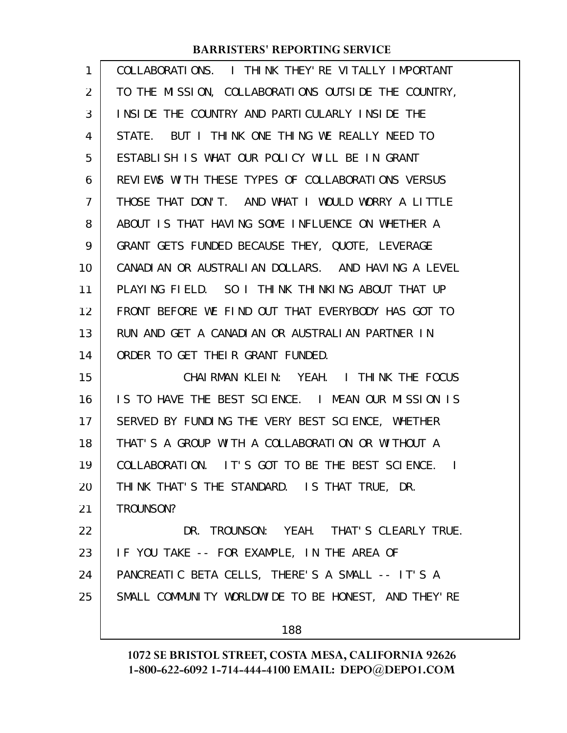| 1  | COLLABORATIONS. I THINK THEY'RE VITALLY IMPORTANT               |
|----|-----------------------------------------------------------------|
| 2  | TO THE MISSION, COLLABORATIONS OUTSIDE THE COUNTRY,             |
| 3  | INSIDE THE COUNTRY AND PARTICULARLY INSIDE THE                  |
| 4  | BUT I THINK ONE THING WE REALLY NEED TO<br>STATE.               |
| 5  | ESTABLISH IS WHAT OUR POLICY WILL BE IN GRANT                   |
| 6  | REVIEWS WITH THESE TYPES OF COLLABORATIONS VERSUS               |
| 7  | THOSE THAT DON'T. AND WHAT I WOULD WORRY A LITTLE               |
| 8  | ABOUT IS THAT HAVING SOME INFLUENCE ON WHETHER A                |
| 9  | GRANT GETS FUNDED BECAUSE THEY, QUOTE, LEVERAGE                 |
| 10 | CANADIAN OR AUSTRALIAN DOLLARS. AND HAVING A LEVEL              |
| 11 | PLAYING FIELD. SO I THINK THINKING ABOUT THAT UP                |
| 12 | FRONT BEFORE WE FIND OUT THAT EVERYBODY HAS GOT TO              |
| 13 | RUN AND GET A CANADIAN OR AUSTRALIAN PARTNER IN                 |
| 14 | ORDER TO GET THEIR GRANT FUNDED.                                |
| 15 | CHAIRMAN KLEIN: YEAH. I THINK THE FOCUS                         |
| 16 | IS TO HAVE THE BEST SCIENCE. I MEAN OUR MISSION IS              |
| 17 | SERVED BY FUNDING THE VERY BEST SCIENCE, WHETHER                |
| 18 | THAT'S A GROUP WITH A COLLABORATION OR WITHOUT A                |
| 19 | COLLABORATION. IT'S GOT TO BE THE BEST SCIENCE.<br>$\mathbf{I}$ |
| 20 | THINK THAT'S THE STANDARD. IS THAT TRUE, DR.                    |
| 21 | TROUNSON?                                                       |
| 22 | DR. TROUNSON: YEAH. THAT'S CLEARLY TRUE.                        |
| 23 | IF YOU TAKE -- FOR EXAMPLE, IN THE AREA OF                      |
| 24 | PANCREATIC BETA CELLS, THERE'S A SMALL -- IT'S A                |
| 25 | SMALL COMMUNITY WORLDWIDE TO BE HONEST, AND THEY'RE             |
|    |                                                                 |

188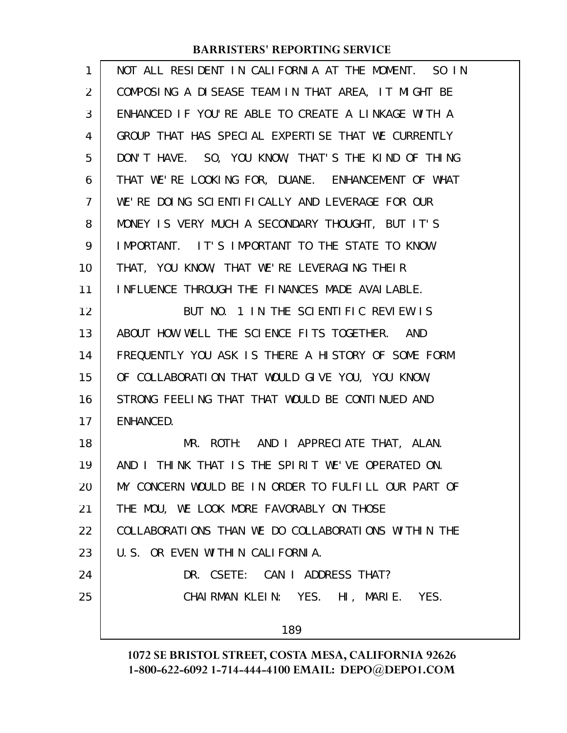| 1              | NOT ALL RESIDENT IN CALIFORNIA AT THE MOMENT. SO IN |
|----------------|-----------------------------------------------------|
| $\overline{2}$ | COMPOSING A DISEASE TEAM IN THAT AREA, IT MIGHT BE  |
| 3              | ENHANCED IF YOU'RE ABLE TO CREATE A LINKAGE WITH A  |
| 4              | GROUP THAT HAS SPECIAL EXPERTISE THAT WE CURRENTLY  |
| 5              | DON'T HAVE. SO, YOU KNOW, THAT'S THE KIND OF THING  |
| 6              | THAT WE'RE LOOKING FOR, DUANE. ENHANCEMENT OF WHAT  |
| $\overline{7}$ | WE'RE DOING SCIENTIFICALLY AND LEVERAGE FOR OUR     |
| 8              | MONEY IS VERY MUCH A SECONDARY THOUGHT, BUT IT'S    |
| 9              | IMPORTANT. IT'S IMPORTANT TO THE STATE TO KNOW      |
| 10             | THAT, YOU KNOW, THAT WE'RE LEVERAGING THEIR         |
| 11             | INFLUENCE THROUGH THE FINANCES MADE AVAILABLE.      |
| 12             | BUT NO. 1 IN THE SCIENTIFIC REVIEW IS               |
| 13             | ABOUT HOW WELL THE SCIENCE FITS TOGETHER. AND       |
| 14             | FREQUENTLY YOU ASK IS THERE A HISTORY OF SOME FORM  |
| 15             | OF COLLABORATION THAT WOULD GIVE YOU, YOU KNOW,     |
| 16             | STRONG FEELING THAT THAT WOULD BE CONTINUED AND     |
| 17             | ENHANCED.                                           |
| 18             | MR. ROTH: AND I APPRECIATE THAT, ALAN.              |
| 19             | AND I THINK THAT IS THE SPIRIT WE'VE OPERATED ON.   |
| 20             | MY CONCERN WOULD BE IN ORDER TO FULFILL OUR PART OF |
| 21             | THE MOU, WE LOOK MORE FAVORABLY ON THOSE            |
| 22             | COLLABORATIONS THAN WE DO COLLABORATIONS WITHIN THE |
| 23             | U.S. OR EVEN WITHIN CALIFORNIA.                     |
| 24             | DR. CSETE: CAN I ADDRESS THAT?                      |
| 25             | CHAIRMAN KLEIN: YES. HI, MARIE. YES.                |
|                | 189                                                 |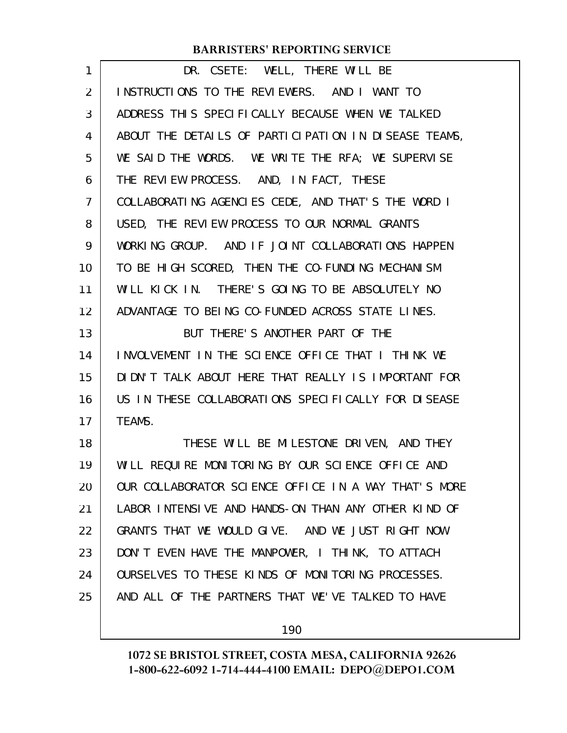| 1  | DR. CSETE: WELL, THERE WILL BE                       |
|----|------------------------------------------------------|
| 2  | INSTRUCTIONS TO THE REVIEWERS. AND I WANT TO         |
| 3  | ADDRESS THIS SPECIFICALLY BECAUSE WHEN WE TALKED     |
| 4  | ABOUT THE DETAILS OF PARTICIPATION IN DISEASE TEAMS, |
| 5  | WE SAID THE WORDS. WE WRITE THE RFA; WE SUPERVISE    |
| 6  | THE REVIEW PROCESS. AND, IN FACT, THESE              |
| 7  | COLLABORATING AGENCIES CEDE, AND THAT'S THE WORD I   |
| 8  | USED, THE REVIEW PROCESS TO OUR NORMAL GRANTS        |
| 9  | WORKING GROUP. AND IF JOINT COLLABORATIONS HAPPEN    |
| 10 | TO BE HIGH SCORED, THEN THE CO-FUNDING MECHANISM     |
| 11 | WILL KICK IN. THERE'S GOING TO BE ABSOLUTELY NO      |
| 12 | ADVANTAGE TO BEING CO-FUNDED ACROSS STATE LINES.     |
| 13 | BUT THERE'S ANOTHER PART OF THE                      |
| 14 | INVOLVEMENT IN THE SCIENCE OFFICE THAT I THINK WE    |
| 15 | DIDN'T TALK ABOUT HERE THAT REALLY IS IMPORTANT FOR  |
| 16 | US IN THESE COLLABORATIONS SPECIFICALLY FOR DISEASE  |
| 17 | TEAMS.                                               |
| 18 | THESE WILL BE MILESTONE DRIVEN, AND THEY             |
| 19 | WILL REQUIRE MONITORING BY OUR SCIENCE OFFICE AND    |
| 20 | OUR COLLABORATOR SCIENCE OFFICE IN A WAY THAT'S MORE |
| 21 | LABOR INTENSIVE AND HANDS-ON THAN ANY OTHER KIND OF  |
| 22 | GRANTS THAT WE WOULD GIVE. AND WE JUST RIGHT NOW     |
| 23 | DON'T EVEN HAVE THE MANPOWER, I THINK, TO ATTACH     |
| 24 | OURSELVES TO THESE KINDS OF MONITORING PROCESSES.    |
| 25 | AND ALL OF THE PARTNERS THAT WE'VE TALKED TO HAVE    |
|    |                                                      |

190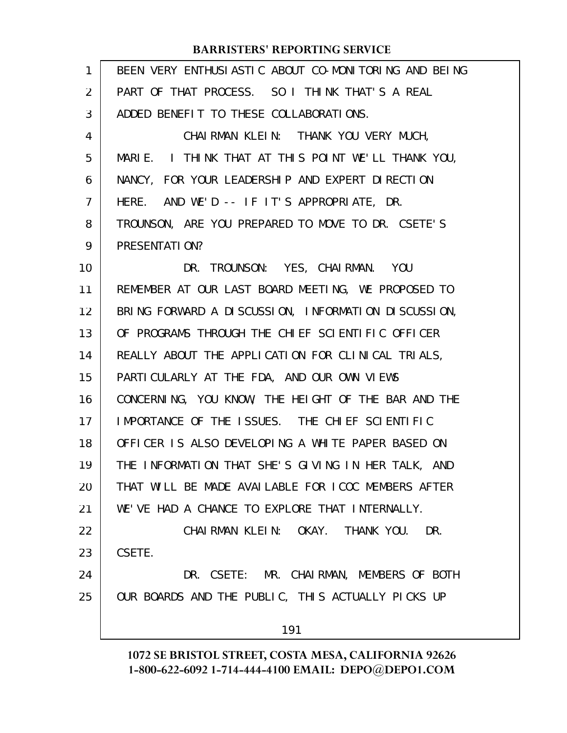| $\mathbf{1}$   | BEEN VERY ENTHUSIASTIC ABOUT CO-MONITORING AND BEING |
|----------------|------------------------------------------------------|
| $\overline{2}$ | PART OF THAT PROCESS. SO I THINK THAT'S A REAL       |
| 3              | ADDED BENEFIT TO THESE COLLABORATIONS.               |
| 4              | CHAIRMAN KLEIN: THANK YOU VERY MUCH,                 |
| 5              | MARIE. I THINK THAT AT THIS POINT WE'LL THANK YOU,   |
| 6              | NANCY, FOR YOUR LEADERSHIP AND EXPERT DIRECTION      |
| 7              | HERE. AND WE'D -- IF IT'S APPROPRIATE, DR.           |
| 8              | TROUNSON, ARE YOU PREPARED TO MOVE TO DR. CSETE'S    |
| 9              | PRESENTATION?                                        |
| 10             | DR. TROUNSON: YES, CHAIRMAN. YOU                     |
| 11             | REMEMBER AT OUR LAST BOARD MEETING, WE PROPOSED TO   |
| 12             | BRING FORWARD A DISCUSSION, INFORMATION DISCUSSION,  |
| 13             | OF PROGRAMS THROUGH THE CHIEF SCIENTIFIC OFFICER     |
| 14             | REALLY ABOUT THE APPLICATION FOR CLINICAL TRIALS,    |
| 15             | PARTICULARLY AT THE FDA, AND OUR OWN VIEWS           |
| 16             | CONCERNING, YOU KNOW, THE HEIGHT OF THE BAR AND THE  |
| 17             | IMPORTANCE OF THE ISSUES. THE CHIEF SCIENTIFIC       |
| 18             | OFFICER IS ALSO DEVELOPING A WHITE PAPER BASED ON    |
| 19             | THE INFORMATION THAT SHE'S GIVING IN HER TALK, AND   |
| 20             | THAT WILL BE MADE AVAILABLE FOR ICOC MEMBERS AFTER   |
| 21             | WE'VE HAD A CHANCE TO EXPLORE THAT INTERNALLY.       |
| 22             | CHAIRMAN KLEIN: OKAY. THANK YOU.<br>DR.              |
| 23             | CSETE.                                               |
| 24             | DR. CSETE: MR. CHAIRMAN, MEMBERS OF BOTH             |
| 25             | OUR BOARDS AND THE PUBLIC, THIS ACTUALLY PICKS UP    |
|                | 191                                                  |
|                |                                                      |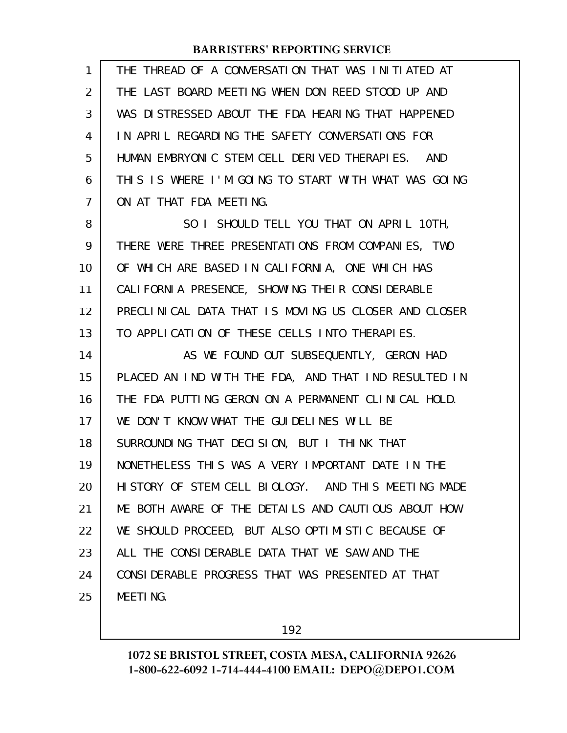| $\mathbf{1}$   | THE THREAD OF A CONVERSATION THAT WAS INITIATED AT   |
|----------------|------------------------------------------------------|
| 2              | THE LAST BOARD MEETING WHEN DON REED STOOD UP AND    |
| 3              | WAS DISTRESSED ABOUT THE FDA HEARING THAT HAPPENED   |
| 4              | IN APRIL REGARDING THE SAFETY CONVERSATIONS FOR      |
| 5              | HUMAN EMBRYONIC STEM CELL DERIVED THERAPIES. AND     |
| 6              | THIS IS WHERE I'M GOING TO START WITH WHAT WAS GOING |
| $\overline{7}$ | ON AT THAT FDA MEETING.                              |
| 8              | SO I SHOULD TELL YOU THAT ON APRIL 10TH,             |
| 9              | THERE WERE THREE PRESENTATIONS FROM COMPANIES, TWO   |
| 10             | OF WHICH ARE BASED IN CALIFORNIA, ONE WHICH HAS      |
| 11             | CALIFORNIA PRESENCE, SHOWING THEIR CONSIDERABLE      |
| 12             | PRECLINICAL DATA THAT IS MOVING US CLOSER AND CLOSER |
| 13             | TO APPLICATION OF THESE CELLS INTO THERAPIES.        |
| 14             | AS WE FOUND OUT SUBSEQUENTLY, GERON HAD              |
| 15             | PLACED AN IND WITH THE FDA, AND THAT IND RESULTED IN |
| 16             | THE FDA PUTTING GERON ON A PERMANENT CLINICAL HOLD.  |
| 17             | WE DON'T KNOW WHAT THE GUIDELINES WILL BE            |
| 18             | SURROUNDING THAT DECISION, BUT I THINK THAT          |
| 19             | NONETHELESS THIS WAS A VERY IMPORTANT DATE IN THE    |
| 20             | HISTORY OF STEM CELL BIOLOGY. AND THIS MEETING MADE  |
| 21             | ME BOTH AWARE OF THE DETAILS AND CAUTIOUS ABOUT HOW  |
| 22             | WE SHOULD PROCEED, BUT ALSO OPTIMISTIC BECAUSE OF    |
| 23             | ALL THE CONSIDERABLE DATA THAT WE SAW AND THE        |
| 24             | CONSIDERABLE PROGRESS THAT WAS PRESENTED AT THAT     |
| 25             | <b>MEETING.</b>                                      |

192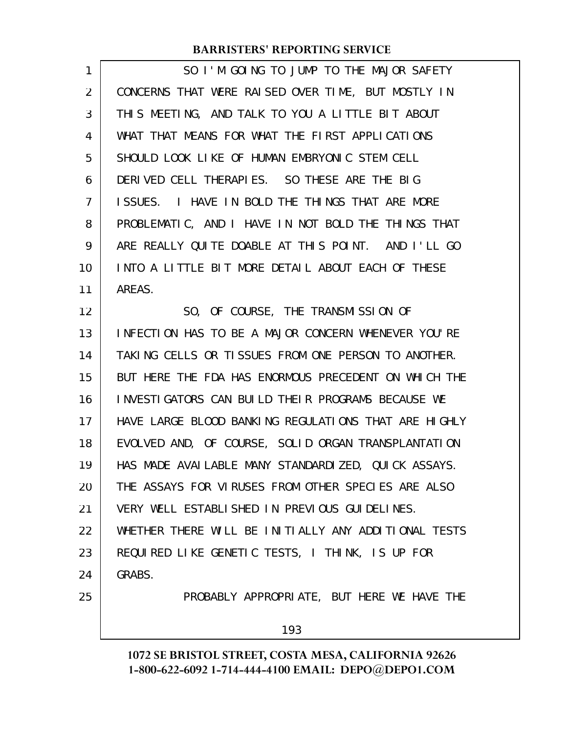| 1  | SO I'M GOING TO JUMP TO THE MAJOR SAFETY             |
|----|------------------------------------------------------|
| 2  | CONCERNS THAT WERE RAISED OVER TIME, BUT MOSTLY IN   |
| 3  | THIS MEETING, AND TALK TO YOU A LITTLE BIT ABOUT     |
| 4  | WHAT THAT MEANS FOR WHAT THE FIRST APPLICATIONS      |
| 5  | SHOULD LOOK LIKE OF HUMAN EMBRYONIC STEM CELL        |
| 6  | DERIVED CELL THERAPIES. SO THESE ARE THE BIG         |
| 7  | ISSUES. I HAVE IN BOLD THE THINGS THAT ARE MORE      |
| 8  | PROBLEMATIC, AND I HAVE IN NOT BOLD THE THINGS THAT  |
| 9  | ARE REALLY QUITE DOABLE AT THIS POINT. AND I'LL GO   |
| 10 | INTO A LITTLE BIT MORE DETAIL ABOUT EACH OF THESE    |
| 11 | AREAS.                                               |
| 12 | SO, OF COURSE, THE TRANSMISSION OF                   |
| 13 | INFECTION HAS TO BE A MAJOR CONCERN WHENEVER YOU'RE  |
| 14 | TAKING CELLS OR TISSUES FROM ONE PERSON TO ANOTHER.  |
| 15 | BUT HERE THE FDA HAS ENORMOUS PRECEDENT ON WHICH THE |
| 16 | INVESTIGATORS CAN BUILD THEIR PROGRAMS BECAUSE WE    |
| 17 | HAVE LARGE BLOOD BANKING REGULATIONS THAT ARE HIGHLY |
| 18 | EVOLVED AND, OF COURSE, SOLID ORGAN TRANSPLANTATION  |
| 19 | HAS MADE AVAILABLE MANY STANDARDIZED, QUICK ASSAYS.  |
| 20 | THE ASSAYS FOR VIRUSES FROM OTHER SPECIES ARE ALSO   |
| 21 | VERY WELL ESTABLISHED IN PREVIOUS GUIDELINES.        |
| 22 | WHETHER THERE WILL BE INITIALLY ANY ADDITIONAL TESTS |
| 23 | REQUIRED LIKE GENETIC TESTS, I THINK, IS UP FOR      |
| 24 | GRABS.                                               |
| 25 | PROBABLY APPROPRIATE, BUT HERE WE HAVE THE           |
|    | 193                                                  |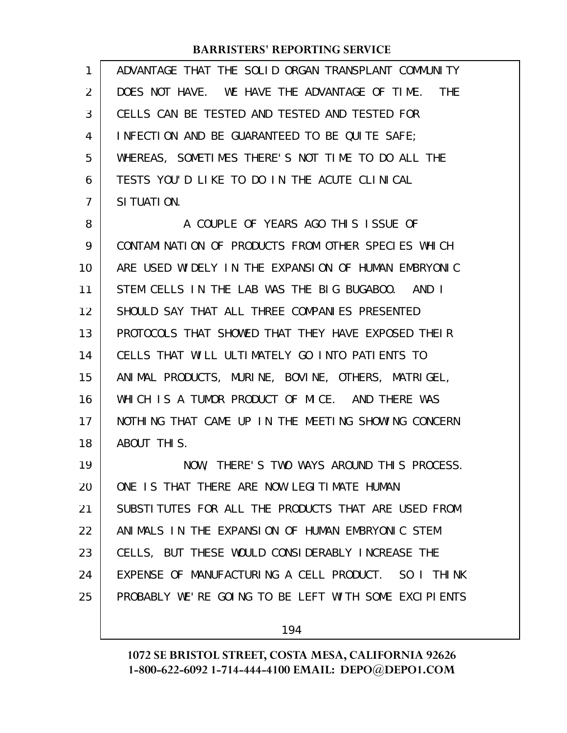| 1  | ADVANTAGE THAT THE SOLID ORGAN TRANSPLANT COMMUNITY  |
|----|------------------------------------------------------|
| 2  | DOES NOT HAVE. WE HAVE THE ADVANTAGE OF TIME. THE    |
| 3  | CELLS CAN BE TESTED AND TESTED AND TESTED FOR        |
| 4  | INFECTION AND BE GUARANTEED TO BE QUITE SAFE;        |
| 5  | WHEREAS, SOMETIMES THERE'S NOT TIME TO DO ALL THE    |
| 6  | TESTS YOU'D LIKE TO DO IN THE ACUTE CLINICAL         |
| 7  | SI TUATI ON.                                         |
| 8  | A COUPLE OF YEARS AGO THIS ISSUE OF                  |
| 9  | CONTAMINATION OF PRODUCTS FROM OTHER SPECIES WHICH   |
| 10 | ARE USED WIDELY IN THE EXPANSION OF HUMAN EMBRYONIC  |
| 11 | STEM CELLS IN THE LAB WAS THE BIG BUGABOO. AND I     |
| 12 | SHOULD SAY THAT ALL THREE COMPANIES PRESENTED        |
| 13 | PROTOCOLS THAT SHOWED THAT THEY HAVE EXPOSED THEIR   |
| 14 | CELLS THAT WILL ULTIMATELY GO INTO PATIENTS TO       |
| 15 | ANIMAL PRODUCTS, MURINE, BOVINE, OTHERS, MATRIGEL,   |
| 16 | WHICH IS A TUMOR PRODUCT OF MICE. AND THERE WAS      |
| 17 | NOTHING THAT CAME UP IN THE MEETING SHOWING CONCERN  |
| 18 | ABOUT THIS.                                          |
| 19 | NOW, THERE'S TWO WAYS AROUND THIS PROCESS.           |
| 20 | ONE IS THAT THERE ARE NOW LEGITIMATE HUMAN           |
| 21 | SUBSTITUTES FOR ALL THE PRODUCTS THAT ARE USED FROM  |
| 22 | ANIMALS IN THE EXPANSION OF HUMAN EMBRYONIC STEM     |
| 23 | CELLS, BUT THESE WOULD CONSIDERABLY INCREASE THE     |
| 24 | EXPENSE OF MANUFACTURING A CELL PRODUCT. SO I THINK  |
| 25 | PROBABLY WE'RE GOING TO BE LEFT WITH SOME EXCIPIENTS |
|    |                                                      |

194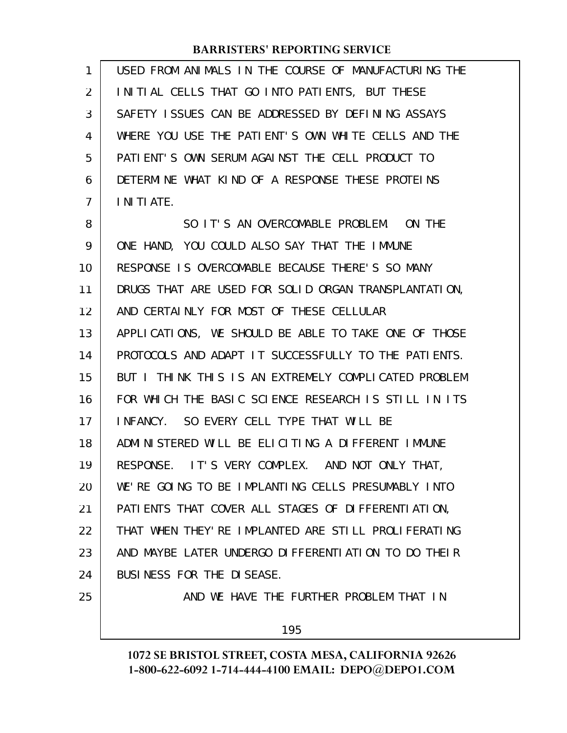| 1              | USED FROM ANIMALS IN THE COURSE OF MANUFACTURING THE |
|----------------|------------------------------------------------------|
| 2              | INITIAL CELLS THAT GO INTO PATIENTS, BUT THESE       |
| 3              | SAFETY ISSUES CAN BE ADDRESSED BY DEFINING ASSAYS    |
| 4              | WHERE YOU USE THE PATIENT'S OWN WHITE CELLS AND THE  |
| 5              | PATIENT'S OWN SERUM AGAINST THE CELL PRODUCT TO      |
| 6              | DETERMINE WHAT KIND OF A RESPONSE THESE PROTEINS     |
| $\overline{7}$ | I NI TI ATE.                                         |
| 8              | SO IT'S AN OVERCOMABLE PROBLEM. ON THE               |
| 9              | ONE HAND, YOU COULD ALSO SAY THAT THE IMMUNE         |
| 10             | RESPONSE IS OVERCOMABLE BECAUSE THERE'S SO MANY      |
| 11             | DRUGS THAT ARE USED FOR SOLID ORGAN TRANSPLANTATION, |
| 12             | AND CERTAINLY FOR MOST OF THESE CELLULAR             |
| 13             | APPLICATIONS, WE SHOULD BE ABLE TO TAKE ONE OF THOSE |
| 14             | PROTOCOLS AND ADAPT IT SUCCESSFULLY TO THE PATIENTS. |
| 15             | BUT I THINK THIS IS AN EXTREMELY COMPLICATED PROBLEM |
| 16             | FOR WHICH THE BASIC SCIENCE RESEARCH IS STILL IN ITS |
| 17             | SO EVERY CELL TYPE THAT WILL BE<br>I NFANCY.         |
| 18             | ADMINISTERED WILL BE ELICITING A DIFFERENT IMMUNE    |
| 19             | RESPONSE. IT'S VERY COMPLEX. AND NOT ONLY THAT,      |
| 20             | WE'RE GOING TO BE IMPLANTING CELLS PRESUMABLY INTO   |
| 21             | PATI ENTS THAT COVER ALL STAGES OF DIFFERENTI ATION, |
| 22             | THAT WHEN THEY' RE IMPLANTED ARE STILL PROLIFERATING |
| 23             | AND MAYBE LATER UNDERGO DIFFERENTIATION TO DO THEIR  |
| 24             | BUSINESS FOR THE DISEASE.                            |
| 25             | AND WE HAVE THE FURTHER PROBLEM THAT IN              |
|                |                                                      |

195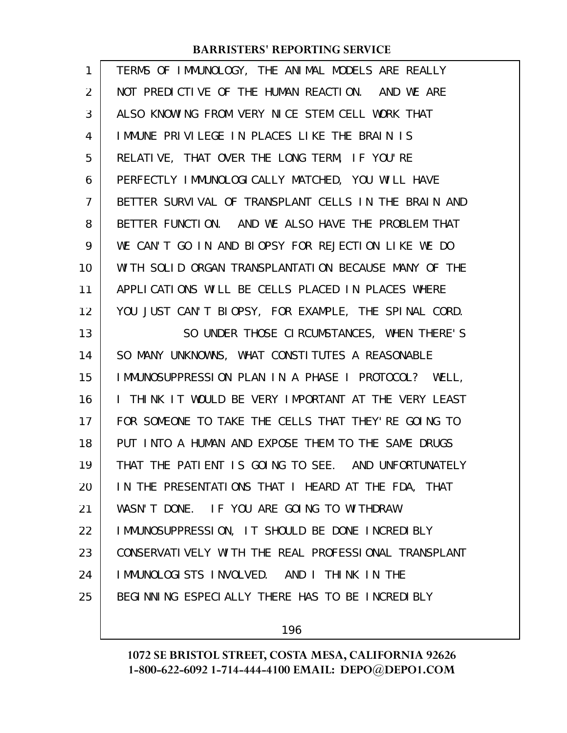| 1  | TERMS OF IMMUNOLOGY, THE ANIMAL MODELS ARE REALLY      |
|----|--------------------------------------------------------|
| 2  | NOT PREDICTIVE OF THE HUMAN REACTION. AND WE ARE       |
| 3  | ALSO KNOWING FROM VERY NICE STEM CELL WORK THAT        |
| 4  | IMMUNE PRIVILEGE IN PLACES LIKE THE BRAIN IS           |
| 5  | RELATIVE, THAT OVER THE LONG TERM, IF YOU'RE           |
| 6  | PERFECTLY IMMUNOLOGICALLY MATCHED, YOU WILL HAVE       |
| 7  | BETTER SURVIVAL OF TRANSPLANT CELLS IN THE BRAIN AND   |
| 8  | BETTER FUNCTION. AND WE ALSO HAVE THE PROBLEM THAT     |
| 9  | WE CAN'T GO IN AND BIOPSY FOR REJECTION LIKE WE DO     |
| 10 | WITH SOLID ORGAN TRANSPLANTATION BECAUSE MANY OF THE   |
| 11 | APPLICATIONS WILL BE CELLS PLACED IN PLACES WHERE      |
| 12 | YOU JUST CAN'T BIOPSY, FOR EXAMPLE, THE SPINAL CORD.   |
| 13 | SO UNDER THOSE CIRCUMSTANCES, WHEN THERE'S             |
| 14 | SO MANY UNKNOWNS, WHAT CONSTITUTES A REASONABLE        |
| 15 | IMMUNOSUPPRESSION PLAN IN A PHASE I PROTOCOL? WELL,    |
| 16 | I THINK IT WOULD BE VERY IMPORTANT AT THE VERY LEAST   |
| 17 | FOR SOMEONE TO TAKE THE CELLS THAT THEY' RE GOING TO   |
| 18 | PUT INTO A HUMAN AND EXPOSE THEM TO THE SAME DRUGS     |
| 19 | THAT THE PATIENT IS GOING TO SEE. AND UNFORTUNATELY    |
| 20 | IN THE PRESENTATIONS THAT I HEARD AT THE FDA, THAT     |
| 21 | WASN'T DONE. IF YOU ARE GOING TO WITHDRAW              |
| 22 | IMMUNOSUPPRESSION, IT SHOULD BE DONE INCREDIBLY        |
| 23 | CONSERVATI VELY WITH THE REAL PROFESSI ONAL TRANSPLANT |
| 24 | IMMUNOLOGISTS INVOLVED. AND I THINK IN THE             |
| 25 | BEGINNING ESPECIALLY THERE HAS TO BE INCREDIBLY        |
|    |                                                        |

196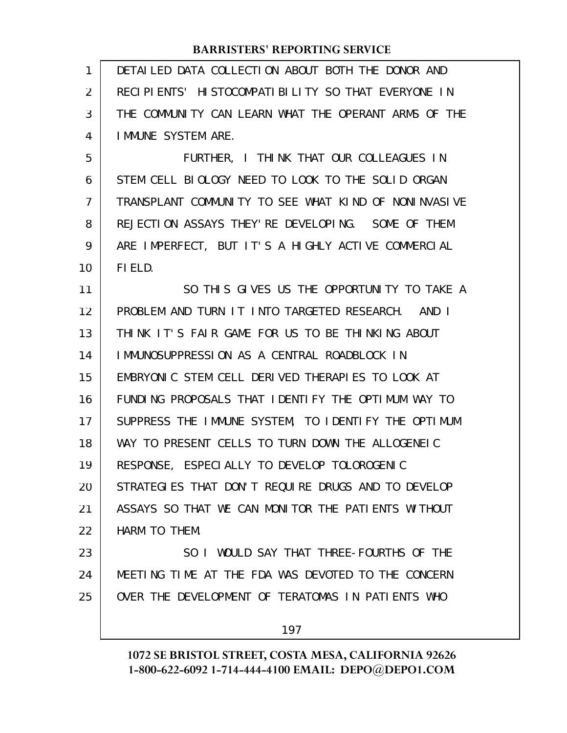DETAILED DATA COLLECTION ABOUT BOTH THE DONOR AND RECIPIENTS' HISTOCOMPATIBILITY SO THAT EVERYONE IN THE COMMUNITY CAN LEARN WHAT THE OPERANT ARMS OF THE IMMUNE SYSTEM ARE. 1 2 3 4

FURTHER, I THINK THAT OUR COLLEAGUES IN STEM CELL BIOLOGY NEED TO LOOK TO THE SOLID ORGAN TRANSPLANT COMMUNITY TO SEE WHAT KIND OF NONINVASIVE REJECTION ASSAYS THEY'RE DEVELOPING. SOME OF THEM ARE IMPERFECT, BUT IT'S A HIGHLY ACTIVE COMMERCIAL FIELD. 5 6 7 8 9 10

SO THIS GIVES US THE OPPORTUNITY TO TAKE A PROBLEM AND TURN IT INTO TARGETED RESEARCH. AND I THINK IT'S FAIR GAME FOR US TO BE THINKING ABOUT IMMUNOSUPPRESSION AS A CENTRAL ROADBLOCK IN EMBRYONIC STEM CELL DERIVED THERAPIES TO LOOK AT FUNDING PROPOSALS THAT IDENTIFY THE OPTIMUM WAY TO SUPPRESS THE IMMUNE SYSTEM, TO IDENTIFY THE OPTIMUM WAY TO PRESENT CELLS TO TURN DOWN THE ALLOGENEIC RESPONSE, ESPECIALLY TO DEVELOP TOLOROGENIC STRATEGIES THAT DON'T REQUIRE DRUGS AND TO DEVELOP ASSAYS SO THAT WE CAN MONITOR THE PATIENTS WITHOUT HARM TO THEM. SO I WOULD SAY THAT THREE-FOURTHS OF THE 11 12 13 14 15 16 17 18 19 20 21 22 23

MEETING TIME AT THE FDA WAS DEVOTED TO THE CONCERN OVER THE DEVELOPMENT OF TERATOMAS IN PATIENTS WHO 24 25

197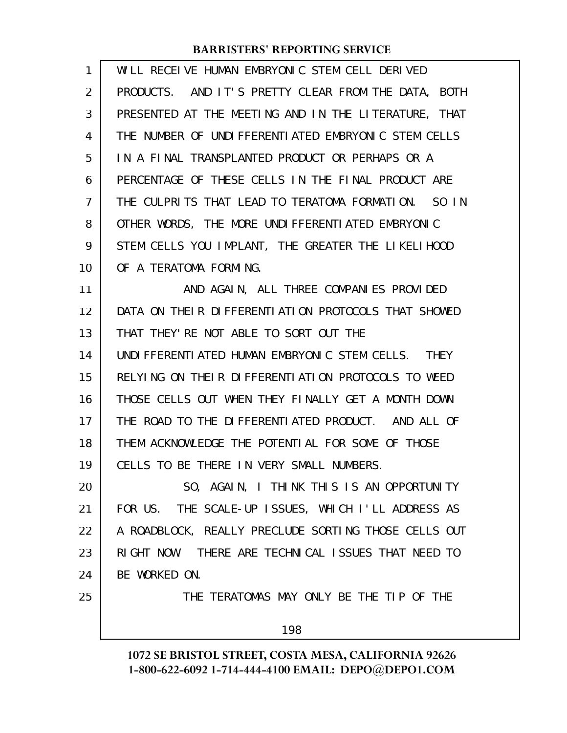| 1  | WILL RECEIVE HUMAN EMBRYONIC STEM CELL DERIVED       |
|----|------------------------------------------------------|
| 2  | PRODUCTS. AND IT'S PRETTY CLEAR FROM THE DATA, BOTH  |
| 3  | PRESENTED AT THE MEETING AND IN THE LITERATURE, THAT |
| 4  | THE NUMBER OF UNDIFFERENTIATED EMBRYONIC STEM CELLS  |
| 5  | IN A FINAL TRANSPLANTED PRODUCT OR PERHAPS OR A      |
| 6  | PERCENTAGE OF THESE CELLS IN THE FINAL PRODUCT ARE   |
| 7  | THE CULPRITS THAT LEAD TO TERATOMA FORMATION. SO IN  |
| 8  | OTHER WORDS, THE MORE UNDIFFERENTIATED EMBRYONIC     |
| 9  | STEM CELLS YOU IMPLANT, THE GREATER THE LIKELIHOOD   |
| 10 | OF A TERATOMA FORMING.                               |
| 11 | AND AGAIN, ALL THREE COMPANIES PROVIDED              |
| 12 | DATA ON THEIR DIFFERENTIATION PROTOCOLS THAT SHOWED  |
| 13 | THAT THEY' RE NOT ABLE TO SORT OUT THE               |
| 14 | UNDIFFERENTIATED HUMAN EMBRYONIC STEM CELLS. THEY    |
| 15 | RELYING ON THEIR DIFFERENTIATION PROTOCOLS TO WEED   |
| 16 | THOSE CELLS OUT WHEN THEY FINALLY GET A MONTH DOWN   |
| 17 | THE ROAD TO THE DIFFERENTIATED PRODUCT. AND ALL OF   |
| 18 | THEM ACKNOWLEDGE THE POTENTIAL FOR SOME OF THOSE     |
| 19 | CELLS TO BE THERE IN VERY SMALL NUMBERS.             |
| 20 | SO, AGAIN, I THINK THIS IS AN OPPORTUNITY            |
| 21 | FOR US. THE SCALE-UP ISSUES, WHICH I'LL ADDRESS AS   |
| 22 | A ROADBLOCK, REALLY PRECLUDE SORTING THOSE CELLS OUT |
| 23 | RIGHT NOW. THERE ARE TECHNICAL ISSUES THAT NEED TO   |
| 24 | BE WORKED ON.                                        |
| 25 | THE TERATOMAS MAY ONLY BE THE TIP OF THE             |
|    | 198                                                  |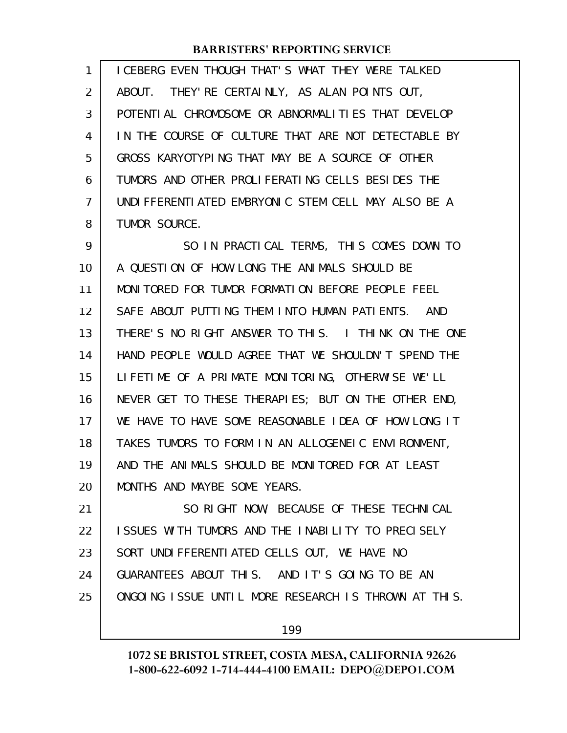ICEBERG EVEN THOUGH THAT'S WHAT THEY WERE TALKED ABOUT. THEY'RE CERTAINLY, AS ALAN POINTS OUT, POTENTIAL CHROMOSOME OR ABNORMALITIES THAT DEVELOP IN THE COURSE OF CULTURE THAT ARE NOT DETECTABLE BY GROSS KARYOTYPING THAT MAY BE A SOURCE OF OTHER TUMORS AND OTHER PROLIFERATING CELLS BESIDES THE UNDIFFERENTIATED EMBRYONIC STEM CELL MAY ALSO BE A TUMOR SOURCE. SO IN PRACTICAL TERMS, THIS COMES DOWN TO A QUESTION OF HOW LONG THE ANIMALS SHOULD BE MONITORED FOR TUMOR FORMATION BEFORE PEOPLE FEEL SAFE ABOUT PUTTING THEM INTO HUMAN PATIENTS. AND THERE'S NO RIGHT ANSWER TO THIS. I THINK ON THE ONE HAND PEOPLE WOULD AGREE THAT WE SHOULDN'T SPEND THE LIFETIME OF A PRIMATE MONITORING, OTHERWISE WE'LL NEVER GET TO THESE THERAPIES; BUT ON THE OTHER END, WE HAVE TO HAVE SOME REASONABLE IDEA OF HOW LONG IT TAKES TUMORS TO FORM IN AN ALLOGENEIC ENVIRONMENT, AND THE ANIMALS SHOULD BE MONITORED FOR AT LEAST MONTHS AND MAYBE SOME YEARS. SO RIGHT NOW, BECAUSE OF THESE TECHNICAL 1 2 3 4 5 6 7 8 9 10 11 12 13 14 15 16 17 18 19 20 21

ISSUES WITH TUMORS AND THE INABILITY TO PRECISELY SORT UNDIFFERENTIATED CELLS OUT, WE HAVE NO GUARANTEES ABOUT THIS. AND IT'S GOING TO BE AN ONGOING ISSUE UNTIL MORE RESEARCH IS THROWN AT THIS. 22 23 24 25

199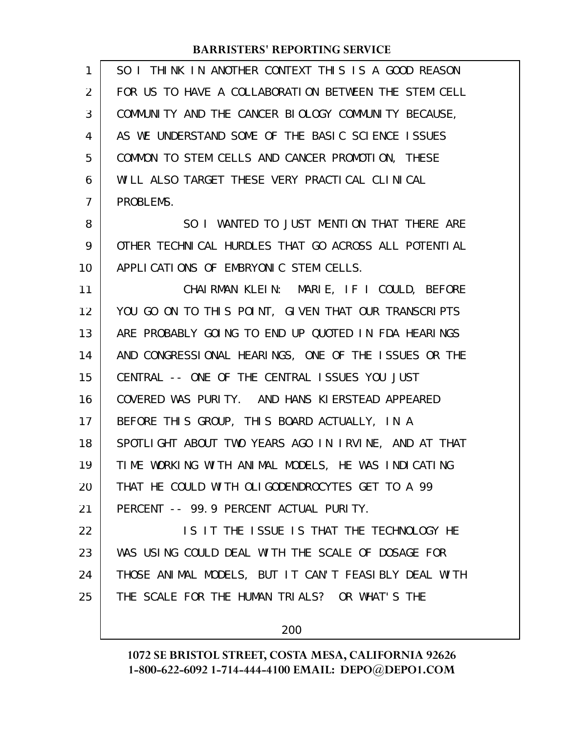| 1              | SO I THINK IN ANOTHER CONTEXT THIS IS A GOOD REASON  |
|----------------|------------------------------------------------------|
| 2              | FOR US TO HAVE A COLLABORATION BETWEEN THE STEM CELL |
| 3              | COMMUNITY AND THE CANCER BIOLOGY COMMUNITY BECAUSE,  |
| 4              | AS WE UNDERSTAND SOME OF THE BASIC SCIENCE ISSUES    |
| 5              | COMMON TO STEM CELLS AND CANCER PROMOTION, THESE     |
| 6              | WILL ALSO TARGET THESE VERY PRACTICAL CLINICAL       |
| $\overline{7}$ | PROBLEMS.                                            |
| 8              | SO I WANTED TO JUST MENTION THAT THERE ARE           |
| 9              | OTHER TECHNICAL HURDLES THAT GO ACROSS ALL POTENTIAL |
| 10             | APPLICATIONS OF EMBRYONIC STEM CELLS.                |
| 11             | CHAIRMAN KLEIN: MARIE, IF I COULD, BEFORE            |
| 12             | YOU GO ON TO THIS POINT, GIVEN THAT OUR TRANSCRIPTS  |
| 13             | ARE PROBABLY GOING TO END UP QUOTED IN FDA HEARINGS  |
| 14             | AND CONGRESSIONAL HEARINGS, ONE OF THE ISSUES OR THE |
| 15             | CENTRAL -- ONE OF THE CENTRAL ISSUES YOU JUST        |
| 16             | COVERED WAS PURITY. AND HANS KIERSTEAD APPEARED      |
| 17             | BEFORE THIS GROUP, THIS BOARD ACTUALLY, IN A         |
| 18             | SPOTLIGHT ABOUT TWO YEARS AGO IN IRVINE, AND AT THAT |
| 19             | TIME WORKING WITH ANIMAL MODELS, HE WAS INDICATING   |
| 20             | THAT HE COULD WITH OLIGODENDROCYTES GET TO A 99      |
| 21             | PERCENT -- 99.9 PERCENT ACTUAL PURITY.               |
| 22             | IS IT THE ISSUE IS THAT THE TECHNOLOGY HE            |
| 23             | WAS USING COULD DEAL WITH THE SCALE OF DOSAGE FOR    |
| 24             | THOSE ANIMAL MODELS, BUT IT CAN'T FEASIBLY DEAL WITH |
| 25             | THE SCALE FOR THE HUMAN TRIALS? OR WHAT'S THE        |
|                |                                                      |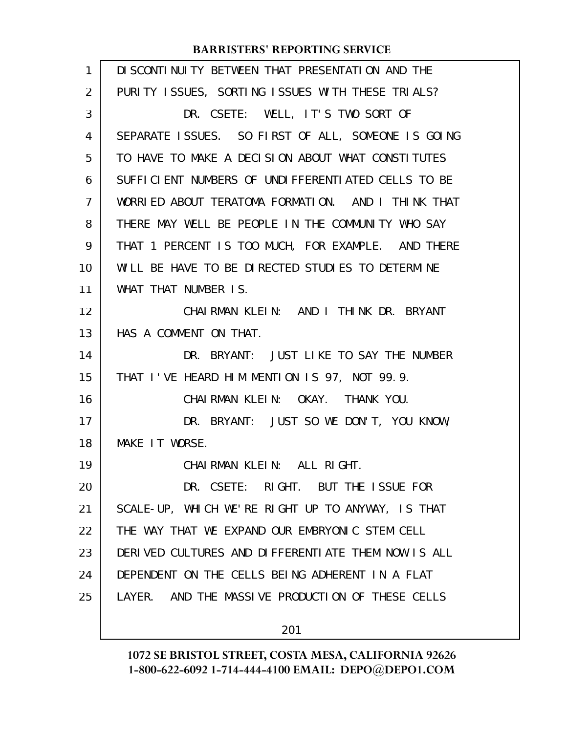| $\mathbf{1}$ | DI SCONTI NUI TY BETWEEN THAT PRESENTATI ON AND THE |
|--------------|-----------------------------------------------------|
| 2            | PURITY ISSUES, SORTING ISSUES WITH THESE TRIALS?    |
| 3            | DR. CSETE: WELL, IT'S TWO SORT OF                   |
| 4            | SEPARATE ISSUES. SO FIRST OF ALL, SOMEONE IS GOING  |
| 5            | TO HAVE TO MAKE A DECISION ABOUT WHAT CONSTITUTES   |
| 6            | SUFFICIENT NUMBERS OF UNDIFFERENTIATED CELLS TO BE  |
| 7            | WORRIED ABOUT TERATOMA FORMATION. AND I THINK THAT  |
| 8            | THERE MAY WELL BE PEOPLE IN THE COMMUNITY WHO SAY   |
| 9            | THAT 1 PERCENT IS TOO MUCH, FOR EXAMPLE. AND THERE  |
| 10           | WILL BE HAVE TO BE DIRECTED STUDIES TO DETERMINE    |
| 11           | WHAT THAT NUMBER IS.                                |
| 12           | CHAIRMAN KLEIN: AND I THINK DR. BRYANT              |
| 13           | HAS A COMMENT ON THAT.                              |
| 14           | DR. BRYANT: JUST LIKE TO SAY THE NUMBER             |
| 15           | THAT I'VE HEARD HIM MENTION IS 97, NOT 99.9.        |
| 16           | CHAIRMAN KLEIN: OKAY. THANK YOU.                    |
| 17           | DR. BRYANT: JUST SO WE DON'T, YOU KNOW,             |
| 18           | MAKE IT WORSE.                                      |
| 19           | CHAIRMAN KLEIN: ALL RIGHT.                          |
| 20           | DR. CSETE: RIGHT. BUT THE ISSUE FOR                 |
| 21           | SCALE-UP, WHICH WE'RE RIGHT UP TO ANYWAY, IS THAT   |
| 22           | THE WAY THAT WE EXPAND OUR EMBRYONIC STEM CELL      |
| 23           | DERIVED CULTURES AND DIFFERENTIATE THEM NOW IS ALL  |
| 24           | DEPENDENT ON THE CELLS BEING ADHERENT IN A FLAT     |
| 25           | LAYER. AND THE MASSIVE PRODUCTION OF THESE CELLS    |
|              |                                                     |

201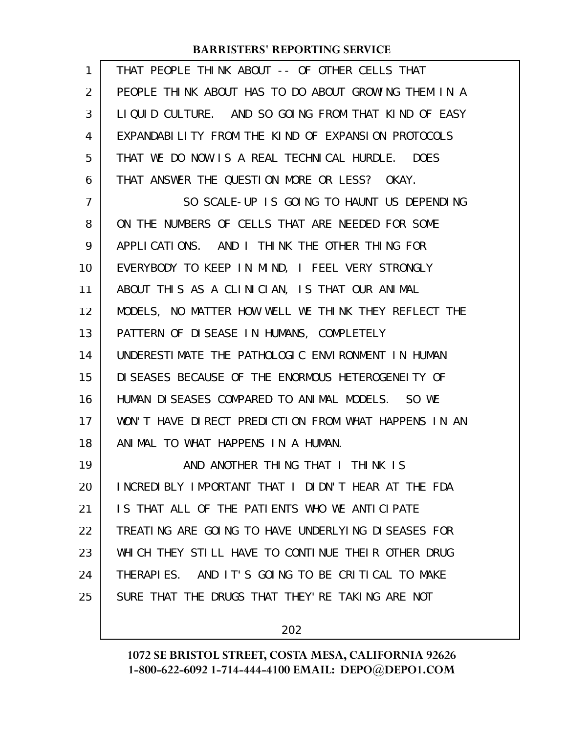| $\mathbf{1}$   | THAT PEOPLE THINK ABOUT -- OF OTHER CELLS THAT       |
|----------------|------------------------------------------------------|
| $\overline{2}$ | PEOPLE THINK ABOUT HAS TO DO ABOUT GROWING THEM IN A |
| 3              | LIQUID CULTURE. AND SO GOING FROM THAT KIND OF EASY  |
| 4              | EXPANDABILITY FROM THE KIND OF EXPANSION PROTOCOLS   |
| 5              | THAT WE DO NOW IS A REAL TECHNICAL HURDLE. DOES      |
| 6              | THAT ANSWER THE QUESTION MORE OR LESS? OKAY.         |
| $\overline{7}$ | SO SCALE-UP IS GOING TO HAUNT US DEPENDING           |
| 8              | ON THE NUMBERS OF CELLS THAT ARE NEEDED FOR SOME     |
| 9              | APPLICATIONS. AND I THINK THE OTHER THING FOR        |
| 10             | EVERYBODY TO KEEP IN MIND, I FEEL VERY STRONGLY      |
| 11             | ABOUT THIS AS A CLINICIAN, IS THAT OUR ANIMAL        |
| 12             | MODELS, NO MATTER HOW WELL WE THINK THEY REFLECT THE |
| 13             | PATTERN OF DISEASE IN HUMANS, COMPLETELY             |
| 14             | UNDERESTIMATE THE PATHOLOGIC ENVIRONMENT IN HUMAN    |
| 15             | DI SEASES BECAUSE OF THE ENORMOUS HETEROGENELTY OF   |
| 16             | HUMAN DISEASES COMPARED TO ANIMAL MODELS. SO WE      |
| 17             | WON'T HAVE DIRECT PREDICTION FROM WHAT HAPPENS IN AN |
| 18             | ANIMAL TO WHAT HAPPENS IN A HUMAN.                   |
| 19             | AND ANOTHER THING THAT I THINK IS                    |
| 20             | INCREDIBLY IMPORTANT THAT I DIDN'T HEAR AT THE FDA   |
| 21             | IS THAT ALL OF THE PATIENTS WHO WE ANTICIPATE        |
| 22             | TREATING ARE GOING TO HAVE UNDERLYING DISEASES FOR   |
| 23             | WHICH THEY STILL HAVE TO CONTINUE THEIR OTHER DRUG   |
| 24             | THERAPIES. AND IT'S GOING TO BE CRITICAL TO MAKE     |
| 25             | SURE THAT THE DRUGS THAT THEY' RE TAKING ARE NOT     |
|                |                                                      |

202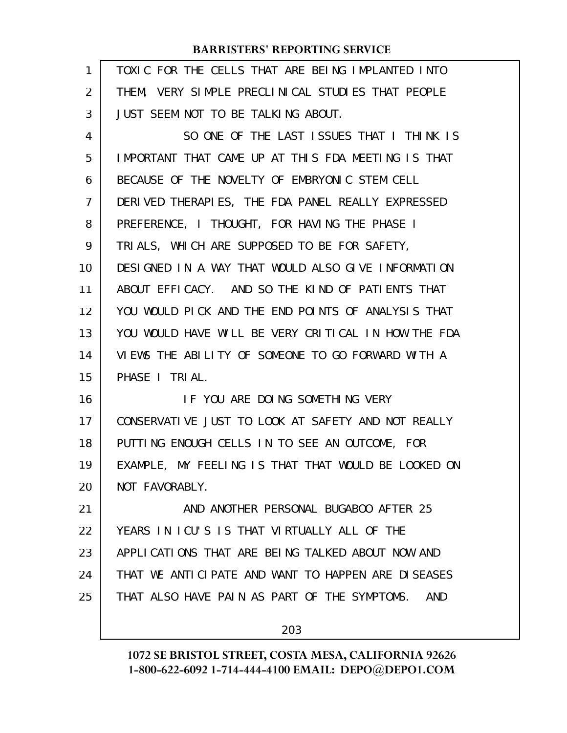| 1              | TOXIC FOR THE CELLS THAT ARE BEING IMPLANTED INTO   |
|----------------|-----------------------------------------------------|
| 2              | THEM, VERY SIMPLE PRECLINICAL STUDIES THAT PEOPLE   |
| 3              | JUST SEEM NOT TO BE TALKING ABOUT.                  |
| 4              | SO ONE OF THE LAST ISSUES THAT I THINK IS           |
| 5              | IMPORTANT THAT CAME UP AT THIS FDA MEETING IS THAT  |
| 6              | BECAUSE OF THE NOVELTY OF EMBRYONIC STEM CELL       |
| $\overline{7}$ | DERIVED THERAPIES, THE FDA PANEL REALLY EXPRESSED   |
| 8              | PREFERENCE, I THOUGHT, FOR HAVING THE PHASE I       |
| 9              | TRIALS, WHICH ARE SUPPOSED TO BE FOR SAFETY,        |
| 10             | DESIGNED IN A WAY THAT WOULD ALSO GIVE INFORMATION  |
| 11             | ABOUT EFFICACY. AND SO THE KIND OF PATIENTS THAT    |
| 12             | YOU WOULD PICK AND THE END POINTS OF ANALYSIS THAT  |
| 13             | YOU WOULD HAVE WILL BE VERY CRITICAL IN HOW THE FDA |
| 14             | VIEWS THE ABILITY OF SOMEONE TO GO FORWARD WITH A   |
| 15             | PHASE I TRIAL.                                      |
| 16             | IF YOU ARE DOING SOMETHING VERY                     |
| 17             | CONSERVATIVE JUST TO LOOK AT SAFETY AND NOT REALLY  |
| 18             | PUTTING ENOUGH CELLS IN TO SEE AN OUTCOME, FOR      |
| 19             | EXAMPLE, MY FEELING IS THAT THAT WOULD BE LOOKED ON |
| 20             | NOT FAVORABLY.                                      |
| 21             | AND ANOTHER PERSONAL BUGABOO AFTER 25               |
| 22             | YEARS IN ICU'S IS THAT VIRTUALLY ALL OF THE         |
| 23             | APPLICATIONS THAT ARE BEING TALKED ABOUT NOW AND    |
| 24             | THAT WE ANTICIPATE AND WANT TO HAPPEN ARE DISEASES  |
| 25             | THAT ALSO HAVE PAIN AS PART OF THE SYMPTOMS.<br>AND |
|                | 203                                                 |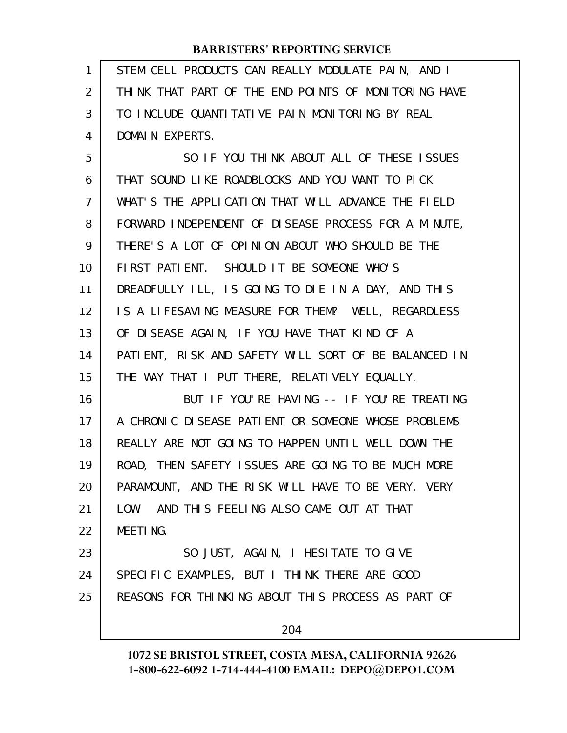| 1              | STEM CELL PRODUCTS CAN REALLY MODULATE PAIN, AND I   |
|----------------|------------------------------------------------------|
| 2              | THINK THAT PART OF THE END POINTS OF MONITORING HAVE |
| 3              | TO INCLUDE QUANTITATIVE PAIN MONITORING BY REAL      |
| 4              | DOMAIN EXPERTS.                                      |
| 5              | SO IF YOU THINK ABOUT ALL OF THESE ISSUES            |
| 6              | THAT SOUND LIKE ROADBLOCKS AND YOU WANT TO PICK      |
| $\overline{7}$ | WHAT'S THE APPLICATION THAT WILL ADVANCE THE FIELD   |
| 8              | FORWARD INDEPENDENT OF DISEASE PROCESS FOR A MINUTE, |
| 9              | THERE'S A LOT OF OPINION ABOUT WHO SHOULD BE THE     |
| 10             | FIRST PATIENT. SHOULD IT BE SOMEONE WHO'S            |
| 11             | DREADFULLY ILL, IS GOING TO DIE IN A DAY, AND THIS   |
| 12             | IS A LIFESAVING MEASURE FOR THEM? WELL, REGARDLESS   |
| 13             | OF DISEASE AGAIN, IF YOU HAVE THAT KIND OF A         |
| 14             | PATIENT, RISK AND SAFETY WILL SORT OF BE BALANCED IN |
| 15             | THE WAY THAT I PUT THERE, RELATIVELY EQUALLY.        |
| 16             | BUT IF YOU'RE HAVING -- IF YOU'RE TREATING           |
| 17             | A CHRONIC DISEASE PATIENT OR SOMEONE WHOSE PROBLEMS  |
| 18             | REALLY ARE NOT GOING TO HAPPEN UNTIL WELL DOWN THE   |
| 19             | ROAD, THEN SAFETY ISSUES ARE GOING TO BE MUCH MORE   |
| 20             | PARAMOUNT, AND THE RISK WILL HAVE TO BE VERY, VERY   |
| 21             | LOW. AND THIS FEELING ALSO CAME OUT AT THAT          |
| 22             | <b>MEETING.</b>                                      |
| 23             | SO JUST, AGAIN, I HESITATE TO GIVE                   |
| 24             | SPECIFIC EXAMPLES, BUT I THINK THERE ARE GOOD        |
| 25             | REASONS FOR THINKING ABOUT THIS PROCESS AS PART OF   |
|                | 204                                                  |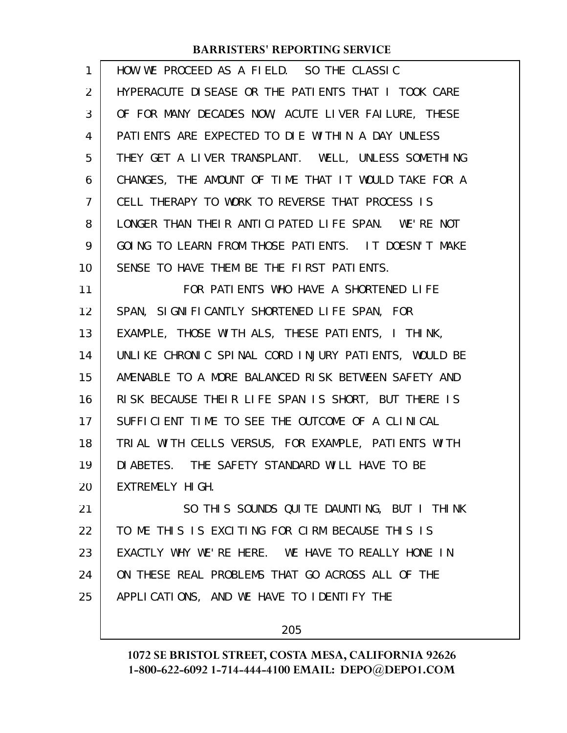| $\mathbf{1}$ | HOW WE PROCEED AS A FIELD. SO THE CLASSIC            |
|--------------|------------------------------------------------------|
| 2            | HYPERACUTE DISEASE OR THE PATIENTS THAT I TOOK CARE  |
| 3            | OF FOR MANY DECADES NOW, ACUTE LIVER FAILURE, THESE  |
| 4            | PATIENTS ARE EXPECTED TO DIE WITHIN A DAY UNLESS     |
| 5            | THEY GET A LIVER TRANSPLANT. WELL, UNLESS SOMETHING  |
| 6            | CHANGES, THE AMOUNT OF TIME THAT IT WOULD TAKE FOR A |
| 7            | CELL THERAPY TO WORK TO REVERSE THAT PROCESS IS      |
| 8            | LONGER THAN THEIR ANTICIPATED LIFE SPAN. WE'RE NOT   |
| 9            | GOING TO LEARN FROM THOSE PATIENTS. IT DOESN'T MAKE  |
| 10           | SENSE TO HAVE THEM BE THE FIRST PATIENTS.            |
| 11           | FOR PATIENTS WHO HAVE A SHORTENED LIFE               |
| 12           | SPAN, SIGNIFICANTLY SHORTENED LIFE SPAN, FOR         |
| 13           | EXAMPLE, THOSE WITH ALS, THESE PATIENTS, I THINK,    |
| 14           | UNLIKE CHRONIC SPINAL CORD INJURY PATIENTS, WOULD BE |
| 15           | AMENABLE TO A MORE BALANCED RISK BETWEEN SAFETY AND  |
| 16           | RISK BECAUSE THEIR LIFE SPAN IS SHORT, BUT THERE IS  |
| 17           | SUFFICIENT TIME TO SEE THE OUTCOME OF A CLINICAL     |
| 18           | TRIAL WITH CELLS VERSUS, FOR EXAMPLE, PATIENTS WITH  |
| 19           | DIABETES. THE SAFETY STANDARD WILL HAVE TO BE        |
| 20           | EXTREMELY HIGH.                                      |
| 21           | SO THIS SOUNDS QUITE DAUNTING, BUT I THINK           |
| 22           | TO ME THIS IS EXCITING FOR CIRM BECAUSE THIS IS      |
| 23           | EXACTLY WHY WE'RE HERE. WE HAVE TO REALLY HONE IN    |
| 24           | ON THESE REAL PROBLEMS THAT GO ACROSS ALL OF THE     |
| 25           | APPLICATIONS, AND WE HAVE TO IDENTIFY THE            |
|              |                                                      |

205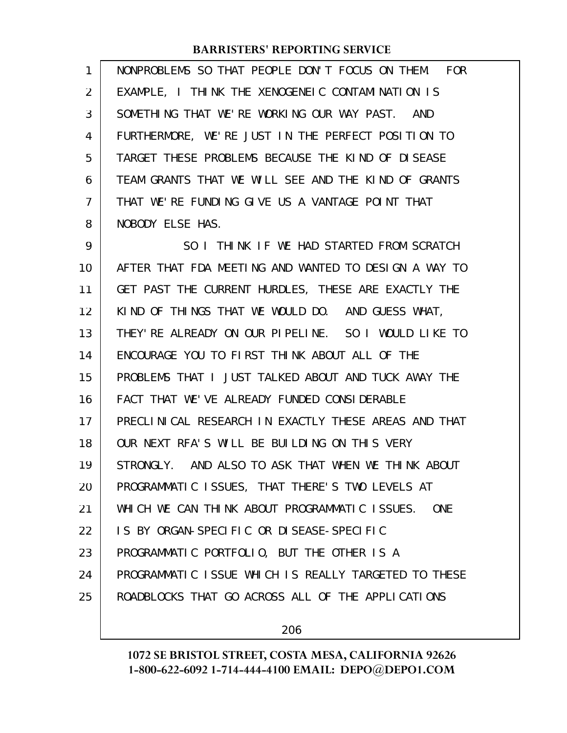| 1  | NONPROBLEMS SO THAT PEOPLE DON'T FOCUS ON THEM. FOR         |
|----|-------------------------------------------------------------|
| 2  | EXAMPLE, I THINK THE XENOGENEIC CONTAMINATION IS            |
| 3  | SOMETHING THAT WE'RE WORKING OUR WAY PAST. AND              |
| 4  | FURTHERMORE, WE'RE JUST IN THE PERFECT POSITION TO          |
| 5  | TARGET THESE PROBLEMS BECAUSE THE KIND OF DISEASE           |
| 6  | TEAM GRANTS THAT WE WILL SEE AND THE KIND OF GRANTS         |
| 7  | THAT WE'RE FUNDING GIVE US A VANTAGE POINT THAT             |
| 8  | NOBODY ELSE HAS.                                            |
| 9  | SO I THINK IF WE HAD STARTED FROM SCRATCH                   |
| 10 | AFTER THAT FDA MEETING AND WANTED TO DESIGN A WAY TO        |
| 11 | GET PAST THE CURRENT HURDLES, THESE ARE EXACTLY THE         |
| 12 | KIND OF THINGS THAT WE WOULD DO. AND GUESS WHAT,            |
| 13 | THEY'RE ALREADY ON OUR PIPELINE. SO I WOULD LIKE TO         |
| 14 | ENCOURAGE YOU TO FIRST THINK ABOUT ALL OF THE               |
| 15 | PROBLEMS THAT I JUST TALKED ABOUT AND TUCK AWAY THE         |
| 16 | FACT THAT WE'VE ALREADY FUNDED CONSIDERABLE                 |
| 17 | PRECLINICAL RESEARCH IN EXACTLY THESE AREAS AND THAT        |
| 18 | OUR NEXT RFA'S WILL BE BUILDING ON THIS VERY                |
| 19 | STRONGLY. AND ALSO TO ASK THAT WHEN WE THINK ABOUT          |
| 20 | PROGRAMMATIC ISSUES, THAT THERE'S TWO LEVELS AT             |
| 21 | WHICH WE CAN THINK ABOUT PROGRAMMATIC ISSUES.<br><b>ONE</b> |
| 22 | IS BY ORGAN-SPECIFIC OR DISEASE-SPECIFIC                    |
| 23 | PROGRAMMATIC PORTFOLIO, BUT THE OTHER IS A                  |
| 24 | PROGRAMMATIC ISSUE WHICH IS REALLY TARGETED TO THESE        |
| 25 | ROADBLOCKS THAT GO ACROSS ALL OF THE APPLICATIONS           |
|    |                                                             |

206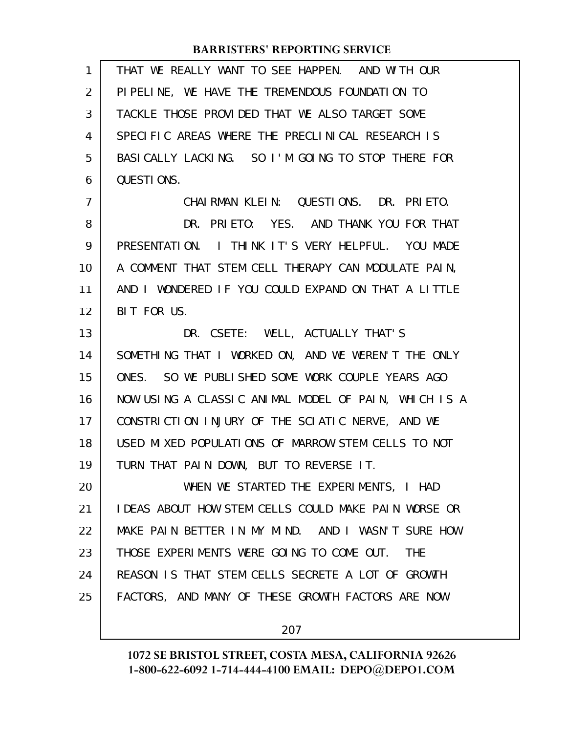| 1              | THAT WE REALLY WANT TO SEE HAPPEN. AND WITH OUR         |
|----------------|---------------------------------------------------------|
| 2              | PIPELINE, WE HAVE THE TREMENDOUS FOUNDATION TO          |
| 3              | TACKLE THOSE PROVIDED THAT WE ALSO TARGET SOME          |
| 4              | SPECIFIC AREAS WHERE THE PRECLINICAL RESEARCH IS        |
| 5              | BASICALLY LACKING. SO I'M GOING TO STOP THERE FOR       |
| 6              | QUESTIONS.                                              |
| $\overline{7}$ | CHAIRMAN KLEIN: QUESTIONS. DR. PRIETO.                  |
| 8              | DR. PRIETO: YES. AND THANK YOU FOR THAT                 |
| 9              | PRESENTATION. I THINK IT'S VERY HELPFUL. YOU MADE       |
| 10             | A COMMENT THAT STEM CELL THERAPY CAN MODULATE PAIN,     |
| 11             | AND I WONDERED IF YOU COULD EXPAND ON THAT A LITTLE     |
| 12             | BIT FOR US.                                             |
| 13             | DR. CSETE: WELL, ACTUALLY THAT'S                        |
| 14             | SOMETHING THAT I WORKED ON, AND WE WEREN'T THE ONLY     |
| 15             | SO WE PUBLISHED SOME WORK COUPLE YEARS AGO<br>ONES.     |
| 16             | NOW USING A CLASSIC ANIMAL MODEL OF PAIN, WHICH IS A    |
| 17             | CONSTRICTION INJURY OF THE SCIATIC NERVE, AND WE        |
| 18             | USED MIXED POPULATIONS OF MARROW STEM CELLS TO NOT      |
| 19             | TURN THAT PAIN DOWN, BUT TO REVERSE IT.                 |
| 20             | WHEN WE STARTED THE EXPERIMENTS, I HAD                  |
| 21             | IDEAS ABOUT HOW STEM CELLS COULD MAKE PAIN WORSE OR     |
| 22             | MAKE PAIN BETTER IN MY MIND. AND I WASN'T SURE HOW      |
| 23             | THOSE EXPERIMENTS WERE GOING TO COME OUT.<br><b>THE</b> |
| 24             | REASON IS THAT STEM CELLS SECRETE A LOT OF GROWTH       |
| 25             | FACTORS, AND MANY OF THESE GROWTH FACTORS ARE NOW       |
|                |                                                         |

207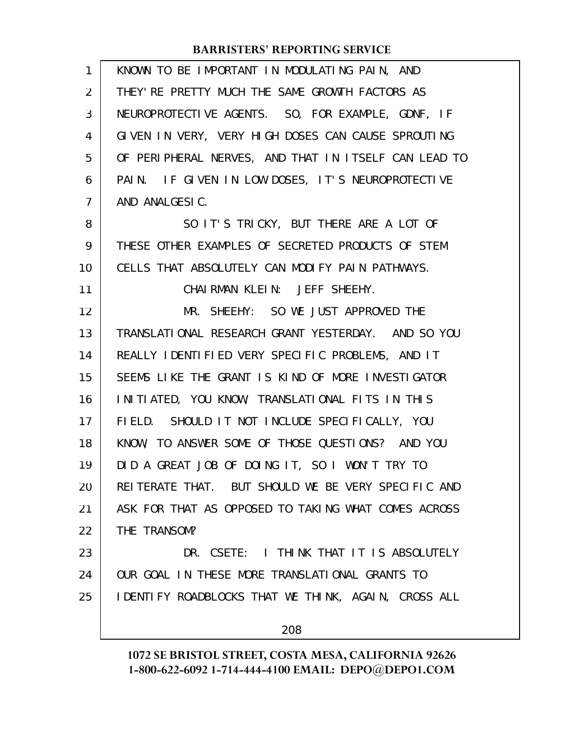| $\mathbf{1}$ | KNOWN TO BE IMPORTANT IN MODULATING PAIN, AND        |
|--------------|------------------------------------------------------|
| 2            | THEY' RE PRETTY MUCH THE SAME GROWTH FACTORS AS      |
| 3            | NEUROPROTECTIVE AGENTS. SO, FOR EXAMPLE, GDNF, IF    |
| 4            | GIVEN IN VERY, VERY HIGH DOSES CAN CAUSE SPROUTING   |
| 5            | OF PERIPHERAL NERVES, AND THAT IN ITSELF CAN LEAD TO |
| 6            | PAIN. IF GIVEN IN LOW DOSES, IT'S NEUROPROTECTIVE    |
| 7            | AND ANALGESIC.                                       |
| 8            | SO IT'S TRICKY, BUT THERE ARE A LOT OF               |
| 9            | THESE OTHER EXAMPLES OF SECRETED PRODUCTS OF STEM    |
| 10           | CELLS THAT ABSOLUTELY CAN MODIFY PAIN PATHWAYS.      |
| 11           | CHAIRMAN KLEIN: JEFF SHEEHY.                         |
| 12           | MR. SHEEHY: SO WE JUST APPROVED THE                  |
| 13           | TRANSLATIONAL RESEARCH GRANT YESTERDAY. AND SO YOU   |
| 14           | REALLY IDENTIFIED VERY SPECIFIC PROBLEMS, AND IT     |
| 15           | SEEMS LIKE THE GRANT IS KIND OF MORE INVESTIGATOR    |
| 16           | INITIATED, YOU KNOW, TRANSLATIONAL FITS IN THIS      |
| 17           | FIELD. SHOULD IT NOT INCLUDE SPECIFICALLY, YOU       |
| 18           | KNOW, TO ANSWER SOME OF THOSE QUESTIONS? AND YOU     |
| 19           | DID A GREAT JOB OF DOING IT, SO I WON'T TRY TO       |
| 20           | REITERATE THAT. BUT SHOULD WE BE VERY SPECIFIC AND   |
| 21           | ASK FOR THAT AS OPPOSED TO TAKING WHAT COMES ACROSS  |
| 22           | THE TRANSOM?                                         |
| 23           | DR. CSETE: I THINK THAT IT IS ABSOLUTELY             |
| 24           | OUR GOAL IN THESE MORE TRANSLATIONAL GRANTS TO       |
| 25           | I DENTIFY ROADBLOCKS THAT WE THINK, AGAIN, CROSS ALL |
|              | 208                                                  |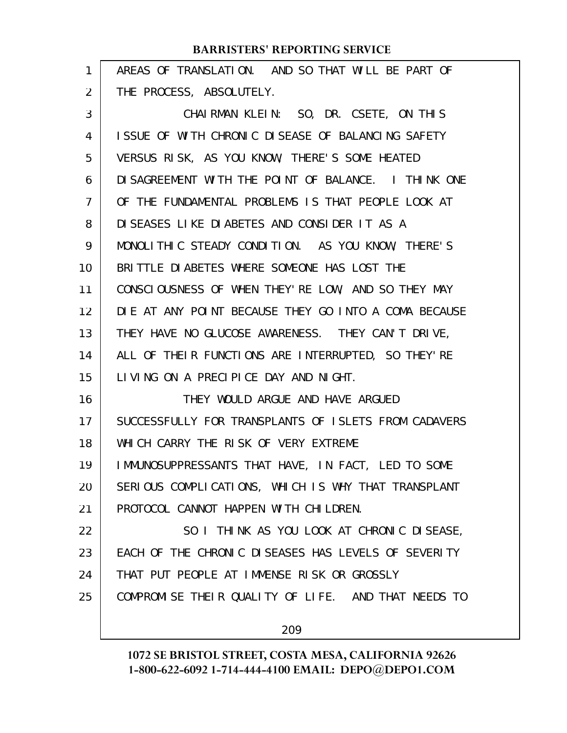| 1  | AREAS OF TRANSLATION. AND SO THAT WILL BE PART OF    |
|----|------------------------------------------------------|
| 2  | THE PROCESS, ABSOLUTELY.                             |
| 3  | CHAIRMAN KLEIN: SO, DR. CSETE, ON THIS               |
| 4  | ISSUE OF WITH CHRONIC DISEASE OF BALANCING SAFETY    |
| 5  | VERSUS RISK, AS YOU KNOW, THERE'S SOME HEATED        |
| 6  | DI SAGREEMENT WITH THE POINT OF BALANCE. I THINK ONE |
| 7  | OF THE FUNDAMENTAL PROBLEMS IS THAT PEOPLE LOOK AT   |
| 8  | DISEASES LIKE DIABETES AND CONSIDER IT AS A          |
| 9  | MONOLITHIC STEADY CONDITION. AS YOU KNOW, THERE'S    |
| 10 | BRITTLE DIABETES WHERE SOMEONE HAS LOST THE          |
| 11 | CONSCIOUSNESS OF WHEN THEY' RE LOW, AND SO THEY MAY  |
| 12 | DIE AT ANY POINT BECAUSE THEY GO INTO A COMA BECAUSE |
| 13 | THEY HAVE NO GLUCOSE AWARENESS. THEY CAN'T DRIVE,    |
| 14 | ALL OF THEIR FUNCTIONS ARE INTERRUPTED, SO THEY'RE   |
| 15 | LIVING ON A PRECIPICE DAY AND NIGHT.                 |
| 16 | THEY WOULD ARGUE AND HAVE ARGUED                     |
| 17 | SUCCESSFULLY FOR TRANSPLANTS OF ISLETS FROM CADAVERS |
| 18 | WHICH CARRY THE RISK OF VERY EXTREME                 |
| 19 | IMMUNOSUPPRESSANTS THAT HAVE, IN FACT, LED TO SOME   |
| 20 | SERIOUS COMPLICATIONS, WHICH IS WHY THAT TRANSPLANT  |
| 21 | PROTOCOL CANNOT HAPPEN WITH CHILDREN.                |
| 22 | SO I THINK AS YOU LOOK AT CHRONIC DISEASE,           |
| 23 | EACH OF THE CHRONIC DISEASES HAS LEVELS OF SEVERITY  |
| 24 | THAT PUT PEOPLE AT IMMENSE RISK OR GROSSLY           |
| 25 | COMPROMISE THEIR QUALITY OF LIFE. AND THAT NEEDS TO  |
|    |                                                      |

209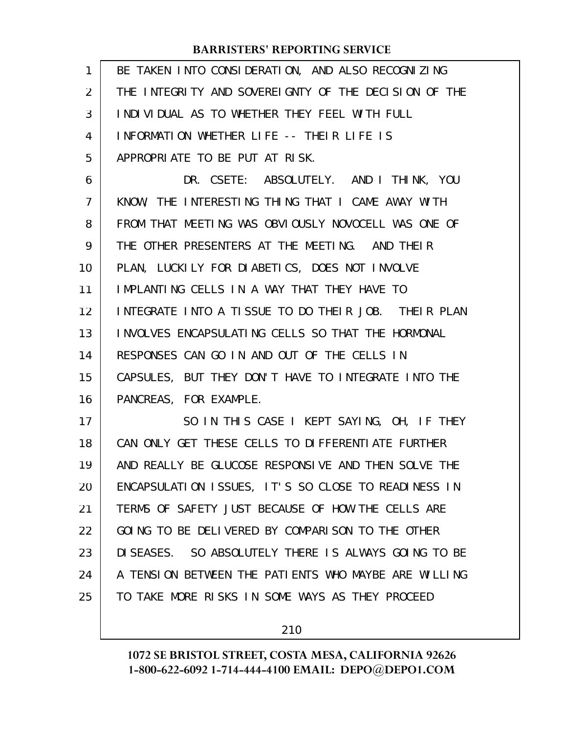| 1  | BE TAKEN INTO CONSIDERATION, AND ALSO RECOGNIZING    |
|----|------------------------------------------------------|
| 2  | THE INTEGRITY AND SOVEREIGNTY OF THE DECISION OF THE |
| 3  | INDIVIDUAL AS TO WHETHER THEY FEEL WITH FULL         |
| 4  | INFORMATION WHETHER LIFE -- THEIR LIFE IS            |
| 5  | APPROPRIATE TO BE PUT AT RISK.                       |
| 6  | DR. CSETE: ABSOLUTELY. AND I THINK, YOU              |
| 7  | KNOW, THE INTERESTING THING THAT I CAME AWAY WITH    |
| 8  | FROM THAT MEETING WAS OBVIOUSLY NOVOCELL WAS ONE OF  |
| 9  | THE OTHER PRESENTERS AT THE MEETING. AND THEIR       |
| 10 | PLAN, LUCKILY FOR DIABETICS, DOES NOT INVOLVE        |
| 11 | IMPLANTING CELLS IN A WAY THAT THEY HAVE TO          |
| 12 | INTEGRATE INTO A TISSUE TO DO THEIR JOB. THEIR PLAN  |
| 13 | INVOLVES ENCAPSULATING CELLS SO THAT THE HORMONAL    |
| 14 | RESPONSES CAN GO IN AND OUT OF THE CELLS IN          |
| 15 | CAPSULES, BUT THEY DON'T HAVE TO INTEGRATE INTO THE  |
| 16 | PANCREAS, FOR EXAMPLE.                               |
| 17 | SO IN THIS CASE I KEPT SAYING, OH, IF THEY           |
| 18 | CAN ONLY GET THESE CELLS TO DIFFERENTIATE FURTHER    |
| 19 | AND REALLY BE GLUCOSE RESPONSIVE AND THEN SOLVE THE  |
| 20 | ENCAPSULATION ISSUES, IT'S SO CLOSE TO READINESS IN  |
| 21 | TERMS OF SAFETY JUST BECAUSE OF HOW THE CELLS ARE    |
| 22 | GOING TO BE DELIVERED BY COMPARISON TO THE OTHER     |
| 23 | DISEASES. SO ABSOLUTELY THERE IS ALWAYS GOING TO BE  |
| 24 | A TENSION BETWEEN THE PATIENTS WHO MAYBE ARE WILLING |
| 25 | TO TAKE MORE RISKS IN SOME WAYS AS THEY PROCEED      |
|    |                                                      |

210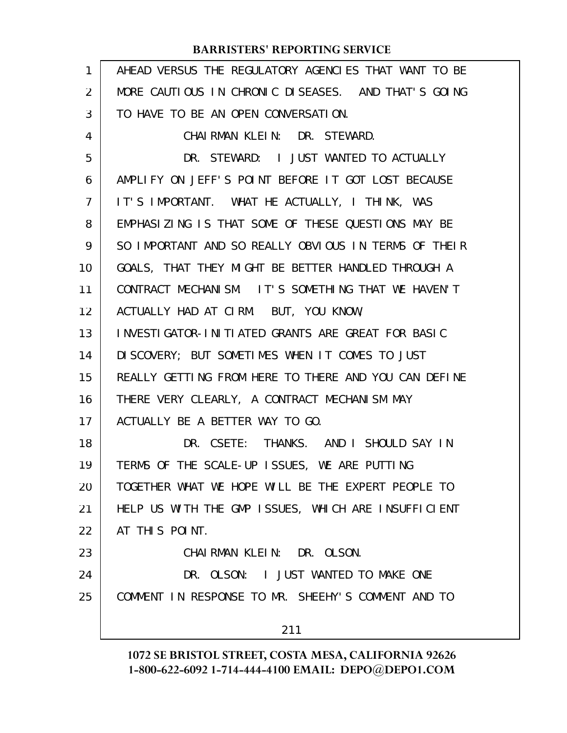| $\mathbf{1}$ | AHEAD VERSUS THE REGULATORY AGENCIES THAT WANT TO BE |
|--------------|------------------------------------------------------|
| 2            | MORE CAUTIOUS IN CHRONIC DISEASES. AND THAT'S GOING  |
| 3            | TO HAVE TO BE AN OPEN CONVERSATION.                  |
| 4            | CHAIRMAN KLEIN: DR. STEWARD.                         |
| 5            | DR. STEWARD: I JUST WANTED TO ACTUALLY               |
| 6            | AMPLIFY ON JEFF'S POINT BEFORE IT GOT LOST BECAUSE   |
| 7            | IT'S IMPORTANT. WHAT HE ACTUALLY, I THINK, WAS       |
| 8            | EMPHASIZING IS THAT SOME OF THESE QUESTIONS MAY BE   |
| 9            | SO IMPORTANT AND SO REALLY OBVIOUS IN TERMS OF THEIR |
| 10           | GOALS, THAT THEY MIGHT BE BETTER HANDLED THROUGH A   |
| 11           | CONTRACT MECHANISM. IT'S SOMETHING THAT WE HAVEN'T   |
| 12           | ACTUALLY HAD AT CIRM. BUT, YOU KNOW,                 |
| 13           | INVESTIGATOR-INITIATED GRANTS ARE GREAT FOR BASIC    |
| 14           | DI SCOVERY; BUT SOMETIMES WHEN IT COMES TO JUST      |
| 15           | REALLY GETTING FROM HERE TO THERE AND YOU CAN DEFINE |
| 16           | THERE VERY CLEARLY, A CONTRACT MECHANISM MAY         |
| 17           | ACTUALLY BE A BETTER WAY TO GO.                      |
| 18           | DR. CSETE: THANKS. AND I SHOULD SAY IN               |
| 19           | TERMS OF THE SCALE-UP ISSUES, WE ARE PUTTING         |
| 20           | TOGETHER WHAT WE HOPE WILL BE THE EXPERT PEOPLE TO   |
| 21           | HELP US WITH THE GMP ISSUES, WHICH ARE INSUFFICIENT  |
| 22           | AT THIS POINT.                                       |
| 23           | CHAIRMAN KLEIN: DR. OLSON.                           |
| 24           | DR. OLSON: I JUST WANTED TO MAKE ONE                 |
| 25           | COMMENT IN RESPONSE TO MR. SHEEHY'S COMMENT AND TO   |
|              | 211                                                  |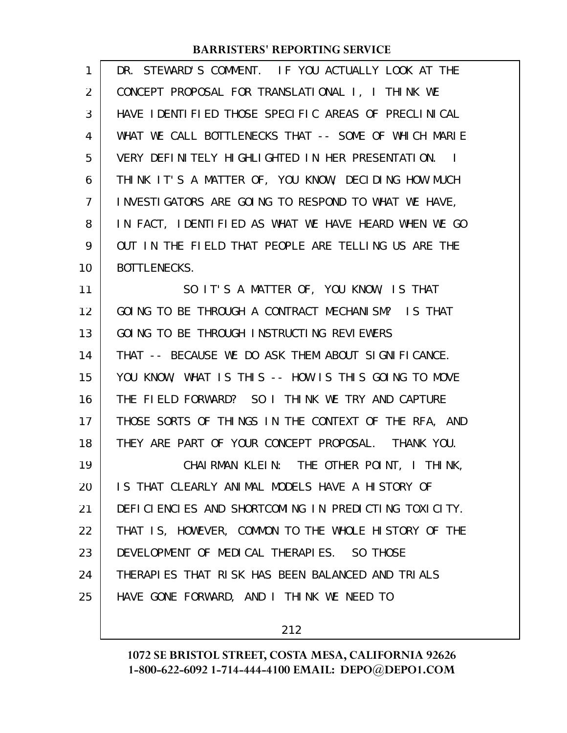| 1                 | DR. STEWARD'S COMMENT. IF YOU ACTUALLY LOOK AT THE   |
|-------------------|------------------------------------------------------|
| $\overline{2}$    | CONCEPT PROPOSAL FOR TRANSLATIONAL I, I THINK WE     |
| 3                 | HAVE IDENTIFIED THOSE SPECIFIC AREAS OF PRECLINICAL  |
| 4                 | WHAT WE CALL BOTTLENECKS THAT -- SOME OF WHICH MARIE |
| 5                 | VERY DEFINITELY HIGHLIGHTED IN HER PRESENTATION. I   |
| 6                 | THINK IT'S A MATTER OF, YOU KNOW, DECIDING HOW MUCH  |
| 7                 | INVESTIGATORS ARE GOING TO RESPOND TO WHAT WE HAVE,  |
| 8                 | IN FACT, IDENTIFIED AS WHAT WE HAVE HEARD WHEN WE GO |
| 9                 | OUT IN THE FIELD THAT PEOPLE ARE TELLING US ARE THE  |
| 10                | BOTTLENECKS.                                         |
| 11                | SO IT'S A MATTER OF, YOU KNOW, IS THAT               |
| $12 \overline{ }$ | GOING TO BE THROUGH A CONTRACT MECHANISM? IS THAT    |
| 13                | GOING TO BE THROUGH INSTRUCTING REVIEWERS            |
| 14                | THAT -- BECAUSE WE DO ASK THEM ABOUT SIGNIFICANCE.   |
| 15                | YOU KNOW, WHAT IS THIS -- HOW IS THIS GOING TO MOVE  |
| 16                | THE FIELD FORWARD? SO I THINK WE TRY AND CAPTURE     |
| 17                | THOSE SORTS OF THINGS IN THE CONTEXT OF THE RFA, AND |
| 18                | THEY ARE PART OF YOUR CONCEPT PROPOSAL. THANK YOU.   |
| 19                | CHAIRMAN KLEIN: THE OTHER POINT, I THINK,            |
| 20                | IS THAT CLEARLY ANIMAL MODELS HAVE A HISTORY OF      |
| 21                | DEFICIENCIES AND SHORTCOMING IN PREDICTING TOXICITY. |
| 22                | THAT IS, HOWEVER, COMMON TO THE WHOLE HISTORY OF THE |
| 23                | DEVELOPMENT OF MEDICAL THERAPIES. SO THOSE           |
| 24                | THERAPIES THAT RISK HAS BEEN BALANCED AND TRIALS     |
| 25                | HAVE GONE FORWARD, AND I THINK WE NEED TO            |
|                   |                                                      |

212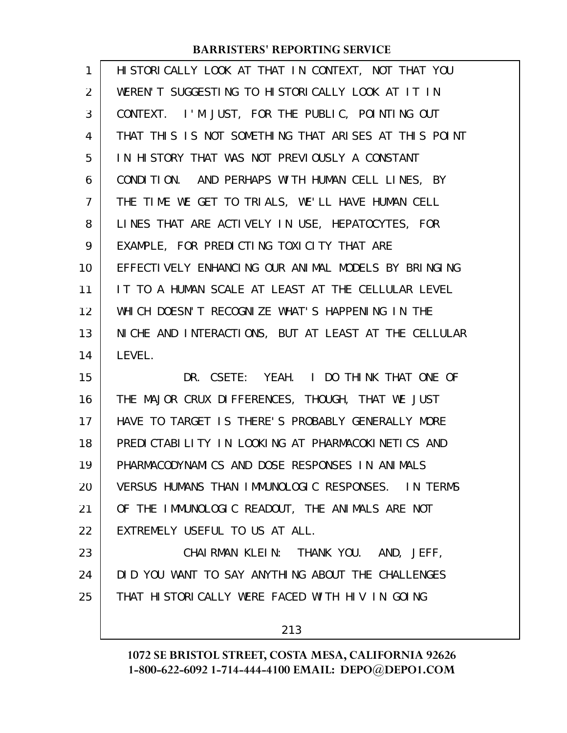| 1              | HI STORI CALLY LOOK AT THAT IN CONTEXT, NOT THAT YOU |
|----------------|------------------------------------------------------|
| 2              | WEREN'T SUGGESTING TO HISTORICALLY LOOK AT IT IN     |
| 3              | CONTEXT. I'M JUST, FOR THE PUBLIC, POINTING OUT      |
| 4              | THAT THIS IS NOT SOMETHING THAT ARISES AT THIS POINT |
| 5              | IN HISTORY THAT WAS NOT PREVIOUSLY A CONSTANT        |
| 6              | CONDITION. AND PERHAPS WITH HUMAN CELL LINES, BY     |
| $\overline{7}$ | THE TIME WE GET TO TRIALS, WE'LL HAVE HUMAN CELL     |
| 8              | LINES THAT ARE ACTIVELY IN USE, HEPATOCYTES, FOR     |
| 9              | EXAMPLE, FOR PREDICTING TOXICITY THAT ARE            |
| 10             | EFFECTIVELY ENHANCING OUR ANIMAL MODELS BY BRINGING  |
| 11             | IT TO A HUMAN SCALE AT LEAST AT THE CELLULAR LEVEL   |
| 12             | WHICH DOESN'T RECOGNIZE WHAT'S HAPPENING IN THE      |
| 13             | NICHE AND INTERACTIONS, BUT AT LEAST AT THE CELLULAR |
| 14             | LEVEL.                                               |
| 15             | DR. CSETE: YEAH. I DO THINK THAT ONE OF              |
| 16             | THE MAJOR CRUX DIFFERENCES, THOUGH, THAT WE JUST     |
| 17             | HAVE TO TARGET IS THERE'S PROBABLY GENERALLY MORE    |
| 18             | PREDICTABLITY IN LOOKING AT PHARMACOKINETICS AND     |
| 19             | PHARMACODYNAMICS AND DOSE RESPONSES IN ANIMALS       |
| 20             | VERSUS HUMANS THAN IMMUNOLOGIC RESPONSES. IN TERMS   |
| 21             | OF THE IMMUNOLOGIC READOUT, THE ANIMALS ARE NOT      |
| 22             | EXTREMELY USEFUL TO US AT ALL.                       |
| 23             | CHAIRMAN KLEIN: THANK YOU. AND, JEFF,                |
| 24             | DID YOU WANT TO SAY ANYTHING ABOUT THE CHALLENGES    |
| 25             | THAT HISTORICALLY WERE FACED WITH HIV IN GOING       |
|                | 213                                                  |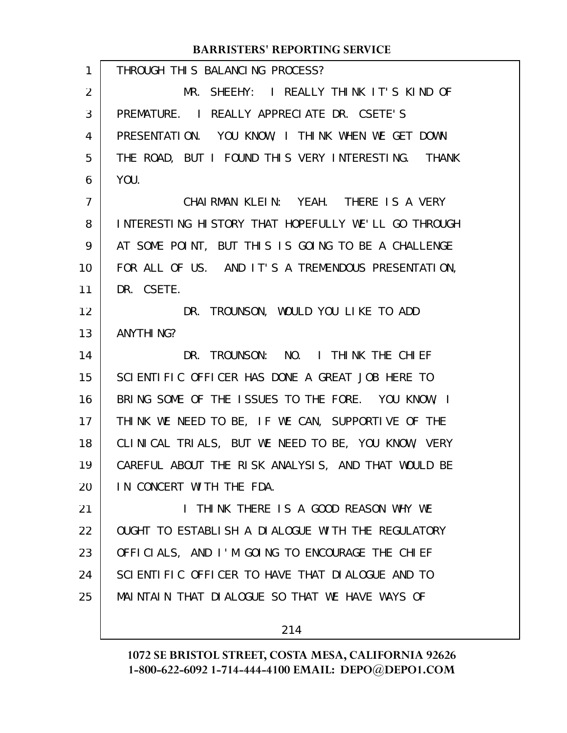| $\mathbf{1}$ | THROUGH THIS BALANCING PROCESS?                     |
|--------------|-----------------------------------------------------|
| 2            | MR. SHEEHY: I REALLY THINK IT'S KIND OF             |
| 3            | PREMATURE. I REALLY APPRECIATE DR. CSETE'S          |
| 4            | PRESENTATION. YOU KNOW, I THINK WHEN WE GET DOWN    |
| 5            | THE ROAD, BUT I FOUND THIS VERY INTERESTING. THANK  |
| 6            | YOU.                                                |
| 7            | CHAIRMAN KLEIN: YEAH. THERE IS A VERY               |
| 8            | INTERESTING HISTORY THAT HOPEFULLY WE'LL GO THROUGH |
| 9            | AT SOME POINT, BUT THIS IS GOING TO BE A CHALLENGE  |
| 10           | FOR ALL OF US. AND IT'S A TREMENDOUS PRESENTATION,  |
| 11           | DR. CSETE.                                          |
| 12           | DR. TROUNSON, WOULD YOU LIKE TO ADD                 |
| 13           | ANYTHI NG?                                          |
| 14           | DR. TROUNSON: NO. I THINK THE CHIEF                 |
| 15           | SCIENTIFIC OFFICER HAS DONE A GREAT JOB HERE TO     |
| 16           | BRING SOME OF THE ISSUES TO THE FORE. YOU KNOW, I   |
| 17           | THINK WE NEED TO BE, IF WE CAN, SUPPORTIVE OF THE   |
| 18           | CLINICAL TRIALS, BUT WE NEED TO BE, YOU KNOW, VERY  |
| 19           | CAREFUL ABOUT THE RISK ANALYSIS, AND THAT WOULD BE  |
| 20           | IN CONCERT WITH THE FDA.                            |
| 21           | I THINK THERE IS A GOOD REASON WHY WE               |
| 22           | OUGHT TO ESTABLISH A DIALOGUE WITH THE REGULATORY   |
| 23           | OFFICIALS, AND I'M GOING TO ENCOURAGE THE CHIEF     |
| 24           | SCIENTIFIC OFFICER TO HAVE THAT DIALOGUE AND TO     |
| 25           | MAINTAIN THAT DIALOGUE SO THAT WE HAVE WAYS OF      |
|              |                                                     |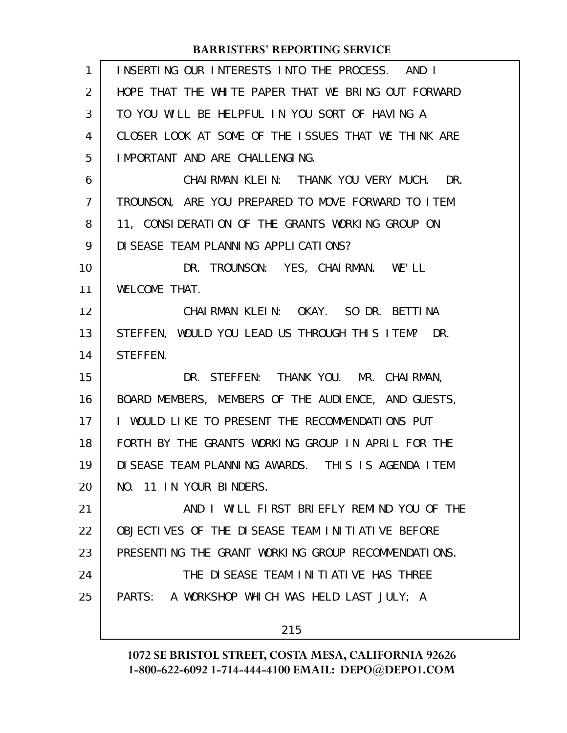| 1              | INSERTING OUR INTERESTS INTO THE PROCESS. AND I     |
|----------------|-----------------------------------------------------|
| $\overline{2}$ | HOPE THAT THE WHITE PAPER THAT WE BRING OUT FORWARD |
| 3              | TO YOU WILL BE HELPFUL IN YOU SORT OF HAVING A      |
| 4              | CLOSER LOOK AT SOME OF THE ISSUES THAT WE THINK ARE |
| 5              | I MPORTANT AND ARE CHALLENGING.                     |
| 6              | CHAIRMAN KLEIN: THANK YOU VERY MUCH. DR.            |
| $\overline{7}$ | TROUNSON, ARE YOU PREPARED TO MOVE FORWARD TO ITEM  |
| 8              | 11, CONSIDERATION OF THE GRANTS WORKING GROUP ON    |
| 9              | DI SEASE TEAM PLANNING APPLICATIONS?                |
| 10             | DR. TROUNSON: YES, CHAIRMAN. WE'LL                  |
| 11             | WELCOME THAT.                                       |
| 12             | CHAIRMAN KLEIN: OKAY. SO DR. BETTINA                |
| 13             | STEFFEN, WOULD YOU LEAD US THROUGH THIS ITEM? DR.   |
| 14             | STEFFEN.                                            |
| 15             | DR. STEFFEN: THANK YOU. MR. CHAIRMAN,               |
| 16             | BOARD MEMBERS, MEMBERS OF THE AUDIENCE, AND GUESTS, |
| 17             | I WOULD LIKE TO PRESENT THE RECOMMENDATIONS PUT     |
| 18             | FORTH BY THE GRANTS WORKING GROUP IN APRIL FOR THE  |
| 19             | DISEASE TEAM PLANNING AWARDS. THIS IS AGENDA ITEM   |
| 20             | NO. 11 IN YOUR BINDERS.                             |
| 21             | AND I WILL FIRST BRIEFLY REMIND YOU OF THE          |
| 22             | OBJECTIVES OF THE DISEASE TEAM INITIATIVE BEFORE    |
| 23             | PRESENTING THE GRANT WORKING GROUP RECOMMENDATIONS. |
| 24             | THE DISEASE TEAM INITIATIVE HAS THREE               |
| 25             | PARTS: A WORKSHOP WHICH WAS HELD LAST JULY; A       |
|                | 215                                                 |
|                |                                                     |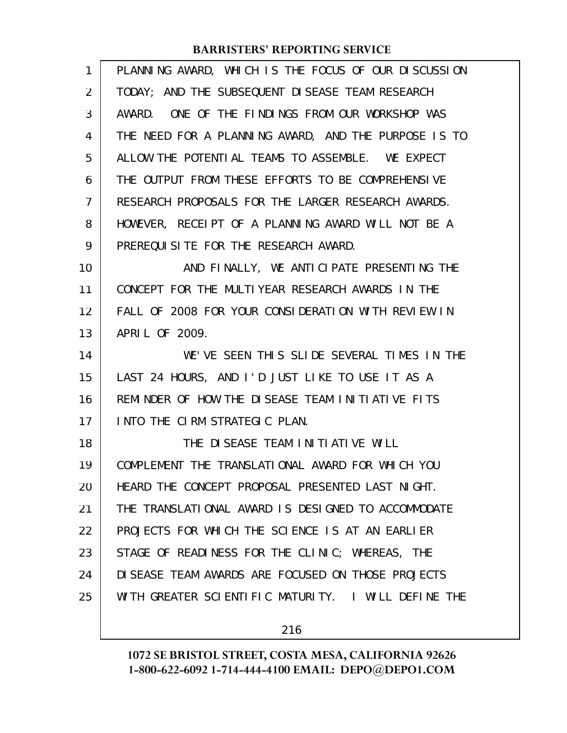| 1              | PLANNING AWARD, WHICH IS THE FOCUS OF OUR DISCUSSION |
|----------------|------------------------------------------------------|
| $\overline{2}$ | TODAY; AND THE SUBSEQUENT DISEASE TEAM RESEARCH      |
| 3              | AWARD. ONE OF THE FINDINGS FROM OUR WORKSHOP WAS     |
| 4              | THE NEED FOR A PLANNING AWARD, AND THE PURPOSE IS TO |
| 5              | ALLOW THE POTENTIAL TEAMS TO ASSEMBLE. WE EXPECT     |
| 6              | THE OUTPUT FROM THESE EFFORTS TO BE COMPREHENSIVE    |
| 7              | RESEARCH PROPOSALS FOR THE LARGER RESEARCH AWARDS.   |
| 8              | HOWEVER, RECEIPT OF A PLANNING AWARD WILL NOT BE A   |
| 9              | PREREQUISITE FOR THE RESEARCH AWARD.                 |
| 10             | AND FINALLY, WE ANTICIPATE PRESENTING THE            |
| 11             | CONCEPT FOR THE MULTIYEAR RESEARCH AWARDS IN THE     |
| 12             | FALL OF 2008 FOR YOUR CONSIDERATION WITH REVIEW IN   |
| 13             | APRIL OF 2009.                                       |
| 14             | WE'VE SEEN THIS SLIDE SEVERAL TIMES IN THE           |
| 15             | LAST 24 HOURS, AND I'D JUST LIKE TO USE IT AS A      |
| 16             | REMINDER OF HOW THE DISEASE TEAM INITIATIVE FITS     |
| 17             | INTO THE CIRM STRATEGIC PLAN.                        |
| 18             | THE DISEASE TEAM INITIATIVE WILL                     |
| 19             | COMPLEMENT THE TRANSLATIONAL AWARD FOR WHICH YOU     |
| 20             | HEARD THE CONCEPT PROPOSAL PRESENTED LAST NIGHT.     |
| 21             | THE TRANSLATIONAL AWARD IS DESIGNED TO ACCOMMODATE   |
| 22             | PROJECTS FOR WHICH THE SCIENCE IS AT AN EARLIER      |
| 23             | STAGE OF READINESS FOR THE CLINIC; WHEREAS, THE      |
| 24             | DI SEASE TEAM AWARDS ARE FOCUSED ON THOSE PROJECTS   |
| 25             |                                                      |
|                | WITH GREATER SCIENTIFIC MATURITY. I WILL DEFINE THE  |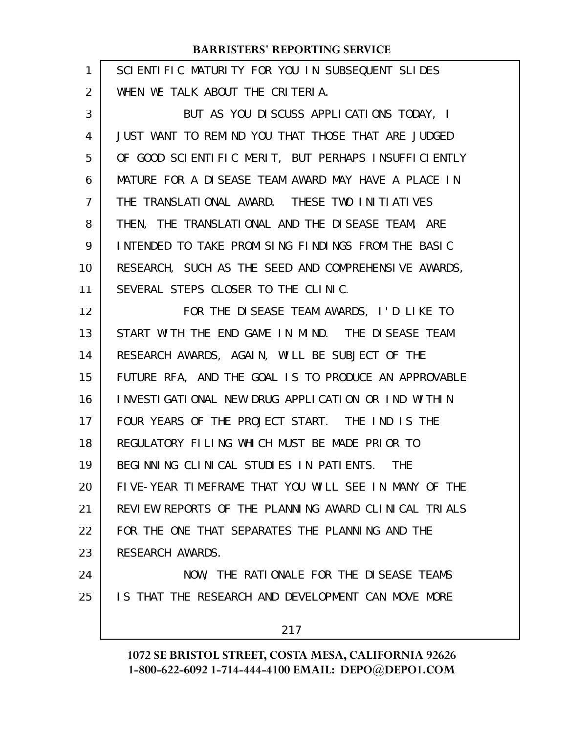| 1  | SCIENTIFIC MATURITY FOR YOU IN SUBSEQUENT SLIDES     |
|----|------------------------------------------------------|
| 2  | WHEN WE TALK ABOUT THE CRITERIA.                     |
| 3  | BUT AS YOU DISCUSS APPLICATIONS TODAY, I             |
| 4  | JUST WANT TO REMIND YOU THAT THOSE THAT ARE JUDGED   |
| 5  | OF GOOD SCIENTIFIC MERIT, BUT PERHAPS INSUFFICIENTLY |
| 6  | MATURE FOR A DISEASE TEAM AWARD MAY HAVE A PLACE IN  |
| 7  | THE TRANSLATIONAL AWARD. THESE TWO INITIATIVES       |
| 8  | THEN, THE TRANSLATIONAL AND THE DISEASE TEAM, ARE    |
| 9  | INTENDED TO TAKE PROMISING FINDINGS FROM THE BASIC   |
| 10 | RESEARCH, SUCH AS THE SEED AND COMPREHENSIVE AWARDS, |
| 11 | SEVERAL STEPS CLOSER TO THE CLINIC.                  |
| 12 | FOR THE DISEASE TEAM AWARDS, I'D LIKE TO             |
| 13 | START WITH THE END GAME IN MIND. THE DISEASE TEAM    |
| 14 | RESEARCH AWARDS, AGAIN, WILL BE SUBJECT OF THE       |
| 15 | FUTURE RFA, AND THE GOAL IS TO PRODUCE AN APPROVABLE |
| 16 | INVESTIGATIONAL NEW DRUG APPLICATION OR IND WITHIN   |
| 17 | FOUR YEARS OF THE PROJECT START. THE IND IS THE      |
| 18 | REGULATORY FILING WHICH MUST BE MADE PRIOR TO        |
| 19 | BEGINNING CLINICAL STUDIES IN PATIENTS. THE          |
| 20 | FIVE-YEAR TIMEFRAME THAT YOU WILL SEE IN MANY OF THE |
| 21 | REVIEW REPORTS OF THE PLANNING AWARD CLINICAL TRIALS |
| 22 | FOR THE ONE THAT SEPARATES THE PLANNING AND THE      |
| 23 | RESEARCH AWARDS.                                     |
| 24 | NOW, THE RATIONALE FOR THE DISEASE TEAMS             |
| 25 | IS THAT THE RESEARCH AND DEVELOPMENT CAN MOVE MORE   |
|    | 217                                                  |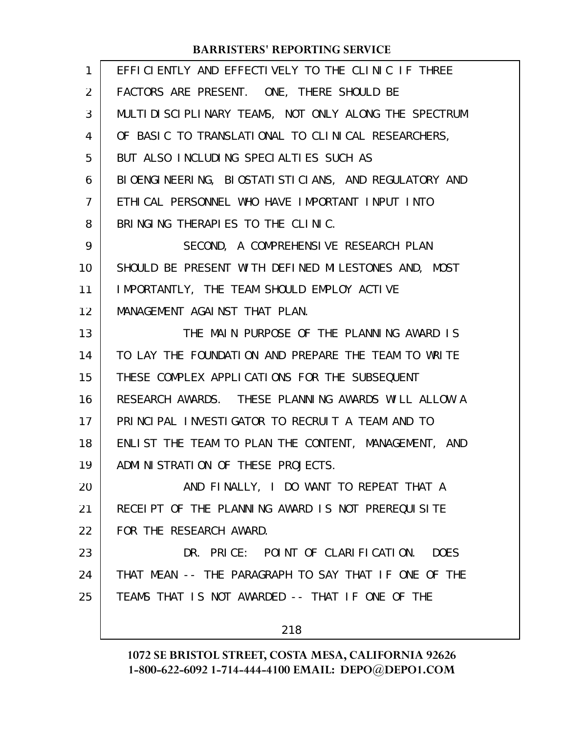| $\mathbf{1}$   | EFFICIENTLY AND EFFECTIVELY TO THE CLINIC IF THREE       |
|----------------|----------------------------------------------------------|
| $\overline{2}$ | FACTORS ARE PRESENT. ONE, THERE SHOULD BE                |
| 3              | MULTI DI SCI PLI NARY TEAMS, NOT ONLY ALONG THE SPECTRUM |
| 4              | OF BASIC TO TRANSLATIONAL TO CLINICAL RESEARCHERS,       |
| 5              | BUT ALSO INCLUDING SPECIALTIES SUCH AS                   |
| 6              | BIOENGINEERING, BIOSTATISTICIANS, AND REGULATORY AND     |
| 7              | ETHICAL PERSONNEL WHO HAVE IMPORTANT INPUT INTO          |
| 8              | BRINGING THERAPIES TO THE CLINIC.                        |
| 9              | SECOND, A COMPREHENSIVE RESEARCH PLAN                    |
| 10             | SHOULD BE PRESENT WITH DEFINED MILESTONES AND, MOST      |
| 11             | IMPORTANTLY, THE TEAM SHOULD EMPLOY ACTIVE               |
| 12             | MANAGEMENT AGAINST THAT PLAN.                            |
| 13             | THE MAIN PURPOSE OF THE PLANNING AWARD IS                |
| 14             | TO LAY THE FOUNDATION AND PREPARE THE TEAM TO WRITE      |
| 15             | THESE COMPLEX APPLICATIONS FOR THE SUBSEQUENT            |
| 16             | RESEARCH AWARDS. THESE PLANNING AWARDS WILL ALLOW A      |
| 17             | PRINCIPAL INVESTIGATOR TO RECRUIT A TEAM AND TO          |
| 18             | ENLIST THE TEAM TO PLAN THE CONTENT, MANAGEMENT, AND     |
| 19             | ADMINISTRATION OF THESE PROJECTS.                        |
| 20             | AND FINALLY, I DO WANT TO REPEAT THAT A                  |
| 21             | RECELPT OF THE PLANNING AWARD IS NOT PREREQUISITE        |
| 22             | FOR THE RESEARCH AWARD.                                  |
| 23             | DR. PRICE: POINT OF CLARIFICATION.<br><b>DOES</b>        |
| 24             | THAT MEAN -- THE PARAGRAPH TO SAY THAT IF ONE OF THE     |
| 25             | TEAMS THAT IS NOT AWARDED -- THAT IF ONE OF THE          |
|                | 218                                                      |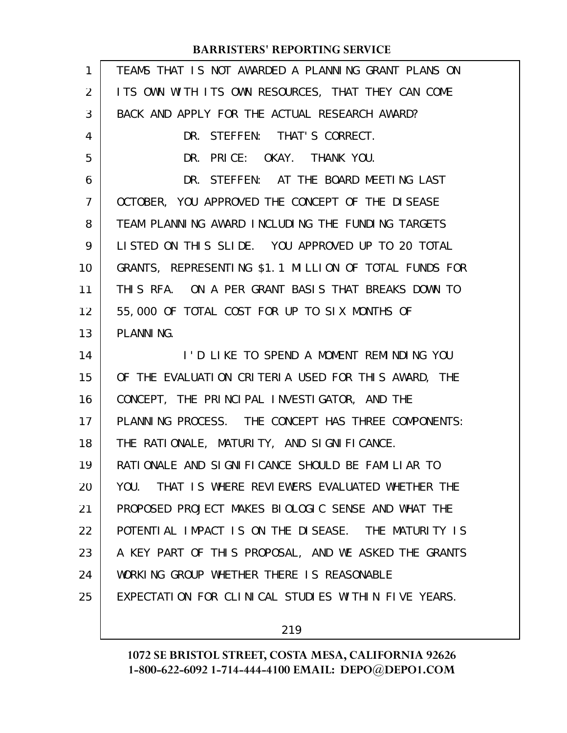| $\mathbf{1}$   | TEAMS THAT IS NOT AWARDED A PLANNING GRANT PLANS ON   |
|----------------|-------------------------------------------------------|
| 2              | ITS OWN WITH ITS OWN RESOURCES, THAT THEY CAN COME    |
| 3              | BACK AND APPLY FOR THE ACTUAL RESEARCH AWARD?         |
| 4              | DR. STEFFEN: THAT'S CORRECT.                          |
| 5              | DR. PRICE: OKAY. THANK YOU.                           |
| 6              | DR. STEFFEN: AT THE BOARD MEETING LAST                |
| $\overline{7}$ | OCTOBER, YOU APPROVED THE CONCEPT OF THE DISEASE      |
| 8              | TEAM PLANNING AWARD INCLUDING THE FUNDING TARGETS     |
| 9              | LISTED ON THIS SLIDE. YOU APPROVED UP TO 20 TOTAL     |
| 10             | GRANTS, REPRESENTING \$1.1 MILLION OF TOTAL FUNDS FOR |
| 11             | THIS RFA. ON A PER GRANT BASIS THAT BREAKS DOWN TO    |
| 12             | 55,000 OF TOTAL COST FOR UP TO SIX MONTHS OF          |
| 13             | PLANNING.                                             |
| 14             | I'D LIKE TO SPEND A MOMENT REMINDING YOU              |
|                |                                                       |
|                | OF THE EVALUATION CRITERIA USED FOR THIS AWARD, THE   |
| 16             | CONCEPT, THE PRINCIPAL INVESTIGATOR, AND THE          |
| 17             | PLANNING PROCESS. THE CONCEPT HAS THREE COMPONENTS:   |
| 18             | THE RATIONALE, MATURITY, AND SIGNIFICANCE.            |
| 19             | RATIONALE AND SIGNIFICANCE SHOULD BE FAMILIAR TO      |
| 20             | YOU. THAT IS WHERE REVIEWERS EVALUATED WHETHER THE    |
| 21             | PROPOSED PROJECT MAKES BIOLOGIC SENSE AND WHAT THE    |
| 22             | POTENTIAL IMPACT IS ON THE DISEASE. THE MATURITY IS   |
| 23             | A KEY PART OF THIS PROPOSAL, AND WE ASKED THE GRANTS  |
| 15<br>24       | WORKING GROUP WHETHER THERE IS REASONABLE             |
| 25             | EXPECTATION FOR CLINICAL STUDIES WITHIN FIVE YEARS.   |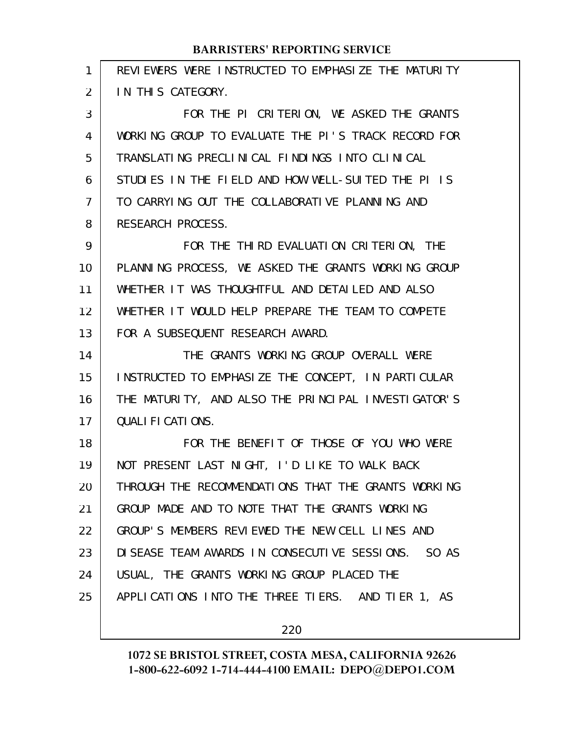| $\mathbf{1}$   | REVIEWERS WERE INSTRUCTED TO EMPHASIZE THE MATURITY |
|----------------|-----------------------------------------------------|
| $\overline{2}$ | IN THIS CATEGORY.                                   |
| 3              | FOR THE PI CRITERION, WE ASKED THE GRANTS           |
| 4              | WORKING GROUP TO EVALUATE THE PI'S TRACK RECORD FOR |
| 5              | TRANSLATING PRECLINICAL FINDINGS INTO CLINICAL      |
| 6              | STUDIES IN THE FIELD AND HOW WELL-SUITED THE PI IS  |
| 7              | TO CARRYING OUT THE COLLABORATIVE PLANNING AND      |
| 8              | RESEARCH PROCESS.                                   |
| 9              | FOR THE THIRD EVALUATION CRITERION, THE             |
| 10             | PLANNING PROCESS, WE ASKED THE GRANTS WORKING GROUP |
| 11             | WHETHER IT WAS THOUGHTFUL AND DETAILED AND ALSO     |
| 12             | WHETHER IT WOULD HELP PREPARE THE TEAM TO COMPETE   |
| 13             | FOR A SUBSEQUENT RESEARCH AWARD.                    |
| 14             | THE GRANTS WORKING GROUP OVERALL WERE               |
| 15             | INSTRUCTED TO EMPHASIZE THE CONCEPT, IN PARTICULAR  |
| 16             |                                                     |
|                | THE MATURITY, AND ALSO THE PRINCIPAL INVESTIGATOR'S |
| 17             | QUALIFICATIONS.                                     |
| 18             | FOR THE BENEFIT OF THOSE OF YOU WHO WERE            |
| 19             | NOT PRESENT LAST NIGHT, I'D LIKE TO WALK BACK       |
| 20             | THROUGH THE RECOMMENDATIONS THAT THE GRANTS WORKING |
| 21             | GROUP MADE AND TO NOTE THAT THE GRANTS WORKING      |
| 22             | GROUP'S MEMBERS REVIEWED THE NEW CELL LINES AND     |
| 23             | DISEASE TEAM AWARDS IN CONSECUTIVE SESSIONS. SO AS  |
| 24             | USUAL, THE GRANTS WORKING GROUP PLACED THE          |
| 25             | APPLICATIONS INTO THE THREE TIERS. AND TIER 1, AS   |

220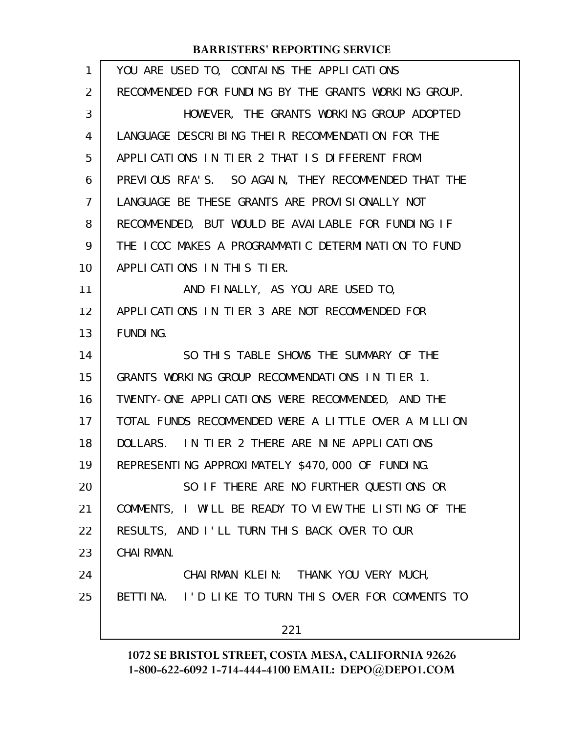| 1              | YOU ARE USED TO, CONTAINS THE APPLICATIONS           |
|----------------|------------------------------------------------------|
| $\overline{2}$ | RECOMMENDED FOR FUNDING BY THE GRANTS WORKING GROUP. |
| 3              | HOWEVER, THE GRANTS WORKING GROUP ADOPTED            |
| 4              | LANGUAGE DESCRIBING THEIR RECOMMENDATION FOR THE     |
| 5              | APPLICATIONS IN TIER 2 THAT IS DIFFERENT FROM        |
| 6              | PREVIOUS RFA'S. SO AGAIN, THEY RECOMMENDED THAT THE  |
| 7              | LANGUAGE BE THESE GRANTS ARE PROVISIONALLY NOT       |
| 8              | RECOMMENDED, BUT WOULD BE AVAILABLE FOR FUNDING IF   |
| 9              | THE ICOC MAKES A PROGRAMMATIC DETERMINATION TO FUND  |
| 10             | APPLICATIONS IN THIS TIER.                           |
| 11             | AND FINALLY, AS YOU ARE USED TO,                     |
| 12             | APPLICATIONS IN TIER 3 ARE NOT RECOMMENDED FOR       |
| 13             | <b>FUNDING.</b>                                      |
| 14             | SO THIS TABLE SHOWS THE SUMMARY OF THE               |
| 15             | GRANTS WORKING GROUP RECOMMENDATIONS IN TIER 1.      |
| 16             | TWENTY-ONE APPLICATIONS WERE RECOMMENDED, AND THE    |
| 17             | TOTAL FUNDS RECOMMENDED WERE A LITTLE OVER A MILLION |
| 18             | DOLLARS. IN TIER 2 THERE ARE NINE APPLICATIONS       |
| 19             | REPRESENTING APPROXIMATELY \$470,000 OF FUNDING.     |
| 20             | SO IF THERE ARE NO FURTHER QUESTIONS OR              |
| 21             | COMMENTS, I WILL BE READY TO VIEW THE LISTING OF THE |
| 22             | RESULTS, AND I'LL TURN THIS BACK OVER TO OUR         |
| 23             | <b>CHAI RMAN.</b>                                    |
| 24             | CHAIRMAN KLEIN: THANK YOU VERY MUCH,                 |
| 25             | BETTINA. I'D LIKE TO TURN THIS OVER FOR COMMENTS TO  |
|                | 221                                                  |
|                |                                                      |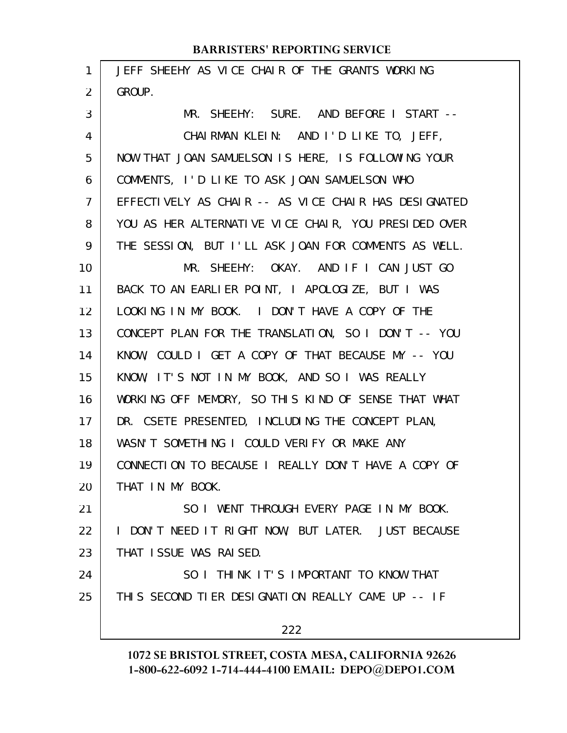| 1              | JEFF SHEEHY AS VICE CHAIR OF THE GRANTS WORKING      |
|----------------|------------------------------------------------------|
| 2              | GROUP.                                               |
| 3              | MR. SHEEHY: SURE. AND BEFORE I START --              |
| 4              | CHAIRMAN KLEIN: AND I'D LIKE TO, JEFF,               |
| 5              | NOW THAT JOAN SAMUELSON IS HERE, IS FOLLOWING YOUR   |
| 6              | COMMENTS, I'D LIKE TO ASK JOAN SAMUELSON WHO         |
| $\overline{7}$ | EFFECTIVELY AS CHAIR -- AS VICE CHAIR HAS DESIGNATED |
| 8              | YOU AS HER ALTERNATIVE VICE CHAIR, YOU PRESIDED OVER |
| 9              | THE SESSION, BUT I'LL ASK JOAN FOR COMMENTS AS WELL. |
| 10             | MR. SHEEHY: OKAY. AND IF I CAN JUST GO               |
| 11             | BACK TO AN EARLIER POINT, I APOLOGIZE, BUT I WAS     |
| 12             | LOOKING IN MY BOOK. I DON'T HAVE A COPY OF THE       |
| 13             | CONCEPT PLAN FOR THE TRANSLATION, SO I DON'T -- YOU  |
| 14             | KNOW, COULD I GET A COPY OF THAT BECAUSE MY -- YOU   |
| 15             | KNOW, IT'S NOT IN MY BOOK, AND SO I WAS REALLY       |
| 16             | WORKING OFF MEMORY, SO THIS KIND OF SENSE THAT WHAT  |
| 17             | DR. CSETE PRESENTED, INCLUDING THE CONCEPT PLAN,     |
| 18             | WASN'T SOMETHING I COULD VERIFY OR MAKE ANY          |
| 19             | CONNECTION TO BECAUSE I REALLY DON'T HAVE A COPY OF  |
| 20             | THAT IN MY BOOK.                                     |
| 21             | SO I WENT THROUGH EVERY PAGE IN MY BOOK.             |
| 22             | I DON'T NEED IT RIGHT NOW, BUT LATER. JUST BECAUSE   |
| 23             | THAT ISSUE WAS RAISED.                               |
| 24             | SO I THINK IT'S IMPORTANT TO KNOW THAT               |
| 25             | THIS SECOND TIER DESIGNATION REALLY CAME UP -- IF    |
|                | 222                                                  |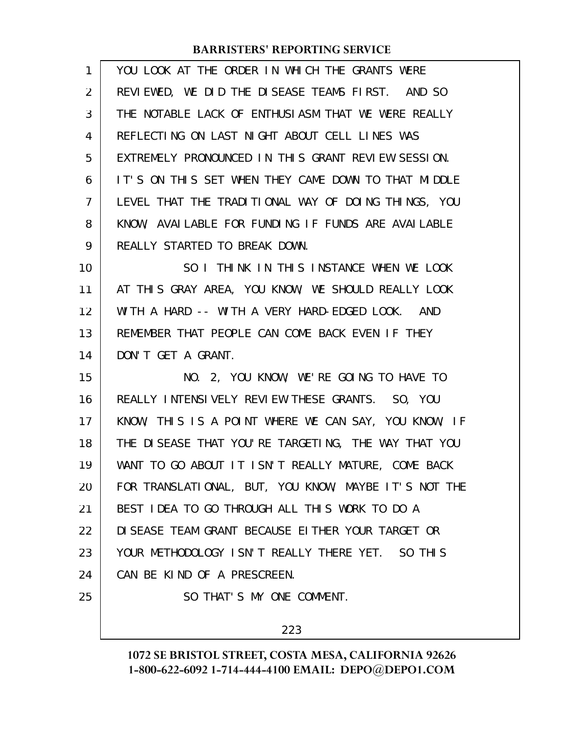| 1  | YOU LOOK AT THE ORDER IN WHICH THE GRANTS WERE       |
|----|------------------------------------------------------|
| 2  | REVIEWED, WE DID THE DISEASE TEAMS FIRST. AND SO     |
| 3  | THE NOTABLE LACK OF ENTHUSIASM THAT WE WERE REALLY   |
| 4  | REFLECTING ON LAST NIGHT ABOUT CELL LINES WAS        |
| 5  | EXTREMELY PRONOUNCED IN THIS GRANT REVIEW SESSION.   |
| 6  | IT'S ON THIS SET WHEN THEY CAME DOWN TO THAT MIDDLE  |
| 7  | LEVEL THAT THE TRADITIONAL WAY OF DOING THINGS, YOU  |
| 8  | KNOW, AVAILABLE FOR FUNDING IF FUNDS ARE AVAILABLE   |
| 9  | REALLY STARTED TO BREAK DOWN.                        |
| 10 | SO I THINK IN THIS INSTANCE WHEN WE LOOK             |
| 11 | AT THIS GRAY AREA, YOU KNOW, WE SHOULD REALLY LOOK   |
| 12 | WITH A HARD -- WITH A VERY HARD-EDGED LOOK. AND      |
| 13 | REMEMBER THAT PEOPLE CAN COME BACK EVEN IF THEY      |
| 14 | DON'T GET A GRANT.                                   |
| 15 | NO. 2, YOU KNOW, WE'RE GOING TO HAVE TO              |
| 16 | REALLY INTENSIVELY REVIEW THESE GRANTS. SO, YOU      |
| 17 | KNOW, THIS IS A POINT WHERE WE CAN SAY, YOU KNOW, IF |
| 18 | THE DISEASE THAT YOU'RE TARGETING, THE WAY THAT YOU  |
| 19 | WANT TO GO ABOUT IT ISN'T REALLY MATURE, COME BACK   |
| 20 | FOR TRANSLATIONAL, BUT, YOU KNOW, MAYBE IT'S NOT THE |
| 21 | BEST IDEA TO GO THROUGH ALL THIS WORK TO DO A        |
|    |                                                      |
| 22 | DI SEASE TEAM GRANT BECAUSE EITHER YOUR TARGET OR    |
| 23 | YOUR METHODOLOGY ISN'T REALLY THERE YET. SO THIS     |
| 24 | CAN BE KIND OF A PRESCREEN.                          |
| 25 | SO THAT'S MY ONE COMMENT.                            |

223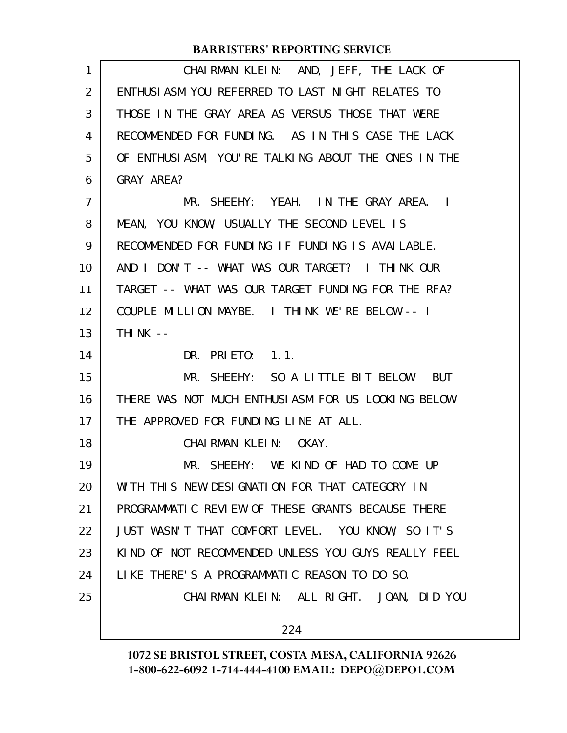| 1              | CHAIRMAN KLEIN: AND, JEFF, THE LACK OF              |
|----------------|-----------------------------------------------------|
| 2              | ENTHUSIASM YOU REFERRED TO LAST NIGHT RELATES TO    |
| 3              | THOSE IN THE GRAY AREA AS VERSUS THOSE THAT WERE    |
| 4              | RECOMMENDED FOR FUNDING. AS IN THIS CASE THE LACK   |
| 5              | OF ENTHUSIASM, YOU'RE TALKING ABOUT THE ONES IN THE |
| 6              | GRAY AREA?                                          |
| $\overline{7}$ | MR. SHEEHY: YEAH. IN THE GRAY AREA. I               |
| 8              | MEAN, YOU KNOW, USUALLY THE SECOND LEVEL IS         |
| 9              | RECOMMENDED FOR FUNDING IF FUNDING IS AVAILABLE.    |
| 10             | AND I DON'T -- WHAT WAS OUR TARGET? I THINK OUR     |
| 11             | TARGET -- WHAT WAS OUR TARGET FUNDING FOR THE RFA?  |
| 12             | COUPLE MILLION MAYBE. I THINK WE'RE BELOW -- I      |
| 13             | THINK $--$                                          |
| 14             | DR. PRIETO: 1.1.                                    |
| 15             | MR. SHEEHY: SO A LITTLE BIT BELOW. BUT              |
| 16             | THERE WAS NOT MUCH ENTHUSIASM FOR US LOOKING BELOW  |
| 17             | THE APPROVED FOR FUNDING LINE AT ALL.               |
| 18             | CHAIRMAN KLEIN: OKAY.                               |
| 19             | MR. SHEEHY: WE KIND OF HAD TO COME UP               |
| 20             | WITH THIS NEW DESIGNATION FOR THAT CATEGORY IN      |
| 21             | PROGRAMMATIC REVIEW OF THESE GRANTS BECAUSE THERE   |
| 22             | JUST WASN'T THAT COMFORT LEVEL. YOU KNOW, SO IT'S   |
| 23             | KIND OF NOT RECOMMENDED UNLESS YOU GUYS REALLY FEEL |
| 24             | LIKE THERE'S A PROGRAMMATIC REASON TO DO SO.        |
| 25             | CHAIRMAN KLEIN: ALL RIGHT. JOAN, DID YOU            |
|                | 224                                                 |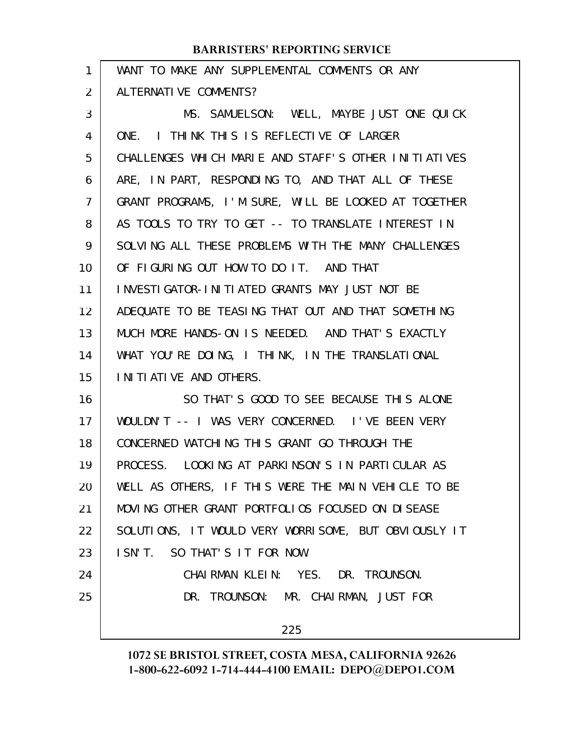| 1              | WANT TO MAKE ANY SUPPLEMENTAL COMMENTS OR ANY        |
|----------------|------------------------------------------------------|
| $\overline{2}$ | ALTERNATIVE COMMENTS?                                |
| 3              | MS. SAMUELSON: WELL, MAYBE JUST ONE QUICK            |
| 4              | ONE. I THINK THIS IS REFLECTIVE OF LARGER            |
| 5              | CHALLENGES WHICH MARIE AND STAFF'S OTHER INITIATIVES |
| 6              | ARE, IN PART, RESPONDING TO, AND THAT ALL OF THESE   |
| 7              | GRANT PROGRAMS, I'M SURE, WILL BE LOOKED AT TOGETHER |
| 8              | AS TOOLS TO TRY TO GET -- TO TRANSLATE INTEREST IN   |
| 9              | SOLVING ALL THESE PROBLEMS WITH THE MANY CHALLENGES  |
| 10             | OF FIGURING OUT HOW TO DO IT. AND THAT               |
| 11             | INVESTIGATOR-INITIATED GRANTS MAY JUST NOT BE        |
| 12             | ADEQUATE TO BE TEASING THAT OUT AND THAT SOMETHING   |
| 13             | MUCH MORE HANDS-ON IS NEEDED. AND THAT'S EXACTLY     |
| 14             | WHAT YOU'RE DOING, I THINK, IN THE TRANSLATIONAL     |
| 15             | I NI TI ATI VE AND OTHERS.                           |
| 16             | SO THAT'S GOOD TO SEE BECAUSE THIS ALONE             |
| 17             | WOULDN'T -- I WAS VERY CONCERNED. I'VE BEEN VERY     |
| 18             | CONCERNED WATCHING THIS GRANT GO THROUGH THE         |
| 19             | PROCESS. LOOKING AT PARKINSON'S IN PARTICULAR AS     |
| 20             | WELL AS OTHERS, IF THIS WERE THE MAIN VEHICLE TO BE  |
| 21             | MOVING OTHER GRANT PORTFOLIOS FOCUSED ON DISEASE     |
| 22             | SOLUTIONS, IT WOULD VERY WORRISOME, BUT OBVIOUSLY IT |
| 23             | ISN'T. SO THAT'S IT FOR NOW.                         |
| 24             | CHAIRMAN KLEIN: YES. DR. TROUNSON.                   |
| 25             | DR. TROUNSON: MR. CHAIRMAN, JUST FOR                 |
|                | 225                                                  |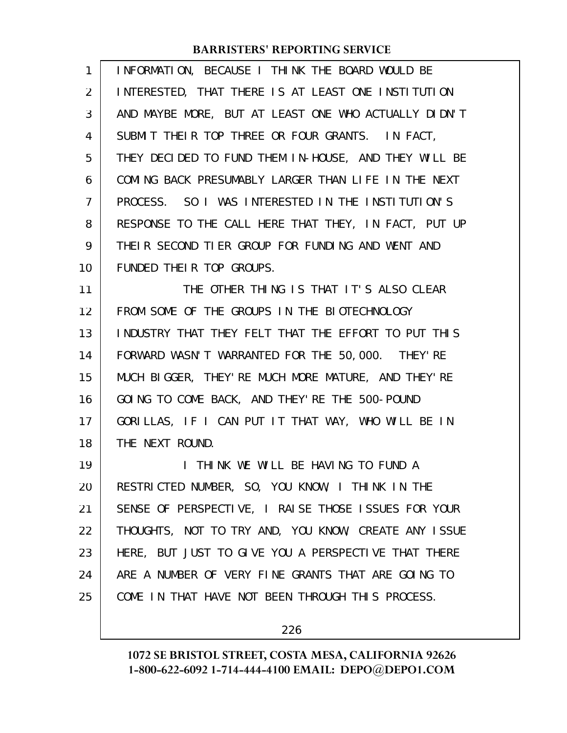| 1  | INFORMATION, BECAUSE I THINK THE BOARD WOULD BE      |
|----|------------------------------------------------------|
| 2  | INTERESTED, THAT THERE IS AT LEAST ONE INSTITUTION   |
| 3  | AND MAYBE MORE, BUT AT LEAST ONE WHO ACTUALLY DIDN'T |
| 4  | SUBMIT THEIR TOP THREE OR FOUR GRANTS. IN FACT,      |
| 5  | THEY DECIDED TO FUND THEM IN-HOUSE, AND THEY WILL BE |
| 6  | COMING BACK PRESUMABLY LARGER THAN LIFE IN THE NEXT  |
| 7  | PROCESS. SO I WAS INTERESTED IN THE INSTITUTION'S    |
| 8  | RESPONSE TO THE CALL HERE THAT THEY, IN FACT, PUT UP |
| 9  | THEIR SECOND TIER GROUP FOR FUNDING AND WENT AND     |
| 10 | FUNDED THEIR TOP GROUPS.                             |
| 11 | THE OTHER THING IS THAT IT'S ALSO CLEAR              |
| 12 | FROM SOME OF THE GROUPS IN THE BIOTECHNOLOGY         |
| 13 | INDUSTRY THAT THEY FELT THAT THE EFFORT TO PUT THIS  |
| 14 | FORWARD WASN'T WARRANTED FOR THE 50,000. THEY'RE     |
| 15 | MUCH BIGGER, THEY'RE MUCH MORE MATURE, AND THEY'RE   |
| 16 | GOING TO COME BACK, AND THEY'RE THE 500-POUND        |
| 17 | GORILLAS, IF I CAN PUT IT THAT WAY, WHO WILL BE IN   |
| 18 | THE NEXT ROUND.                                      |
| 19 | THINK WE WILL BE HAVING TO FUND A                    |
| 20 | RESTRICTED NUMBER, SO, YOU KNOW, I THINK IN THE      |
| 21 | SENSE OF PERSPECTIVE, I RAISE THOSE ISSUES FOR YOUR  |
| 22 | THOUGHTS, NOT TO TRY AND, YOU KNOW, CREATE ANY ISSUE |
| 23 | HERE, BUT JUST TO GIVE YOU A PERSPECTIVE THAT THERE  |
| 24 | ARE A NUMBER OF VERY FINE GRANTS THAT ARE GOING TO   |
| 25 | COME IN THAT HAVE NOT BEEN THROUGH THIS PROCESS.     |
|    |                                                      |

226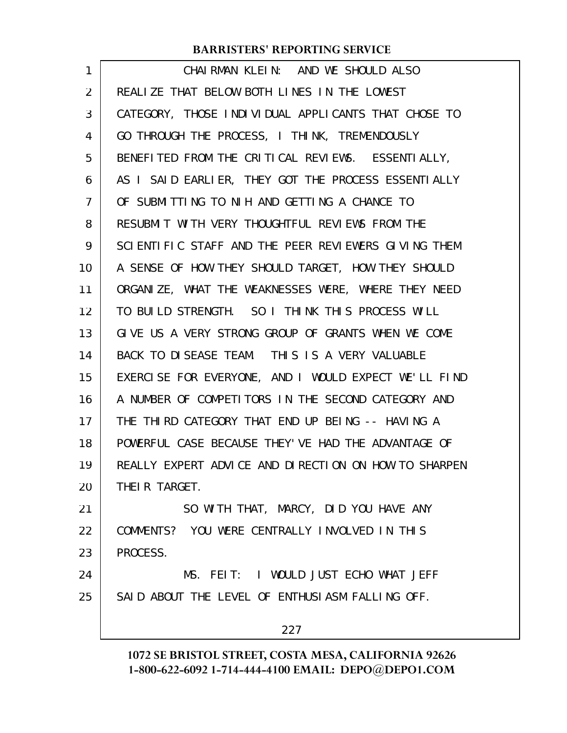| 1  | CHAIRMAN KLEIN: AND WE SHOULD ALSO                   |
|----|------------------------------------------------------|
| 2  | REALIZE THAT BELOW BOTH LINES IN THE LOWEST          |
| 3  | CATEGORY, THOSE INDIVIDUAL APPLICANTS THAT CHOSE TO  |
| 4  | GO THROUGH THE PROCESS, I THINK, TREMENDOUSLY        |
| 5  | BENEFITED FROM THE CRITICAL REVIEWS. ESSENTIALLY,    |
| 6  | AS I SAID EARLIER, THEY GOT THE PROCESS ESSENTIALLY  |
| 7  | OF SUBMITTING TO NIH AND GETTING A CHANCE TO         |
| 8  | RESUBMIT WITH VERY THOUGHTFUL REVIEWS FROM THE       |
| 9  | SCIENTIFIC STAFF AND THE PEER REVIEWERS GIVING THEM  |
| 10 | A SENSE OF HOW THEY SHOULD TARGET, HOW THEY SHOULD   |
| 11 | ORGANIZE, WHAT THE WEAKNESSES WERE, WHERE THEY NEED  |
| 12 | TO BUILD STRENGTH. SO I THINK THIS PROCESS WILL      |
| 13 | GIVE US A VERY STRONG GROUP OF GRANTS WHEN WE COME   |
| 14 | BACK TO DISEASE TEAM. THIS IS A VERY VALUABLE        |
| 15 | EXERCISE FOR EVERYONE, AND I WOULD EXPECT WE'LL FIND |
| 16 | A NUMBER OF COMPETITORS IN THE SECOND CATEGORY AND   |
| 17 | THE THIRD CATEGORY THAT END UP BEING -- HAVING A     |
| 18 | POWERFUL CASE BECAUSE THEY'VE HAD THE ADVANTAGE OF   |
| 19 | REALLY EXPERT ADVICE AND DIRECTION ON HOW TO SHARPEN |
| 20 | THEIR TARGET.                                        |
| 21 | SO WITH THAT, MARCY, DID YOU HAVE ANY                |
| 22 | COMMENTS? YOU WERE CENTRALLY INVOLVED IN THIS        |
| 23 | PROCESS.                                             |
| 24 | MS. FEIT: I WOULD JUST ECHO WHAT JEFF                |
| 25 | SAID ABOUT THE LEVEL OF ENTHUSIASM FALLING OFF.      |
|    | 227                                                  |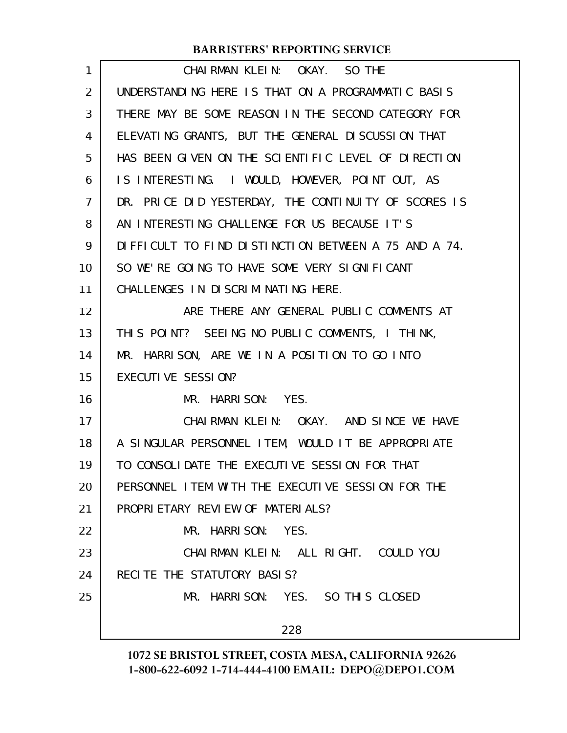| CHAIRMAN KLEIN: OKAY. SO THE                         |
|------------------------------------------------------|
| UNDERSTANDING HERE IS THAT ON A PROGRAMMATIC BASIS   |
| THERE MAY BE SOME REASON IN THE SECOND CATEGORY FOR  |
| ELEVATING GRANTS, BUT THE GENERAL DISCUSSION THAT    |
| HAS BEEN GIVEN ON THE SCIENTIFIC LEVEL OF DIRECTION  |
| IS INTERESTING. I WOULD, HOWEVER, POINT OUT, AS      |
| DR. PRICE DID YESTERDAY, THE CONTINUITY OF SCORES IS |
| AN INTERESTING CHALLENGE FOR US BECAUSE IT'S         |
| DIFFICULT TO FIND DISTINCTION BETWEEN A 75 AND A 74. |
| SO WE'RE GOING TO HAVE SOME VERY SIGNIFICANT         |
| CHALLENGES IN DISCRIMINATING HERE.                   |
| ARE THERE ANY GENERAL PUBLIC COMMENTS AT             |
| THIS POINT? SEEING NO PUBLIC COMMENTS, I THINK,      |
| MR. HARRISON, ARE WE IN A POSITION TO GO INTO        |
| EXECUTIVE SESSION?                                   |
| MR. HARRISON: YES.                                   |
| CHAIRMAN KLEIN: OKAY. AND SINCE WE HAVE              |
| A SINGULAR PERSONNEL ITEM, WOULD IT BE APPROPRIATE   |
| TO CONSOLIDATE THE EXECUTIVE SESSION FOR THAT        |
| PERSONNEL ITEM WITH THE EXECUTIVE SESSION FOR THE    |
| PROPRIETARY REVIEW OF MATERIALS?                     |
| MR. HARRISON: YES.                                   |
| CHAIRMAN KLEIN: ALL RIGHT. COULD YOU                 |
| RECITE THE STATUTORY BASIS?                          |
| MR. HARRISON: YES. SO THIS CLOSED                    |
| 228                                                  |
|                                                      |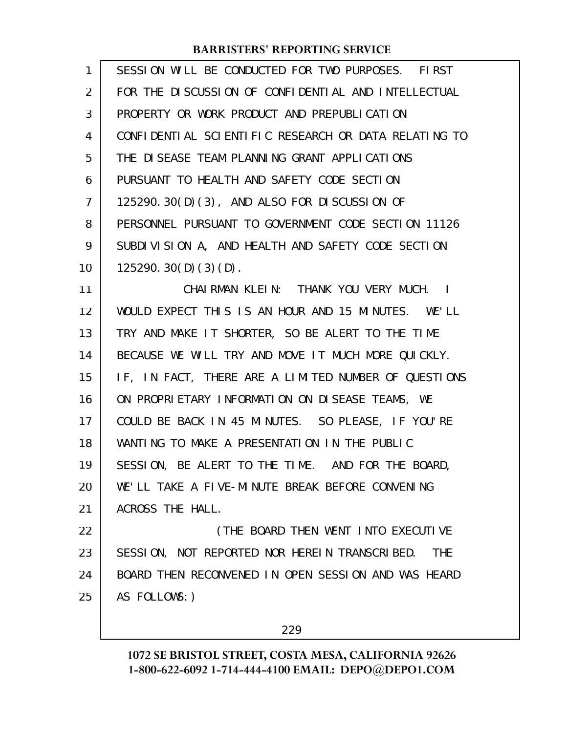| $\mathbf{1}$ | SESSION WILL BE CONDUCTED FOR TWO PURPOSES. FIRST           |
|--------------|-------------------------------------------------------------|
| 2            | FOR THE DISCUSSION OF CONFIDENTIAL AND INTELLECTUAL         |
| 3            | PROPERTY OR WORK PRODUCT AND PREPUBLICATION                 |
| 4            | CONFIDENTIAL SCIENTIFIC RESEARCH OR DATA RELATING TO        |
| 5            | THE DISEASE TEAM PLANNING GRANT APPLICATIONS                |
| 6            | PURSUANT TO HEALTH AND SAFETY CODE SECTION                  |
| 7            | 125290.30(D)(3), AND ALSO FOR DISCUSSION OF                 |
| 8            | PERSONNEL PURSUANT TO GOVERNMENT CODE SECTION 11126         |
| 9            | SUBDIVISION A, AND HEALTH AND SAFETY CODE SECTION           |
| 10           | 125290.30(D)(3)(D).                                         |
| 11           | CHAIRMAN KLEIN: THANK YOU VERY MUCH. I                      |
| 12           | WOULD EXPECT THIS IS AN HOUR AND 15 MINUTES. WE'LL          |
| 13           | TRY AND MAKE IT SHORTER, SO BE ALERT TO THE TIME            |
| 14           | BECAUSE WE WILL TRY AND MOVE IT MUCH MORE QUICKLY.          |
| 15           | IF, IN FACT, THERE ARE A LIMITED NUMBER OF QUESTIONS        |
| 16           | ON PROPRIETARY INFORMATION ON DISEASE TEAMS, WE             |
| 17           | COULD BE BACK IN 45 MINUTES. SO PLEASE, IF YOU'RE           |
| 18           | WANTING TO MAKE A PRESENTATION IN THE PUBLIC                |
| 19           | SESSION, BE ALERT TO THE TIME. AND FOR THE BOARD,           |
| 20           | WE'LL TAKE A FIVE-MINUTE BREAK BEFORE CONVENING             |
| 21           | ACROSS THE HALL.                                            |
| 22           | (THE BOARD THEN WENT INTO EXECUTIVE                         |
| 23           | SESSION, NOT REPORTED NOR HEREIN TRANSCRIBED.<br><b>THE</b> |
| 24           | BOARD THEN RECONVENED IN OPEN SESSION AND WAS HEARD         |
| 25           | AS FOLLOWS: )                                               |
|              |                                                             |

229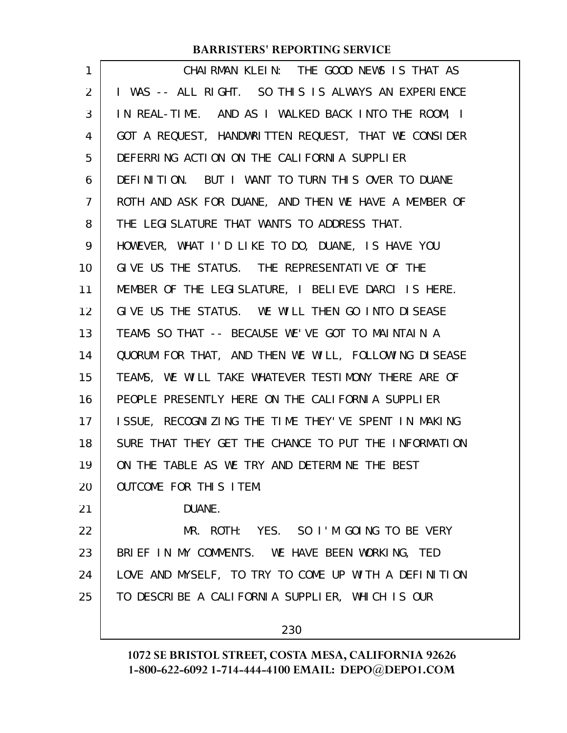| CHAIRMAN KLEIN: THE GOOD NEWS IS THAT AS             |
|------------------------------------------------------|
| I WAS -- ALL RIGHT. SO THIS IS ALWAYS AN EXPERIENCE  |
| IN REAL-TIME. AND AS I WALKED BACK INTO THE ROOM, I  |
| GOT A REQUEST, HANDWRITTEN REQUEST, THAT WE CONSIDER |
| DEFERRING ACTION ON THE CALIFORNIA SUPPLIER          |
| DEFINITION. BUT I WANT TO TURN THIS OVER TO DUANE    |
| ROTH AND ASK FOR DUANE, AND THEN WE HAVE A MEMBER OF |
| THE LEGISLATURE THAT WANTS TO ADDRESS THAT.          |
| HOWEVER, WHAT I'D LIKE TO DO, DUANE, IS HAVE YOU     |
| GIVE US THE STATUS. THE REPRESENTATIVE OF THE        |
| MEMBER OF THE LEGISLATURE, I BELIEVE DARCI IS HERE.  |
| GIVE US THE STATUS. WE WILL THEN GO INTO DISEASE     |
| TEAMS SO THAT -- BECAUSE WE'VE GOT TO MAINTAIN A     |
| QUORUM FOR THAT, AND THEN WE WILL, FOLLOWING DISEASE |
| TEAMS, WE WILL TAKE WHATEVER TESTIMONY THERE ARE OF  |
| PEOPLE PRESENTLY HERE ON THE CALIFORNIA SUPPLIER     |
| ISSUE, RECOGNIZING THE TIME THEY'VE SPENT IN MAKING  |
| SURE THAT THEY GET THE CHANCE TO PUT THE INFORMATION |
| ON THE TABLE AS WE TRY AND DETERMINE THE BEST        |
| <b>OUTCOME FOR THIS ITEM.</b>                        |
| DUANE.                                               |
| MR. ROTH: YES. SO I'M GOING TO BE VERY               |
| BRIEF IN MY COMMENTS. WE HAVE BEEN WORKING, TED      |
| LOVE AND MYSELF, TO TRY TO COME UP WITH A DEFINITION |
| TO DESCRIBE A CALIFORNIA SUPPLIER, WHICH IS OUR      |
|                                                      |
|                                                      |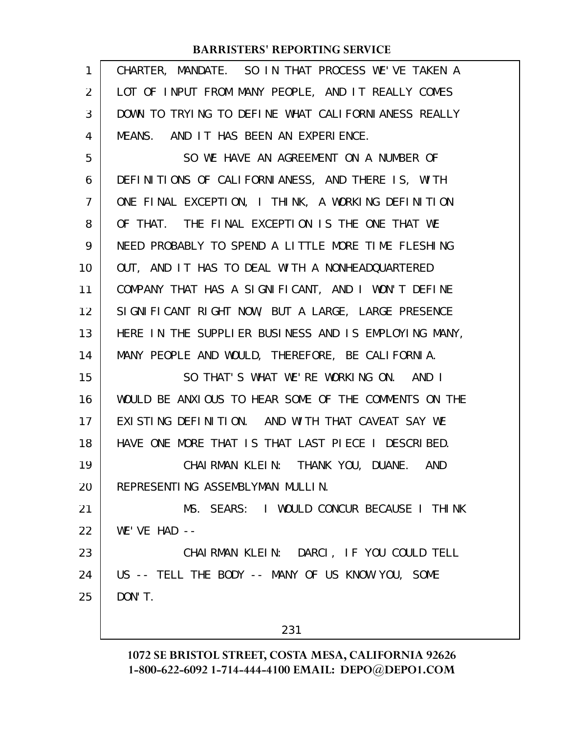| 1              | CHARTER, MANDATE. SO IN THAT PROCESS WE'VE TAKEN A   |
|----------------|------------------------------------------------------|
| $\overline{2}$ | LOT OF INPUT FROM MANY PEOPLE, AND IT REALLY COMES   |
| 3              | DOWN TO TRYING TO DEFINE WHAT CALIFORNIANESS REALLY  |
| 4              | MEANS. AND IT HAS BEEN AN EXPERIENCE.                |
| 5              | SO WE HAVE AN AGREEMENT ON A NUMBER OF               |
| 6              | DEFINITIONS OF CALIFORNIANESS, AND THERE IS, WITH    |
| 7              | ONE FINAL EXCEPTION, I THINK, A WORKING DEFINITION   |
| 8              | OF THAT. THE FINAL EXCEPTION IS THE ONE THAT WE      |
| 9              | NEED PROBABLY TO SPEND A LITTLE MORE TIME FLESHING   |
| 10             | OUT, AND IT HAS TO DEAL WITH A NONHEADQUARTERED      |
| 11             | COMPANY THAT HAS A SIGNIFICANT, AND I WON'T DEFINE   |
| 12             | SIGNIFICANT RIGHT NOW, BUT A LARGE, LARGE PRESENCE   |
| 13             | HERE IN THE SUPPLIER BUSINESS AND IS EMPLOYING MANY, |
| 14             | MANY PEOPLE AND WOULD, THEREFORE, BE CALIFORNIA.     |
| 15             | SO THAT'S WHAT WE'RE WORKING ON. AND I               |
| 16             | WOULD BE ANXIOUS TO HEAR SOME OF THE COMMENTS ON THE |
| 17             | EXISTING DEFINITION. AND WITH THAT CAVEAT SAY WE     |
| 18             | HAVE ONE MORE THAT IS THAT LAST PIECE I DESCRIBED.   |
| 19             | CHAIRMAN KLEIN: THANK YOU, DUANE. AND                |
| 20             | REPRESENTING ASSEMBLYMAN MULLIN.                     |
| 21             | MS. SEARS: I WOULD CONCUR BECAUSE I THINK            |
| 22             | $WE'VEHAD$ --                                        |
| 23             | CHAIRMAN KLEIN: DARCI, IF YOU COULD TELL             |
| 24             | US -- TELL THE BODY -- MANY OF US KNOW YOU, SOME     |
| 25             | DON'T.                                               |
|                | 231                                                  |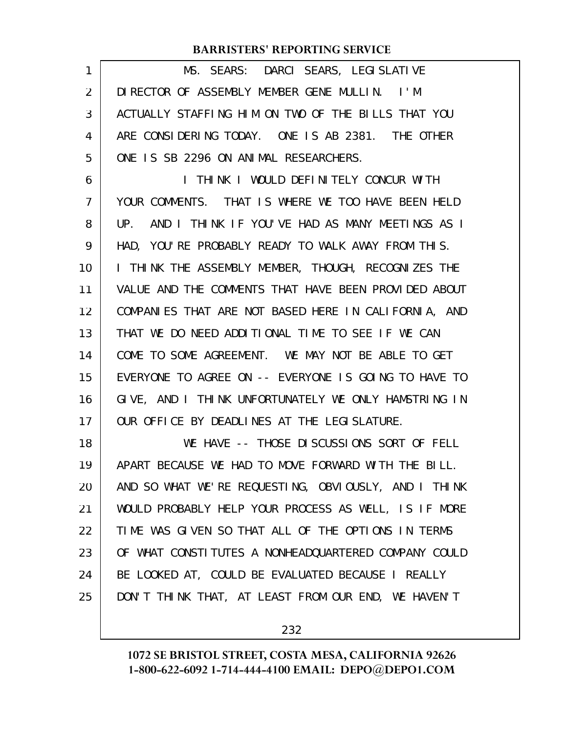| 1  | MS. SEARS: DARCI SEARS, LEGISLATIVE                  |
|----|------------------------------------------------------|
| 2  | DIRECTOR OF ASSEMBLY MEMBER GENE MULLIN. I'M         |
| 3  | ACTUALLY STAFFING HIM ON TWO OF THE BILLS THAT YOU   |
| 4  | ARE CONSIDERING TODAY. ONE IS AB 2381. THE OTHER     |
| 5  | ONE IS SB 2296 ON ANIMAL RESEARCHERS.                |
| 6  | I THINK I WOULD DEFINITELY CONCUR WITH               |
| 7  | YOUR COMMENTS. THAT IS WHERE WE TOO HAVE BEEN HELD   |
| 8  | UP. AND I THINK IF YOU'VE HAD AS MANY MEETINGS AS I  |
| 9  | HAD, YOU'RE PROBABLY READY TO WALK AWAY FROM THIS.   |
| 10 | I THINK THE ASSEMBLY MEMBER, THOUGH, RECOGNIZES THE  |
| 11 | VALUE AND THE COMMENTS THAT HAVE BEEN PROVIDED ABOUT |
| 12 | COMPANIES THAT ARE NOT BASED HERE IN CALIFORNIA, AND |
| 13 | THAT WE DO NEED ADDITIONAL TIME TO SEE IF WE CAN     |
| 14 | COME TO SOME AGREEMENT. WE MAY NOT BE ABLE TO GET    |
| 15 | EVERYONE TO AGREE ON -- EVERYONE IS GOING TO HAVE TO |
| 16 | GIVE, AND I THINK UNFORTUNATELY WE ONLY HAMSTRING IN |
| 17 | OUR OFFICE BY DEADLINES AT THE LEGISLATURE.          |
| 18 | WE HAVE -- THOSE DISCUSSIONS SORT OF FELL            |
| 19 | APART BECAUSE WE HAD TO MOVE FORWARD WITH THE BILL.  |
| 20 | AND SO WHAT WE'RE REQUESTING, OBVIOUSLY, AND I THINK |
| 21 | WOULD PROBABLY HELP YOUR PROCESS AS WELL, IS IF MORE |
| 22 | TIME WAS GIVEN SO THAT ALL OF THE OPTIONS IN TERMS   |
| 23 | OF WHAT CONSTITUTES A NONHEADQUARTERED COMPANY COULD |
| 24 | BE LOOKED AT, COULD BE EVALUATED BECAUSE I REALLY    |
| 25 | DON'T THINK THAT, AT LEAST FROM OUR END, WE HAVEN'T  |
|    |                                                      |

232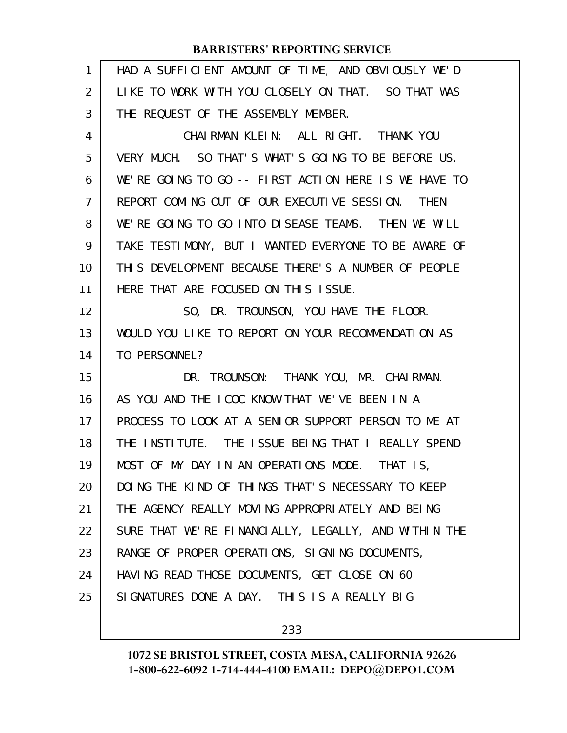| 1  | HAD A SUFFICIENT AMOUNT OF TIME, AND OBVIOUSLY WE'D  |
|----|------------------------------------------------------|
| 2  | LIKE TO WORK WITH YOU CLOSELY ON THAT. SO THAT WAS   |
| 3  | THE REQUEST OF THE ASSEMBLY MEMBER.                  |
| 4  | CHAIRMAN KLEIN: ALL RIGHT. THANK YOU                 |
| 5  | VERY MUCH. SO THAT'S WHAT'S GOING TO BE BEFORE US.   |
| 6  | WE'RE GOING TO GO -- FIRST ACTION HERE IS WE HAVE TO |
| 7  | REPORT COMING OUT OF OUR EXECUTIVE SESSION. THEN     |
| 8  | WE'RE GOING TO GO INTO DISEASE TEAMS. THEN WE WILL   |
| 9  | TAKE TESTIMONY, BUT I WANTED EVERYONE TO BE AWARE OF |
| 10 | THIS DEVELOPMENT BECAUSE THERE'S A NUMBER OF PEOPLE  |
| 11 | HERE THAT ARE FOCUSED ON THIS ISSUE.                 |
| 12 | SO, DR. TROUNSON, YOU HAVE THE FLOOR.                |
| 13 | WOULD YOU LIKE TO REPORT ON YOUR RECOMMENDATION AS   |
| 14 | TO PERSONNEL?                                        |
| 15 | DR. TROUNSON: THANK YOU, MR. CHAIRMAN.               |
| 16 | AS YOU AND THE ICOC KNOW THAT WE'VE BEEN IN A        |
| 17 | PROCESS TO LOOK AT A SENIOR SUPPORT PERSON TO ME AT  |
| 18 | THE INSTITUTE. THE ISSUE BEING THAT I REALLY SPEND   |
| 19 | MOST OF MY DAY IN AN OPERATIONS MODE. THAT IS,       |
| 20 | DOING THE KIND OF THINGS THAT'S NECESSARY TO KEEP    |
| 21 | THE AGENCY REALLY MOVING APPROPRIATELY AND BEING     |
| 22 | SURE THAT WE'RE FINANCIALLY, LEGALLY, AND WITHIN THE |
| 23 | RANGE OF PROPER OPERATIONS, SIGNING DOCUMENTS,       |
| 24 | HAVING READ THOSE DOCUMENTS, GET CLOSE ON 60         |
| 25 | SIGNATURES DONE A DAY. THIS IS A REALLY BIG          |
|    |                                                      |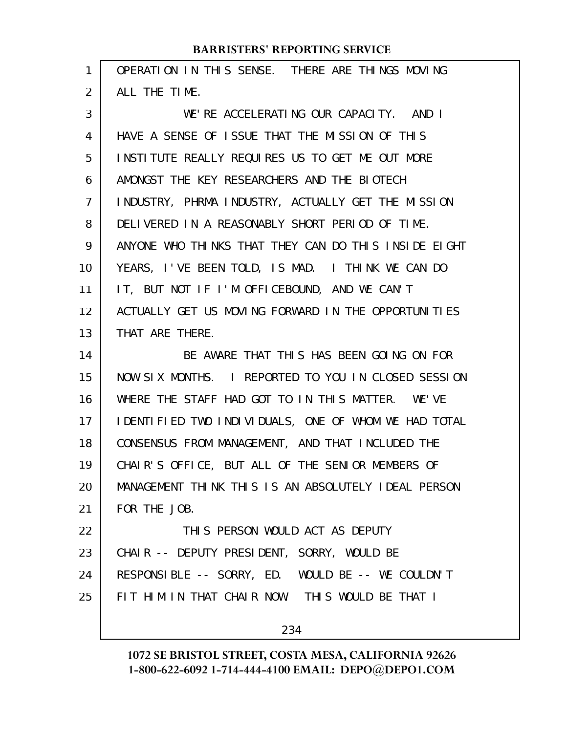| 1              | OPERATION IN THIS SENSE. THERE ARE THINGS MOVING      |
|----------------|-------------------------------------------------------|
| $\overline{2}$ | ALL THE TIME.                                         |
| 3              | WE'RE ACCELERATING OUR CAPACITY. AND I                |
| 4              | HAVE A SENSE OF ISSUE THAT THE MISSION OF THIS        |
| 5              | INSTITUTE REALLY REQUIRES US TO GET ME OUT MORE       |
| 6              | AMONGST THE KEY RESEARCHERS AND THE BIOTECH           |
| 7              | INDUSTRY, PHRMA INDUSTRY, ACTUALLY GET THE MISSION    |
| 8              | DELIVERED IN A REASONABLY SHORT PERIOD OF TIME.       |
| 9              | ANYONE WHO THINKS THAT THEY CAN DO THIS INSIDE EIGHT  |
| 10             | YEARS, I'VE BEEN TOLD, IS MAD. I THINK WE CAN DO      |
| 11             | IT, BUT NOT IF I'M OFFICEBOUND, AND WE CAN'T          |
| 12             | ACTUALLY GET US MOVING FORWARD IN THE OPPORTUNITIES   |
| 13             | THAT ARE THERE.                                       |
|                |                                                       |
| 14             | BE AWARE THAT THIS HAS BEEN GOING ON FOR              |
| 15             | NOW SIX MONTHS. I REPORTED TO YOU IN CLOSED SESSION   |
| 16             | WHERE THE STAFF HAD GOT TO IN THIS MATTER. WE'VE      |
| 17             | I DENTIFIED TWO INDIVIDUALS, ONE OF WHOM WE HAD TOTAL |
| 18             | CONSENSUS FROM MANAGEMENT, AND THAT INCLUDED THE      |
| 19             | CHAIR'S OFFICE, BUT ALL OF THE SENIOR MEMBERS OF      |
| 20             | MANAGEMENT THINK THIS IS AN ABSOLUTELY IDEAL PERSON   |
| 21             | FOR THE JOB.                                          |
| 22             | THIS PERSON WOULD ACT AS DEPUTY                       |
| 23             | CHAIR -- DEPUTY PRESIDENT, SORRY, WOULD BE            |
| 24             | RESPONSIBLE -- SORRY, ED. WOULD BE -- WE COULDN'T     |
| 25             | FIT HIM IN THAT CHAIR NOW. THIS WOULD BE THAT I       |

234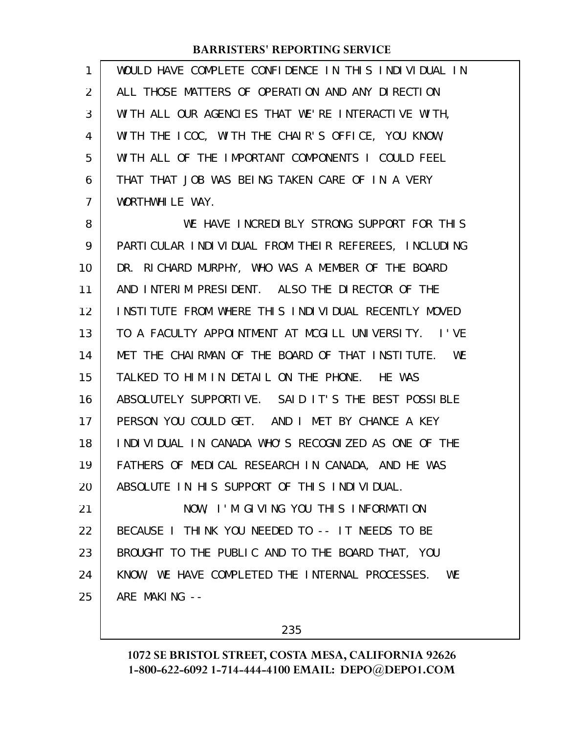| 1  | WOULD HAVE COMPLETE CONFIDENCE IN THIS INDIVIDUAL IN |
|----|------------------------------------------------------|
| 2  | ALL THOSE MATTERS OF OPERATION AND ANY DIRECTION     |
| 3  | WITH ALL OUR AGENCIES THAT WE'RE INTERACTIVE WITH,   |
| 4  | WITH THE ICOC, WITH THE CHAIR'S OFFICE, YOU KNOW,    |
| 5  | WITH ALL OF THE IMPORTANT COMPONENTS I COULD FEEL    |
| 6  | THAT THAT JOB WAS BEING TAKEN CARE OF IN A VERY      |
| 7  | WORTHWHILE WAY.                                      |
| 8  | WE HAVE INCREDIBLY STRONG SUPPORT FOR THIS           |
| 9  | PARTICULAR INDIVIDUAL FROM THEIR REFEREES, INCLUDING |
| 10 | DR. RICHARD MURPHY, WHO WAS A MEMBER OF THE BOARD    |
| 11 | AND INTERIM PRESIDENT. ALSO THE DIRECTOR OF THE      |
| 12 | INSTITUTE FROM WHERE THIS INDIVIDUAL RECENTLY MOVED  |
| 13 | TO A FACULTY APPOINTMENT AT MCGILL UNIVERSITY. I'VE  |
| 14 | MET THE CHAIRMAN OF THE BOARD OF THAT INSTITUTE. WE  |
| 15 | TALKED TO HIM IN DETAIL ON THE PHONE. HE WAS         |
| 16 | ABSOLUTELY SUPPORTIVE. SAID IT'S THE BEST POSSIBLE   |
| 17 | PERSON YOU COULD GET. AND I MET BY CHANCE A KEY      |
| 18 | INDIVIDUAL IN CANADA WHO'S RECOGNIZED AS ONE OF THE  |
| 19 | FATHERS OF MEDICAL RESEARCH IN CANADA, AND HE WAS    |
| 20 | ABSOLUTE IN HIS SUPPORT OF THIS INDIVIDUAL.          |
| 21 | NOW, I'M GIVING YOU THIS INFORMATION                 |
| 22 | BECAUSE I THINK YOU NEEDED TO -- IT NEEDS TO BE      |
| 23 | BROUGHT TO THE PUBLIC AND TO THE BOARD THAT, YOU     |
| 24 | KNOW, WE HAVE COMPLETED THE INTERNAL PROCESSES. WE   |
| 25 | ARE MAKING --                                        |

235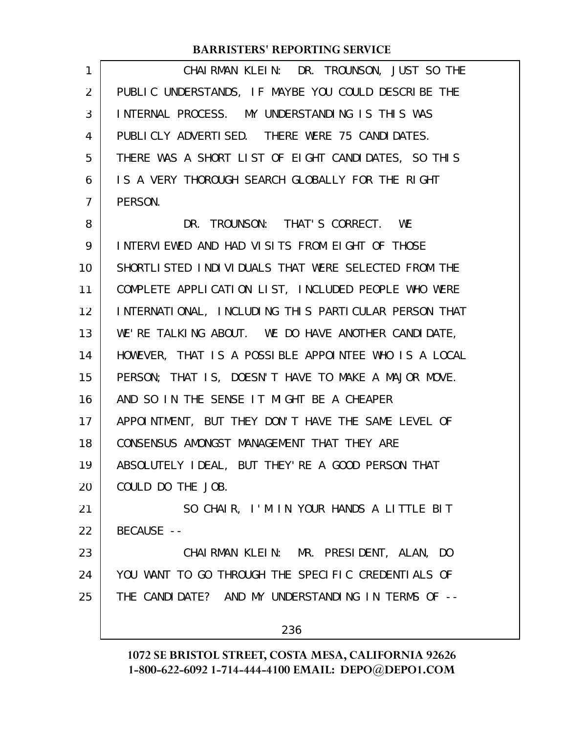| 1              | CHAIRMAN KLEIN: DR. TROUNSON, JUST SO THE            |
|----------------|------------------------------------------------------|
| $\overline{2}$ | PUBLIC UNDERSTANDS, IF MAYBE YOU COULD DESCRIBE THE  |
| 3              | INTERNAL PROCESS. MY UNDERSTANDING IS THIS WAS       |
| 4              | PUBLICLY ADVERTISED. THERE WERE 75 CANDIDATES.       |
| 5              | THERE WAS A SHORT LIST OF EIGHT CANDIDATES, SO THIS  |
| 6              | IS A VERY THOROUGH SEARCH GLOBALLY FOR THE RIGHT     |
| 7              | PERSON.                                              |
| 8              | DR. TROUNSON: THAT'S CORRECT. WE                     |
| 9              | INTERVIEWED AND HAD VISITS FROM EIGHT OF THOSE       |
| 10             | SHORTLI STED INDIVIDUALS THAT WERE SELECTED FROM THE |
| 11             | COMPLETE APPLICATION LIST, INCLUDED PEOPLE WHO WERE  |
| 12             | INTERNATIONAL, INCLUDING THIS PARTICULAR PERSON THAT |
| 13             | WE'RE TALKING ABOUT. WE DO HAVE ANOTHER CANDIDATE,   |
| 14             | HOWEVER, THAT IS A POSSIBLE APPOINTEE WHO IS A LOCAL |
| 15             | PERSON; THAT IS, DOESN'T HAVE TO MAKE A MAJOR MOVE.  |
| 16             | AND SO IN THE SENSE IT MIGHT BE A CHEAPER            |
| 17             | APPOINTMENT, BUT THEY DON'T HAVE THE SAME LEVEL OF   |
| 18             | CONSENSUS AMONGST MANAGEMENT THAT THEY ARE           |
| 19             | ABSOLUTELY IDEAL, BUT THEY' RE A GOOD PERSON THAT    |
| 20             | COULD DO THE JOB.                                    |
| 21             | SO CHAIR, I'M IN YOUR HANDS A LITTLE BIT             |
| 22             | BECAUSE --                                           |
| 23             | CHAIRMAN KLEIN: MR. PRESIDENT, ALAN, DO              |
| 24             | YOU WANT TO GO THROUGH THE SPECIFIC CREDENTIALS OF   |
| 25             | THE CANDIDATE? AND MY UNDERSTANDING IN TERMS OF --   |
|                | 236                                                  |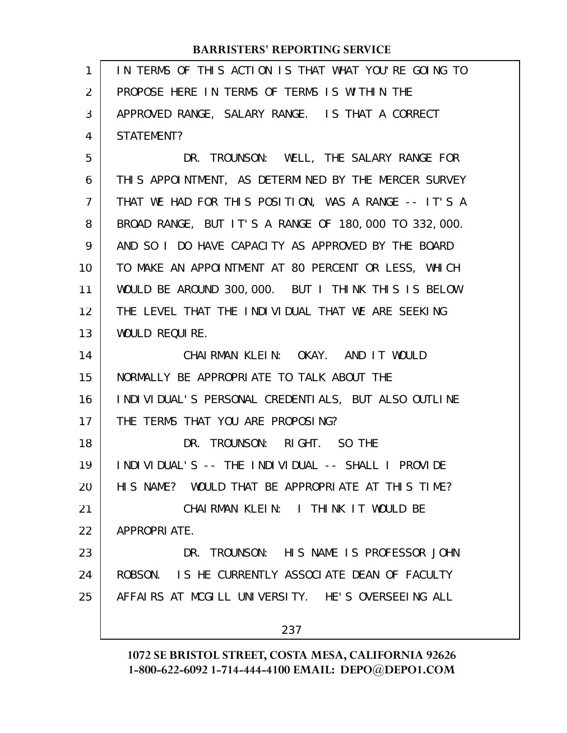| $\mathbf{1}$ | IN TERMS OF THIS ACTION IS THAT WHAT YOU'RE GOING TO |
|--------------|------------------------------------------------------|
| 2            | PROPOSE HERE IN TERMS OF TERMS IS WITHIN THE         |
| 3            | APPROVED RANGE, SALARY RANGE. IS THAT A CORRECT      |
| 4            | STATEMENT?                                           |
| 5            | DR. TROUNSON: WELL, THE SALARY RANGE FOR             |
| 6            | THIS APPOINTMENT, AS DETERMINED BY THE MERCER SURVEY |
| 7            | THAT WE HAD FOR THIS POSITION, WAS A RANGE -- IT'S A |
| 8            | BROAD RANGE, BUT IT'S A RANGE OF 180,000 TO 332,000. |
| 9            | AND SO I DO HAVE CAPACITY AS APPROVED BY THE BOARD   |
| 10           | TO MAKE AN APPOINTMENT AT 80 PERCENT OR LESS, WHICH  |
| 11           | WOULD BE AROUND 300,000. BUT I THINK THIS IS BELOW   |
| 12           | THE LEVEL THAT THE INDIVIDUAL THAT WE ARE SEEKING    |
| 13           | WOULD REQUIRE.                                       |
| 14           | CHAIRMAN KLEIN: OKAY. AND IT WOULD                   |
| 15           | NORMALLY BE APPROPRIATE TO TALK ABOUT THE            |
| 16           | INDIVIDUAL'S PERSONAL CREDENTIALS, BUT ALSO OUTLINE  |
| 17           | THE TERMS THAT YOU ARE PROPOSING?                    |
| 18           | DR. TROUNSON: RIGHT. SO THE                          |
| 19           | INDIVIDUAL'S -- THE INDIVIDUAL -- SHALL I PROVIDE    |
| 20           | HIS NAME? WOULD THAT BE APPROPRIATE AT THIS TIME?    |
| 21           | CHAIRMAN KLEIN: I THINK IT WOULD BE                  |
| 22           | APPROPRIATE.                                         |
| 23           | DR. TROUNSON: HIS NAME IS PROFESSOR JOHN             |
| 24           | ROBSON. IS HE CURRENTLY ASSOCIATE DEAN OF FACULTY    |
| 25           | AFFAIRS AT MCGILL UNIVERSITY. HE'S OVERSEEING ALL    |
|              | 237                                                  |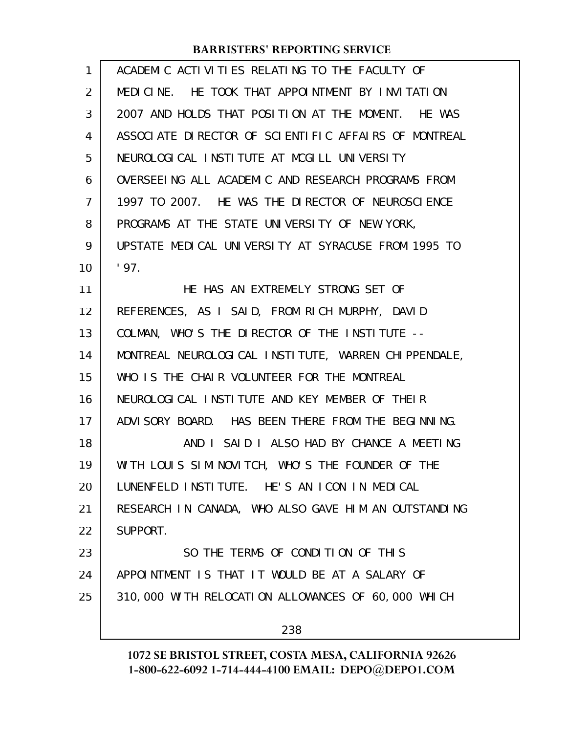| 1              | ACADEMIC ACTIVITIES RELATING TO THE FACULTY OF       |
|----------------|------------------------------------------------------|
| $\overline{2}$ | MEDICINE. HE TOOK THAT APPOINTMENT BY INVITATION     |
| 3              | 2007 AND HOLDS THAT POSITION AT THE MOMENT. HE WAS   |
| 4              | ASSOCIATE DIRECTOR OF SCIENTIFIC AFFAIRS OF MONTREAL |
| 5              | NEUROLOGICAL INSTITUTE AT MCGILL UNIVERSITY          |
| 6              | OVERSEEING ALL ACADEMIC AND RESEARCH PROGRAMS FROM   |
| 7              | 1997 TO 2007. HE WAS THE DIRECTOR OF NEUROSCIENCE    |
| 8              | PROGRAMS AT THE STATE UNIVERSITY OF NEW YORK,        |
| 9              | UPSTATE MEDICAL UNIVERSITY AT SYRACUSE FROM 1995 TO  |
| 10             | '97.                                                 |
| 11             | HE HAS AN EXTREMELY STRONG SET OF                    |
| 12             | REFERENCES, AS I SAID, FROM RICH MURPHY, DAVID       |
| 13             | COLMAN, WHO'S THE DIRECTOR OF THE INSTITUTE --       |
| 14             | MONTREAL NEUROLOGICAL INSTITUTE, WARREN CHIPPENDALE, |
| 15             | WHO IS THE CHAIR VOLUNTEER FOR THE MONTREAL          |
| 16             | NEUROLOGICAL INSTITUTE AND KEY MEMBER OF THEIR       |
| 17             | ADVISORY BOARD. HAS BEEN THERE FROM THE BEGINNING.   |
| 18             | AND I SAID I ALSO HAD BY CHANCE A MEETING            |
| 19             | WITH LOUIS SIMINOVITCH, WHO'S THE FOUNDER OF THE     |
| 20             | LUNENFELD INSTITUTE. HE'S AN ICON IN MEDICAL         |
| 21             | RESEARCH IN CANADA, WHO ALSO GAVE HIM AN OUTSTANDING |
| 22             | SUPPORT.                                             |
| 23             | SO THE TERMS OF CONDITION OF THIS                    |
| 24             | APPOINTMENT IS THAT IT WOULD BE AT A SALARY OF       |
| 25             | 310,000 WITH RELOCATION ALLOWANCES OF 60,000 WHICH   |
|                | 238                                                  |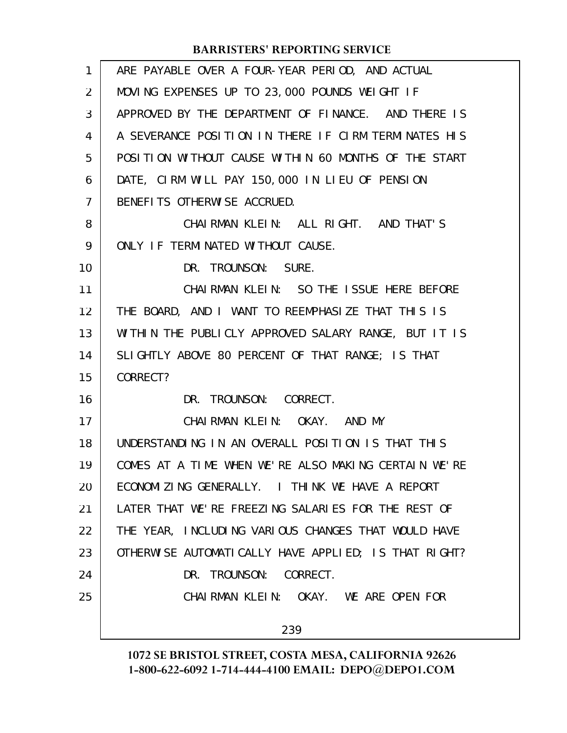| 1              | ARE PAYABLE OVER A FOUR-YEAR PERIOD, AND ACTUAL      |
|----------------|------------------------------------------------------|
| 2              | MOVING EXPENSES UP TO 23,000 POUNDS WEIGHT IF        |
| 3              | APPROVED BY THE DEPARTMENT OF FINANCE. AND THERE IS  |
| 4              | A SEVERANCE POSITION IN THERE IF CIRM TERMINATES HIS |
| 5              | POSITION WITHOUT CAUSE WITHIN 60 MONTHS OF THE START |
| 6              | DATE, CIRM WILL PAY 150,000 IN LIEU OF PENSION       |
| $\overline{7}$ | BENEFITS OTHERWISE ACCRUED.                          |
| 8              | CHAIRMAN KLEIN: ALL RIGHT. AND THAT'S                |
| 9              | ONLY IF TERMINATED WITHOUT CAUSE.                    |
| 10             | DR. TROUNSON: SURE.                                  |
| 11             | CHAIRMAN KLEIN: SO THE ISSUE HERE BEFORE             |
| 12             | THE BOARD, AND I WANT TO REEMPHASIZE THAT THIS IS    |
| 13             | WITHIN THE PUBLICLY APPROVED SALARY RANGE, BUT IT IS |
| 14             | SLIGHTLY ABOVE 80 PERCENT OF THAT RANGE; IS THAT     |
| 15             | CORRECT?                                             |
| 16             | DR. TROUNSON: CORRECT.                               |
| 17             | CHAIRMAN KLEIN: OKAY. AND MY                         |
| 18             | UNDERSTANDING IN AN OVERALL POSITION IS THAT THIS    |
| 19             | COMES AT A TIME WHEN WE'RE ALSO MAKING CERTAIN WE'RE |
| 20             | ECONOMIZING GENERALLY. I THINK WE HAVE A REPORT      |
| 21             | LATER THAT WE'RE FREEZING SALARIES FOR THE REST OF   |
| 22             | THE YEAR, INCLUDING VARIOUS CHANGES THAT WOULD HAVE  |
| 23             | OTHERWISE AUTOMATICALLY HAVE APPLIED; IS THAT RIGHT? |
| 24             | DR. TROUNSON: CORRECT.                               |
| 25             | CHAIRMAN KLEIN: OKAY. WE ARE OPEN FOR                |
|                | 239                                                  |
|                |                                                      |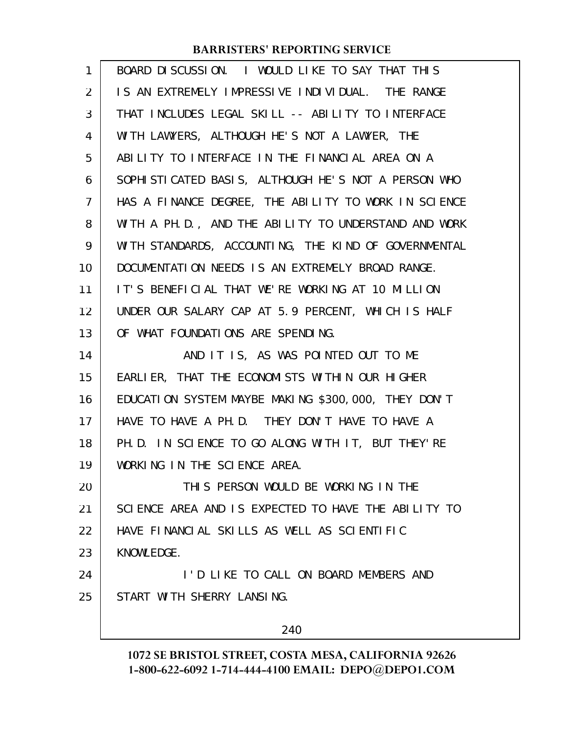| 1              | BOARD DISCUSSION. I WOULD LIKE TO SAY THAT THIS       |
|----------------|-------------------------------------------------------|
| 2              | IS AN EXTREMELY IMPRESSIVE INDIVIDUAL. THE RANGE      |
| 3              | THAT INCLUDES LEGAL SKILL -- ABILITY TO INTERFACE     |
| 4              | WITH LAWYERS, ALTHOUGH HE'S NOT A LAWYER, THE         |
| 5              | ABILITY TO INTERFACE IN THE FINANCIAL AREA ON A       |
| 6              | SOPHI STI CATED BASIS, ALTHOUGH HE'S NOT A PERSON WHO |
| $\overline{7}$ | HAS A FINANCE DEGREE, THE ABILITY TO WORK IN SCIENCE  |
| 8              | WITH A PH.D., AND THE ABILITY TO UNDERSTAND AND WORK  |
| 9              | WITH STANDARDS, ACCOUNTING, THE KIND OF GOVERNMENTAL  |
| 10             | DOCUMENTATION NEEDS IS AN EXTREMELY BROAD RANGE.      |
| 11             | IT'S BENEFICIAL THAT WE'RE WORKING AT 10 MILLION      |
| 12             | UNDER OUR SALARY CAP AT 5.9 PERCENT, WHICH IS HALF    |
| 13             | OF WHAT FOUNDATIONS ARE SPENDING.                     |
| 14             | AND IT IS, AS WAS POINTED OUT TO ME                   |
| 15             | EARLIER, THAT THE ECONOMISTS WITHIN OUR HIGHER        |
| 16             | EDUCATION SYSTEM MAYBE MAKING \$300,000, THEY DON'T   |
| 17             | HAVE TO HAVE A PH. D. THEY DON'T HAVE TO HAVE A       |
| 18             | PH. D. IN SCIENCE TO GO ALONG WITH IT, BUT THEY'RE    |
| 19             | WORKING IN THE SCIENCE AREA.                          |
| 20             | THIS PERSON WOULD BE WORKING IN THE                   |
| 21             | SCIENCE AREA AND IS EXPECTED TO HAVE THE ABILITY TO   |
| 22             | HAVE FINANCIAL SKILLS AS WELL AS SCIENTIFIC           |
| 23             | KNOWLEDGE.                                            |
| 24             | I'D LIKE TO CALL ON BOARD MEMBERS AND                 |
| 25             | START WITH SHERRY LANSING.                            |
|                | 240                                                   |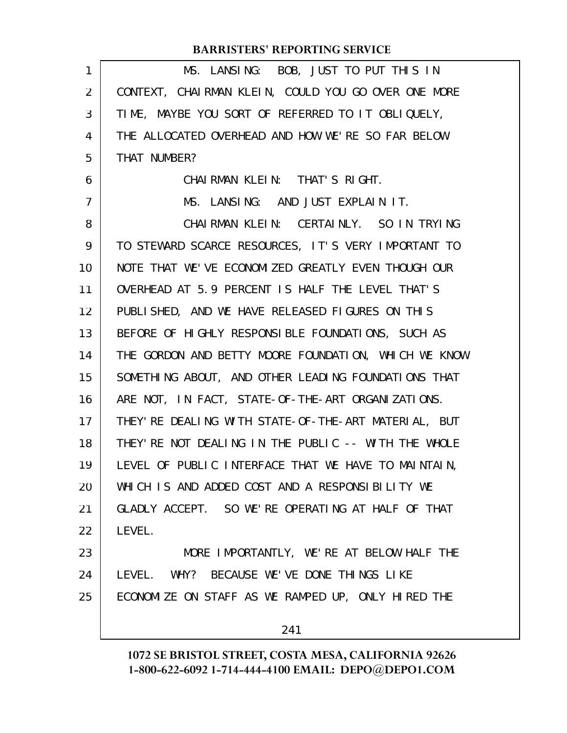| 1              | MS. LANSING: BOB, JUST TO PUT THIS IN                |
|----------------|------------------------------------------------------|
| 2              | CONTEXT, CHAIRMAN KLEIN, COULD YOU GO OVER ONE MORE  |
| 3              | TIME, MAYBE YOU SORT OF REFERRED TO IT OBLIQUELY,    |
| 4              | THE ALLOCATED OVERHEAD AND HOW WE'RE SO FAR BELOW    |
| 5              | THAT NUMBER?                                         |
| 6              | CHAIRMAN KLEIN: THAT'S RIGHT.                        |
| $\overline{7}$ | MS. LANSING: AND JUST EXPLAIN IT.                    |
| 8              | CHAIRMAN KLEIN: CERTAINLY. SO IN TRYING              |
| 9              | TO STEWARD SCARCE RESOURCES, IT'S VERY IMPORTANT TO  |
| 10             | NOTE THAT WE'VE ECONOMIZED GREATLY EVEN THOUGH OUR   |
| 11             | OVERHEAD AT 5.9 PERCENT IS HALF THE LEVEL THAT'S     |
| 12             | PUBLISHED, AND WE HAVE RELEASED FIGURES ON THIS      |
| 13             | BEFORE OF HIGHLY RESPONSIBLE FOUNDATIONS, SUCH AS    |
| 14             | THE GORDON AND BETTY MOORE FOUNDATION, WHICH WE KNOW |
| 15             | SOMETHING ABOUT, AND OTHER LEADING FOUNDATIONS THAT  |
| 16             | ARE NOT, IN FACT, STATE-OF-THE-ART ORGANIZATIONS.    |
| 17             | THEY' RE DEALING WITH STATE-OF-THE-ART MATERIAL, BUT |
| 18             | THEY' RE NOT DEALING IN THE PUBLIC -- WITH THE WHOLE |
| 19             | LEVEL OF PUBLIC INTERFACE THAT WE HAVE TO MAINTAIN,  |
| 20             | WHICH IS AND ADDED COST AND A RESPONSIBILITY WE      |
| 21             | GLADLY ACCEPT. SO WE'RE OPERATING AT HALF OF THAT    |
| 22             | LEVEL.                                               |
| 23             | MORE IMPORTANTLY, WE'RE AT BELOW HALF THE            |
| 24             | LEVEL. WHY? BECAUSE WE'VE DONE THINGS LIKE           |
| 25             | ECONOMIZE ON STAFF AS WE RAMPED UP, ONLY HIRED THE   |
|                | 241                                                  |
|                |                                                      |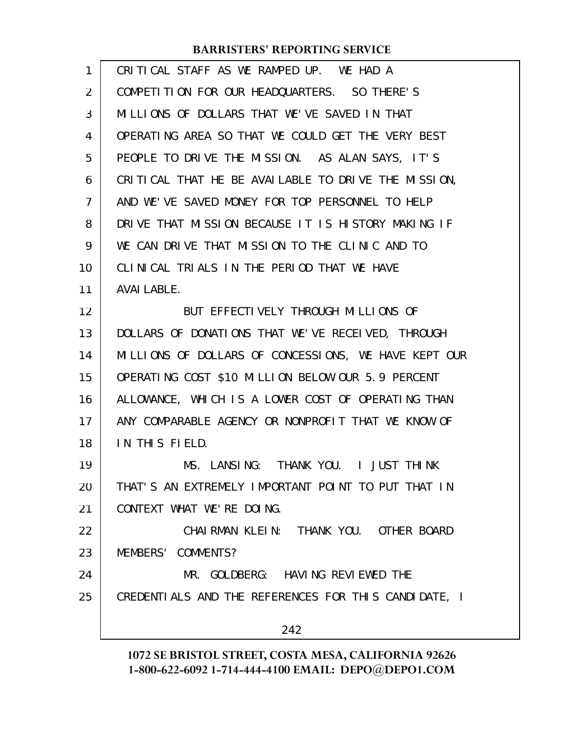| 1              | CRITICAL STAFF AS WE RAMPED UP. WE HAD A             |
|----------------|------------------------------------------------------|
| $\overline{2}$ | COMPETITION FOR OUR HEADQUARTERS. SO THERE'S         |
| 3              | MILLIONS OF DOLLARS THAT WE'VE SAVED IN THAT         |
| 4              | OPERATING AREA SO THAT WE COULD GET THE VERY BEST    |
| 5              | PEOPLE TO DRIVE THE MISSION. AS ALAN SAYS, IT'S      |
| 6              | CRITICAL THAT HE BE AVAILABLE TO DRIVE THE MISSION,  |
| $\overline{7}$ | AND WE'VE SAVED MONEY FOR TOP PERSONNEL TO HELP      |
| 8              | DRIVE THAT MISSION BECAUSE IT IS HISTORY MAKING IF   |
| 9              | WE CAN DRIVE THAT MISSION TO THE CLINIC AND TO       |
| 10             | CLINICAL TRIALS IN THE PERIOD THAT WE HAVE           |
| 11             | <b>AVAI LABLE.</b>                                   |
| 12             | BUT EFFECTIVELY THROUGH MILLIONS OF                  |
| 13             | DOLLARS OF DONATIONS THAT WE'VE RECEIVED, THROUGH    |
| 14             | MILLIONS OF DOLLARS OF CONCESSIONS, WE HAVE KEPT OUR |
| 15             | OPERATING COST \$10 MILLION BELOW OUR 5.9 PERCENT    |
| 16             | ALLOWANCE, WHICH IS A LOWER COST OF OPERATING THAN   |
| 17             | ANY COMPARABLE AGENCY OR NONPROFIT THAT WE KNOW OF   |
| 18             | IN THIS FIELD.                                       |
| 19             | MS. LANSING: THANK YOU. I JUST THINK                 |
| 20             | THAT'S AN EXTREMELY IMPORTANT POINT TO PUT THAT IN   |
| 21             | CONTEXT WHAT WE'RE DOING.                            |
| 22             | CHAIRMAN KLEIN: THANK YOU. OTHER BOARD               |
| 23             | MEMBERS' COMMENTS?                                   |
| 24             | MR. GOLDBERG: HAVING REVIEWED THE                    |
| 25             | CREDENTIALS AND THE REFERENCES FOR THIS CANDIDATE, I |
|                | 242                                                  |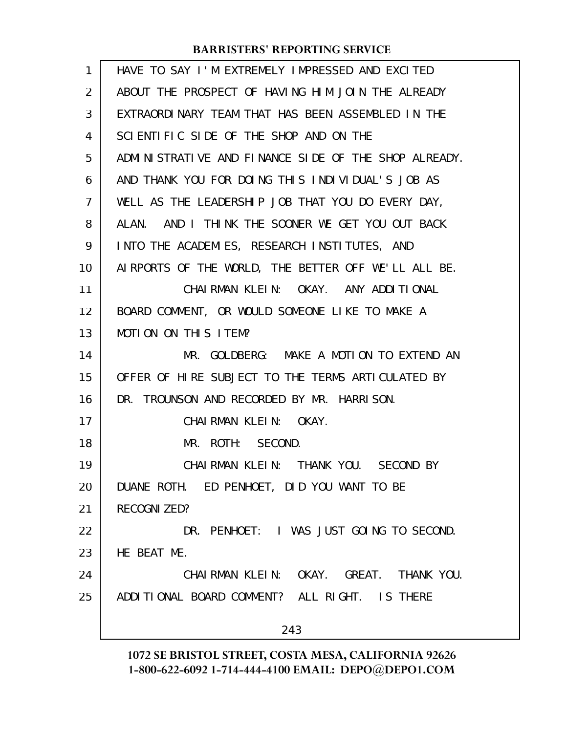| $\mathbf{1}$      | HAVE TO SAY I'M EXTREMELY IMPRESSED AND EXCITED      |
|-------------------|------------------------------------------------------|
| $\overline{2}$    | ABOUT THE PROSPECT OF HAVING HIM JOIN THE ALREADY    |
| 3                 | EXTRAORDINARY TEAM THAT HAS BEEN ASSEMBLED IN THE    |
| 4                 | SCIENTIFIC SIDE OF THE SHOP AND ON THE               |
| 5                 | ADMINISTRATIVE AND FINANCE SIDE OF THE SHOP ALREADY. |
| 6                 | AND THANK YOU FOR DOING THIS INDIVIDUAL'S JOB AS     |
| $\overline{7}$    | WELL AS THE LEADERSHIP JOB THAT YOU DO EVERY DAY,    |
| 8                 | AND I THINK THE SOONER WE GET YOU OUT BACK<br>ALAN.  |
| 9                 | INTO THE ACADEMIES, RESEARCH INSTITUTES, AND         |
| 10                | AIRPORTS OF THE WORLD, THE BETTER OFF WE'LL ALL BE.  |
| 11                | CHAIRMAN KLEIN: OKAY. ANY ADDITIONAL                 |
| $12 \overline{ }$ | BOARD COMMENT, OR WOULD SOMEONE LIKE TO MAKE A       |
| 13                | MOTION ON THIS ITEM?                                 |
| 14                | MR. GOLDBERG: MAKE A MOTION TO EXTEND AN             |
| 15                | OFFER OF HIRE SUBJECT TO THE TERMS ARTICULATED BY    |
| 16                | DR. TROUNSON AND RECORDED BY MR. HARRISON.           |
| 17                | CHAIRMAN KLEIN: OKAY.                                |
| 18                | MR. ROTH: SECOND.                                    |
| 19                | CHAIRMAN KLEIN: THANK YOU. SECOND BY                 |
| 20                | DUANE ROTH. ED PENHOET, DID YOU WANT TO BE           |
| 21                | RECOGNI ZED?                                         |
| 22                | DR. PENHOET: I WAS JUST GOING TO SECOND.             |
| 23                | HE BEAT ME.                                          |
| 24                | CHAIRMAN KLEIN: OKAY. GREAT. THANK YOU.              |
| 25                | ADDITIONAL BOARD COMMENT? ALL RIGHT. IS THERE        |
|                   | 243                                                  |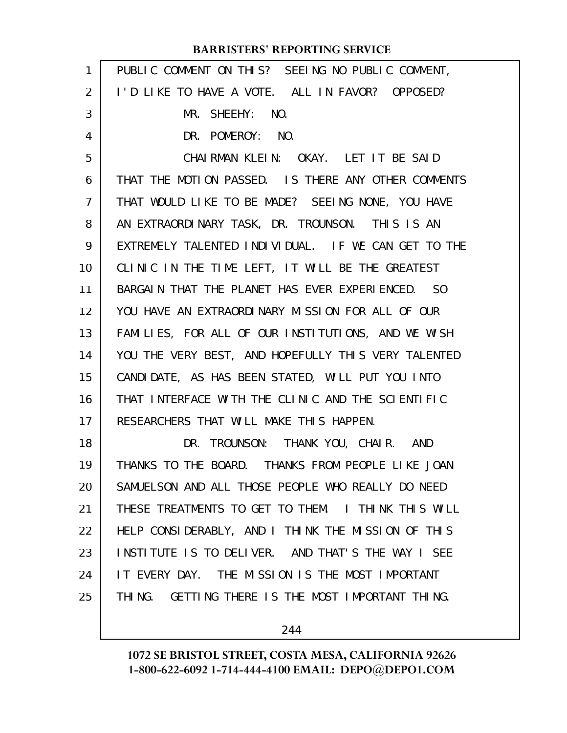#### PUBLIC COMMENT ON THIS? SEEING NO PUBLIC COMMENT, I'D LIKE TO HAVE A VOTE. ALL IN FAVOR? OPPOSED? MR. SHEEHY: NO. DR. POMEROY: NO. CHAIRMAN KLEIN: OKAY. LET IT BE SAID THAT THE MOTION PASSED. IS THERE ANY OTHER COMMENTS THAT WOULD LIKE TO BE MADE? SEEING NONE, YOU HAVE AN EXTRAORDINARY TASK, DR. TROUNSON. THIS IS AN EXTREMELY TALENTED INDIVIDUAL. IF WE CAN GET TO THE CLINIC IN THE TIME LEFT, IT WILL BE THE GREATEST BARGAIN THAT THE PLANET HAS EVER EXPERIENCED. SO YOU HAVE AN EXTRAORDINARY MISSION FOR ALL OF OUR FAMILIES, FOR ALL OF OUR INSTITUTIONS, AND WE WISH YOU THE VERY BEST, AND HOPEFULLY THIS VERY TALENTED CANDIDATE, AS HAS BEEN STATED, WILL PUT YOU INTO THAT INTERFACE WITH THE CLINIC AND THE SCIENTIFIC RESEARCHERS THAT WILL MAKE THIS HAPPEN. DR. TROUNSON: THANK YOU, CHAIR. AND THANKS TO THE BOARD. THANKS FROM PEOPLE LIKE JOAN SAMUELSON AND ALL THOSE PEOPLE WHO REALLY DO NEED THESE TREATMENTS TO GET TO THEM. I THINK THIS WILL HELP CONSIDERABLY, AND I THINK THE MISSION OF THIS INSTITUTE IS TO DELIVER. AND THAT'S THE WAY I SEE IT EVERY DAY. THE MISSION IS THE MOST IMPORTANT THING. GETTING THERE IS THE MOST IMPORTANT THING. **BARRISTERS' REPORTING SERVICE** 1 2 3 4 5 6 7 8 9 10 11 12 13 14 15 16 17 18 19 20 21 22 23 24 25

244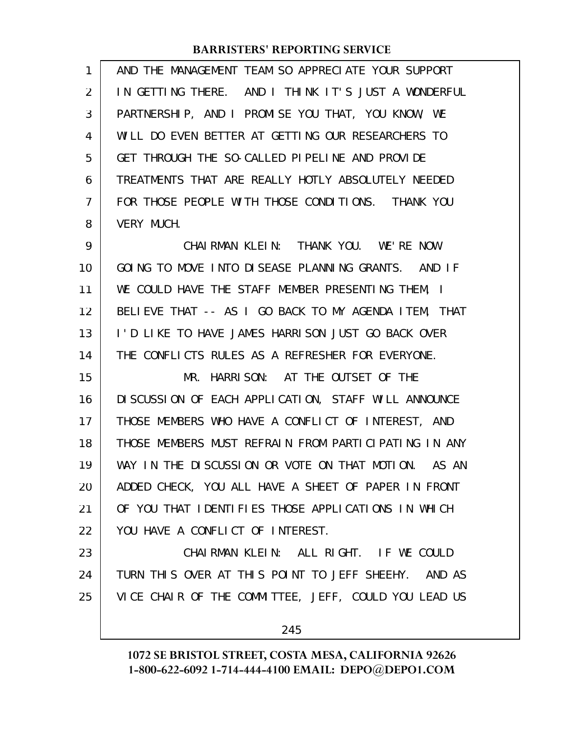| 1              | AND THE MANAGEMENT TEAM SO APPRECIATE YOUR SUPPORT   |
|----------------|------------------------------------------------------|
| 2              | IN GETTING THERE. AND I THINK IT'S JUST A WONDERFUL  |
| 3              | PARTNERSHIP, AND I PROMISE YOU THAT, YOU KNOW, WE    |
| 4              | WILL DO EVEN BETTER AT GETTING OUR RESEARCHERS TO    |
| 5              | GET THROUGH THE SO-CALLED PIPELINE AND PROVIDE       |
| 6              | TREATMENTS THAT ARE REALLY HOTLY ABSOLUTELY NEEDED   |
| $\overline{7}$ | FOR THOSE PEOPLE WITH THOSE CONDITIONS. THANK YOU    |
| 8              | <b>VERY MUCH.</b>                                    |
| 9              | CHAIRMAN KLEIN: THANK YOU. WE'RE NOW                 |
| 10             | GOING TO MOVE INTO DISEASE PLANNING GRANTS. AND IF   |
| 11             | WE COULD HAVE THE STAFF MEMBER PRESENTING THEM, I    |
| 12             | BELIEVE THAT -- AS I GO BACK TO MY AGENDA ITEM, THAT |
| 13             | I'D LIKE TO HAVE JAMES HARRISON JUST GO BACK OVER    |
| 14             | THE CONFLICTS RULES AS A REFRESHER FOR EVERYONE.     |
| 15             | MR. HARRISON: AT THE OUTSET OF THE                   |
| 16             | DI SCUSSION OF EACH APPLICATION, STAFF WILL ANNOUNCE |
| 17             | THOSE MEMBERS WHO HAVE A CONFLICT OF INTEREST, AND   |
| 18             | THOSE MEMBERS MUST REFRAIN FROM PARTICIPATING IN ANY |
| 19             | WAY IN THE DISCUSSION OR VOTE ON THAT MOTION. AS AN  |
| 20             | ADDED CHECK, YOU ALL HAVE A SHEET OF PAPER IN FRONT  |
| 21             | OF YOU THAT IDENTIFIES THOSE APPLICATIONS IN WHICH   |
| 22             | YOU HAVE A CONFLICT OF INTEREST.                     |
| 23             | CHAIRMAN KLEIN: ALL RIGHT. IF WE COULD               |
| 24             | TURN THIS OVER AT THIS POINT TO JEFF SHEEHY. AND AS  |
| 25             | VICE CHAIR OF THE COMMITTEE, JEFF, COULD YOU LEAD US |
|                |                                                      |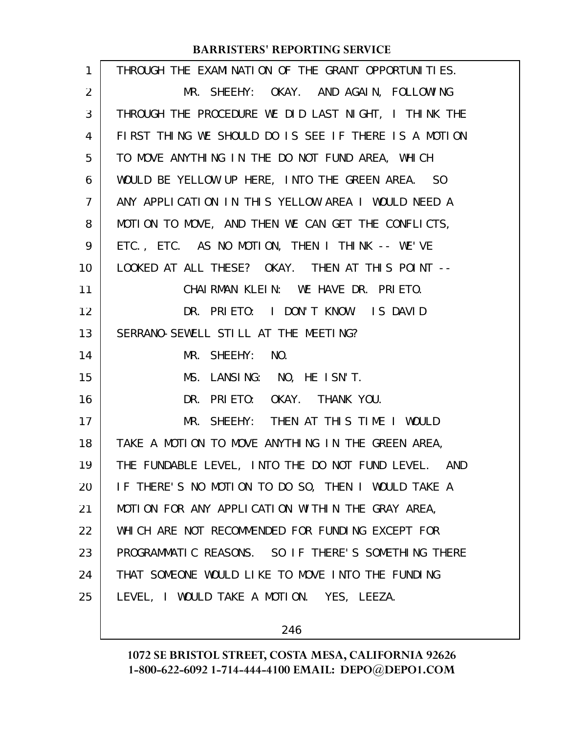| $\mathbf{1}$ | THROUGH THE EXAMINATION OF THE GRANT OPPORTUNITIES.  |
|--------------|------------------------------------------------------|
| 2            | MR. SHEEHY: OKAY. AND AGAIN, FOLLOWING               |
| 3            | THROUGH THE PROCEDURE WE DID LAST NIGHT, I THINK THE |
| 4            | FIRST THING WE SHOULD DO IS SEE IF THERE IS A MOTION |
| 5            | TO MOVE ANYTHING IN THE DO NOT FUND AREA, WHICH      |
| 6            | WOULD BE YELLOW UP HERE, INTO THE GREEN AREA. SO     |
| 7            | ANY APPLICATION IN THIS YELLOW AREA I WOULD NEED A   |
| 8            | MOTION TO MOVE, AND THEN WE CAN GET THE CONFLICTS,   |
| 9            | ETC., ETC. AS NO MOTION, THEN I THINK -- WE'VE       |
| 10           | LOOKED AT ALL THESE? OKAY. THEN AT THIS POINT --     |
| 11           | CHAIRMAN KLEIN: WE HAVE DR. PRIETO.                  |
| 12           | DR. PRIETO: I DON'T KNOW. IS DAVID                   |
| 13           | SERRANO-SEWELL STILL AT THE MEETING?                 |
| 14           | MR. SHEEHY: NO.                                      |
| 15           | MS. LANSING: NO, HE ISN'T.                           |
| 16           | DR. PRIETO: OKAY. THANK YOU.                         |
| 17           | MR. SHEEHY: THEN AT THIS TIME I WOULD                |
| 18           | TAKE A MOTION TO MOVE ANYTHING IN THE GREEN AREA,    |
| 19           | THE FUNDABLE LEVEL, INTO THE DO NOT FUND LEVEL. AND  |
| 20           | IF THERE'S NO MOTION TO DO SO, THEN I WOULD TAKE A   |
| 21           | MOTION FOR ANY APPLICATION WITHIN THE GRAY AREA,     |
| 22           | WHICH ARE NOT RECOMMENDED FOR FUNDING EXCEPT FOR     |
| 23           | PROGRAMMATIC REASONS. SO IF THERE'S SOMETHING THERE  |
| 24           | THAT SOMEONE WOULD LIKE TO MOVE INTO THE FUNDING     |
| 25           | LEVEL, I WOULD TAKE A MOTION. YES, LEEZA.            |
|              |                                                      |

246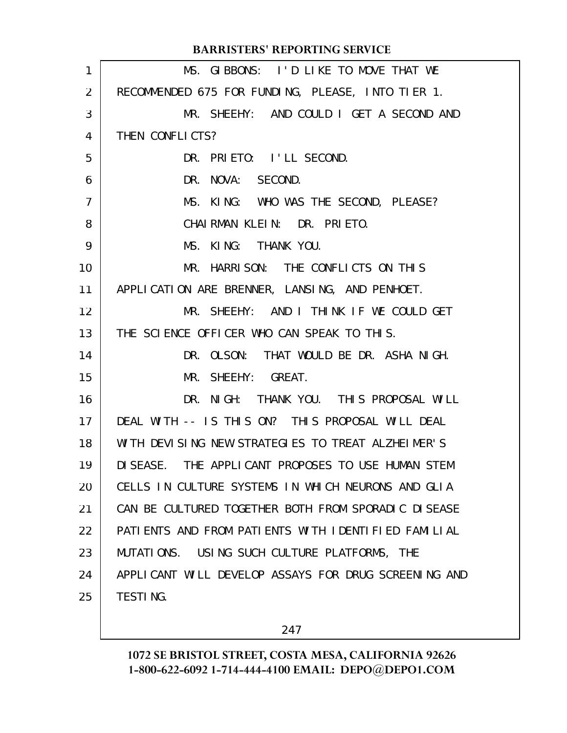| $\mathbf{1}$   | MS. GIBBONS: I'D LIKE TO MOVE THAT WE                |
|----------------|------------------------------------------------------|
| 2              | RECOMMENDED 675 FOR FUNDING, PLEASE, INTO TIER 1.    |
| 3              | MR. SHEEHY: AND COULD I GET A SECOND AND             |
| 4              | THEN CONFLICTS?                                      |
| 5              | DR. PRIETO: I'LL SECOND.                             |
| 6              | DR. NOVA: SECOND.                                    |
| $\overline{7}$ | MS. KING: WHO WAS THE SECOND, PLEASE?                |
| 8              | CHAIRMAN KLEIN: DR. PRIETO.                          |
| 9              | MS. KING: THANK YOU.                                 |
| 10             | MR. HARRISON: THE CONFLICTS ON THIS                  |
| 11             | APPLICATION ARE BRENNER, LANSING, AND PENHOET.       |
| 12             | MR. SHEEHY: AND I THINK IF WE COULD GET              |
| 13             | THE SCIENCE OFFICER WHO CAN SPEAK TO THIS.           |
| 14             | DR. OLSON: THAT WOULD BE DR. ASHA NIGH.              |
| 15             | MR. SHEEHY: GREAT.                                   |
| 16             | DR. NIGH: THANK YOU. THIS PROPOSAL WILL              |
| 17             | DEAL WITH -- IS THIS ON? THIS PROPOSAL WILL DEAL     |
| 18             | WITH DEVISING NEW STRATEGIES TO TREAT ALZHEIMER'S    |
| 19             | DISEASE. THE APPLICANT PROPOSES TO USE HUMAN STEM    |
| 20             | CELLS IN CULTURE SYSTEMS IN WHICH NEURONS AND GLIA   |
| 21             | CAN BE CULTURED TOGETHER BOTH FROM SPORADIC DISEASE  |
| 22             | PATIENTS AND FROM PATIENTS WITH IDENTIFIED FAMILIAL  |
| 23             | MUTATIONS. USING SUCH CULTURE PLATFORMS, THE         |
| 24             | APPLICANT WILL DEVELOP ASSAYS FOR DRUG SCREENING AND |
| 25             | <b>TESTING.</b>                                      |
|                |                                                      |

247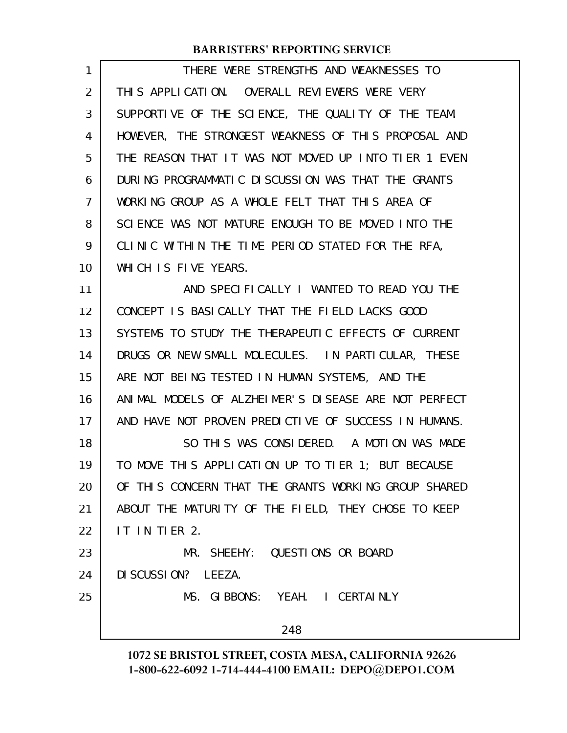| 1  | THERE WERE STRENGTHS AND WEAKNESSES TO               |
|----|------------------------------------------------------|
| 2  | THIS APPLICATION. OVERALL REVIEWERS WERE VERY        |
| 3  | SUPPORTIVE OF THE SCIENCE, THE QUALITY OF THE TEAM.  |
| 4  | HOWEVER, THE STRONGEST WEAKNESS OF THIS PROPOSAL AND |
| 5  | THE REASON THAT IT WAS NOT MOVED UP INTO TIER 1 EVEN |
| 6  | DURING PROGRAMMATIC DISCUSSION WAS THAT THE GRANTS   |
| 7  | WORKING GROUP AS A WHOLE FELT THAT THIS AREA OF      |
| 8  | SCIENCE WAS NOT MATURE ENOUGH TO BE MOVED INTO THE   |
| 9  | CLINIC WITHIN THE TIME PERIOD STATED FOR THE RFA,    |
| 10 | WHICH IS FIVE YEARS.                                 |
| 11 | AND SPECIFICALLY I WANTED TO READ YOU THE            |
| 12 | CONCEPT IS BASICALLY THAT THE FIELD LACKS GOOD       |
| 13 | SYSTEMS TO STUDY THE THERAPEUTIC EFFECTS OF CURRENT  |
| 14 | DRUGS OR NEW SMALL MOLECULES. IN PARTICULAR, THESE   |
| 15 | ARE NOT BEING TESTED IN HUMAN SYSTEMS, AND THE       |
| 16 | ANIMAL MODELS OF ALZHEIMER'S DISEASE ARE NOT PERFECT |
| 17 | AND HAVE NOT PROVEN PREDICTIVE OF SUCCESS IN HUMANS. |
| 18 | SO THIS WAS CONSIDERED. A MOTION WAS MADE            |
| 19 | TO MOVE THIS APPLICATION UP TO TIER 1; BUT BECAUSE   |
| 20 | OF THIS CONCERN THAT THE GRANTS WORKING GROUP SHARED |
| 21 | ABOUT THE MATURITY OF THE FIELD, THEY CHOSE TO KEEP  |
| 22 | IT IN TIER 2.                                        |
| 23 | MR. SHEEHY: QUESTIONS OR BOARD                       |
| 24 | DI SCUSSION? LEEZA.                                  |
| 25 | MS. GIBBONS: YEAH. I CERTAINLY                       |
|    | 248                                                  |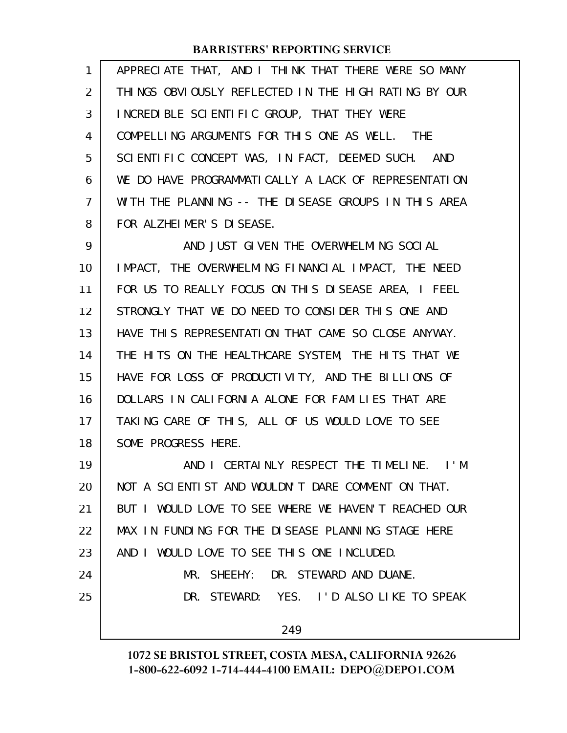| $\mathbf{1}$ | APPRECIATE THAT, AND I THINK THAT THERE WERE SO MANY |
|--------------|------------------------------------------------------|
| 2            | THINGS OBVIOUSLY REFLECTED IN THE HIGH RATING BY OUR |
| 3            | INCREDIBLE SCIENTIFIC GROUP, THAT THEY WERE          |
| 4            | COMPELLING ARGUMENTS FOR THIS ONE AS WELL. THE       |
| 5            | SCIENTIFIC CONCEPT WAS, IN FACT, DEEMED SUCH. AND    |
| 6            | WE DO HAVE PROGRAMMATICALLY A LACK OF REPRESENTATION |
| 7            | WITH THE PLANNING -- THE DISEASE GROUPS IN THIS AREA |
| 8            | FOR ALZHEIMER'S DISEASE.                             |

AND JUST GIVEN THE OVERWHELMING SOCIAL IMPACT, THE OVERWHELMING FINANCIAL IMPACT, THE NEED FOR US TO REALLY FOCUS ON THIS DISEASE AREA, I FEEL STRONGLY THAT WE DO NEED TO CONSIDER THIS ONE AND HAVE THIS REPRESENTATION THAT CAME SO CLOSE ANYWAY. THE HITS ON THE HEALTHCARE SYSTEM, THE HITS THAT WE HAVE FOR LOSS OF PRODUCTIVITY, AND THE BILLIONS OF DOLLARS IN CALIFORNIA ALONE FOR FAMILIES THAT ARE TAKING CARE OF THIS, ALL OF US WOULD LOVE TO SEE SOME PROGRESS HERE. 9 10 11 12 13 14 15 16 17 18

AND I CERTAINLY RESPECT THE TIMELINE. I'M NOT A SCIENTIST AND WOULDN'T DARE COMMENT ON THAT. BUT I WOULD LOVE TO SEE WHERE WE HAVEN'T REACHED OUR MAX IN FUNDING FOR THE DISEASE PLANNING STAGE HERE AND I WOULD LOVE TO SEE THIS ONE INCLUDED. MR. SHEEHY: DR. STEWARD AND DUANE. DR. STEWARD: YES. I'D ALSO LIKE TO SPEAK 249 19 20 21 22 23 24 25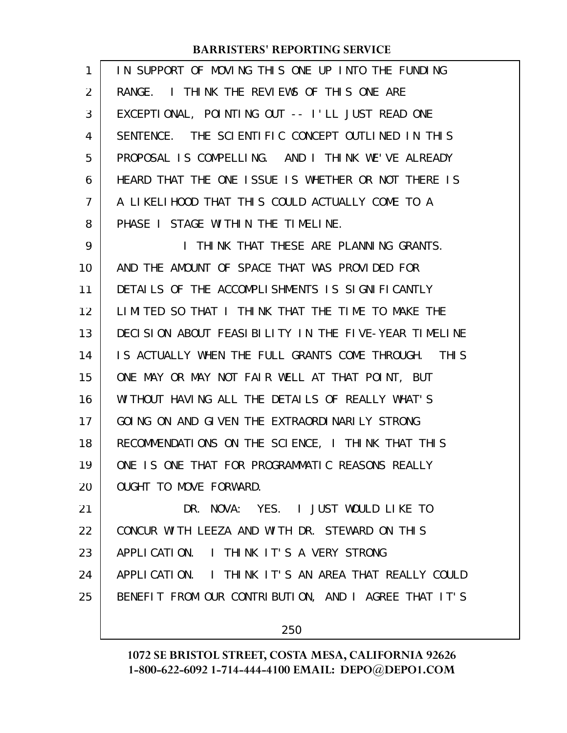| 1  | IN SUPPORT OF MOVING THIS ONE UP INTO THE FUNDING       |
|----|---------------------------------------------------------|
| 2  | RANGE. I THINK THE REVIEWS OF THIS ONE ARE              |
| 3  | EXCEPTIONAL, POINTING OUT -- I'LL JUST READ ONE         |
| 4  | SENTENCE. THE SCIENTIFIC CONCEPT OUTLINED IN THIS       |
| 5  | PROPOSAL IS COMPELLING. AND I THINK WE'VE ALREADY       |
| 6  | HEARD THAT THE ONE ISSUE IS WHETHER OR NOT THERE IS     |
| 7  | A LIKELIHOOD THAT THIS COULD ACTUALLY COME TO A         |
| 8  | PHASE I STAGE WITHIN THE TIMELINE.                      |
| 9  | I THINK THAT THESE ARE PLANNING GRANTS.                 |
| 10 | AND THE AMOUNT OF SPACE THAT WAS PROVIDED FOR           |
| 11 | DETAILS OF THE ACCOMPLISHMENTS IS SIGNIFICANTLY         |
| 12 | LIMITED SO THAT I THINK THAT THE TIME TO MAKE THE       |
| 13 | DECISION ABOUT FEASIBILITY IN THE FIVE-YEAR TIMELINE    |
| 14 | IS ACTUALLY WHEN THE FULL GRANTS COME THROUGH.<br>THI S |
| 15 | ONE MAY OR MAY NOT FAIR WELL AT THAT POINT, BUT         |
| 16 | WITHOUT HAVING ALL THE DETAILS OF REALLY WHAT'S         |
| 17 | GOING ON AND GIVEN THE EXTRAORDINARILY STRONG           |
| 18 | RECOMMENDATIONS ON THE SCIENCE, I THINK THAT THIS       |
| 19 | ONE IS ONE THAT FOR PROGRAMMATIC REASONS REALLY         |
| 20 | OUGHT TO MOVE FORWARD.                                  |
| 21 | DR. NOVA: YES. I JUST WOULD LIKE TO                     |
| 22 | CONCUR WITH LEEZA AND WITH DR. STEWARD ON THIS          |
| 23 | APPLICATION. I THINK IT'S A VERY STRONG                 |
| 24 | APPLICATION. I THINK IT'S AN AREA THAT REALLY COULD     |
| 25 | BENEFIT FROM OUR CONTRIBUTION, AND I AGREE THAT IT'S    |
|    | 250                                                     |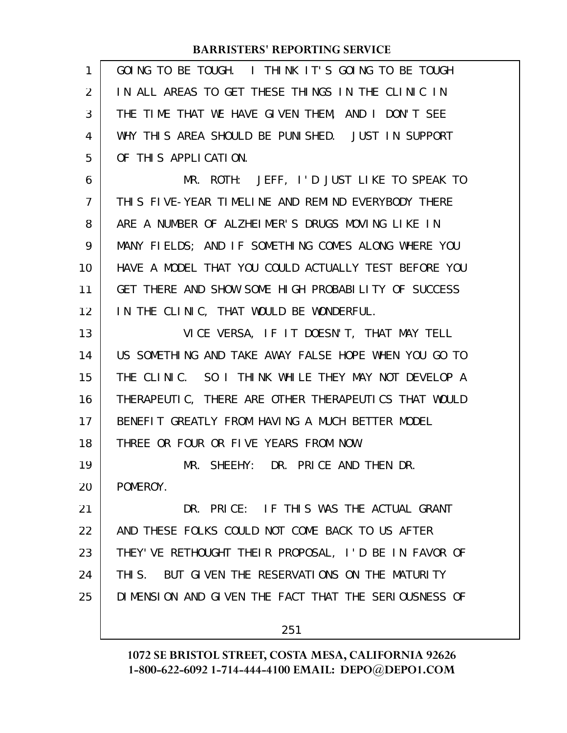| 1  | GOING TO BE TOUGH. I THINK IT'S GOING TO BE TOUGH     |
|----|-------------------------------------------------------|
| 2  | IN ALL AREAS TO GET THESE THINGS IN THE CLINIC IN     |
| 3  | THE TIME THAT WE HAVE GIVEN THEM, AND I DON'T SEE     |
| 4  | WHY THIS AREA SHOULD BE PUNISHED. JUST IN SUPPORT     |
| 5  | OF THIS APPLICATION.                                  |
| 6  | MR. ROTH: JEFF, I'D JUST LIKE TO SPEAK TO             |
| 7  | THIS FIVE-YEAR TIMELINE AND REMIND EVERYBODY THERE    |
| 8  | ARE A NUMBER OF ALZHEIMER'S DRUGS MOVING LIKE IN      |
| 9  | MANY FIELDS; AND IF SOMETHING COMES ALONG WHERE YOU   |
| 10 | HAVE A MODEL THAT YOU COULD ACTUALLY TEST BEFORE YOU  |
| 11 | GET THERE AND SHOW SOME HIGH PROBABILITY OF SUCCESS   |
| 12 | IN THE CLINIC, THAT WOULD BE WONDERFUL.               |
| 13 | VICE VERSA, IF IT DOESN'T, THAT MAY TELL              |
| 14 | US SOMETHING AND TAKE AWAY FALSE HOPE WHEN YOU GO TO  |
| 15 | THE CLINIC. SO I THINK WHILE THEY MAY NOT DEVELOP A   |
| 16 | THERAPEUTIC, THERE ARE OTHER THERAPEUTICS THAT WOULD  |
| 17 | BENEFIT GREATLY FROM HAVING A MUCH BETTER MODEL       |
| 18 | THREE OR FOUR OR FIVE YEARS FROM NOW.                 |
| 19 | MR. SHEEHY: DR. PRICE AND THEN DR.                    |
| 20 | POMEROY.                                              |
| 21 | DR. PRICE: IF THIS WAS THE ACTUAL GRANT               |
| 22 | AND THESE FOLKS COULD NOT COME BACK TO US AFTER       |
| 23 | THEY' VE RETHOUGHT THEIR PROPOSAL, I'D BE IN FAVOR OF |
| 24 | THIS. BUT GIVEN THE RESERVATIONS ON THE MATURITY      |
| 25 | DIMENSION AND GIVEN THE FACT THAT THE SERIOUSNESS OF  |
|    | 251                                                   |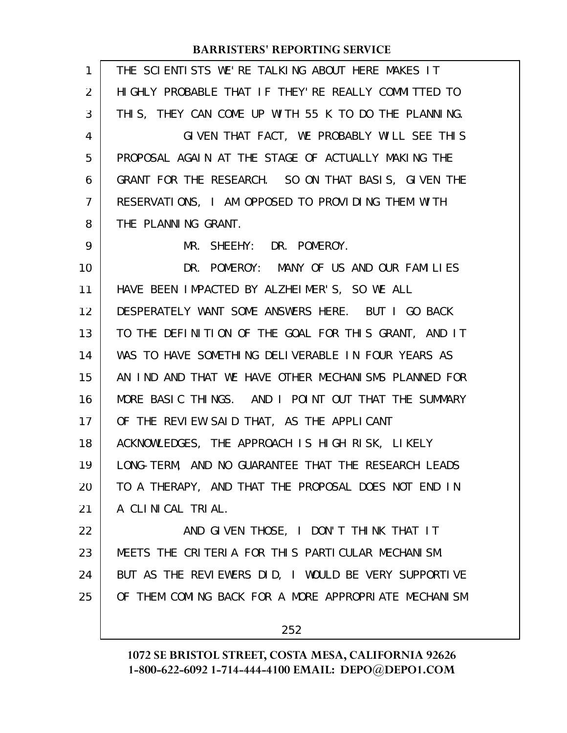| $\mathbf{1}$   | THE SCIENTISTS WE'RE TALKING ABOUT HERE MAKES IT     |
|----------------|------------------------------------------------------|
| 2              | HIGHLY PROBABLE THAT IF THEY'RE REALLY COMMITTED TO  |
| 3              | THIS, THEY CAN COME UP WITH 55 K TO DO THE PLANNING. |
| 4              | GIVEN THAT FACT, WE PROBABLY WILL SEE THIS           |
| 5              | PROPOSAL AGAIN AT THE STAGE OF ACTUALLY MAKING THE   |
| 6              | GRANT FOR THE RESEARCH. SO ON THAT BASIS, GIVEN THE  |
| $\overline{7}$ | RESERVATIONS, I AM OPPOSED TO PROVIDING THEM WITH    |
| 8              | THE PLANNING GRANT.                                  |
| 9              | MR. SHEEHY: DR. POMEROY.                             |
| 10             | DR. POMEROY: MANY OF US AND OUR FAMILIES             |
| 11             | HAVE BEEN IMPACTED BY ALZHEIMER'S, SO WE ALL         |
| 12             | DESPERATELY WANT SOME ANSWERS HERE. BUT I GO BACK    |
| 13             | TO THE DEFINITION OF THE GOAL FOR THIS GRANT, AND IT |
| 14             | WAS TO HAVE SOMETHING DELIVERABLE IN FOUR YEARS AS   |
| 15             | AN IND AND THAT WE HAVE OTHER MECHANISMS PLANNED FOR |
| 16             | MORE BASIC THINGS. AND I POINT OUT THAT THE SUMMARY  |
| 17             | OF THE REVIEW SAID THAT, AS THE APPLICANT            |
| 18             | ACKNOWLEDGES, THE APPROACH IS HIGH RISK, LIKELY      |
| 19             | LONG-TERM, AND NO GUARANTEE THAT THE RESEARCH LEADS  |
| 20             | TO A THERAPY, AND THAT THE PROPOSAL DOES NOT END IN  |
| 21             | A CLINICAL TRIAL.                                    |
| 22             | AND GIVEN THOSE, I DON'T THINK THAT IT               |
| 23             | MEETS THE CRITERIA FOR THIS PARTICULAR MECHANISM.    |
| 24             | BUT AS THE REVIEWERS DID, I WOULD BE VERY SUPPORTIVE |
| 25             | OF THEM COMING BACK FOR A MORE APPROPRIATE MECHANISM |
|                | 252                                                  |
|                |                                                      |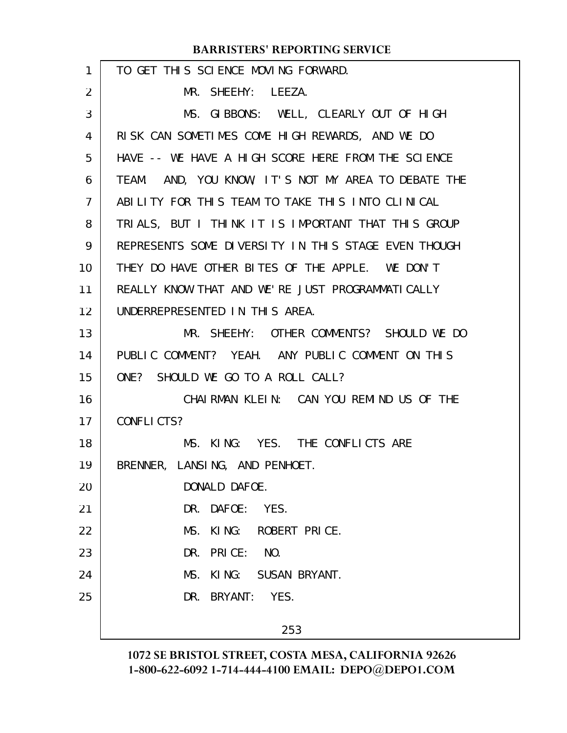| 1  | TO GET THIS SCIENCE MOVING FORWARD.                 |
|----|-----------------------------------------------------|
| 2  | MR. SHEEHY: LEEZA.                                  |
| 3  | MS. GIBBONS: WELL, CLEARLY OUT OF HIGH              |
| 4  | RISK CAN SOMETIMES COME HIGH REWARDS, AND WE DO     |
| 5  | HAVE -- WE HAVE A HIGH SCORE HERE FROM THE SCIENCE  |
| 6  | TEAM. AND, YOU KNOW, IT'S NOT MY AREA TO DEBATE THE |
| 7  | ABILITY FOR THIS TEAM TO TAKE THIS INTO CLINICAL    |
| 8  | TRIALS, BUT I THINK IT IS IMPORTANT THAT THIS GROUP |
| 9  | REPRESENTS SOME DIVERSITY IN THIS STAGE EVEN THOUGH |
| 10 | THEY DO HAVE OTHER BITES OF THE APPLE. WE DON'T     |
| 11 | REALLY KNOW THAT AND WE'RE JUST PROGRAMMATICALLY    |
| 12 | UNDERREPRESENTED IN THIS AREA.                      |
| 13 | MR. SHEEHY: OTHER COMMENTS? SHOULD WE DO            |
| 14 | PUBLIC COMMENT? YEAH. ANY PUBLIC COMMENT ON THIS    |
| 15 | ONE? SHOULD WE GO TO A ROLL CALL?                   |
| 16 | CHAIRMAN KLEIN: CAN YOU REMIND US OF THE            |
| 17 | CONFLICTS?                                          |
| 18 | MS. KING: YES. THE CONFLICTS ARE                    |
| 19 | BRENNER, LANSING, AND PENHOET.                      |
| 20 | DONALD DAFOE.                                       |
| 21 | DR. DAFOE: YES.                                     |
| 22 | MS. KING: ROBERT PRICE.                             |
| 23 | DR. PRICE: NO.                                      |
| 24 | MS. KING: SUSAN BRYANT.                             |
| 25 | DR. BRYANT: YES.                                    |
|    | 253                                                 |
|    |                                                     |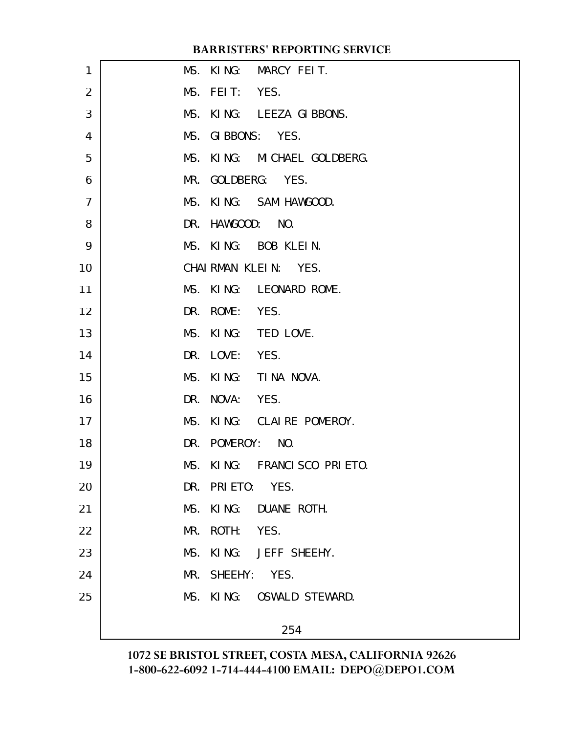| 1              | MS. KING: MARCY FEIT.       |
|----------------|-----------------------------|
| $\overline{2}$ | MS. FEIT: YES.              |
| 3              | MS. KING: LEEZA GIBBONS.    |
| 4              | MS. GIBBONS: YES.           |
| 5              | MS. KING: MICHAEL GOLDBERG. |
| 6              | MR. GOLDBERG: YES.          |
| $\overline{7}$ | MS. KING: SAM HAWGOOD.      |
| 8              | DR. HAWGOOD: NO.            |
| 9              | MS. KING: BOB KLEIN.        |
| 10             | CHAIRMAN KLEIN: YES.        |
| 11             | MS. KING: LEONARD ROME.     |
| 12             | DR. ROME: YES.              |
| 13             | MS. KING: TED LOVE.         |
| 14             | DR. LOVE: YES.              |
| 15             | MS. KING: TINA NOVA.        |
| 16             | DR. NOVA: YES.              |
| 17             | MS. KING: CLAIRE POMEROY.   |
| 18             | DR. POMEROY: NO.            |
| 19             | MS. KING: FRANCISCO PRIETO. |
| 20             | DR. PRIETO: YES.            |
| 21             | MS. KING: DUANE ROTH.       |
| 22             | MR. ROTH: YES.              |
| 23             | MS. KING: JEFF SHEEHY.      |
| 24             | MR. SHEEHY: YES.            |
| 25             | MS. KING: OSWALD STEWARD.   |
|                | 254                         |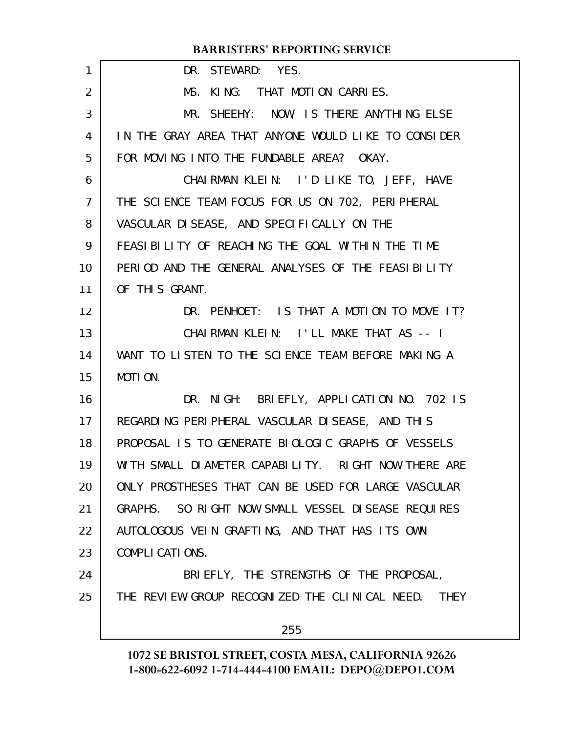| 1              | DR. STEWARD: YES.                                   |
|----------------|-----------------------------------------------------|
| 2              | MS. KING: THAT MOTION CARRIES.                      |
| 3              | MR. SHEEHY: NOW, IS THERE ANYTHING ELSE             |
| 4              | IN THE GRAY AREA THAT ANYONE WOULD LIKE TO CONSIDER |
| 5              | FOR MOVING INTO THE FUNDABLE AREA? OKAY.            |
| 6              | CHAIRMAN KLEIN: I'D LIKE TO, JEFF, HAVE             |
| $\overline{7}$ | THE SCIENCE TEAM FOCUS FOR US ON 702, PERIPHERAL    |
| 8              | VASCULAR DI SEASE, AND SPECIFICALLY ON THE          |
| 9              | FEASI BILITY OF REACHING THE GOAL WITHIN THE TIME   |
| 10             | PERIOD AND THE GENERAL ANALYSES OF THE FEASIBILITY  |
| 11             | OF THIS GRANT.                                      |
| 12             | DR. PENHOET: IS THAT A MOTION TO MOVE IT?           |
| 13             | CHAIRMAN KLEIN: I'LL MAKE THAT AS -- I              |
| 14             | WANT TO LISTEN TO THE SCIENCE TEAM BEFORE MAKING A  |
| 15             | MOTION.                                             |
| 16             | DR. NIGH: BRIEFLY, APPLICATION NO. 702 IS           |
| 17             | REGARDING PERIPHERAL VASCULAR DISEASE, AND THIS     |
| 18             | PROPOSAL IS TO GENERATE BIOLOGIC GRAPHS OF VESSELS  |
| 19             | WITH SMALL DIAMETER CAPABILITY. RIGHT NOW THERE ARE |
| 20             | ONLY PROSTHESES THAT CAN BE USED FOR LARGE VASCULAR |
| 21             | GRAPHS. SO RIGHT NOW SMALL VESSEL DISEASE REQUIRES  |
| 22             | AUTOLOGOUS VEIN GRAFTING, AND THAT HAS ITS OWN      |
| 23             | COMPLICATIONS.                                      |
| 24             | BRIEFLY, THE STRENGTHS OF THE PROPOSAL,             |
| 25             | THE REVIEW GROUP RECOGNIZED THE CLINICAL NEED. THEY |
|                | 255                                                 |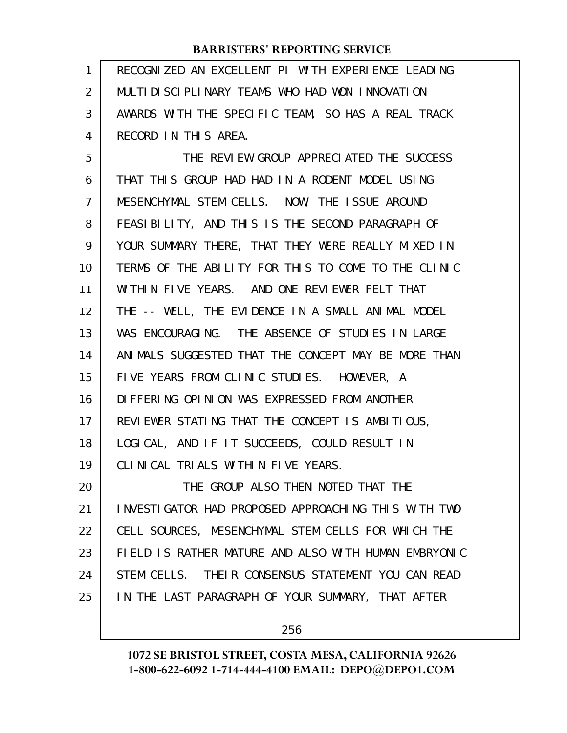| 1  | RECOGNIZED AN EXCELLENT PI WITH EXPERIENCE LEADING   |
|----|------------------------------------------------------|
| 2  | MULTIDISCIPLINARY TEAMS WHO HAD WON INNOVATION       |
| 3  | AWARDS WITH THE SPECIFIC TEAM, SO HAS A REAL TRACK   |
| 4  | RECORD IN THIS AREA.                                 |
| 5  | THE REVIEW GROUP APPRECIATED THE SUCCESS             |
| 6  | THAT THIS GROUP HAD HAD IN A RODENT MODEL USING      |
| 7  | MESENCHYMAL STEM CELLS. NOW, THE ISSUE AROUND        |
| 8  | FEASIBILITY, AND THIS IS THE SECOND PARAGRAPH OF     |
| 9  | YOUR SUMMARY THERE, THAT THEY WERE REALLY MIXED IN   |
| 10 | TERMS OF THE ABILITY FOR THIS TO COME TO THE CLINIC  |
| 11 | WITHIN FIVE YEARS. AND ONE REVIEWER FELT THAT        |
| 12 | THE -- WELL, THE EVIDENCE IN A SMALL ANIMAL MODEL    |
| 13 | WAS ENCOURAGING. THE ABSENCE OF STUDIES IN LARGE     |
| 14 | ANIMALS SUGGESTED THAT THE CONCEPT MAY BE MORE THAN  |
| 15 | FIVE YEARS FROM CLINIC STUDIES. HOWEVER, A           |
| 16 | DI FFERING OPINION WAS EXPRESSED FROM ANOTHER        |
| 17 | REVIEWER STATING THAT THE CONCEPT IS AMBITIOUS,      |
| 18 | LOGICAL, AND IF IT SUCCEEDS, COULD RESULT IN         |
| 19 | CLINICAL TRIALS WITHIN FIVE YEARS.                   |
| 20 | THE GROUP ALSO THEN NOTED THAT THE                   |
| 21 | INVESTIGATOR HAD PROPOSED APPROACHING THIS WITH TWO  |
| 22 | CELL SOURCES, MESENCHYMAL STEM CELLS FOR WHICH THE   |
| 23 | FIELD IS RATHER MATURE AND ALSO WITH HUMAN EMBRYONIC |
| 24 | STEM CELLS. THEIR CONSENSUS STATEMENT YOU CAN READ   |
| 25 | IN THE LAST PARAGRAPH OF YOUR SUMMARY, THAT AFTER    |
|    |                                                      |

256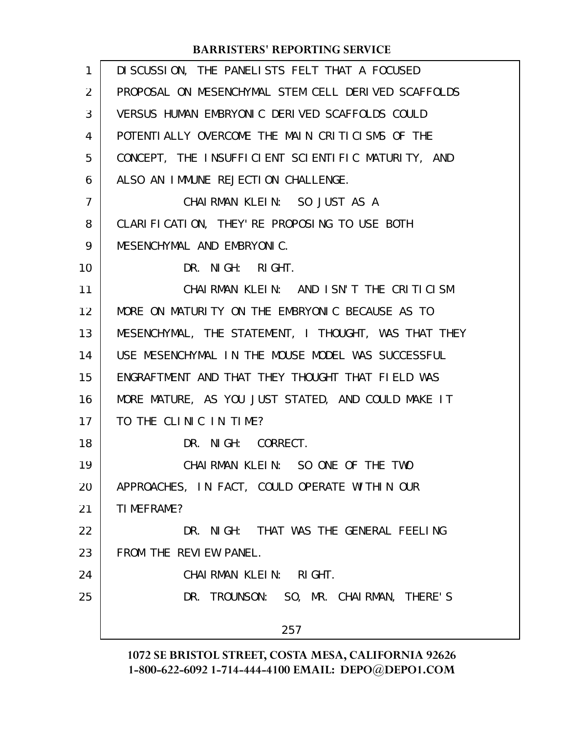| $\mathbf{1}$   | DI SCUSSION, THE PANELISTS FELT THAT A FOCUSED       |
|----------------|------------------------------------------------------|
| $\overline{2}$ | PROPOSAL ON MESENCHYMAL STEM CELL DERIVED SCAFFOLDS  |
| 3              | VERSUS HUMAN EMBRYONIC DERIVED SCAFFOLDS COULD       |
| 4              | POTENTIALLY OVERCOME THE MAIN CRITICISMS OF THE      |
| 5              | CONCEPT, THE INSUFFICIENT SCIENTIFIC MATURITY, AND   |
| 6              | ALSO AN IMMUNE REJECTION CHALLENGE.                  |
| 7              | CHAIRMAN KLEIN: SO JUST AS A                         |
| 8              | CLARIFICATION, THEY' RE PROPOSING TO USE BOTH        |
| 9              | MESENCHYMAL AND EMBRYONIC.                           |
| 10             | DR. NIGH: RIGHT.                                     |
| 11             | CHAIRMAN KLEIN: AND ISN'T THE CRITICISM              |
| 12             | MORE ON MATURITY ON THE EMBRYONIC BECAUSE AS TO      |
| 13             | MESENCHYMAL, THE STATEMENT, I THOUGHT, WAS THAT THEY |
| 14             | USE MESENCHYMAL IN THE MOUSE MODEL WAS SUCCESSFUL    |
| 15             | ENGRAFTMENT AND THAT THEY THOUGHT THAT FIELD WAS     |
| 16             | MORE MATURE, AS YOU JUST STATED, AND COULD MAKE IT   |
| 17             | TO THE CLINIC IN TIME?                               |
| 18             | DR. NIGH: CORRECT.                                   |
| 19             | CHAIRMAN KLEIN: SO ONE OF THE TWO                    |
| 20             | APPROACHES, IN FACT, COULD OPERATE WITHIN OUR        |
| 21             | TI MEFRAME?                                          |
| 22             | DR. NIGH: THAT WAS THE GENERAL FEELING               |
| 23             | FROM THE REVIEW PANEL.                               |
| 24             | CHAIRMAN KLEIN: RIGHT.                               |
| 25             | DR. TROUNSON: SO, MR. CHAIRMAN, THERE'S              |
|                | 257                                                  |
|                |                                                      |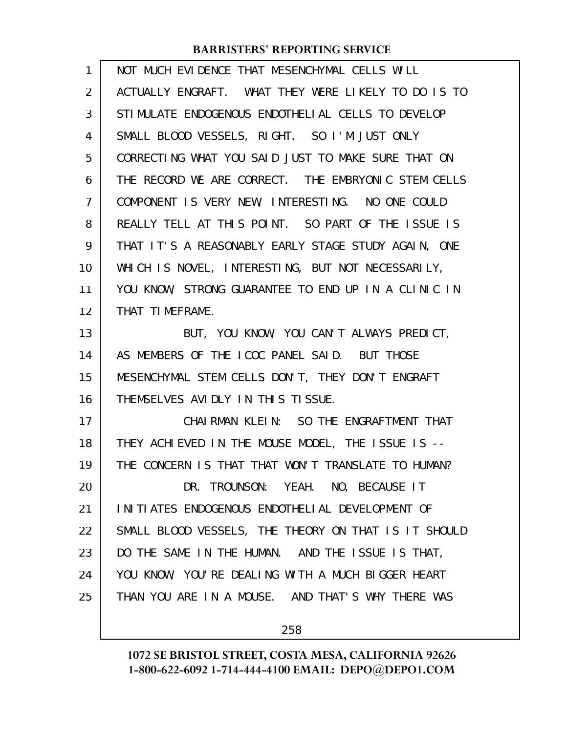| 1              | NOT MUCH EVIDENCE THAT MESENCHYMAL CELLS WILL        |
|----------------|------------------------------------------------------|
| 2              | ACTUALLY ENGRAFT. WHAT THEY WERE LIKELY TO DO IS TO  |
| 3              | STIMULATE ENDOGENOUS ENDOTHELIAL CELLS TO DEVELOP    |
| 4              | SMALL BLOOD VESSELS, RIGHT. SO I'M JUST ONLY         |
| 5              | CORRECTING WHAT YOU SAID JUST TO MAKE SURE THAT ON   |
| 6              | THE RECORD WE ARE CORRECT. THE EMBRYONIC STEM CELLS  |
| $\overline{7}$ | COMPONENT IS VERY NEW, INTERESTING. NO ONE COULD     |
| 8              | REALLY TELL AT THIS POINT. SO PART OF THE ISSUE IS   |
| 9              | THAT IT'S A REASONABLY EARLY STAGE STUDY AGAIN, ONE  |
| 10             | WHICH IS NOVEL, INTERESTING, BUT NOT NECESSARILY,    |
| 11             | YOU KNOW, STRONG GUARANTEE TO END UP IN A CLINIC IN  |
| 12             | THAT TIMEFRAME.                                      |
| 13             | BUT, YOU KNOW, YOU CAN'T ALWAYS PREDICT,             |
| 14             | AS MEMBERS OF THE ICOC PANEL SAID. BUT THOSE         |
| 15             | MESENCHYMAL STEM CELLS DON'T, THEY DON'T ENGRAFT     |
| 16             | THEMSELVES AVIDLY IN THIS TISSUE.                    |
| 17             | CHAIRMAN KLEIN: SO THE ENGRAFTMENT THAT              |
| 18             | THEY ACHIEVED IN THE MOUSE MODEL, THE ISSUE IS --    |
| 19             | THE CONCERN IS THAT THAT WON'T TRANSLATE TO HUMAN?   |
| 20             | DR. TROUNSON: YEAH. NO, BECAUSE IT                   |
| 21             | INITIATES ENDOGENOUS ENDOTHELIAL DEVELOPMENT OF      |
| 22             | SMALL BLOOD VESSELS, THE THEORY ON THAT IS IT SHOULD |
| 23             | DO THE SAME IN THE HUMAN. AND THE ISSUE IS THAT,     |
| 24             | YOU KNOW, YOU'RE DEALING WITH A MUCH BIGGER HEART    |
| 25             | THAN YOU ARE IN A MOUSE. AND THAT'S WHY THERE WAS    |
|                |                                                      |

258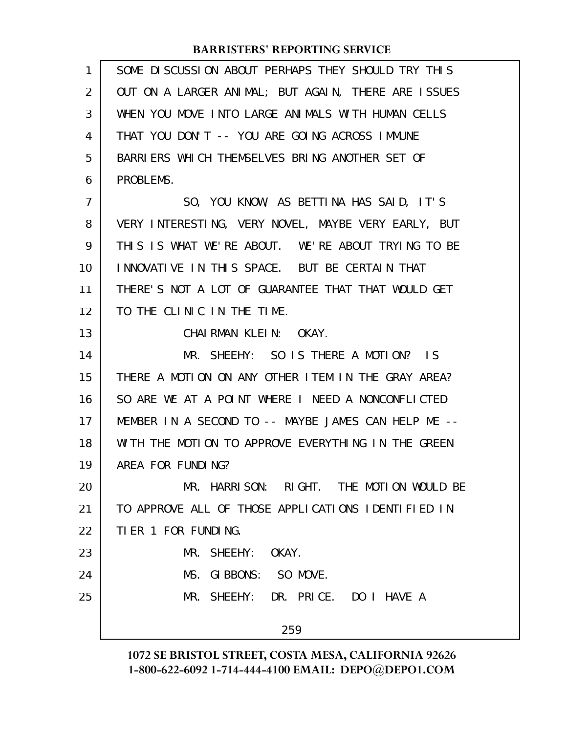| $\mathbf{1}$   | SOME DISCUSSION ABOUT PERHAPS THEY SHOULD TRY THIS  |
|----------------|-----------------------------------------------------|
| 2              | OUT ON A LARGER ANIMAL; BUT AGAIN, THERE ARE ISSUES |
| 3              | WHEN YOU MOVE INTO LARGE ANIMALS WITH HUMAN CELLS   |
| 4              | THAT YOU DON'T -- YOU ARE GOING ACROSS IMMUNE       |
| 5              | BARRIERS WHICH THEMSELVES BRING ANOTHER SET OF      |
| 6              | PROBLEMS.                                           |
| $\overline{7}$ | SO, YOU KNOW, AS BETTINA HAS SAID, IT'S             |
| 8              | VERY INTERESTING, VERY NOVEL, MAYBE VERY EARLY, BUT |
| 9              | THIS IS WHAT WE'RE ABOUT. WE'RE ABOUT TRYING TO BE  |
| 10             | INNOVATIVE IN THIS SPACE. BUT BE CERTAIN THAT       |
| 11             | THERE'S NOT A LOT OF GUARANTEE THAT THAT WOULD GET  |
| 12             | TO THE CLINIC IN THE TIME.                          |
| 13             | CHAIRMAN KLEIN: OKAY.                               |
| 14             | MR. SHEEHY: SO IS THERE A MOTION? IS                |
| 15             | THERE A MOTION ON ANY OTHER ITEM IN THE GRAY AREA?  |
| 16             | SO ARE WE AT A POINT WHERE I NEED A NONCONFLICTED   |
| 17             | MEMBER IN A SECOND TO -- MAYBE JAMES CAN HELP ME -- |
| 18             | WITH THE MOTION TO APPROVE EVERYTHING IN THE GREEN  |
| 19             | AREA FOR FUNDING?                                   |
| 20             | MR. HARRISON: RIGHT. THE MOTION WOULD BE            |
| 21             | TO APPROVE ALL OF THOSE APPLICATIONS IDENTIFIED IN  |
| 22             | TIER 1 FOR FUNDING.                                 |
| 23             | MR. SHEEHY: OKAY.                                   |
| 24             | MS. GIBBONS: SO MOVE.                               |
| 25             | MR. SHEEHY: DR. PRICE. DO I HAVE A                  |
|                |                                                     |
|                | 259                                                 |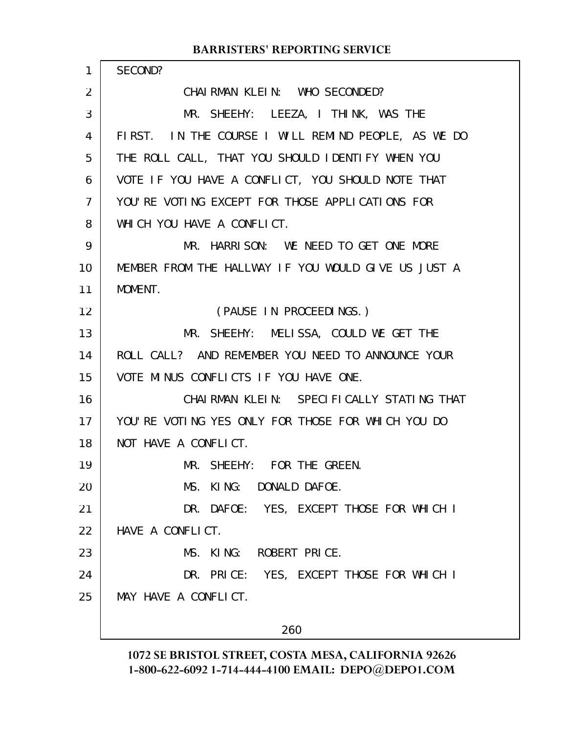| $\mathbf{1}$ | SECOND?                                             |
|--------------|-----------------------------------------------------|
| 2            | CHAIRMAN KLEIN: WHO SECONDED?                       |
| 3            | MR. SHEEHY: LEEZA, I THINK, WAS THE                 |
| 4            | FIRST. IN THE COURSE I WILL REMIND PEOPLE, AS WE DO |
| 5            | THE ROLL CALL, THAT YOU SHOULD IDENTIFY WHEN YOU    |
| 6            | VOTE IF YOU HAVE A CONFLICT, YOU SHOULD NOTE THAT   |
| 7            | YOU'RE VOTING EXCEPT FOR THOSE APPLICATIONS FOR     |
| 8            | WHICH YOU HAVE A CONFLICT.                          |
| 9            | MR. HARRISON: WE NEED TO GET ONE MORE               |
| 10           | MEMBER FROM THE HALLWAY IF YOU WOULD GIVE US JUST A |
| 11           | MOMENT.                                             |
| 12           | (PAUSE IN PROCEEDINGS.)                             |
| 13           | MR. SHEEHY: MELISSA, COULD WE GET THE               |
| 14           | ROLL CALL? AND REMEMBER YOU NEED TO ANNOUNCE YOUR   |
| 15           | VOTE MINUS CONFLICTS IF YOU HAVE ONE.               |
| 16           | CHAIRMAN KLEIN: SPECIFICALLY STATING THAT           |
| 17           | YOU'RE VOTING YES ONLY FOR THOSE FOR WHICH YOU DO   |
| 18           | NOT HAVE A CONFLICT.                                |
| 19           | MR. SHEEHY: FOR THE GREEN.                          |
| 20           | MS. KING: DONALD DAFOE.                             |
| 21           | DR. DAFOE: YES, EXCEPT THOSE FOR WHICH I            |
| 22           | HAVE A CONFLICT.                                    |
| 23           | MS. KING: ROBERT PRICE.                             |
| 24           | DR. PRICE: YES, EXCEPT THOSE FOR WHICH I            |
| 25           | MAY HAVE A CONFLICT.                                |
|              |                                                     |
|              | 260                                                 |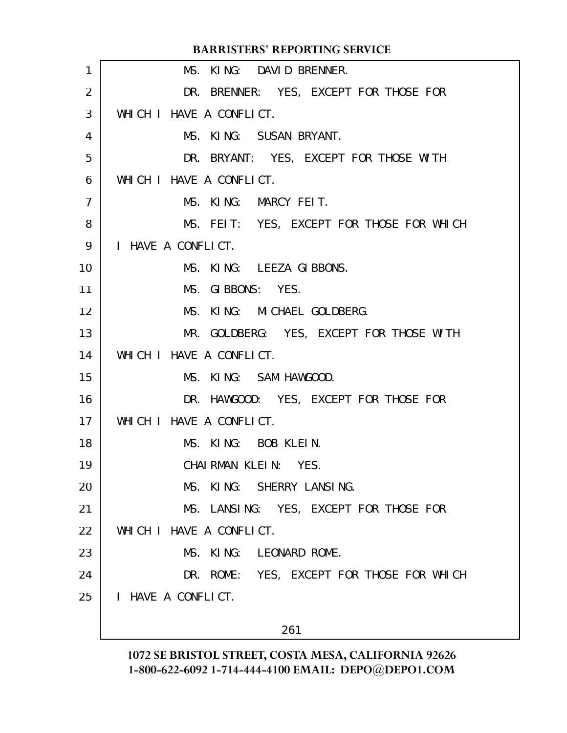|                | <b>BARRISTERS' REPORTING SERVICE</b>      |
|----------------|-------------------------------------------|
| 1              | MS. KING: DAVID BRENNER.                  |
| 2              | DR. BRENNER: YES, EXCEPT FOR THOSE FOR    |
| 3              | WHICH I HAVE A CONFLICT.                  |
| 4              | MS. KING: SUSAN BRYANT.                   |
| 5              | DR. BRYANT: YES, EXCEPT FOR THOSE WITH    |
| 6              | WHICH I HAVE A CONFLICT.                  |
| $\overline{7}$ | MS. KING: MARCY FEIT.                     |
| 8              | MS. FEIT: YES, EXCEPT FOR THOSE FOR WHICH |
| 9              | I HAVE A CONFLICT.                        |
| 10             | MS. KING: LEEZA GIBBONS.                  |
| 11             | MS. GIBBONS: YES.                         |
| 12             | MS. KING: MICHAEL GOLDBERG.               |
| 13             | MR. GOLDBERG: YES, EXCEPT FOR THOSE WITH  |
| 14             | WHICH I HAVE A CONFLICT.                  |
| 15             | MS. KING: SAM HAWGOOD.                    |
| 16             | DR. HAWGOOD: YES, EXCEPT FOR THOSE FOR    |
| 17             | WHICH I HAVE A CONFLICT.                  |
| 18             | MS. KING: BOB KLEIN.                      |
| 19             | CHAIRMAN KLEIN: YES.                      |
| 20             | MS. KING: SHERRY LANSING.                 |
| 21             | MS. LANSING: YES, EXCEPT FOR THOSE FOR    |
| 22             | WHICH I HAVE A CONFLICT.                  |
| 23             | MS. KING: LEONARD ROME.                   |
| 24             | DR. ROME: YES, EXCEPT FOR THOSE FOR WHICH |
| 25             | I HAVE A CONFLICT.                        |
|                | 261                                       |
|                |                                           |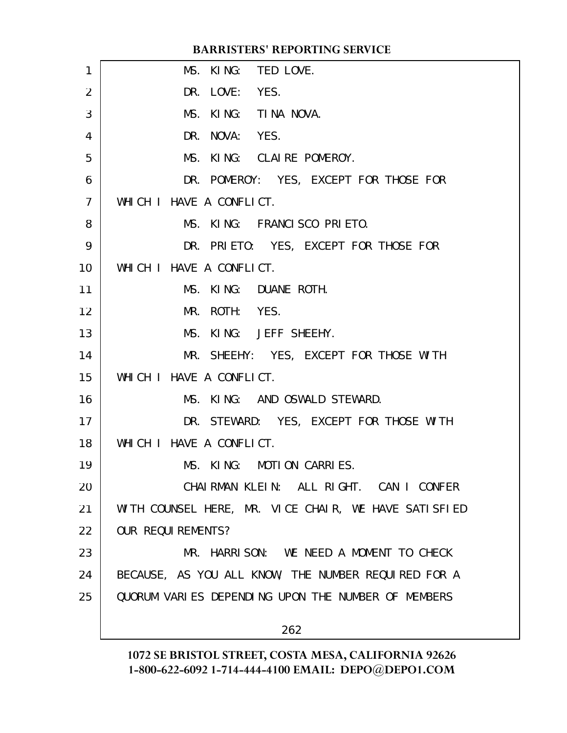|                 | <b>BARRISTERS' REPORTING SERVICE</b>                 |
|-----------------|------------------------------------------------------|
| 1               | MS. KING: TED LOVE.                                  |
| $\overline{2}$  | DR. LOVE: YES.                                       |
| 3               | MS. KING: TINA NOVA.                                 |
| 4               | DR. NOVA: YES.                                       |
| 5               | MS. KING: CLAIRE POMEROY.                            |
| 6               | DR. POMEROY: YES, EXCEPT FOR THOSE FOR               |
| $\overline{7}$  | WHICH I HAVE A CONFLICT.                             |
| 8               | MS. KING: FRANCISCO PRIETO.                          |
| 9               | DR. PRIETO: YES, EXCEPT FOR THOSE FOR                |
| 10 <sup>1</sup> | WHICH I HAVE A CONFLICT.                             |
| 11              | MS. KING: DUANE ROTH.                                |
| 12              | MR. ROTH: YES.                                       |
| 13              | MS. KING: JEFF SHEEHY.                               |
| 14              | MR. SHEEHY: YES, EXCEPT FOR THOSE WITH               |
| 15              | WHICH I HAVE A CONFLICT.                             |
| 16              | MS. KING: AND OSWALD STEWARD.                        |
| 17              | DR. STEWARD: YES, EXCEPT FOR THOSE WITH              |
| 18              | WHICH I HAVE A CONFLICT.                             |
| 19              | MS. KING: MOTION CARRIES.                            |
| 20              | CHAIRMAN KLEIN: ALL RIGHT. CAN I CONFER              |
| 21              | WITH COUNSEL HERE, MR. VICE CHAIR, WE HAVE SATISFIED |
| 22              | <b>OUR REQUIREMENTS?</b>                             |
| 23              | MR. HARRISON: WE NEED A MOMENT TO CHECK              |
| 24              | BECAUSE, AS YOU ALL KNOW, THE NUMBER REQUIRED FOR A  |
| 25              | QUORUM VARIES DEPENDING UPON THE NUMBER OF MEMBERS   |
|                 | 262                                                  |
|                 |                                                      |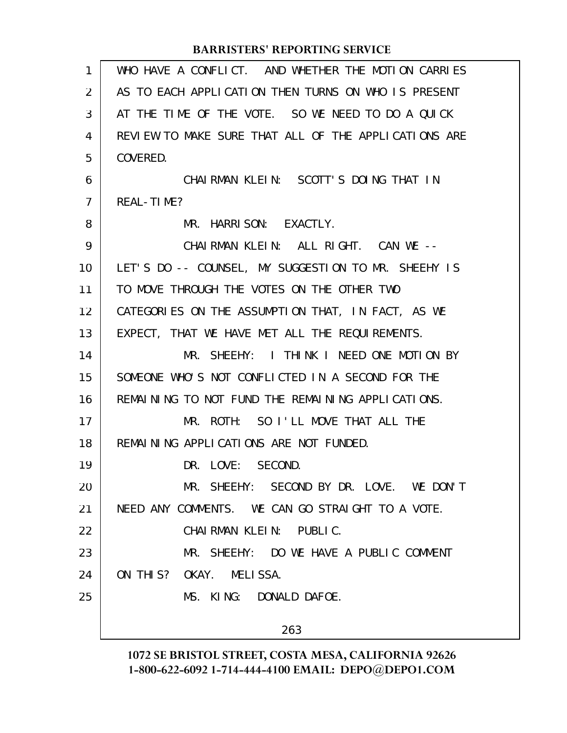| 1              | WHO HAVE A CONFLICT. AND WHETHER THE MOTION CARRIES  |
|----------------|------------------------------------------------------|
| $\overline{2}$ | AS TO EACH APPLICATION THEN TURNS ON WHO IS PRESENT  |
| 3              | AT THE TIME OF THE VOTE. SO WE NEED TO DO A QUICK    |
| 4              | REVIEW TO MAKE SURE THAT ALL OF THE APPLICATIONS ARE |
| 5              | COVERED.                                             |
| 6              | CHAIRMAN KLEIN: SCOTT'S DOING THAT IN                |
| $\overline{7}$ | REAL-TIME?                                           |
| 8              | MR. HARRISON: EXACTLY.                               |
| 9              | CHAIRMAN KLEIN: ALL RIGHT. CAN WE --                 |
| 10             | LET'S DO -- COUNSEL, MY SUGGESTION TO MR. SHEEHY IS  |
| 11             | TO MOVE THROUGH THE VOTES ON THE OTHER TWO           |
| 12             | CATEGORIES ON THE ASSUMPTION THAT, IN FACT, AS WE    |
| 13             | EXPECT, THAT WE HAVE MET ALL THE REQUIREMENTS.       |
| 14             | MR. SHEEHY: I THINK I NEED ONE MOTION BY             |
| 15             | SOMEONE WHO'S NOT CONFLICTED IN A SECOND FOR THE     |
| 16             | REMAINING TO NOT FUND THE REMAINING APPLICATIONS.    |
| 17             | MR. ROTH: SO I'LL MOVE THAT ALL THE                  |
| 18             | REMAINING APPLICATIONS ARE NOT FUNDED.               |
| 19             | DR. LOVE: SECOND.                                    |
| 20             | MR. SHEEHY: SECOND BY DR. LOVE. WE DON'T             |
| 21             | NEED ANY COMMENTS. WE CAN GO STRAIGHT TO A VOTE.     |
| 22             | CHAIRMAN KLEIN: PUBLIC.                              |
| 23             | MR. SHEEHY: DO WE HAVE A PUBLIC COMMENT              |
| 24             | ON THIS? OKAY. MELISSA.                              |
| 25             | MS. KING: DONALD DAFOE.                              |
|                | 263                                                  |
|                |                                                      |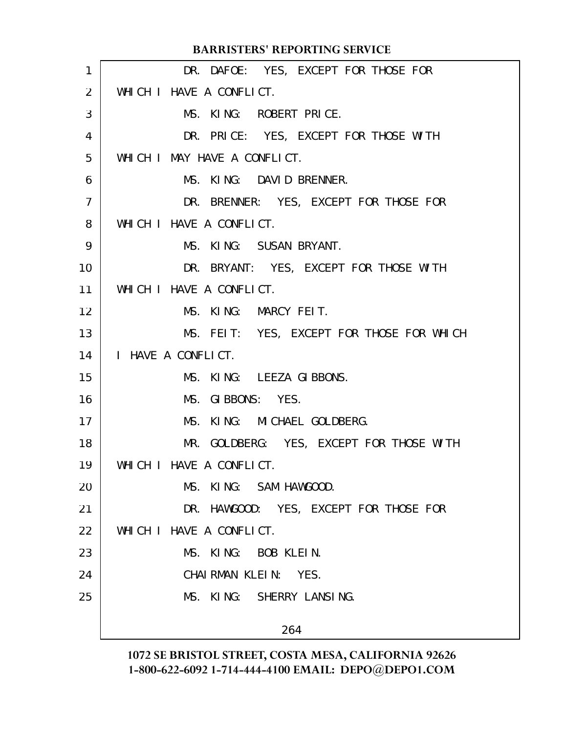|                 | <b>BARRISTERS' REPORTING SERVICE</b>      |
|-----------------|-------------------------------------------|
| 1               | DR. DAFOE: YES, EXCEPT FOR THOSE FOR      |
| 2               | WHICH I HAVE A CONFLICT.                  |
| 3               | MS. KING: ROBERT PRICE.                   |
| 4               | DR. PRICE: YES, EXCEPT FOR THOSE WITH     |
| 5               | WHICH I MAY HAVE A CONFLICT.              |
| 6               | MS. KING: DAVID BRENNER.                  |
| $\overline{7}$  | DR. BRENNER: YES, EXCEPT FOR THOSE FOR    |
| 8               | WHICH I HAVE A CONFLICT.                  |
| 9               | MS. KING: SUSAN BRYANT.                   |
| 10 <sup>°</sup> | DR. BRYANT: YES, EXCEPT FOR THOSE WITH    |
| 11              | WHICH I HAVE A CONFLICT.                  |
| 12 <sup>2</sup> | MS. KING: MARCY FEIT.                     |
| 13              | MS. FEIT: YES, EXCEPT FOR THOSE FOR WHICH |
| 14              | I HAVE A CONFLICT.                        |
| 15              | MS. KING: LEEZA GIBBONS.                  |
| 16              | MS. GIBBONS: YES.                         |
| 17              | MS. KING: MICHAEL GOLDBERG.               |
| 18              | MR. GOLDBERG: YES, EXCEPT FOR THOSE WITH  |
| 19              | WHICH I HAVE A CONFLICT.                  |
| 20              | MS. KING: SAM HAWGOOD.                    |
| 21              | DR. HAWGOOD: YES, EXCEPT FOR THOSE FOR    |
| 22              | WHICH I HAVE A CONFLICT.                  |
| 23              | MS. KING: BOB KLEIN.                      |
| 24              | CHAIRMAN KLEIN: YES.                      |
| 25              | MS. KING: SHERRY LANSING.                 |
|                 | 264                                       |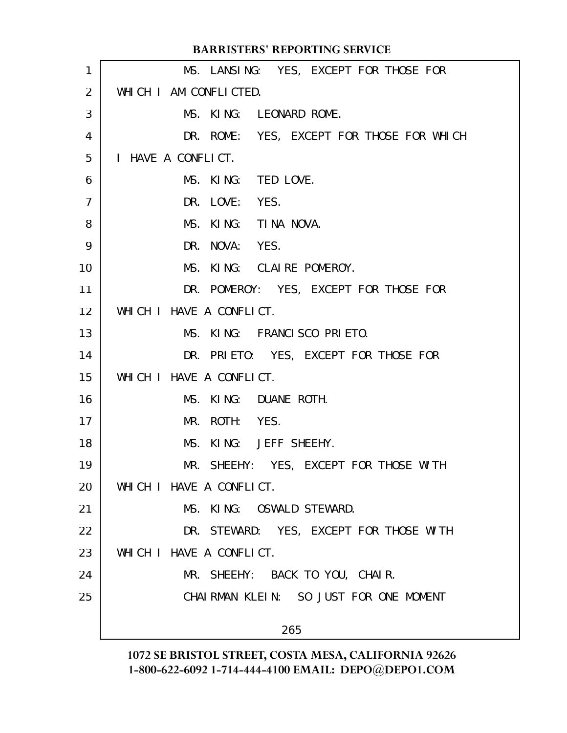|                   | <b>BARRISTERS' REPORTING SERVICE</b>      |
|-------------------|-------------------------------------------|
| 1                 | MS. LANSING: YES, EXCEPT FOR THOSE FOR    |
| $\overline{2}$    | WHICH I AM CONFLICTED.                    |
| 3                 | MS. KING: LEONARD ROME.                   |
| 4                 | DR. ROME: YES, EXCEPT FOR THOSE FOR WHICH |
| 5                 | I HAVE A CONFLICT.                        |
| 6                 | MS. KING: TED LOVE.                       |
| $\overline{7}$    | DR. LOVE: YES.                            |
| 8                 | MS. KING: TINA NOVA.                      |
| 9                 | DR. NOVA: YES.                            |
| 10                | MS. KING: CLAIRE POMEROY.                 |
| 11                | DR. POMEROY: YES, EXCEPT FOR THOSE FOR    |
| $12 \overline{ }$ | WHICH I HAVE A CONFLICT.                  |
| 13                | MS. KING: FRANCISCO PRIETO.               |
| 14                | DR. PRIETO: YES, EXCEPT FOR THOSE FOR     |
| 15                | WHICH I HAVE A CONFLICT.                  |
| 16                | MS. KING: DUANE ROTH.                     |
| 17                | MR. ROTH: YES.                            |
| 18                | MS. KING: JEFF SHEEHY.                    |
| 19                | MR. SHEEHY: YES, EXCEPT FOR THOSE WITH    |
| 20                | WHICH I HAVE A CONFLICT.                  |
| 21                | MS. KING: OSWALD STEWARD.                 |
| 22                | DR. STEWARD: YES, EXCEPT FOR THOSE WITH   |
| 23                | WHICH I HAVE A CONFLICT.                  |
| 24                | MR. SHEEHY: BACK TO YOU, CHAIR.           |
| 25                | CHAIRMAN KLEIN: SO JUST FOR ONE MOMENT    |
|                   | 265                                       |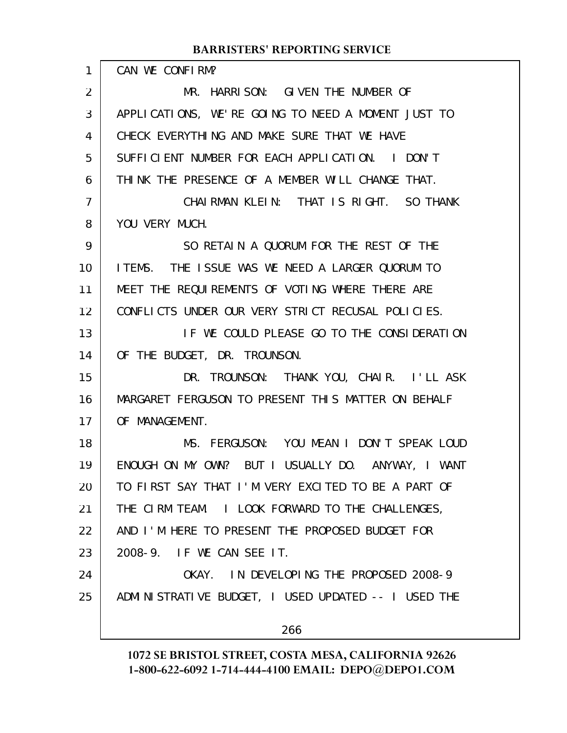| 1  | CAN WE CONFIRM?                                        |
|----|--------------------------------------------------------|
| 2  | HARRISON: GIVEN THE NUMBER OF<br>MR.                   |
| 3  | APPLICATIONS, WE'RE GOING TO NEED A MOMENT JUST TO     |
| 4  | CHECK EVERYTHING AND MAKE SURE THAT WE HAVE            |
| 5  | SUFFICIENT NUMBER FOR EACH APPLICATION. I DON'T        |
| 6  | THINK THE PRESENCE OF A MEMBER WILL CHANGE THAT.       |
| 7  | CHAIRMAN KLEIN: THAT IS RIGHT. SO THANK                |
| 8  | YOU VERY MUCH.                                         |
| 9  | SO RETAIN A QUORUM FOR THE REST OF THE                 |
| 10 | ITEMS. THE ISSUE WAS WE NEED A LARGER QUORUM TO        |
| 11 | MEET THE REQUIREMENTS OF VOTING WHERE THERE ARE        |
| 12 | CONFLICTS UNDER OUR VERY STRICT RECUSAL POLICIES.      |
| 13 | IF WE COULD PLEASE GO TO THE CONSIDERATION             |
| 14 | OF THE BUDGET, DR. TROUNSON.                           |
| 15 | DR. TROUNSON: THANK YOU, CHAIR. I'LL ASK               |
| 16 | MARGARET FERGUSON TO PRESENT THIS MATTER ON BEHALF     |
| 17 | OF MANAGEMENT.                                         |
| 18 | MS. FERGUSON: YOU MEAN I DON'T SPEAK LOUD              |
| 19 | ENOUGH ON MY OWN? BUT I USUALLY DO. ANYWAY, I WANT     |
| 20 | TO FIRST SAY THAT I'M VERY EXCITED TO BE A PART OF     |
| 21 | THE CIRM TEAM. I LOOK FORWARD TO THE CHALLENGES,       |
| 22 | AND I'M HERE TO PRESENT THE PROPOSED BUDGET FOR        |
| 23 | 2008-9. IF WE CAN SEE IT.                              |
| 24 | OKAY. IN DEVELOPING THE PROPOSED 2008-9                |
| 25 | ADMI NI STRATI VE BUDGET, I USED UPDATED -- I USED THE |
|    | 266                                                    |
|    |                                                        |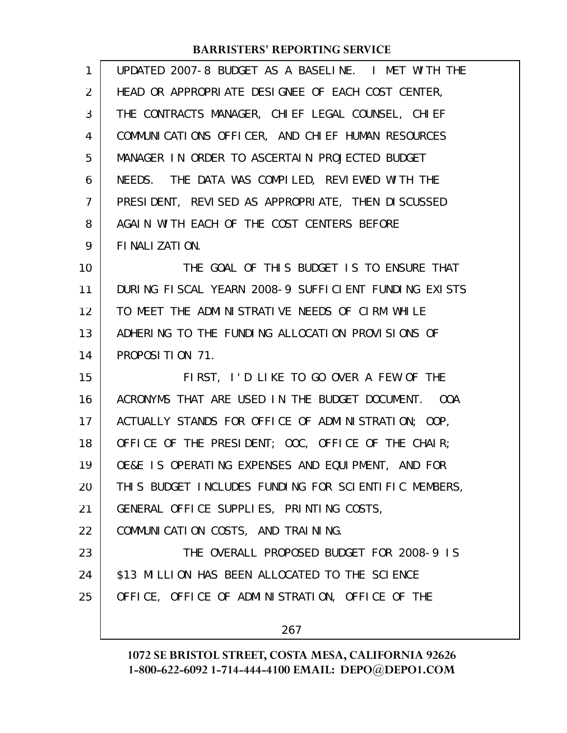| $\mathbf{1}$ | UPDATED 2007-8 BUDGET AS A BASELINE. I MET WITH THE  |
|--------------|------------------------------------------------------|
| 2            | HEAD OR APPROPRIATE DESIGNEE OF EACH COST CENTER,    |
| 3            | THE CONTRACTS MANAGER, CHIEF LEGAL COUNSEL, CHIEF    |
| 4            | COMMUNICATIONS OFFICER, AND CHIEF HUMAN RESOURCES    |
| 5            | MANAGER IN ORDER TO ASCERTAIN PROJECTED BUDGET       |
| 6            | NEEDS. THE DATA WAS COMPILED, REVIEWED WITH THE      |
| 7            | PRESIDENT, REVISED AS APPROPRIATE, THEN DISCUSSED    |
| 8            | AGAIN WITH EACH OF THE COST CENTERS BEFORE           |
| 9            | FINALIZATION.                                        |
| 10           | THE GOAL OF THIS BUDGET IS TO ENSURE THAT            |
| 11           | DURING FISCAL YEARN 2008-9 SUFFICIENT FUNDING EXISTS |
| 12           | TO MEET THE ADMINISTRATIVE NEEDS OF CIRM WHILE       |
| 13           | ADHERING TO THE FUNDING ALLOCATION PROVISIONS OF     |
| 14           | PROPOSITION 71.                                      |
| 15           | FIRST, I'D LIKE TO GO OVER A FEW OF THE              |
| 16           | ACRONYMS THAT ARE USED IN THE BUDGET DOCUMENT.  OOA  |
| 17           | ACTUALLY STANDS FOR OFFICE OF ADMINISTRATION; OOP,   |
| 18           | OFFICE OF THE PRESIDENT; OOC, OFFICE OF THE CHAIR;   |
| 19           | OE&E IS OPERATING EXPENSES AND EQUIPMENT, AND FOR    |
| 20           | THIS BUDGET INCLUDES FUNDING FOR SCIENTIFIC MEMBERS, |
| 21           | GENERAL OFFICE SUPPLIES, PRINTING COSTS,             |
| 22           | COMMUNICATION COSTS, AND TRAINING.                   |
| 23           | THE OVERALL PROPOSED BUDGET FOR 2008-9 IS            |
| 24           | \$13 MILLION HAS BEEN ALLOCATED TO THE SCIENCE       |
| 25           | OFFICE, OFFICE OF ADMINISTRATION, OFFICE OF THE      |
|              | 267                                                  |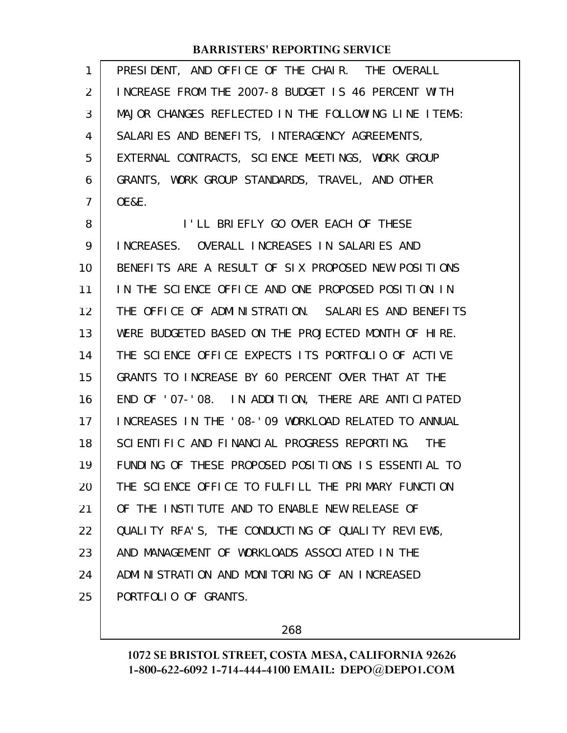| 1              | PRESIDENT, AND OFFICE OF THE CHAIR. THE OVERALL      |
|----------------|------------------------------------------------------|
| $\overline{2}$ | INCREASE FROM THE 2007-8 BUDGET IS 46 PERCENT WITH   |
| 3              | MAJOR CHANGES REFLECTED IN THE FOLLOWING LINE ITEMS: |
| 4              | SALARIES AND BENEFITS, INTERAGENCY AGREEMENTS,       |
| 5              | EXTERNAL CONTRACTS, SCIENCE MEETINGS, WORK GROUP     |
| 6              | GRANTS, WORK GROUP STANDARDS, TRAVEL, AND OTHER      |
| $\overline{7}$ | <b>OE&amp;E.</b>                                     |
| 8              | I'LL BRIEFLY GO OVER EACH OF THESE                   |
| 9              | INCREASES. OVERALL INCREASES IN SALARIES AND         |
| 10             | BENEFITS ARE A RESULT OF SIX PROPOSED NEW POSITIONS  |
| 11             | IN THE SCIENCE OFFICE AND ONE PROPOSED POSITION IN   |
| 12             | THE OFFICE OF ADMINISTRATION. SALARIES AND BENEFITS  |
| 13             | WERE BUDGETED BASED ON THE PROJECTED MONTH OF HIRE.  |
| 14             | THE SCIENCE OFFICE EXPECTS ITS PORTFOLIO OF ACTIVE   |
| 15             | GRANTS TO INCREASE BY 60 PERCENT OVER THAT AT THE    |
| 16             | END OF '07-'08. IN ADDITION, THERE ARE ANTICIPATED   |
| 17             | INCREASES IN THE '08-'09 WORKLOAD RELATED TO ANNUAL  |
| 18             | SCIENTIFIC AND FINANCIAL PROGRESS REPORTING. THE     |
| 19             | FUNDING OF THESE PROPOSED POSITIONS IS ESSENTIAL TO  |
| 20             | THE SCIENCE OFFICE TO FULFILL THE PRIMARY FUNCTION   |
| 21             | OF THE INSTITUTE AND TO ENABLE NEW RELEASE OF        |
| 22             | QUALITY RFA'S, THE CONDUCTING OF QUALITY REVIEWS,    |
| 23             | AND MANAGEMENT OF WORKLOADS ASSOCIATED IN THE        |
| 24             | ADMINISTRATION AND MONITORING OF AN INCREASED        |
| 25             | PORTFOLIO OF GRANTS.                                 |

268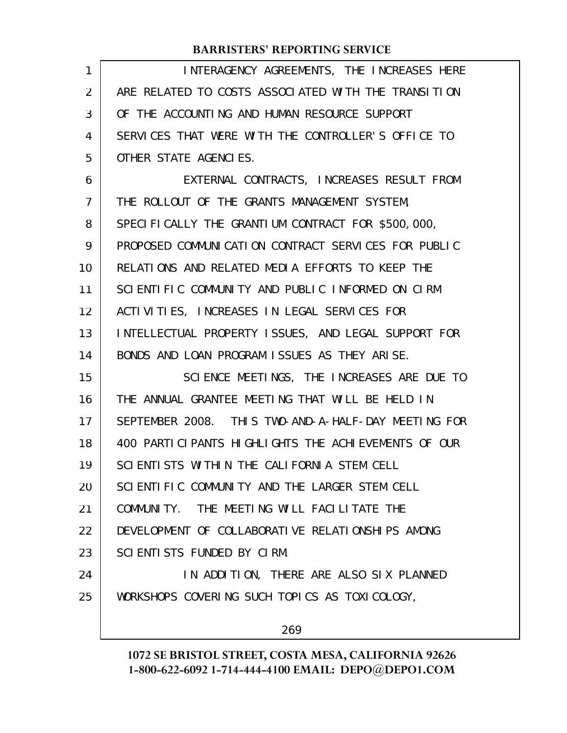| 1  | INTERAGENCY AGREEMENTS, THE INCREASES HERE               |
|----|----------------------------------------------------------|
| 2  | ARE RELATED TO COSTS ASSOCIATED WITH THE TRANSITION      |
| 3  | OF THE ACCOUNTING AND HUMAN RESOURCE SUPPORT             |
| 4  | SERVICES THAT WERE WITH THE CONTROLLER'S OFFICE TO       |
| 5  | OTHER STATE AGENCIES.                                    |
| 6  | EXTERNAL CONTRACTS, INCREASES RESULT FROM                |
| 7  | THE ROLLOUT OF THE GRANTS MANAGEMENT SYSTEM,             |
| 8  | SPECIFICALLY THE GRANTIUM CONTRACT FOR \$500,000,        |
| 9  | PROPOSED COMMUNICATION CONTRACT SERVICES FOR PUBLIC      |
| 10 | RELATIONS AND RELATED MEDIA EFFORTS TO KEEP THE          |
| 11 | SCIENTIFIC COMMUNITY AND PUBLIC INFORMED ON CIRM         |
| 12 | ACTI VITIES, INCREASES IN LEGAL SERVICES FOR             |
| 13 | INTELLECTUAL PROPERTY ISSUES, AND LEGAL SUPPORT FOR      |
| 14 | BONDS AND LOAN PROGRAM ISSUES AS THEY ARISE.             |
| 15 | SCIENCE MEETINGS, THE INCREASES ARE DUE TO               |
| 16 | THE ANNUAL GRANTEE MEETING THAT WILL BE HELD IN          |
| 17 | SEPTEMBER 2008. THIS TWO-AND-A-HALF-DAY MEETING FOR      |
| 18 | 400 PARTI CI PANTS HI GHLI GHTS THE ACHI EVEMENTS OF OUR |
| 19 | SCIENTISTS WITHIN THE CALIFORNIA STEM CELL               |
| 20 | SCIENTIFIC COMMUNITY AND THE LARGER STEM CELL            |
| 21 | COMMUNITY. THE MEETING WILL FACILITATE THE               |
| 22 | DEVELOPMENT OF COLLABORATIVE RELATIONSHIPS AMONG         |
| 23 | SCIENTISTS FUNDED BY CIRM.                               |
| 24 | IN ADDITION, THERE ARE ALSO SIX PLANNED                  |
| 25 | WORKSHOPS COVERING SUCH TOPICS AS TOXICOLOGY,            |
|    | 269                                                      |
|    |                                                          |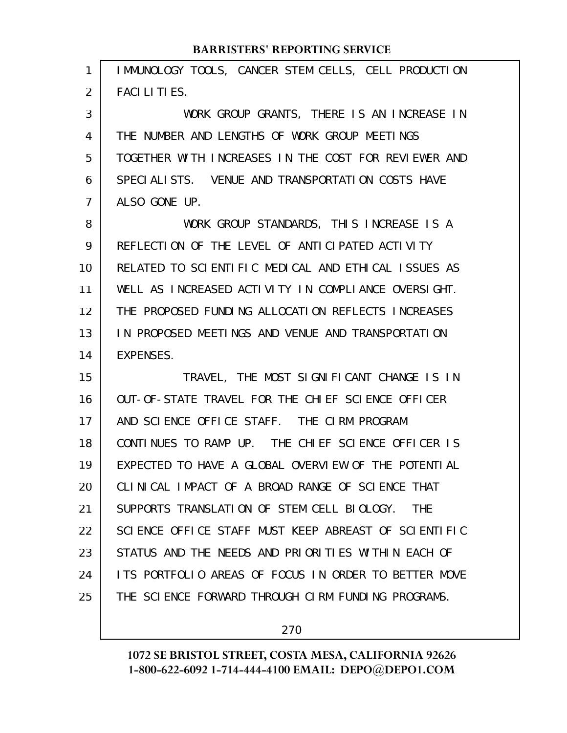| IMMUNOLOGY TOOLS, CANCER STEM CELLS, CELL PRODUCTION     |
|----------------------------------------------------------|
| <b>FACILITIES.</b>                                       |
| WORK GROUP GRANTS, THERE IS AN INCREASE IN               |
| THE NUMBER AND LENGTHS OF WORK GROUP MEETINGS            |
| TOGETHER WITH INCREASES IN THE COST FOR REVIEWER AND     |
| SPECIALISTS. VENUE AND TRANSPORTATION COSTS HAVE         |
| ALSO GONE UP.                                            |
| WORK GROUP STANDARDS, THIS INCREASE IS A                 |
| REFLECTION OF THE LEVEL OF ANTICIPATED ACTIVITY          |
| RELATED TO SCIENTIFIC MEDICAL AND ETHICAL ISSUES AS      |
| WELL AS INCREASED ACTIVITY IN COMPLIANCE OVERSIGHT.      |
| THE PROPOSED FUNDING ALLOCATION REFLECTS INCREASES       |
| IN PROPOSED MEETINGS AND VENUE AND TRANSPORTATION        |
| <b>EXPENSES.</b>                                         |
| TRAVEL, THE MOST SIGNIFICANT CHANGE IS IN                |
| OUT-OF-STATE TRAVEL FOR THE CHI EF SCIENCE OFFICER       |
| AND SCIENCE OFFICE STAFF. THE CIRM PROGRAM               |
| CONTINUES TO RAMP UP. THE CHIEF SCIENCE OFFICER IS       |
| EXPECTED TO HAVE A GLOBAL OVERVIEW OF THE POTENTIAL      |
| CLINICAL IMPACT OF A BROAD RANGE OF SCIENCE THAT         |
| SUPPORTS TRANSLATION OF STEM CELL BIOLOGY.<br><b>THE</b> |
| SCIENCE OFFICE STAFF MUST KEEP ABREAST OF SCIENTIFIC     |
| STATUS AND THE NEEDS AND PRIORITIES WITHIN EACH OF       |
| ITS PORTFOLIO AREAS OF FOCUS IN ORDER TO BETTER MOVE     |
| THE SCIENCE FORWARD THROUGH CIRM FUNDING PROGRAMS.       |
|                                                          |

270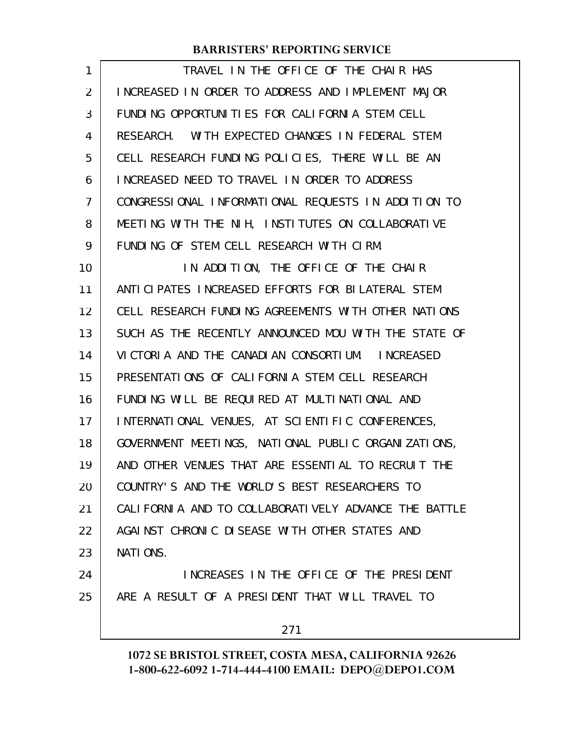| 1              | TRAVEL IN THE OFFICE OF THE CHAIR HAS                |
|----------------|------------------------------------------------------|
| $\overline{2}$ | INCREASED IN ORDER TO ADDRESS AND IMPLEMENT MAJOR    |
| 3              | FUNDING OPPORTUNITIES FOR CALIFORNIA STEM CELL       |
| 4              | RESEARCH. WITH EXPECTED CHANGES IN FEDERAL STEM      |
| 5              | CELL RESEARCH FUNDING POLICIES, THERE WILL BE AN     |
| 6              | INCREASED NEED TO TRAVEL IN ORDER TO ADDRESS         |
| 7              | CONGRESSIONAL INFORMATIONAL REQUESTS IN ADDITION TO  |
| 8              | MEETING WITH THE NIH, INSTITUTES ON COLLABORATIVE    |
| 9              | FUNDING OF STEM CELL RESEARCH WITH CIRM.             |
| 10             | IN ADDITION, THE OFFICE OF THE CHAIR                 |
| 11             | ANTICIPATES INCREASED EFFORTS FOR BILATERAL STEM     |
| 12             | CELL RESEARCH FUNDING AGREEMENTS WITH OTHER NATIONS  |
| 13             | SUCH AS THE RECENTLY ANNOUNCED MOU WITH THE STATE OF |
| 14             | VICTORIA AND THE CANADIAN CONSORTIUM. INCREASED      |
| 15             | PRESENTATIONS OF CALIFORNIA STEM CELL RESEARCH       |
| 16             | FUNDING WILL BE REQUIRED AT MULTINATIONAL AND        |
| 17             | INTERNATIONAL VENUES, AT SCIENTIFIC CONFERENCES,     |
| 18             | GOVERNMENT MEETINGS, NATIONAL PUBLIC ORGANIZATIONS,  |
| 19             | AND OTHER VENUES THAT ARE ESSENTIAL TO RECRUIT THE   |
| 20             | COUNTRY'S AND THE WORLD'S BEST RESEARCHERS TO        |
| 21             | CALIFORNIA AND TO COLLABORATIVELY ADVANCE THE BATTLE |
| 22             | AGAINST CHRONIC DISEASE WITH OTHER STATES AND        |
| 23             | NATIONS.                                             |
| 24             | INCREASES IN THE OFFICE OF THE PRESIDENT             |
| 25             | ARE A RESULT OF A PRESIDENT THAT WILL TRAVEL TO      |
|                | 271                                                  |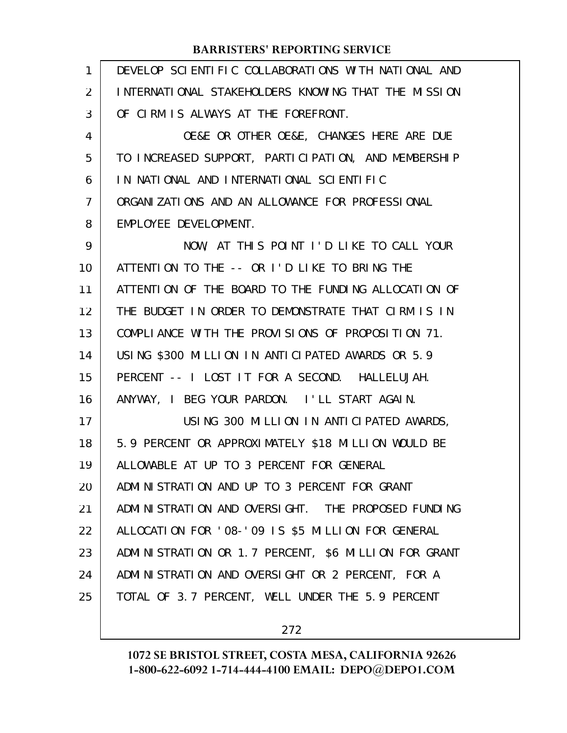| $\mathbf{1}$   | DEVELOP SCIENTIFIC COLLABORATIONS WITH NATIONAL AND  |
|----------------|------------------------------------------------------|
| 2              | INTERNATIONAL STAKEHOLDERS KNOWING THAT THE MISSION  |
| 3              | OF CIRM IS ALWAYS AT THE FOREFRONT.                  |
| 4              | OE&E OR OTHER OE&E, CHANGES HERE ARE DUE             |
| 5              | TO INCREASED SUPPORT, PARTICIPATION, AND MEMBERSHIP  |
| 6              | IN NATIONAL AND INTERNATIONAL SCIENTIFIC             |
| $\overline{7}$ | ORGANIZATIONS AND AN ALLOWANCE FOR PROFESSIONAL      |
| 8              | EMPLOYEE DEVELOPMENT.                                |
| 9              | NOW, AT THIS POINT I'D LIKE TO CALL YOUR             |
| 10             | ATTENTION TO THE -- OR I'D LIKE TO BRING THE         |
| 11             | ATTENTION OF THE BOARD TO THE FUNDING ALLOCATION OF  |
| 12             | THE BUDGET IN ORDER TO DEMONSTRATE THAT CIRM IS IN   |
| 13             | COMPLIANCE WITH THE PROVISIONS OF PROPOSITION 71.    |
| 14             | USING \$300 MILLION IN ANTICIPATED AWARDS OR 5.9     |
| 15             | PERCENT -- I LOST IT FOR A SECOND. HALLELUJAH.       |
| 16             | ANYWAY, I BEG YOUR PARDON. I'LL START AGAIN.         |
| 17             | USING 300 MILLION IN ANTICIPATED AWARDS,             |
| 18             | 5.9 PERCENT OR APPROXIMATELY \$18 MILLION WOULD BE   |
| 19             | ALLOWABLE AT UP TO 3 PERCENT FOR GENERAL             |
| 20             | ADMINISTRATION AND UP TO 3 PERCENT FOR GRANT         |
| 21             | ADMINISTRATION AND OVERSIGHT. THE PROPOSED FUNDING   |
| 22             | ALLOCATION FOR '08-'09 IS \$5 MILLION FOR GENERAL    |
| 23             | ADMINISTRATION OR 1.7 PERCENT, \$6 MILLION FOR GRANT |
| 24             | ADMINISTRATION AND OVERSIGHT OR 2 PERCENT, FOR A     |
| 25             | TOTAL OF 3.7 PERCENT, WELL UNDER THE 5.9 PERCENT     |
|                |                                                      |

272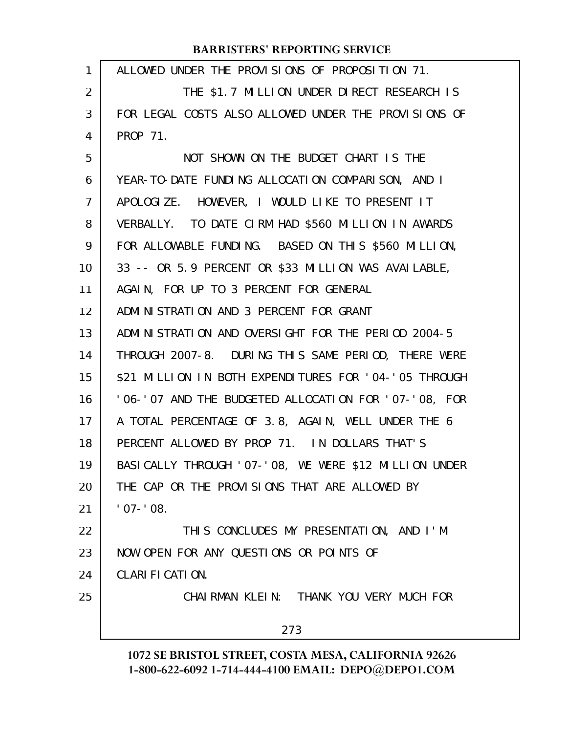| 1  | ALLOWED UNDER THE PROVISIONS OF PROPOSITION 71.           |
|----|-----------------------------------------------------------|
| 2  | THE \$1.7 MILLION UNDER DIRECT RESEARCH IS                |
| 3  | FOR LEGAL COSTS ALSO ALLOWED UNDER THE PROVISIONS OF      |
| 4  | PROP 71.                                                  |
| 5  | NOT SHOWN ON THE BUDGET CHART IS THE                      |
| 6  | YEAR-TO-DATE FUNDING ALLOCATION COMPARISON, AND I         |
| 7  | APOLOGIZE. HOWEVER, I WOULD LIKE TO PRESENT IT            |
| 8  | VERBALLY. TO DATE CIRM HAD \$560 MILLION IN AWARDS        |
| 9  | FOR ALLOWABLE FUNDING. BASED ON THIS \$560 MILLION,       |
| 10 | 33 -- OR 5.9 PERCENT OR \$33 MILLION WAS AVAILABLE,       |
| 11 | AGAIN, FOR UP TO 3 PERCENT FOR GENERAL                    |
| 12 | ADMINISTRATION AND 3 PERCENT FOR GRANT                    |
| 13 | ADMINISTRATION AND OVERSIGHT FOR THE PERIOD 2004-5        |
| 14 | THROUGH 2007-8. DURING THIS SAME PERIOD, THERE WERE       |
| 15 | \$21 MILLION IN BOTH EXPENDITURES FOR '04-'05 THROUGH     |
| 16 | '06-'07 AND THE BUDGETED ALLOCATION FOR '07-'08, FOR      |
| 17 | A TOTAL PERCENTAGE OF 3.8, AGAIN, WELL UNDER THE 6        |
| 18 | PERCENT ALLOWED BY PROP 71. IN DOLLARS THAT'S             |
| 19 | BASI CALLY THROUGH ' 07-' 08, WE WERE \$12 MI LLION UNDER |
| 20 | THE CAP OR THE PROVISIONS THAT ARE ALLOWED BY             |
| 21 | $'$ 07 - $'$ 08.                                          |
| 22 | THIS CONCLUDES MY PRESENTATION, AND I'M                   |
| 23 | NOW OPEN FOR ANY QUESTIONS OR POINTS OF                   |
| 24 | CLARIFICATION.                                            |
| 25 | CHAIRMAN KLEIN: THANK YOU VERY MUCH FOR                   |
|    | 273                                                       |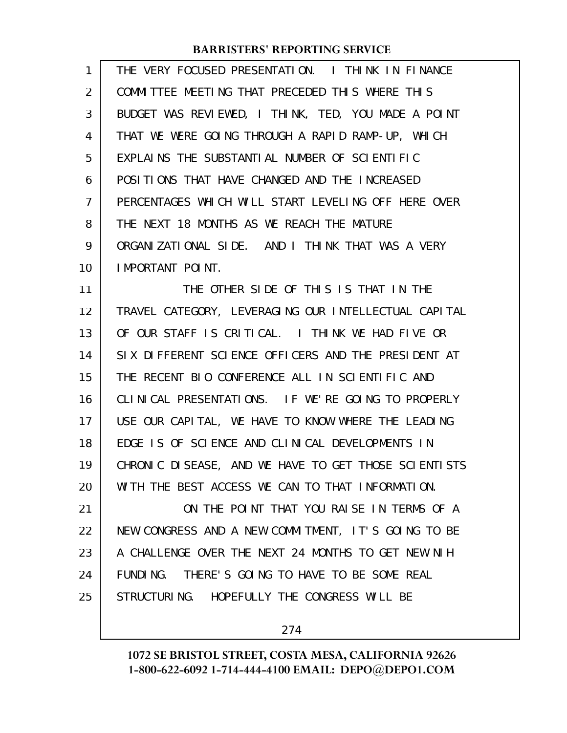| 1              | THE VERY FOCUSED PRESENTATION. I THINK IN FINANCE   |
|----------------|-----------------------------------------------------|
| 2              | COMMITTEE MEETING THAT PRECEDED THIS WHERE THIS     |
| 3              | BUDGET WAS REVIEWED, I THINK, TED, YOU MADE A POINT |
| 4              | THAT WE WERE GOING THROUGH A RAPID RAMP-UP, WHICH   |
| 5              | EXPLAINS THE SUBSTANTIAL NUMBER OF SCIENTIFIC       |
| 6              | POSITIONS THAT HAVE CHANGED AND THE INCREASED       |
| $\overline{7}$ | PERCENTAGES WHICH WILL START LEVELING OFF HERE OVER |
| 8              | THE NEXT 18 MONTHS AS WE REACH THE MATURE           |
| 9              | ORGANIZATIONAL SIDE. AND I THINK THAT WAS A VERY    |
| 10             | IMPORTANT POINT.                                    |
|                |                                                     |

THE OTHER SIDE OF THIS IS THAT IN THE TRAVEL CATEGORY, LEVERAGING OUR INTELLECTUAL CAPITAL OF OUR STAFF IS CRITICAL. I THINK WE HAD FIVE OR SIX DIFFERENT SCIENCE OFFICERS AND THE PRESIDENT AT THE RECENT BIO CONFERENCE ALL IN SCIENTIFIC AND CLINICAL PRESENTATIONS. IF WE'RE GOING TO PROPERLY USE OUR CAPITAL, WE HAVE TO KNOW WHERE THE LEADING EDGE IS OF SCIENCE AND CLINICAL DEVELOPMENTS IN CHRONIC DISEASE, AND WE HAVE TO GET THOSE SCIENTISTS WITH THE BEST ACCESS WE CAN TO THAT INFORMATION. 11 12 13 14 15 16 17 18 19 20

ON THE POINT THAT YOU RAISE IN TERMS OF A NEW CONGRESS AND A NEW COMMITMENT, IT'S GOING TO BE A CHALLENGE OVER THE NEXT 24 MONTHS TO GET NEW NIH FUNDING. THERE'S GOING TO HAVE TO BE SOME REAL STRUCTURING. HOPEFULLY THE CONGRESS WILL BE 21 22 23 24 25

274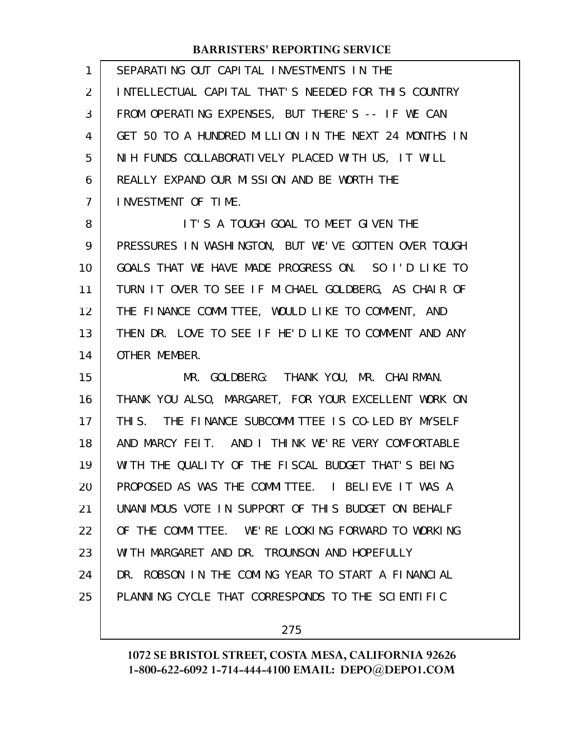| 1  | SEPARATING OUT CAPITAL INVESTMENTS IN THE            |
|----|------------------------------------------------------|
| 2  | INTELLECTUAL CAPITAL THAT'S NEEDED FOR THIS COUNTRY  |
| 3  | FROM OPERATING EXPENSES, BUT THERE'S -- IF WE CAN    |
| 4  | GET 50 TO A HUNDRED MILLION IN THE NEXT 24 MONTHS IN |
| 5  | NIH FUNDS COLLABORATIVELY PLACED WITH US, IT WILL    |
| 6  | REALLY EXPAND OUR MISSION AND BE WORTH THE           |
| 7  | INVESTMENT OF TIME.                                  |
| 8  | IT'S A TOUGH GOAL TO MEET GIVEN THE                  |
| 9  | PRESSURES IN WASHINGTON, BUT WE'VE GOTTEN OVER TOUGH |
| 10 | GOALS THAT WE HAVE MADE PROGRESS ON. SO I'D LIKE TO  |
| 11 | TURN IT OVER TO SEE IF MICHAEL GOLDBERG, AS CHAIR OF |
| 12 | THE FINANCE COMMITTEE, WOULD LIKE TO COMMENT, AND    |
| 13 | THEN DR. LOVE TO SEE IF HE'D LIKE TO COMMENT AND ANY |
| 14 | OTHER MEMBER.                                        |
| 15 | MR. GOLDBERG: THANK YOU, MR. CHAIRMAN.               |
| 16 | THANK YOU ALSO, MARGARET, FOR YOUR EXCELLENT WORK ON |
| 17 | THIS. THE FINANCE SUBCOMMITTEE IS CO-LED BY MYSELF   |
| 18 | AND MARCY FEIT. AND I THINK WE'RE VERY COMFORTABLE   |
| 19 | WITH THE QUALITY OF THE FISCAL BUDGET THAT'S BEING   |
| 20 | PROPOSED AS WAS THE COMMITTEE. I BELIEVE IT WAS A    |
| 21 | UNANIMOUS VOTE IN SUPPORT OF THIS BUDGET ON BEHALF   |
| 22 | OF THE COMMITTEE. WE'RE LOOKING FORWARD TO WORKING   |
| 23 | WITH MARGARET AND DR. TROUNSON AND HOPEFULLY         |
| 24 | DR. ROBSON IN THE COMING YEAR TO START A FINANCIAL   |
| 25 | PLANNING CYCLE THAT CORRESPONDS TO THE SCIENTIFIC    |
|    |                                                      |

275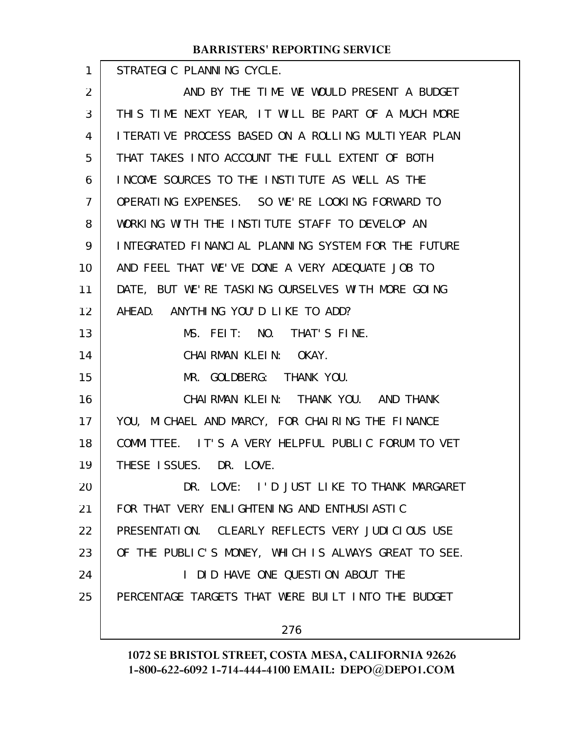STRATEGIC PLANNING CYCLE. AND BY THE TIME WE WOULD PRESENT A BUDGET THIS TIME NEXT YEAR, IT WILL BE PART OF A MUCH MORE ITERATIVE PROCESS BASED ON A ROLLING MULTIYEAR PLAN THAT TAKES INTO ACCOUNT THE FULL EXTENT OF BOTH INCOME SOURCES TO THE INSTITUTE AS WELL AS THE OPERATING EXPENSES. SO WE'RE LOOKING FORWARD TO WORKING WITH THE INSTITUTE STAFF TO DEVELOP AN INTEGRATED FINANCIAL PLANNING SYSTEM FOR THE FUTURE AND FEEL THAT WE'VE DONE A VERY ADEQUATE JOB TO DATE, BUT WE'RE TASKING OURSELVES WITH MORE GOING AHEAD. ANYTHING YOU'D LIKE TO ADD? MS. FEIT: NO. THAT'S FINE. CHAIRMAN KLEIN: OKAY. MR. GOLDBERG: THANK YOU. CHAIRMAN KLEIN: THANK YOU. AND THANK YOU, MICHAEL AND MARCY, FOR CHAIRING THE FINANCE COMMITTEE. IT'S A VERY HELPFUL PUBLIC FORUM TO VET THESE ISSUES. DR. LOVE. DR. LOVE: I'D JUST LIKE TO THANK MARGARET FOR THAT VERY ENLIGHTENING AND ENTHUSIASTIC PRESENTATION. CLEARLY REFLECTS VERY JUDICIOUS USE OF THE PUBLIC'S MONEY, WHICH IS ALWAYS GREAT TO SEE. I DID HAVE ONE QUESTION ABOUT THE PERCENTAGE TARGETS THAT WERE BUILT INTO THE BUDGET 276 1 2 3 4 5 6 7 8 9 10 11 12 13 14 15 16 17 18 19 20 21 22 23 24 25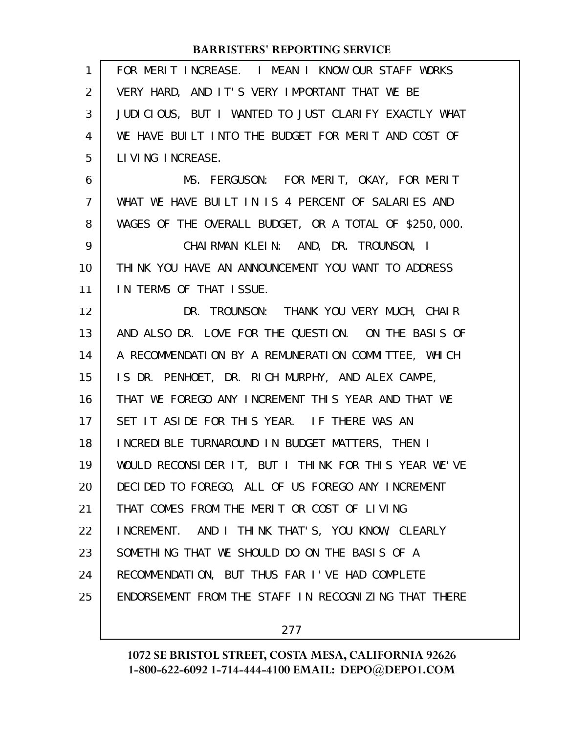| 1              | FOR MERIT INCREASE. I MEAN I KNOW OUR STAFF WORKS     |
|----------------|-------------------------------------------------------|
| 2              | VERY HARD, AND IT'S VERY IMPORTANT THAT WE BE         |
| 3              | JUDICIOUS, BUT I WANTED TO JUST CLARIFY EXACTLY WHAT  |
| 4              | WE HAVE BUILT INTO THE BUDGET FOR MERIT AND COST OF   |
| 5              | LIVING INCREASE.                                      |
| 6              | MS. FERGUSON: FOR MERIT, OKAY, FOR MERIT              |
| $\overline{7}$ | WHAT WE HAVE BUILT IN IS 4 PERCENT OF SALARIES AND    |
| 8              | WAGES OF THE OVERALL BUDGET, OR A TOTAL OF \$250,000. |
| 9              | CHAIRMAN KLEIN: AND, DR. TROUNSON, I                  |
| 10             | THINK YOU HAVE AN ANNOUNCEMENT YOU WANT TO ADDRESS    |
| 11             | IN TERMS OF THAT ISSUE.                               |
| 12             | DR. TROUNSON: THANK YOU VERY MUCH, CHAIR              |
| 13             | AND ALSO DR. LOVE FOR THE QUESTION. ON THE BASIS OF   |
| 14             | A RECOMMENDATION BY A REMUNERATION COMMITTEE, WHICH   |
| 15             | IS DR. PENHOET, DR. RICH MURPHY, AND ALEX CAMPE,      |
| 16             | THAT WE FOREGO ANY INCREMENT THIS YEAR AND THAT WE    |
| 17             | SET IT ASIDE FOR THIS YEAR. IF THERE WAS AN           |
| 18             | INCREDIBLE TURNAROUND IN BUDGET MATTERS, THEN I       |
| 19             | WOULD RECONSIDER IT, BUT I THINK FOR THIS YEAR WE'VE  |
| 20             | DECIDED TO FOREGO, ALL OF US FOREGO ANY INCREMENT     |
| 21             | THAT COMES FROM THE MERIT OR COST OF LIVING           |
| 22             | INCREMENT. AND I THINK THAT'S, YOU KNOW, CLEARLY      |
| 23             | SOMETHING THAT WE SHOULD DO ON THE BASIS OF A         |
| 24             | RECOMMENDATION, BUT THUS FAR I'VE HAD COMPLETE        |
| 25             | ENDORSEMENT FROM THE STAFF IN RECOGNIZING THAT THERE  |
|                |                                                       |

277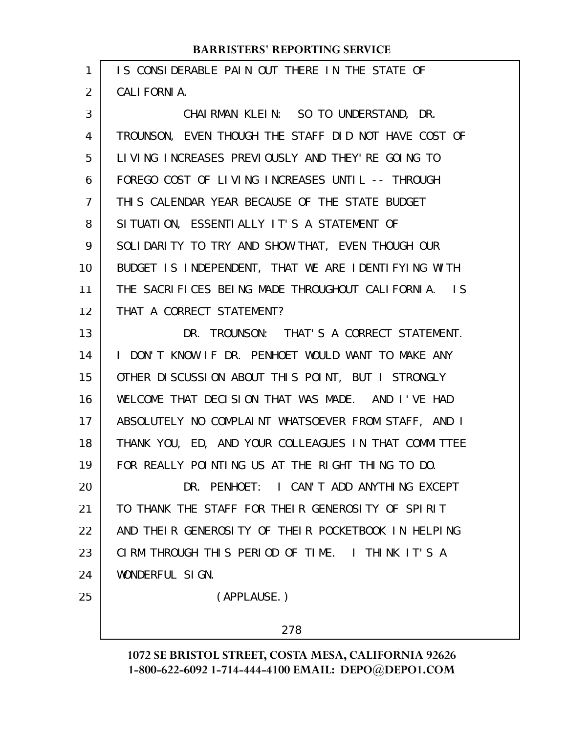| 1              | IS CONSIDERABLE PAIN OUT THERE IN THE STATE OF       |
|----------------|------------------------------------------------------|
| $\overline{2}$ | CALI FORNI A.                                        |
| 3              | CHAIRMAN KLEIN: SO TO UNDERSTAND, DR.                |
| 4              | TROUNSON, EVEN THOUGH THE STAFF DID NOT HAVE COST OF |
| 5              | LIVING INCREASES PREVIOUSLY AND THEY' RE GOING TO    |
| 6              | FOREGO COST OF LIVING INCREASES UNTIL -- THROUGH     |
| 7              | THIS CALENDAR YEAR BECAUSE OF THE STATE BUDGET       |
| 8              | SITUATION, ESSENTIALLY IT'S A STATEMENT OF           |
| 9              | SOLIDARITY TO TRY AND SHOW THAT, EVEN THOUGH OUR     |
| 10             | BUDGET IS INDEPENDENT, THAT WE ARE IDENTIFYING WITH  |
| 11             | THE SACRIFICES BEING MADE THROUGHOUT CALIFORNIA. IS  |
| 12             | THAT A CORRECT STATEMENT?                            |
| 13             | DR. TROUNSON: THAT'S A CORRECT STATEMENT.            |
| 14             | I DON'T KNOW IF DR. PENHOET WOULD WANT TO MAKE ANY   |
| 15             | OTHER DISCUSSION ABOUT THIS POINT, BUT I STRONGLY    |
| 16             | WELCOME THAT DECISION THAT WAS MADE. AND I'VE HAD    |
| 17             | ABSOLUTELY NO COMPLAINT WHATSOEVER FROM STAFF, AND I |
| 18             | THANK YOU, ED, AND YOUR COLLEAGUES IN THAT COMMITTEE |
| 19             | FOR REALLY POINTING US AT THE RIGHT THING TO DO.     |
| 20             | DR. PENHOET: I CAN'T ADD ANYTHING EXCEPT             |
| 21             | TO THANK THE STAFF FOR THEIR GENEROSITY OF SPIRIT    |
| 22             | AND THEIR GENEROSITY OF THEIR POCKETBOOK IN HELPING  |
| 23             | CIRM THROUGH THIS PERIOD OF TIME. I THINK IT'S A     |
| 24             | WONDERFUL SIGN.                                      |
| 25             | (APPLAUSE.)                                          |
|                | 278                                                  |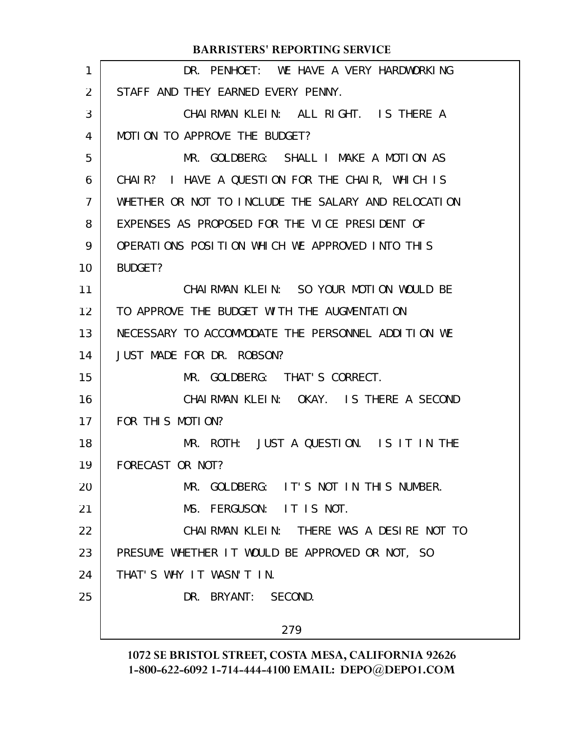| 1              | DR. PENHOET: WE HAVE A VERY HARDWORKING             |
|----------------|-----------------------------------------------------|
| 2              | STAFF AND THEY EARNED EVERY PENNY.                  |
| 3              | CHAIRMAN KLEIN: ALL RIGHT. IS THERE A               |
| 4              | MOTION TO APPROVE THE BUDGET?                       |
| 5              | MR. GOLDBERG: SHALL I MAKE A MOTION AS              |
| 6              | CHAIR? I HAVE A QUESTION FOR THE CHAIR, WHICH IS    |
| $\overline{7}$ | WHETHER OR NOT TO INCLUDE THE SALARY AND RELOCATION |
| 8              | EXPENSES AS PROPOSED FOR THE VICE PRESIDENT OF      |
| 9              | OPERATIONS POSITION WHICH WE APPROVED INTO THIS     |
| 10             | BUDGET?                                             |
| 11             | CHAIRMAN KLEIN: SO YOUR MOTION WOULD BE             |
| 12             | TO APPROVE THE BUDGET WITH THE AUGMENTATION         |
| 13             | NECESSARY TO ACCOMMODATE THE PERSONNEL ADDITION WE  |
| 14             | JUST MADE FOR DR. ROBSON?                           |
| 15             | MR. GOLDBERG: THAT'S CORRECT.                       |
| 16             | CHAIRMAN KLEIN: OKAY. IS THERE A SECOND             |
| 17             | FOR THIS MOTION?                                    |
| 18             | MR. ROTH: JUST A QUESTION. IS IT IN THE             |
| 19             | FORECAST OR NOT?                                    |
| 20             | MR. GOLDBERG: IT'S NOT IN THIS NUMBER.              |
| 21             | MS. FERGUSON: IT IS NOT.                            |
| 22             | CHAIRMAN KLEIN: THERE WAS A DESIRE NOT TO           |
| 23             | PRESUME WHETHER IT WOULD BE APPROVED OR NOT, SO     |
| 24             | THAT'S WHY IT WASN'T IN.                            |
| 25             | DR. BRYANT: SECOND.                                 |
|                | 279                                                 |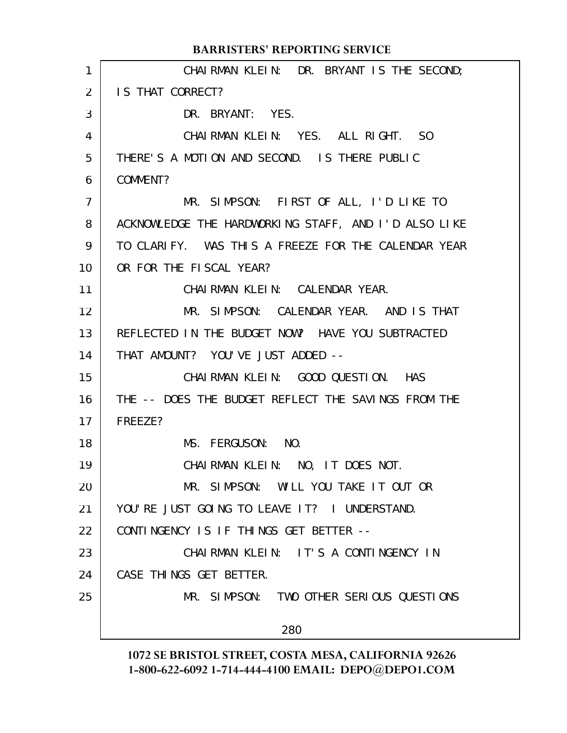CHAIRMAN KLEIN: DR. BRYANT IS THE SECOND; IS THAT CORRECT? DR. BRYANT: YES. CHAIRMAN KLEIN: YES. ALL RIGHT. SO THERE'S A MOTION AND SECOND. IS THERE PUBLIC COMMENT? MR. SIMPSON: FIRST OF ALL, I'D LIKE TO ACKNOWLEDGE THE HARDWORKING STAFF, AND I'D ALSO LIKE TO CLARIFY. WAS THIS A FREEZE FOR THE CALENDAR YEAR OR FOR THE FISCAL YEAR? CHAIRMAN KLEIN: CALENDAR YEAR. MR. SIMPSON: CALENDAR YEAR. AND IS THAT REFLECTED IN THE BUDGET NOW? HAVE YOU SUBTRACTED THAT AMOUNT? YOU'VE JUST ADDED -- CHAIRMAN KLEIN: GOOD QUESTION. HAS THE -- DOES THE BUDGET REFLECT THE SAVINGS FROM THE FREEZE? MS. FERGUSON: NO. CHAIRMAN KLEIN: NO, IT DOES NOT. MR. SIMPSON: WILL YOU TAKE IT OUT OR YOU'RE JUST GOING TO LEAVE IT? I UNDERSTAND. CONTINGENCY IS IF THINGS GET BETTER -- CHAIRMAN KLEIN: IT'S A CONTINGENCY IN CASE THINGS GET BETTER. MR. SIMPSON: TWO OTHER SERIOUS QUESTIONS 280 **BARRISTERS' REPORTING SERVICE** 1 2 3 4 5 6 7 8 9 10 11 12 13 14 15 16 17 18 19 20 21 22 23 24 25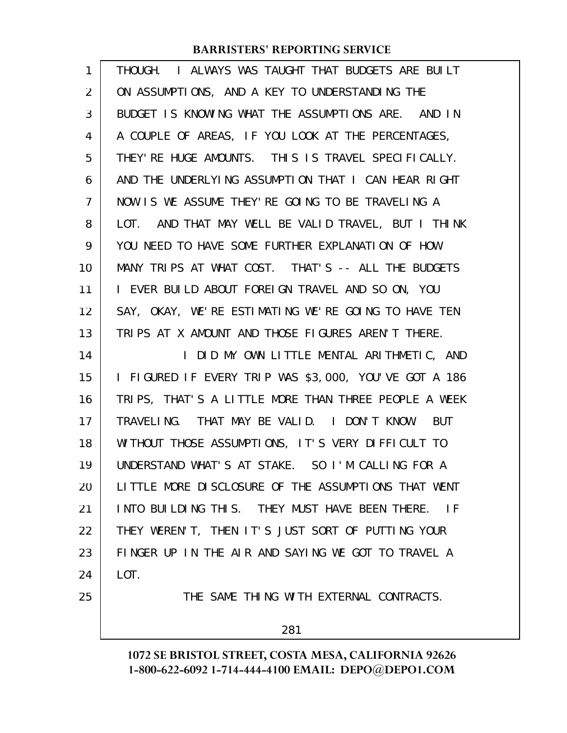| 1  | THOUGH. I ALWAYS WAS TAUGHT THAT BUDGETS ARE BUILT    |
|----|-------------------------------------------------------|
| 2  | ON ASSUMPTIONS, AND A KEY TO UNDERSTANDING THE        |
| 3  | BUDGET IS KNOWING WHAT THE ASSUMPTIONS ARE. AND IN    |
| 4  | A COUPLE OF AREAS, IF YOU LOOK AT THE PERCENTAGES,    |
| 5  | THEY' RE HUGE AMOUNTS. THIS IS TRAVEL SPECIFICALLY.   |
| 6  | AND THE UNDERLYING ASSUMPTION THAT I CAN HEAR RIGHT   |
| 7  | NOW IS WE ASSUME THEY'RE GOING TO BE TRAVELING A      |
| 8  | LOT. AND THAT MAY WELL BE VALID TRAVEL, BUT I THINK   |
| 9  | YOU NEED TO HAVE SOME FURTHER EXPLANATION OF HOW      |
| 10 | MANY TRIPS AT WHAT COST. THAT'S -- ALL THE BUDGETS    |
| 11 | I EVER BUILD ABOUT FOREIGN TRAVEL AND SO ON, YOU      |
| 12 | SAY, OKAY, WE'RE ESTIMATING WE'RE GOING TO HAVE TEN   |
| 13 | TRIPS AT X AMOUNT AND THOSE FIGURES AREN'T THERE.     |
| 14 | I DID MY OWN LITTLE MENTAL ARITHMETIC, AND            |
| 15 | I FIGURED IF EVERY TRIP WAS \$3,000, YOU'VE GOT A 186 |
| 16 | TRIPS, THAT'S A LITTLE MORE THAN THREE PEOPLE A WEEK  |
| 17 | TRAVELING. THAT MAY BE VALID. I DON'T KNOW. BUT       |
| 18 | WITHOUT THOSE ASSUMPTIONS, IT'S VERY DIFFICULT TO     |
| 19 | UNDERSTAND WHAT'S AT STAKE. SO I'M CALLING FOR A      |
| 20 | LITTLE MORE DISCLOSURE OF THE ASSUMPTIONS THAT WENT   |
| 21 | INTO BUILDING THIS. THEY MUST HAVE BEEN THERE. IF     |
| 22 | THEY WEREN'T, THEN IT'S JUST SORT OF PUTTING YOUR     |
| 23 | FINGER UP IN THE AIR AND SAYING WE GOT TO TRAVEL A    |
| 24 | LOT.                                                  |
| 25 | THE SAME THING WITH EXTERNAL CONTRACTS.               |
|    | 281                                                   |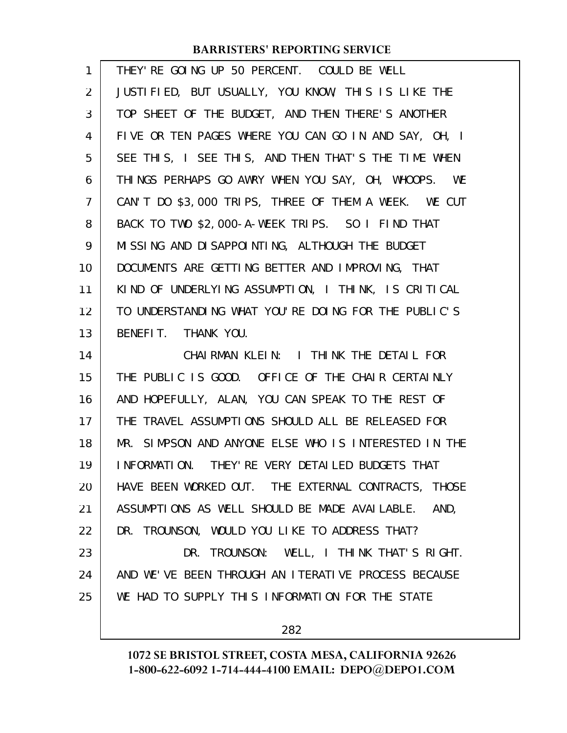| $\mathbf{1}$   | THEY' RE GOING UP 50 PERCENT. COULD BE WELL          |
|----------------|------------------------------------------------------|
| 2              | JUSTIFIED, BUT USUALLY, YOU KNOW, THIS IS LIKE THE   |
| 3              | TOP SHEET OF THE BUDGET, AND THEN THERE'S ANOTHER    |
| 4              | FIVE OR TEN PAGES WHERE YOU CAN GO IN AND SAY, OH, I |
| 5              | SEE THIS, I SEE THIS, AND THEN THAT'S THE TIME WHEN  |
| 6              | THINGS PERHAPS GO AWRY WHEN YOU SAY, OH, WHOOPS. WE  |
| $\overline{7}$ | CAN'T DO \$3,000 TRIPS, THREE OF THEM A WEEK. WE CUT |
| 8              | BACK TO TWO \$2,000-A-WEEK TRIPS. SO I FIND THAT     |
| 9              | MISSING AND DISAPPOINTING, ALTHOUGH THE BUDGET       |
| 10             | DOCUMENTS ARE GETTING BETTER AND IMPROVING, THAT     |
| 11             | KIND OF UNDERLYING ASSUMPTION, I THINK, IS CRITICAL  |
| 12             | TO UNDERSTANDING WHAT YOU'RE DOING FOR THE PUBLIC'S  |
| 13             | BENEFIT. THANK YOU.                                  |
|                |                                                      |
| 14             | CHAIRMAN KLEIN: I THINK THE DETAIL FOR               |
| 15             | THE PUBLIC IS GOOD. OFFICE OF THE CHAIR CERTAINLY    |
| 16             | AND HOPEFULLY, ALAN, YOU CAN SPEAK TO THE REST OF    |
| 17             | THE TRAVEL ASSUMPTIONS SHOULD ALL BE RELEASED FOR    |
| 18             | MR. SIMPSON AND ANYONE ELSE WHO IS INTERESTED IN THE |
| 19             | INFORMATION. THEY' RE VERY DETAILED BUDGETS THAT     |
| 20             | HAVE BEEN WORKED OUT. THE EXTERNAL CONTRACTS, THOSE  |
| 21             | ASSUMPTIONS AS WELL SHOULD BE MADE AVAILABLE. AND,   |
| 22             | DR. TROUNSON, WOULD YOU LIKE TO ADDRESS THAT?        |
| 23             | DR. TROUNSON: WELL, I THINK THAT'S RIGHT.            |
| 24             | AND WE'VE BEEN THROUGH AN ITERATIVE PROCESS BECAUSE  |
| 25             | WE HAD TO SUPPLY THIS INFORMATION FOR THE STATE      |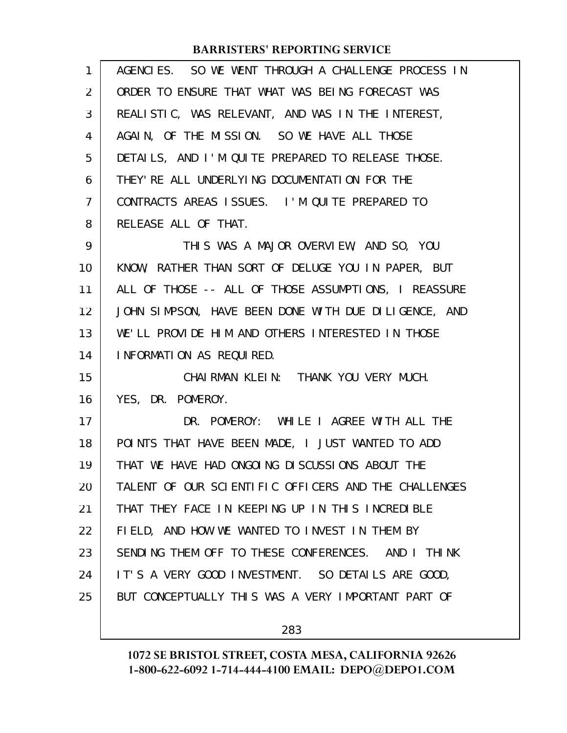| 1              | AGENCIES. SO WE WENT THROUGH A CHALLENGE PROCESS IN  |
|----------------|------------------------------------------------------|
| $\overline{2}$ | ORDER TO ENSURE THAT WHAT WAS BEING FORECAST WAS     |
| 3              | REALISTIC, WAS RELEVANT, AND WAS IN THE INTEREST,    |
| 4              | AGAIN, OF THE MISSION. SO WE HAVE ALL THOSE          |
| 5              | DETAILS, AND I'M QUITE PREPARED TO RELEASE THOSE.    |
| 6              | THEY' RE ALL UNDERLYING DOCUMENTATION FOR THE        |
| $\overline{7}$ | CONTRACTS AREAS ISSUES. I'M QUITE PREPARED TO        |
| 8              | RELEASE ALL OF THAT.                                 |
| 9              | THIS WAS A MAJOR OVERVIEW, AND SO, YOU               |
| 10             | KNOW, RATHER THAN SORT OF DELUGE YOU IN PAPER, BUT   |
| 11             | ALL OF THOSE -- ALL OF THOSE ASSUMPTIONS, I REASSURE |
| 12             | JOHN SIMPSON, HAVE BEEN DONE WITH DUE DILIGENCE, AND |
| 13             | WE'LL PROVIDE HIM AND OTHERS INTERESTED IN THOSE     |
| 14             | INFORMATION AS REQUIRED.                             |
| 15             | CHAIRMAN KLEIN: THANK YOU VERY MUCH.                 |
| 16             | YES, DR. POMEROY.                                    |
| 17             | DR. POMEROY: WHILE I AGREE WITH ALL THE              |
| 18             | POINTS THAT HAVE BEEN MADE, I JUST WANTED TO ADD     |
| 19             | THAT WE HAVE HAD ONGOING DISCUSSIONS ABOUT THE       |
| 20             | TALENT OF OUR SCIENTIFIC OFFICERS AND THE CHALLENGES |
| 21             | THAT THEY FACE IN KEEPING UP IN THIS INCREDIBLE      |
| 22             | FIELD, AND HOW WE WANTED TO INVEST IN THEM BY        |
| 23             | SENDING THEM OFF TO THESE CONFERENCES. AND I THINK   |
| 24             | IT'S A VERY GOOD INVESTMENT. SO DETAILS ARE GOOD,    |
| 25             | BUT CONCEPTUALLY THIS WAS A VERY IMPORTANT PART OF   |
|                |                                                      |

283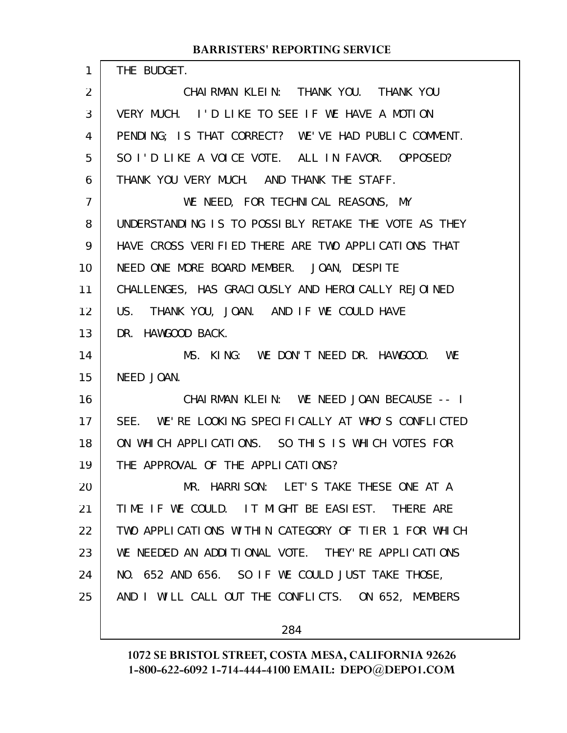THE BUDGET.

1

CHAIRMAN KLEIN: THANK YOU. THANK YOU VERY MUCH. I'D LIKE TO SEE IF WE HAVE A MOTION PENDING; IS THAT CORRECT? WE'VE HAD PUBLIC COMMENT. SO I'D LIKE A VOICE VOTE. ALL IN FAVOR. OPPOSED? THANK YOU VERY MUCH. AND THANK THE STAFF. WE NEED, FOR TECHNICAL REASONS, MY UNDERSTANDING IS TO POSSIBLY RETAKE THE VOTE AS THEY HAVE CROSS VERIFIED THERE ARE TWO APPLICATIONS THAT NEED ONE MORE BOARD MEMBER. JOAN, DESPITE CHALLENGES, HAS GRACIOUSLY AND HEROICALLY REJOINED US. THANK YOU, JOAN. AND IF WE COULD HAVE DR. HAWGOOD BACK. MS. KING: WE DON'T NEED DR. HAWGOOD. WE NEED JOAN. CHAIRMAN KLEIN: WE NEED JOAN BECAUSE -- I SEE. WE'RE LOOKING SPECIFICALLY AT WHO'S CONFLICTED ON WHICH APPLICATIONS. SO THIS IS WHICH VOTES FOR THE APPROVAL OF THE APPLICATIONS? MR. HARRISON: LET'S TAKE THESE ONE AT A TIME IF WE COULD. IT MIGHT BE EASIEST. THERE ARE TWO APPLICATIONS WITHIN CATEGORY OF TIER 1 FOR WHICH WE NEEDED AN ADDITIONAL VOTE. THEY'RE APPLICATIONS NO. 652 AND 656. SO IF WE COULD JUST TAKE THOSE, AND I WILL CALL OUT THE CONFLICTS. ON 652, MEMBERS 2 3 4 5 6 7 8 9 10 11 12 13 14 15 16 17 18 19 20 21 22 23 24 25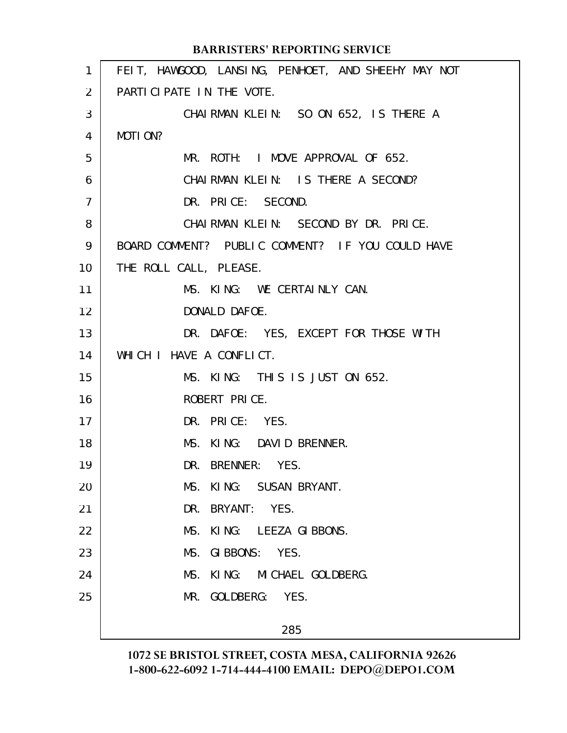|                | <b>BARRISTERS' REPORTING SERVICE</b>                |
|----------------|-----------------------------------------------------|
| 1              | FEIT, HAWGOOD, LANSING, PENHOET, AND SHEEHY MAY NOT |
| 2              | PARTICIPATE IN THE VOTE.                            |
| 3              | CHAIRMAN KLEIN: SO ON 652, IS THERE A               |
| 4              | MOTION?                                             |
| 5              | MR. ROTH: I MOVE APPROVAL OF 652.                   |
| 6              | CHAIRMAN KLEIN: IS THERE A SECOND?                  |
| $\overline{7}$ | DR. PRICE: SECOND.                                  |
| 8              | CHAIRMAN KLEIN: SECOND BY DR. PRICE.                |
| 9              | BOARD COMMENT? PUBLIC COMMENT? IF YOU COULD HAVE    |
| 10             | THE ROLL CALL, PLEASE.                              |
| 11             | MS. KING: WE CERTAINLY CAN.                         |
| 12             | DONALD DAFOE.                                       |
| 13             | DR. DAFOE: YES, EXCEPT FOR THOSE WITH               |
| 14             | WHICH I HAVE A CONFLICT.                            |
| 15             | MS. KING: THIS IS JUST ON 652.                      |
| 16             | ROBERT PRICE.                                       |
| 17             | DR. PRICE: YES.                                     |
| 18             | MS. KING: DAVID BRENNER.                            |
| 19             | BRENNER: YES.<br>DR.                                |
| 20             | MS.<br>KING: SUSAN BRYANT.                          |
| 21             | DR. BRYANT: YES.                                    |
| 22             | MS.<br>KING: LEEZA GIBBONS.                         |
| 23             | MS.<br>GIBBONS: YES.                                |
| 24             | MS.<br>KING: MICHAEL GOLDBERG.                      |
| 25             | MR. GOLDBERG: YES.                                  |
|                | 285                                                 |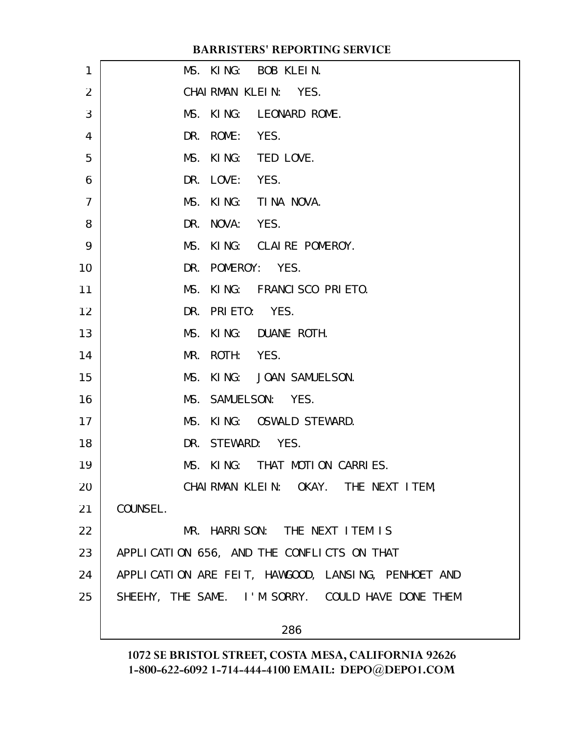| 1              | MS. KING: BOB KLEIN.                                |
|----------------|-----------------------------------------------------|
| 2              | CHAIRMAN KLEIN: YES.                                |
| 3              | MS. KING: LEONARD ROME.                             |
| 4              | DR. ROME: YES.                                      |
| 5              | MS. KING: TED LOVE.                                 |
| 6              | DR. LOVE: YES.                                      |
| $\overline{7}$ | MS. KING: TINA NOVA.                                |
| 8              | DR. NOVA: YES.                                      |
| 9              | MS. KING: CLAIRE POMEROY.                           |
| 10             | DR. POMEROY: YES.                                   |
| 11             | MS. KING: FRANCISCO PRIETO.                         |
| 12             | DR. PRIETO: YES.                                    |
| 13             | MS. KING: DUANE ROTH.                               |
| 14             | MR. ROTH: YES.                                      |
| 15             | MS. KING: JOAN SAMUELSON.                           |
| 16             | MS. SAMUELSON: YES.                                 |
| 17             | MS. KING: OSWALD STEWARD.                           |
| 18             | DR. STEWARD: YES.                                   |
| 19             | MS. KING: THAT MOTION CARRIES.                      |
| 20             | CHAIRMAN KLEIN: OKAY. THE NEXT ITEM,                |
| 21             | COUNSEL.                                            |
| 22             | MR. HARRISON: THE NEXT ITEM IS                      |
| 23             | APPLICATION 656, AND THE CONFLICTS ON THAT          |
| 24             | APPLICATION ARE FEIT, HAWGOOD, LANSING, PENHOET AND |
| 25             | SHEEHY, THE SAME. I'M SORRY. COULD HAVE DONE THEM   |
|                | 286                                                 |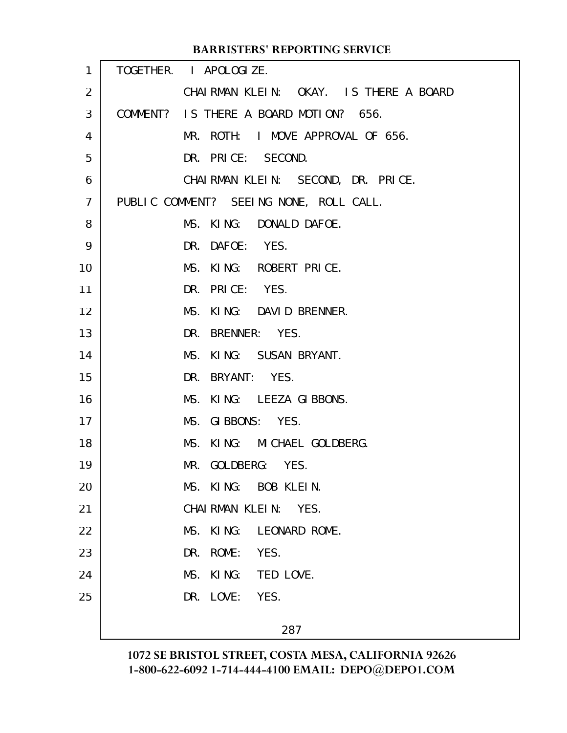|                | <b>BARRISTERS' REPORTING SERVICE</b>    |  |
|----------------|-----------------------------------------|--|
| 1              | TOGETHER. I APOLOGIZE.                  |  |
| 2              | CHAIRMAN KLEIN: OKAY. IS THERE A BOARD  |  |
| 3              | COMMENT? IS THERE A BOARD MOTION? 656.  |  |
| 4              | MR. ROTH: I MOVE APPROVAL OF 656.       |  |
| 5              | DR. PRICE: SECOND.                      |  |
| 6              | CHAIRMAN KLEIN: SECOND, DR. PRICE.      |  |
| $\overline{7}$ | PUBLIC COMMENT? SEEING NONE, ROLL CALL. |  |
| 8              | MS. KING: DONALD DAFOE.                 |  |
| 9              | DR. DAFOE: YES.                         |  |
| 10             | MS. KING: ROBERT PRICE.                 |  |
| 11             | DR. PRICE: YES.                         |  |
| 12             | MS. KING: DAVID BRENNER.                |  |
| 13             | DR. BRENNER: YES.                       |  |
| 14             | MS. KING: SUSAN BRYANT.                 |  |
| 15             | DR. BRYANT: YES.                        |  |
| 16             | MS. KING: LEEZA GIBBONS.                |  |
| 17             | MS. GIBBONS: YES.                       |  |
| 18             | MS. KING: MICHAEL GOLDBERG.             |  |
| 19             | MR. GOLDBERG: YES.                      |  |
| 20             | MS. KING: BOB KLEIN.                    |  |
| 21             | CHAIRMAN KLEIN: YES.                    |  |
| 22             | KING:<br>MS.<br>LEONARD ROME.           |  |
| 23             | DR. ROME:<br>YES.                       |  |
| 24             | KING:<br>MS.<br>TED LOVE.               |  |
| 25             | DR. LOVE:<br>YES.                       |  |
|                | 287                                     |  |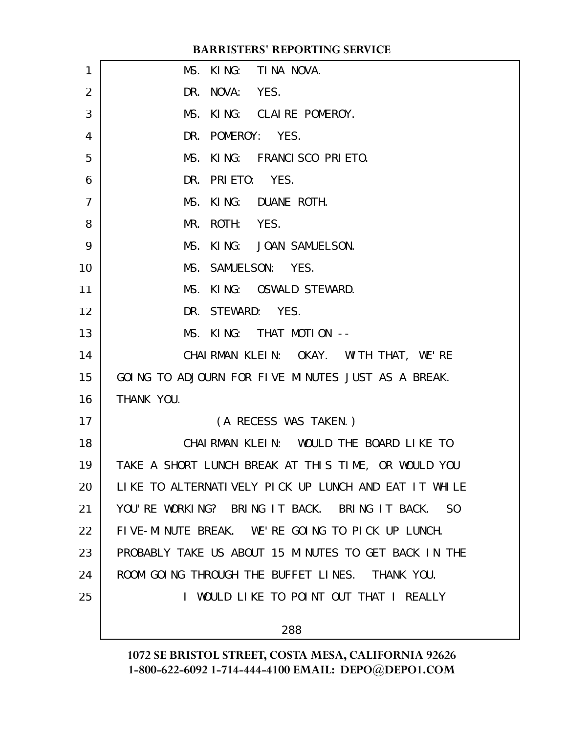| 1              | MS. KING: TINA NOVA.                                 |
|----------------|------------------------------------------------------|
| $\overline{2}$ | DR. NOVA: YES.                                       |
| 3              | MS. KING: CLAIRE POMEROY.                            |
| 4              | DR. POMEROY: YES.                                    |
| 5              | MS. KING: FRANCISCO PRIETO.                          |
| 6              | DR. PRIETO: YES.                                     |
| $\overline{7}$ | MS. KING: DUANE ROTH.                                |
| 8              | ROTH: YES.<br>MR.                                    |
| 9              | MS. KING: JOAN SAMUELSON.                            |
| 10             | MS. SAMUELSON: YES.                                  |
| 11             | MS. KING: OSWALD STEWARD.                            |
| 12             | DR. STEWARD: YES.                                    |
| 13             | MS. KING: THAT MOTION --                             |
| 14             | CHAIRMAN KLEIN: OKAY. WITH THAT, WE'RE               |
| 15             | GOING TO ADJOURN FOR FIVE MINUTES JUST AS A BREAK.   |
| 16             | THANK YOU.                                           |
| 17             | (A RECESS WAS TAKEN.)                                |
| 18             | CHAIRMAN KLEIN: WOULD THE BOARD LIKE TO              |
| 19             | TAKE A SHORT LUNCH BREAK AT THIS TIME, OR WOULD YOU  |
| 20             | LIKE TO ALTERNATIVELY PICK UP LUNCH AND EAT IT WHILE |
| 21             | YOU'RE WORKING? BRING IT BACK. BRING IT BACK. SO     |
| 22             | FIVE-MINUTE BREAK. WE'RE GOING TO PICK UP LUNCH.     |
| 23             | PROBABLY TAKE US ABOUT 15 MINUTES TO GET BACK IN THE |
| 24             | ROOM GOING THROUGH THE BUFFET LINES. THANK YOU.      |
| 25             | I WOULD LIKE TO POINT OUT THAT I REALLY              |
|                | 288                                                  |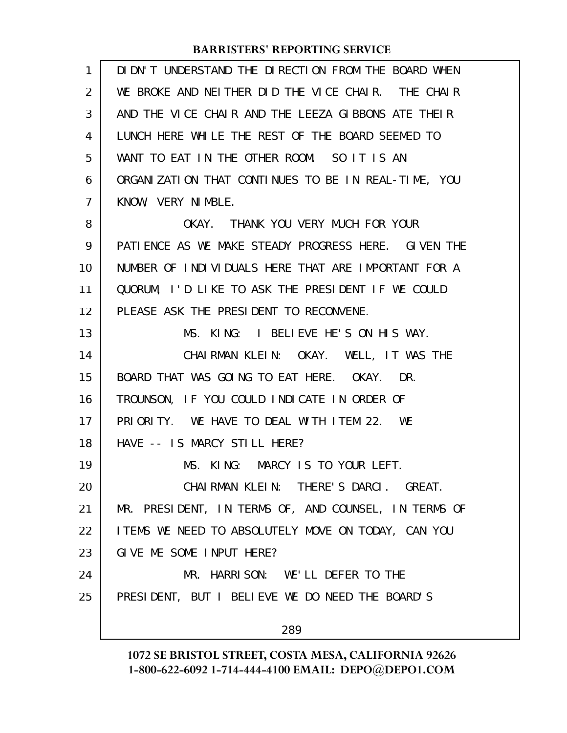| $\mathbf{1}$ | DIDN'T UNDERSTAND THE DIRECTION FROM THE BOARD WHEN  |
|--------------|------------------------------------------------------|
| 2            | WE BROKE AND NEITHER DID THE VICE CHAIR. THE CHAIR   |
| 3            | AND THE VICE CHAIR AND THE LEEZA GIBBONS ATE THEIR   |
| 4            | LUNCH HERE WHILE THE REST OF THE BOARD SEEMED TO     |
| 5            | WANT TO EAT IN THE OTHER ROOM. SO IT IS AN           |
| 6            | ORGANIZATION THAT CONTINUES TO BE IN REAL-TIME, YOU  |
| 7            | KNOW, VERY NIMBLE.                                   |
| 8            | OKAY. THANK YOU VERY MUCH FOR YOUR                   |
| 9            | PATIENCE AS WE MAKE STEADY PROGRESS HERE. GIVEN THE  |
| 10           | NUMBER OF INDIVIDUALS HERE THAT ARE IMPORTANT FOR A  |
| 11           | QUORUM, I'D LIKE TO ASK THE PRESIDENT IF WE COULD    |
| 12           | PLEASE ASK THE PRESIDENT TO RECONVENE.               |
| 13           | MS. KING: I BELIEVE HE'S ON HIS WAY.                 |
| 14           | CHAIRMAN KLEIN: OKAY. WELL, IT WAS THE               |
| 15           | BOARD THAT WAS GOING TO EAT HERE. OKAY. DR.          |
| 16           | TROUNSON, IF YOU COULD INDICATE IN ORDER OF          |
| 17           | PRIORITY. WE HAVE TO DEAL WITH ITEM 22. WE           |
| 18           | HAVE -- IS MARCY STILL HERE?                         |
| 19           | MS. KING: MARCY IS TO YOUR LEFT.                     |
| 20           | CHAIRMAN KLEIN: THERE'S DARCI. GREAT.                |
| 21           | MR. PRESIDENT, IN TERMS OF, AND COUNSEL, IN TERMS OF |
| 22           | I TEMS WE NEED TO ABSOLUTELY MOVE ON TODAY, CAN YOU  |
| 23           | GIVE ME SOME INPUT HERE?                             |
| 24           | MR. HARRISON: WE'LL DEFER TO THE                     |
| 25           | PRESIDENT, BUT I BELIEVE WE DO NEED THE BOARD'S      |
|              | 289                                                  |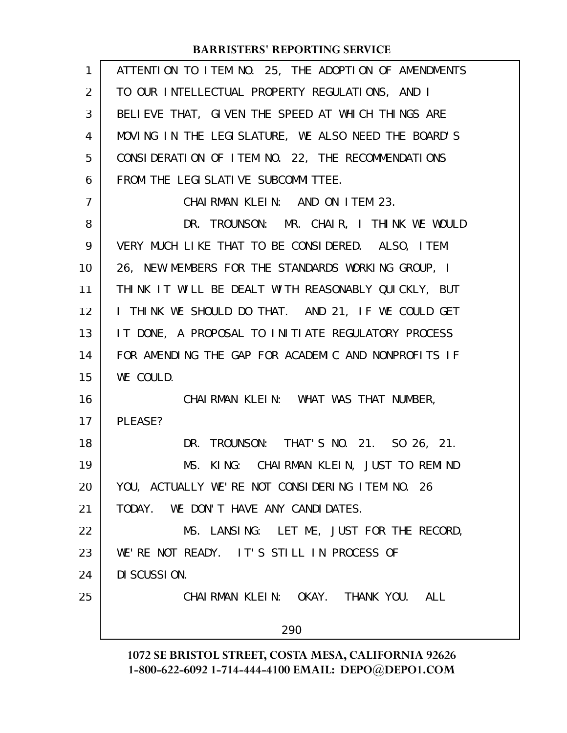| $\mathbf{1}$   | ATTENTION TO ITEM NO. 25, THE ADOPTION OF AMENDMENTS |
|----------------|------------------------------------------------------|
| 2              | TO OUR INTELLECTUAL PROPERTY REGULATIONS, AND I      |
| 3              | BELIEVE THAT, GIVEN THE SPEED AT WHICH THINGS ARE    |
| 4              | MOVING IN THE LEGISLATURE, WE ALSO NEED THE BOARD'S  |
| 5              | CONSIDERATION OF ITEM NO. 22, THE RECOMMENDATIONS    |
| 6              | FROM THE LEGI SLATI VE SUBCOMMITTEE.                 |
| $\overline{7}$ | CHAIRMAN KLEIN: AND ON ITEM 23.                      |
| 8              | DR. TROUNSON: MR. CHAIR, I THINK WE WOULD            |
| 9              | VERY MUCH LIKE THAT TO BE CONSIDERED. ALSO, ITEM     |
| 10             | 26, NEW MEMBERS FOR THE STANDARDS WORKING GROUP, I   |
| 11             | THINK IT WILL BE DEALT WITH REASONABLY QUICKLY, BUT  |
| 12             | I THINK WE SHOULD DO THAT. AND 21, IF WE COULD GET   |
| 13             | IT DONE, A PROPOSAL TO INITIATE REGULATORY PROCESS   |
| 14             | FOR AMENDING THE GAP FOR ACADEMIC AND NONPROFITS IF  |
| 15             | WE COULD.                                            |
| 16             | CHAIRMAN KLEIN: WHAT WAS THAT NUMBER,                |
| 17             | PLEASE?                                              |
| 18             | DR. TROUNSON: THAT'S NO. 21. SO 26, 21.              |
| 19             | MS. KING: CHAIRMAN KLEIN, JUST TO REMIND             |
| 20             | YOU, ACTUALLY WE'RE NOT CONSIDERING ITEM NO. 26      |
| 21             | TODAY. WE DON'T HAVE ANY CANDIDATES.                 |
| 22             | MS. LANSING: LET ME, JUST FOR THE RECORD,            |
| 23             | WE'RE NOT READY. IT'S STILL IN PROCESS OF            |
| 24             | DI SCUSSION.                                         |
| 25             | CHAIRMAN KLEIN: OKAY. THANK YOU. ALL                 |
|                | 290                                                  |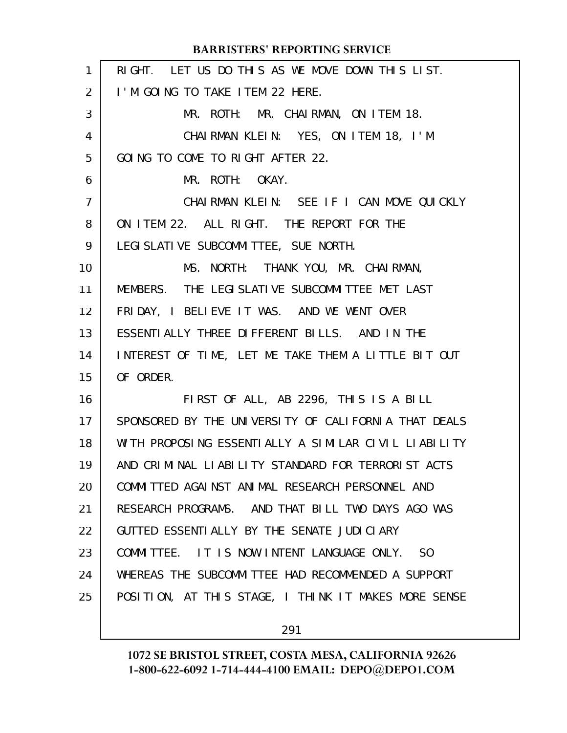|                | <b>BARRISTERS' REPORTING SERVICE</b>                         |
|----------------|--------------------------------------------------------------|
| $\mathbf{1}$   | RIGHT. LET US DO THIS AS WE MOVE DOWN THIS LIST.             |
| $\overline{2}$ | I'M GOING TO TAKE ITEM 22 HERE.                              |
| 3              | MR. ROTH: MR. CHAIRMAN, ON ITEM 18.                          |
| 4              | CHAIRMAN KLEIN: YES, ON ITEM 18, I'M                         |
| 5              | GOING TO COME TO RIGHT AFTER 22.                             |
| 6              | MR. ROTH: OKAY.                                              |
| $\overline{7}$ | CHAIRMAN KLEIN: SEE IF I CAN MOVE QUICKLY                    |
| 8              | ON ITEM 22. ALL RIGHT. THE REPORT FOR THE                    |
| 9              | LEGI SLATI VE SUBCOMMI TTEE, SUE NORTH.                      |
| 10             | MS. NORTH: THANK YOU, MR. CHAIRMAN,                          |
| 11             | MEMBERS. THE LEGISLATIVE SUBCOMMITTEE MET LAST               |
| 12             | FRIDAY, I BELIEVE IT WAS. AND WE WENT OVER                   |
| 13             | ESSENTIALLY THREE DIFFERENT BILLS. AND IN THE                |
| 14             | INTEREST OF TIME, LET ME TAKE THEM A LITTLE BIT OUT          |
| 15             | OF ORDER.                                                    |
| 16             | FIRST OF ALL, AB 2296, THIS IS A BILL                        |
| 17             | SPONSORED BY THE UNIVERSITY OF CALIFORNIA THAT DEALS         |
| 18             | WITH PROPOSING ESSENTIALLY A SIMILAR CIVIL LIABILITY         |
| 19             | AND CRIMINAL LIABILITY STANDARD FOR TERRORIST ACTS           |
| 20             | COMMITTED AGAINST ANIMAL RESEARCH PERSONNEL AND              |
| 21             | RESEARCH PROGRAMS. AND THAT BILL TWO DAYS AGO WAS            |
| 22             | GUTTED ESSENTIALLY BY THE SENATE JUDICIARY                   |
| 23             | COMMITTEE. IT IS NOW INTENT LANGUAGE ONLY.<br>S <sub>0</sub> |
| 24             | WHEREAS THE SUBCOMMITTEE HAD RECOMMENDED A SUPPORT           |
| 25             | POSITION, AT THIS STAGE, I THINK IT MAKES MORE SENSE         |
|                |                                                              |

291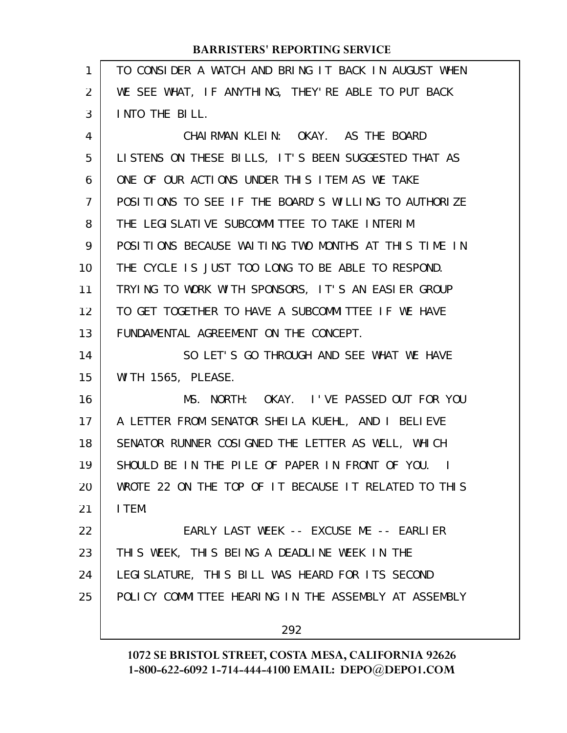| 1  | TO CONSIDER A WATCH AND BRING IT BACK IN AUGUST WHEN |
|----|------------------------------------------------------|
| 2  | WE SEE WHAT, IF ANYTHING, THEY'RE ABLE TO PUT BACK   |
| 3  | INTO THE BILL.                                       |
| 4  | CHAIRMAN KLEIN: OKAY. AS THE BOARD                   |
| 5  | LISTENS ON THESE BILLS, IT'S BEEN SUGGESTED THAT AS  |
| 6  | ONE OF OUR ACTIONS UNDER THIS ITEM AS WE TAKE        |
| 7  | POSITIONS TO SEE IF THE BOARD'S WILLING TO AUTHORIZE |
| 8  | THE LEGISLATIVE SUBCOMMITTEE TO TAKE INTERIM         |
| 9  | POSITIONS BECAUSE WAITING TWO MONTHS AT THIS TIME IN |
| 10 | THE CYCLE IS JUST TOO LONG TO BE ABLE TO RESPOND.    |
| 11 | TRYING TO WORK WITH SPONSORS, IT'S AN EASIER GROUP   |
| 12 | TO GET TOGETHER TO HAVE A SUBCOMMITTEE IF WE HAVE    |
| 13 | FUNDAMENTAL AGREEMENT ON THE CONCEPT.                |
| 14 | SO LET'S GO THROUGH AND SEE WHAT WE HAVE             |
| 15 | WITH 1565, PLEASE.                                   |
| 16 | MS. NORTH: OKAY. I'VE PASSED OUT FOR YOU             |
| 17 | A LETTER FROM SENATOR SHEILA KUEHL, AND I BELIEVE    |
| 18 | SENATOR RUNNER COSIGNED THE LETTER AS WELL, WHICH    |
| 19 | SHOULD BE IN THE PILE OF PAPER IN FRONT OF YOU. I    |
| 20 | WROTE 22 ON THE TOP OF IT BECAUSE IT RELATED TO THIS |
| 21 | I TEM.                                               |
| 22 | EARLY LAST WEEK -- EXCUSE ME -- EARLIER              |
| 23 | THIS WEEK, THIS BEING A DEADLINE WEEK IN THE         |
| 24 | LEGI SLATURE, THIS BILL WAS HEARD FOR ITS SECOND     |
| 25 | POLICY COMMITTEE HEARING IN THE ASSEMBLY AT ASSEMBLY |
|    | 292                                                  |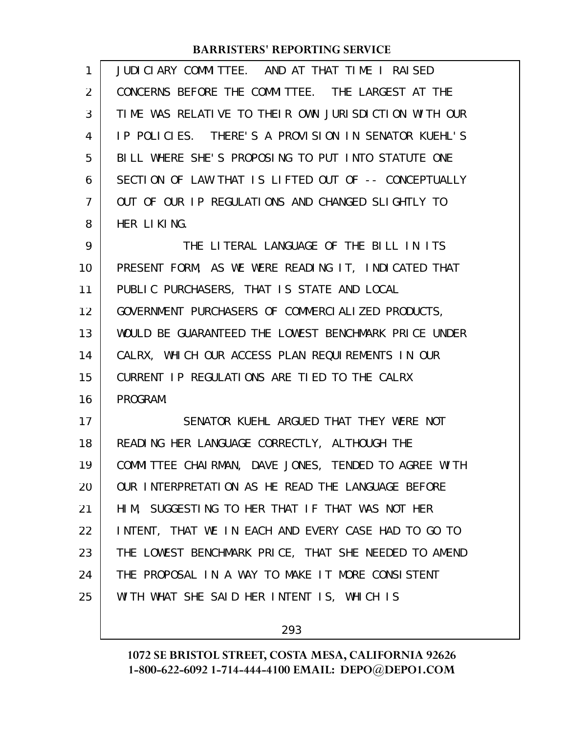| 1  | JUDICIARY COMMITTEE. AND AT THAT TIME I RAISED       |
|----|------------------------------------------------------|
| 2  | CONCERNS BEFORE THE COMMITTEE. THE LARGEST AT THE    |
| 3  | TIME WAS RELATIVE TO THEIR OWN JURISDICTION WITH OUR |
| 4  | IP POLICIES. THERE'S A PROVISION IN SENATOR KUEHL'S  |
| 5  | BILL WHERE SHE'S PROPOSING TO PUT INTO STATUTE ONE   |
| 6  | SECTION OF LAW THAT IS LIFTED OUT OF -- CONCEPTUALLY |
| 7  | OUT OF OUR IP REGULATIONS AND CHANGED SLIGHTLY TO    |
| 8  | HER LIKING.                                          |
| 9  | THE LITERAL LANGUAGE OF THE BILL IN ITS              |
| 10 | PRESENT FORM, AS WE WERE READING IT, INDICATED THAT  |
| 11 | PUBLIC PURCHASERS, THAT IS STATE AND LOCAL           |
| 12 | GOVERNMENT PURCHASERS OF COMMERCIALIZED PRODUCTS,    |
| 13 | WOULD BE GUARANTEED THE LOWEST BENCHMARK PRICE UNDER |
| 14 | CALRX, WHICH OUR ACCESS PLAN REQUIREMENTS IN OUR     |
| 15 | CURRENT IP REGULATIONS ARE TIED TO THE CALRX         |
| 16 | PROGRAM.                                             |
| 17 | SENATOR KUEHL ARGUED THAT THEY WERE NOT              |
| 18 | READING HER LANGUAGE CORRECTLY, ALTHOUGH THE         |
| 19 | COMMITTEE CHAIRMAN, DAVE JONES, TENDED TO AGREE WITH |
| 20 | OUR INTERPRETATION AS HE READ THE LANGUAGE BEFORE    |
| 21 | HIM, SUGGESTING TO HER THAT IF THAT WAS NOT HER      |
| 22 | INTENT, THAT WE IN EACH AND EVERY CASE HAD TO GO TO  |
| 23 | THE LOWEST BENCHMARK PRICE, THAT SHE NEEDED TO AMEND |
| 24 | THE PROPOSAL IN A WAY TO MAKE IT MORE CONSISTENT     |
| 25 | WITH WHAT SHE SAID HER INTENT IS, WHICH IS           |
|    |                                                      |

293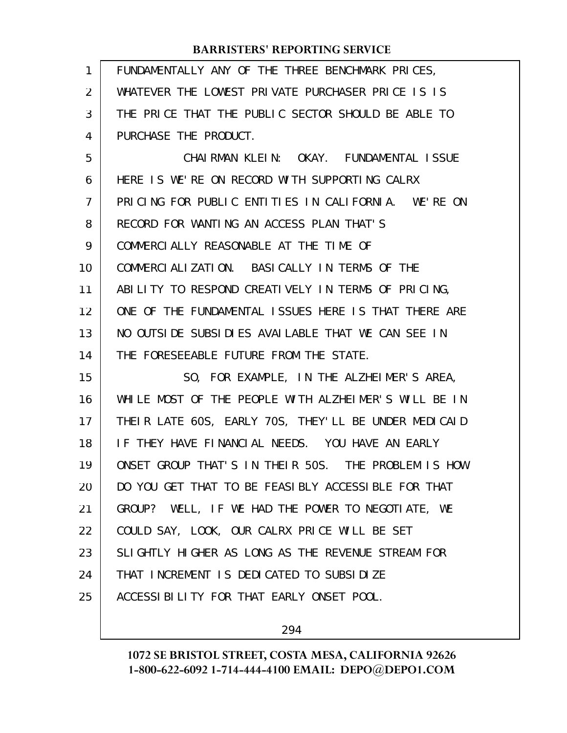| $\mathbf{1}$ | FUNDAMENTALLY ANY OF THE THREE BENCHMARK PRICES,     |
|--------------|------------------------------------------------------|
| 2            | WHATEVER THE LOWEST PRIVATE PURCHASER PRICE IS IS    |
| 3            | THE PRICE THAT THE PUBLIC SECTOR SHOULD BE ABLE TO   |
| 4            | PURCHASE THE PRODUCT.                                |
| 5            | CHAIRMAN KLEIN: OKAY. FUNDAMENTAL ISSUE              |
| 6            | HERE IS WE'RE ON RECORD WITH SUPPORTING CALRX        |
| 7            | PRICING FOR PUBLIC ENTITIES IN CALIFORNIA. WE'RE ON  |
| 8            | RECORD FOR WANTING AN ACCESS PLAN THAT'S             |
| 9            | COMMERCIALLY REASONABLE AT THE TIME OF               |
| 10           | COMMERCIALIZATION. BASICALLY IN TERMS OF THE         |
| 11           | ABILITY TO RESPOND CREATIVELY IN TERMS OF PRICING,   |
| 12           | ONE OF THE FUNDAMENTAL ISSUES HERE IS THAT THERE ARE |
| 13           | NO OUTSIDE SUBSIDIES AVAILABLE THAT WE CAN SEE IN    |
| 14           | THE FORESEEABLE FUTURE FROM THE STATE.               |
| 15           | SO, FOR EXAMPLE, IN THE ALZHEIMER'S AREA,            |
| 16           | WHILE MOST OF THE PEOPLE WITH ALZHEIMER'S WILL BE IN |
| 17           | THEIR LATE 60S, EARLY 70S, THEY'LL BE UNDER MEDICAID |
| 18           | IF THEY HAVE FINANCIAL NEEDS. YOU HAVE AN EARLY      |
| 19           | ONSET GROUP THAT'S IN THEIR 50S. THE PROBLEM IS HOW  |
| 20           | DO YOU GET THAT TO BE FEASIBLY ACCESSIBLE FOR THAT   |
| 21           | GROUP? WELL, IF WE HAD THE POWER TO NEGOTIATE, WE    |
| 22           | COULD SAY, LOOK, OUR CALRX PRICE WILL BE SET         |
| 23           | SLIGHTLY HIGHER AS LONG AS THE REVENUE STREAM FOR    |
| 24           | THAT INCREMENT IS DEDICATED TO SUBSIDIZE             |
| 25           | ACCESSIBILITY FOR THAT EARLY ONSET POOL.             |
|              |                                                      |

294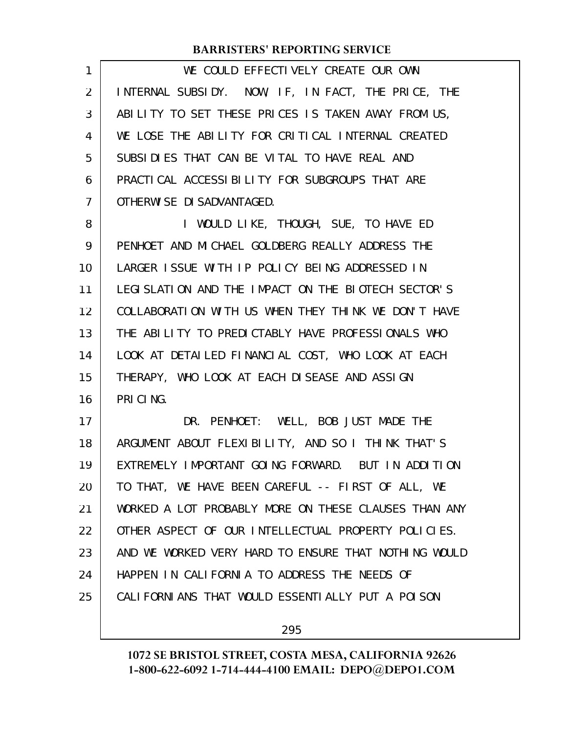WE COULD EFFECTIVELY CREATE OUR OWN INTERNAL SUBSIDY. NOW, IF, IN FACT, THE PRICE, THE ABILITY TO SET THESE PRICES IS TAKEN AWAY FROM US, WE LOSE THE ABILITY FOR CRITICAL INTERNAL CREATED SUBSIDIES THAT CAN BE VITAL TO HAVE REAL AND PRACTICAL ACCESSIBILITY FOR SUBGROUPS THAT ARE OTHERWISE DISADVANTAGED. 1 2 3 4 5 6 7

I WOULD LIKE, THOUGH, SUE, TO HAVE ED PENHOET AND MICHAEL GOLDBERG REALLY ADDRESS THE LARGER ISSUE WITH IP POLICY BEING ADDRESSED IN LEGISLATION AND THE IMPACT ON THE BIOTECH SECTOR'S COLLABORATION WITH US WHEN THEY THINK WE DON'T HAVE THE ABILITY TO PREDICTABLY HAVE PROFESSIONALS WHO LOOK AT DETAILED FINANCIAL COST, WHO LOOK AT EACH THERAPY, WHO LOOK AT EACH DISEASE AND ASSIGN PRICING. 8 9 10 11 12 13 14 15 16

DR. PENHOET: WELL, BOB JUST MADE THE ARGUMENT ABOUT FLEXIBILITY, AND SO I THINK THAT'S EXTREMELY IMPORTANT GOING FORWARD. BUT IN ADDITION TO THAT, WE HAVE BEEN CAREFUL -- FIRST OF ALL, WE WORKED A LOT PROBABLY MORE ON THESE CLAUSES THAN ANY OTHER ASPECT OF OUR INTELLECTUAL PROPERTY POLICIES. AND WE WORKED VERY HARD TO ENSURE THAT NOTHING WOULD HAPPEN IN CALIFORNIA TO ADDRESS THE NEEDS OF CALIFORNIANS THAT WOULD ESSENTIALLY PUT A POISON 17 18 19 20 21 22 23 24 25

295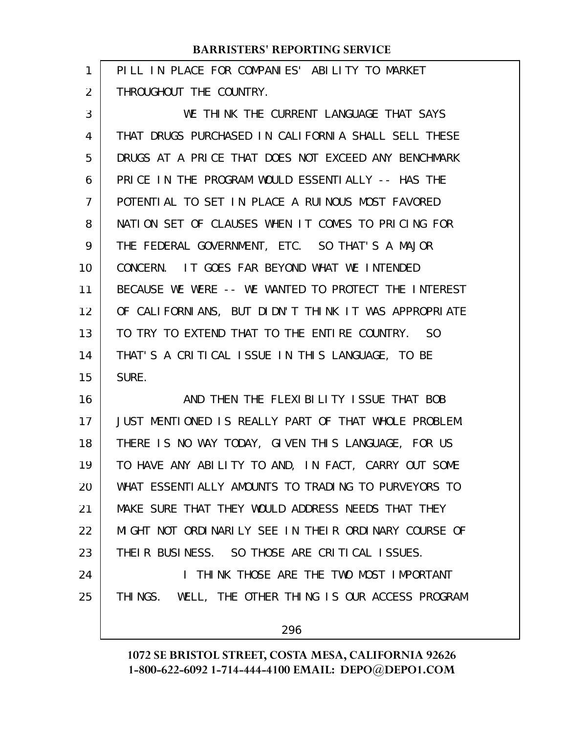PILL IN PLACE FOR COMPANIES' ABILITY TO MARKET THROUGHOUT THE COUNTRY. 1 2

WE THINK THE CURRENT LANGUAGE THAT SAYS THAT DRUGS PURCHASED IN CALIFORNIA SHALL SELL THESE DRUGS AT A PRICE THAT DOES NOT EXCEED ANY BENCHMARK PRICE IN THE PROGRAM WOULD ESSENTIALLY -- HAS THE POTENTIAL TO SET IN PLACE A RUINOUS MOST FAVORED NATION SET OF CLAUSES WHEN IT COMES TO PRICING FOR THE FEDERAL GOVERNMENT, ETC. SO THAT'S A MAJOR CONCERN. IT GOES FAR BEYOND WHAT WE INTENDED BECAUSE WE WERE -- WE WANTED TO PROTECT THE INTEREST OF CALIFORNIANS, BUT DIDN'T THINK IT WAS APPROPRIATE TO TRY TO EXTEND THAT TO THE ENTIRE COUNTRY. SO THAT'S A CRITICAL ISSUE IN THIS LANGUAGE, TO BE SURE. 3 4 5 6 7 8 9 10 11 12 13 14 15

AND THEN THE FLEXIBILITY ISSUE THAT BOB JUST MENTIONED IS REALLY PART OF THAT WHOLE PROBLEM. THERE IS NO WAY TODAY, GIVEN THIS LANGUAGE, FOR US TO HAVE ANY ABILITY TO AND, IN FACT, CARRY OUT SOME WHAT ESSENTIALLY AMOUNTS TO TRADING TO PURVEYORS TO MAKE SURE THAT THEY WOULD ADDRESS NEEDS THAT THEY MIGHT NOT ORDINARILY SEE IN THEIR ORDINARY COURSE OF THEIR BUSINESS. SO THOSE ARE CRITICAL ISSUES. 16 17 18 19 20 21 22 23

I THINK THOSE ARE THE TWO MOST IMPORTANT THINGS. WELL, THE OTHER THING IS OUR ACCESS PROGRAM

24

25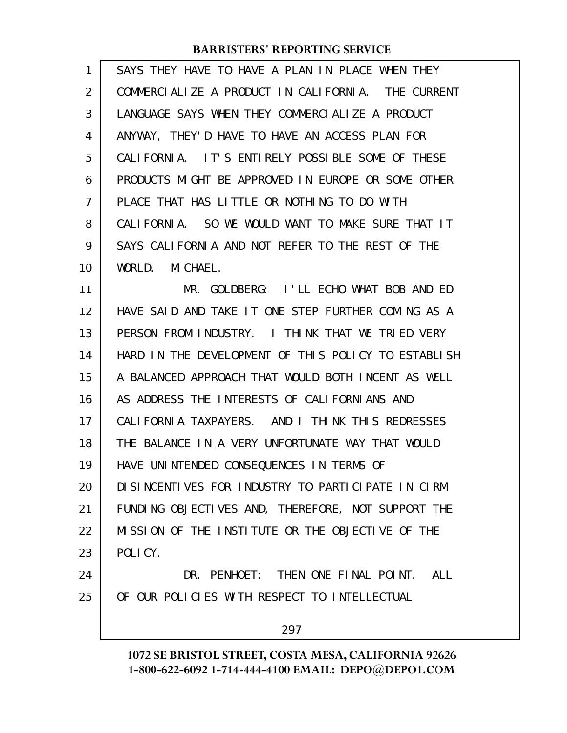| 1              | SAYS THEY HAVE TO HAVE A PLAN IN PLACE WHEN THEY    |
|----------------|-----------------------------------------------------|
| $\overline{2}$ | COMMERCIALIZE A PRODUCT IN CALIFORNIA. THE CURRENT  |
| 3              | LANGUAGE SAYS WHEN THEY COMMERCIALIZE A PRODUCT     |
| 4              | ANYWAY, THEY'D HAVE TO HAVE AN ACCESS PLAN FOR      |
| 5              | CALIFORNIA. IT'S ENTIRELY POSSIBLE SOME OF THESE    |
| 6              | PRODUCTS MIGHT BE APPROVED IN EUROPE OR SOME OTHER  |
| 7              | PLACE THAT HAS LITTLE OR NOTHING TO DO WITH         |
| 8              | CALIFORNIA. SO WE WOULD WANT TO MAKE SURE THAT IT   |
| 9              | SAYS CALLFORNLA AND NOT REFER TO THE REST OF THE    |
| 10             | WORLD. MICHAEL.                                     |
| 11             | MR. GOLDBERG: I'LL ECHO WHAT BOB AND ED             |
| 12             | HAVE SAID AND TAKE IT ONE STEP FURTHER COMING AS A  |
| 13             | PERSON FROM INDUSTRY. I THINK THAT WE TRIED VERY    |
| 14             | HARD IN THE DEVELOPMENT OF THIS POLICY TO ESTABLISH |
| 15             | A BALANCED APPROACH THAT WOULD BOTH INCENT AS WELL  |
| 16             | AS ADDRESS THE INTERESTS OF CALIFORNIANS AND        |
| 17             | CALIFORNIA TAXPAYERS. AND I THINK THIS REDRESSES    |
| 18             | THE BALANCE IN A VERY UNFORTUNATE WAY THAT WOULD    |
| 19             | HAVE UNINTENDED CONSEQUENCES IN TERMS OF            |
| 20             | DISINCENTIVES FOR INDUSTRY TO PARTICIPATE IN CIRM   |
| 21             | FUNDING OBJECTIVES AND, THEREFORE, NOT SUPPORT THE  |
| 22             | MISSION OF THE INSTITUTE OR THE OBJECTIVE OF THE    |
| 23             | POLICY.                                             |
| 24             | DR. PENHOET: THEN ONE FINAL POINT. ALL              |
| 25             | OF OUR POLICIES WITH RESPECT TO INTELLECTUAL        |
|                | 297                                                 |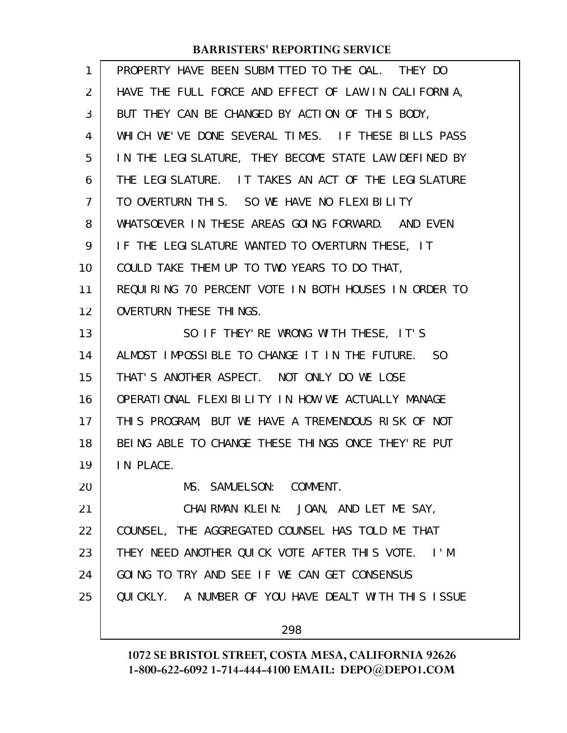| $\mathbf{1}$ | PROPERTY HAVE BEEN SUBMITTED TO THE OAL. THEY DO     |
|--------------|------------------------------------------------------|
| 2            | HAVE THE FULL FORCE AND EFFECT OF LAW IN CALIFORNIA, |
| 3            | BUT THEY CAN BE CHANGED BY ACTION OF THIS BODY,      |
| 4            | WHICH WE'VE DONE SEVERAL TIMES. IF THESE BILLS PASS  |
| 5            | IN THE LEGISLATURE, THEY BECOME STATE LAW DEFINED BY |
| 6            | THE LEGISLATURE. IT TAKES AN ACT OF THE LEGISLATURE  |
| 7            | TO OVERTURN THIS. SO WE HAVE NO FLEXIBILITY          |
| 8            | WHATSOEVER IN THESE AREAS GOING FORWARD. AND EVEN    |
| 9            | IF THE LEGISLATURE WANTED TO OVERTURN THESE, IT      |
| 10           | COULD TAKE THEM UP TO TWO YEARS TO DO THAT,          |
| 11           | REQUIRING 70 PERCENT VOTE IN BOTH HOUSES IN ORDER TO |
| 12           | OVERTURN THESE THINGS.                               |
| 13           | SO IF THEY' RE WRONG WITH THESE, IT'S                |
| 14           | ALMOST IMPOSSIBLE TO CHANGE IT IN THE FUTURE. SO     |
| 15           | THAT'S ANOTHER ASPECT. NOT ONLY DO WE LOSE           |
| 16           | OPERATIONAL FLEXIBILITY IN HOW WE ACTUALLY MANAGE    |
| 17           | THIS PROGRAM, BUT WE HAVE A TREMENDOUS RISK OF NOT   |
| 18           | BEING ABLE TO CHANGE THESE THINGS ONCE THEY' RE PUT  |
| 19           | IN PLACE.                                            |
| 20           | MS. SAMUELSON: COMMENT.                              |
| 21           | CHAIRMAN KLEIN: JOAN, AND LET ME SAY,                |
| 22           | COUNSEL, THE AGGREGATED COUNSEL HAS TOLD ME THAT     |
| 23           | THEY NEED ANOTHER QUICK VOTE AFTER THIS VOTE. I'M    |
| 24           | GOING TO TRY AND SEE IF WE CAN GET CONSENSUS         |
| 25           | QUICKLY. A NUMBER OF YOU HAVE DEALT WITH THIS ISSUE  |
|              | 298                                                  |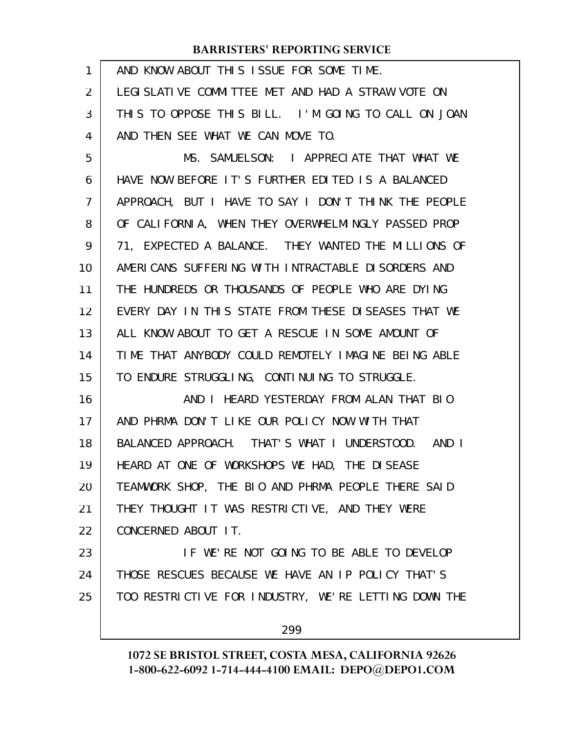| $\mathbf{1}$ | AND KNOW ABOUT THIS ISSUE FOR SOME TIME.             |
|--------------|------------------------------------------------------|
| 2            | LEGI SLATI VE COMMITTEE MET AND HAD A STRAW VOTE ON  |
| 3            | THIS TO OPPOSE THIS BILL. I'M GOING TO CALL ON JOAN  |
| 4            | AND THEN SEE WHAT WE CAN MOVE TO.                    |
| 5            | MS. SAMUELSON: I APPRECIATE THAT WHAT WE             |
| 6            | HAVE NOW BEFORE IT'S FURTHER EDITED IS A BALANCED    |
| 7            | APPROACH, BUT I HAVE TO SAY I DON'T THINK THE PEOPLE |
| 8            | OF CALIFORNIA, WHEN THEY OVERWHELMINGLY PASSED PROP  |
| 9            | 71, EXPECTED A BALANCE. THEY WANTED THE MILLIONS OF  |
| 10           | AMERICANS SUFFERING WITH INTRACTABLE DISORDERS AND   |
| 11           | THE HUNDREDS OR THOUSANDS OF PEOPLE WHO ARE DYING    |
| 12           | EVERY DAY IN THIS STATE FROM THESE DISEASES THAT WE  |
| 13           | ALL KNOW ABOUT TO GET A RESCUE IN SOME AMOUNT OF     |
| 14           | TIME THAT ANYBODY COULD REMOTELY IMAGINE BEING ABLE  |
| 15           | TO ENDURE STRUGGLING, CONTINUING TO STRUGGLE.        |
| 16           | AND I HEARD YESTERDAY FROM ALAN THAT BIO             |
| 17           | AND PHRMA DON'T LIKE OUR POLICY NOW WITH THAT        |
| 18           | BALANCED APPROACH. THAT'S WHAT I UNDERSTOOD. AND I   |
| 19           | HEARD AT ONE OF WORKSHOPS WE HAD, THE DISEASE        |
| 20           | TEAMWORK SHOP, THE BIO AND PHRMA PEOPLE THERE SAID   |
| 21           | THEY THOUGHT IT WAS RESTRICTIVE, AND THEY WERE       |
| 22           | CONCERNED ABOUT IT.                                  |
| 23           | IF WE'RE NOT GOING TO BE ABLE TO DEVELOP             |
| 24           | THOSE RESCUES BECAUSE WE HAVE AN IP POLICY THAT'S    |
| 25           | TOO RESTRICTIVE FOR INDUSTRY, WE'RE LETTING DOWN THE |
|              | 299                                                  |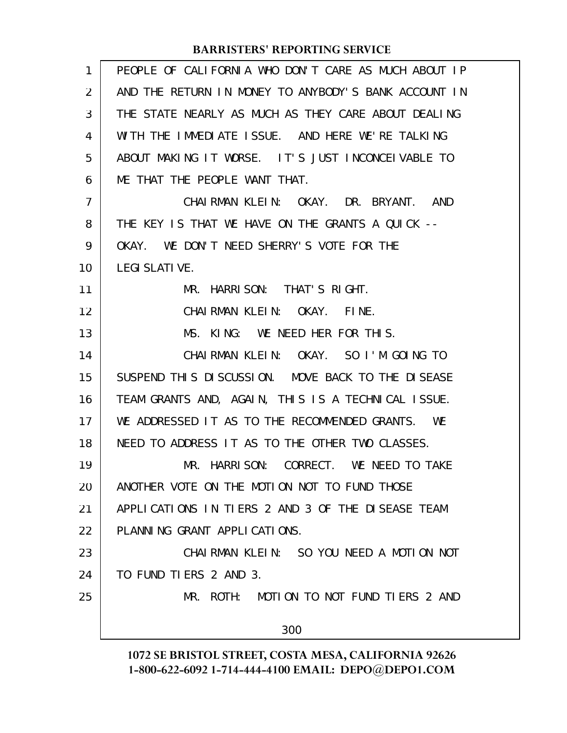| 1              | PEOPLE OF CALIFORNIA WHO DON'T CARE AS MUCH ABOUT IP |
|----------------|------------------------------------------------------|
| $\overline{2}$ | AND THE RETURN IN MONEY TO ANYBODY'S BANK ACCOUNT IN |
| 3              | THE STATE NEARLY AS MUCH AS THEY CARE ABOUT DEALING  |
| 4              | WITH THE IMMEDIATE ISSUE. AND HERE WE'RE TALKING     |
| 5              | ABOUT MAKING IT WORSE. IT'S JUST INCONCEIVABLE TO    |
| 6              | ME THAT THE PEOPLE WANT THAT.                        |
| $\overline{7}$ | CHAIRMAN KLEIN: OKAY. DR. BRYANT. AND                |
| 8              | THE KEY IS THAT WE HAVE ON THE GRANTS A QUICK --     |
| 9              | OKAY. WE DON'T NEED SHERRY'S VOTE FOR THE            |
| 10             | <b>LEGI SLATI VE.</b>                                |
| 11             | MR. HARRISON: THAT'S RIGHT.                          |
| 12             | CHAIRMAN KLEIN: OKAY.<br>FINE.                       |
| 13             | MS. KING: WE NEED HER FOR THIS.                      |
| 14             | CHAIRMAN KLEIN: OKAY. SO I'M GOING TO                |
| 15             | SUSPEND THIS DISCUSSION. MOVE BACK TO THE DISEASE    |
| 16             | TEAM GRANTS AND, AGAIN, THIS IS A TECHNICAL ISSUE.   |
| 17             | WE ADDRESSED IT AS TO THE RECOMMENDED GRANTS.<br>WE  |
| 18             | NEED TO ADDRESS IT AS TO THE OTHER TWO CLASSES.      |
| 19             | MR. HARRISON: CORRECT. WE NEED TO TAKE               |
| 20             | ANOTHER VOTE ON THE MOTION NOT TO FUND THOSE         |
| 21             | APPLICATIONS IN TIERS 2 AND 3 OF THE DISEASE TEAM    |
| 22             | PLANNING GRANT APPLICATIONS.                         |
| 23             | CHAIRMAN KLEIN: SO YOU NEED A MOTION NOT             |
| 24             | TO FUND TIERS 2 AND 3.                               |
| 25             | MR. ROTH: MOTION TO NOT FUND TIERS 2 AND             |
|                | 300                                                  |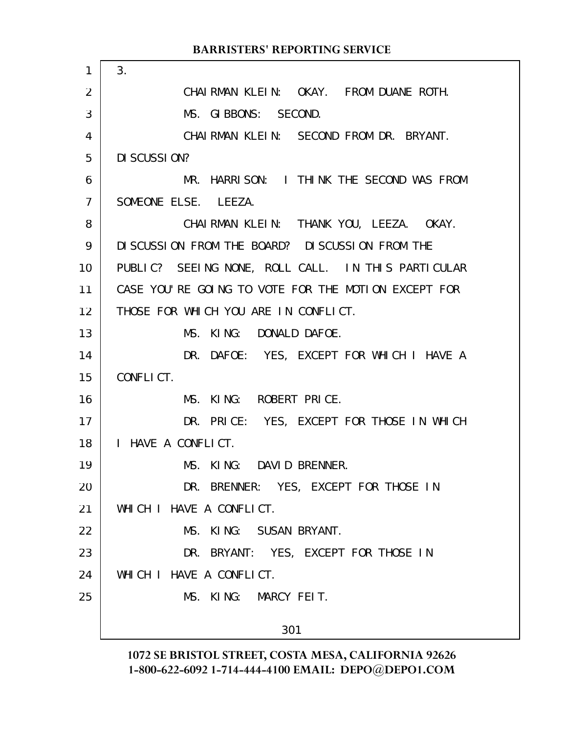|                | <b>BARRISTERS' REPORTING SERVICE</b>                |
|----------------|-----------------------------------------------------|
| 1              | 3.                                                  |
| 2              | CHAIRMAN KLEIN: OKAY. FROM DUANE ROTH.              |
| 3              | MS. GIBBONS: SECOND.                                |
| 4              | CHAIRMAN KLEIN: SECOND FROM DR. BRYANT.             |
| 5              | DI SCUSSION?                                        |
| 6              | MR. HARRISON: I THINK THE SECOND WAS FROM           |
| $\overline{7}$ | SOMEONE ELSE. LEEZA.                                |
| 8              | CHAIRMAN KLEIN: THANK YOU, LEEZA. OKAY.             |
| 9              | DI SCUSSION FROM THE BOARD? DI SCUSSION FROM THE    |
| 10             | PUBLIC? SEEING NONE, ROLL CALL. IN THIS PARTICULAR  |
| 11             | CASE YOU'RE GOING TO VOTE FOR THE MOTION EXCEPT FOR |
| 12             | THOSE FOR WHICH YOU ARE IN CONFLICT.                |
| 13             | MS. KING: DONALD DAFOE.                             |
| 14             | DR. DAFOE: YES, EXCEPT FOR WHICH I HAVE A           |
| 15             | CONFLICT.                                           |
| 16             | MS. KING: ROBERT PRICE.                             |
| 17             | DR. PRICE: YES, EXCEPT FOR THOSE IN WHICH           |
| 18             | I HAVE A CONFLICT.                                  |
| 19             | KING: DAVID BRENNER.<br>MS.                         |
| 20             | DR. BRENNER: YES, EXCEPT FOR THOSE IN               |
| 21             | WHICH I HAVE A CONFLICT.                            |
| 22             | MS. KING: SUSAN BRYANT.                             |
| 23             | DR. BRYANT: YES, EXCEPT FOR THOSE IN                |
| 24             | WHICH I HAVE A CONFLICT.                            |
| 25             | MS. KING: MARCY FEIT.                               |
|                | 301                                                 |
|                |                                                     |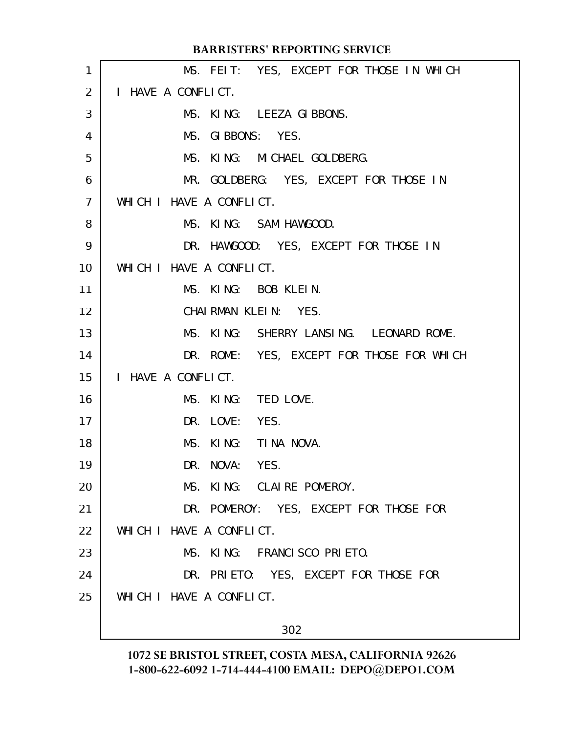|                | <b>BARRISTERS' REPORTING SERVICE</b>      |
|----------------|-------------------------------------------|
| 1              | MS. FEIT: YES, EXCEPT FOR THOSE IN WHICH  |
| 2              | I HAVE A CONFLICT.                        |
| 3              | MS. KING: LEEZA GIBBONS.                  |
| 4              | MS. GIBBONS: YES.                         |
| 5              | MS. KING: MICHAEL GOLDBERG.               |
| 6              | MR. GOLDBERG: YES, EXCEPT FOR THOSE IN    |
| $\overline{7}$ | WHICH I HAVE A CONFLICT.                  |
| 8              | MS. KING: SAM HAWGOOD.                    |
| 9              | DR. HAWGOOD: YES, EXCEPT FOR THOSE IN     |
| 10             | WHICH I HAVE A CONFLICT.                  |
| 11             | MS. KING: BOB KLEIN.                      |
| 12             | CHAIRMAN KLEIN: YES.                      |
| 13             | MS. KING: SHERRY LANSING. LEONARD ROME.   |
| 14             | DR. ROME: YES, EXCEPT FOR THOSE FOR WHICH |
| 15             | I HAVE A CONFLICT.                        |
| 16             | MS. KING: TED LOVE.                       |
| 17             | DR. LOVE: YES.                            |
| 18             | KING: TINA NOVA.<br>MS.                   |
| 19             | DR. NOVA: YES.                            |
| 20             | MS. KING: CLAIRE POMEROY.                 |
| 21             | DR. POMEROY: YES, EXCEPT FOR THOSE FOR    |
| 22             | WHICH I HAVE A CONFLICT.                  |
| 23             | MS. KING: FRANCISCO PRIETO.               |
| 24             | DR. PRIETO: YES, EXCEPT FOR THOSE FOR     |
| 25             | WHICH I HAVE A CONFLICT.                  |
|                | 302                                       |
|                |                                           |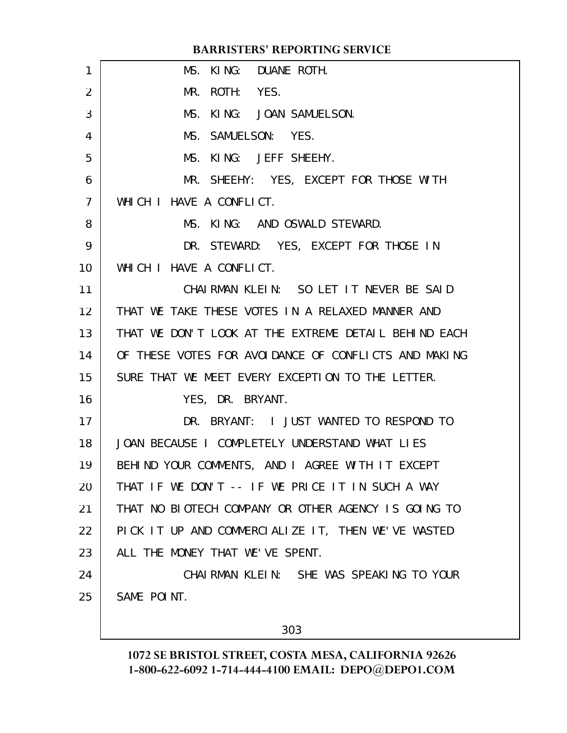| $\mathbf{1}$    | MS. KING: DUANE ROTH.                                |
|-----------------|------------------------------------------------------|
| 2               | MR. ROTH: YES.                                       |
| 3               | MS. KING: JOAN SAMUELSON.                            |
| 4               | MS. SAMUELSON: YES.                                  |
| 5               | MS. KING: JEFF SHEEHY.                               |
| 6               | MR. SHEEHY: YES, EXCEPT FOR THOSE WITH               |
| $\overline{7}$  | WHICH I HAVE A CONFLICT.                             |
| 8               | MS. KING: AND OSWALD STEWARD.                        |
| 9               | DR. STEWARD: YES, EXCEPT FOR THOSE IN                |
| 10              | WHICH I HAVE A CONFLICT.                             |
| 11              | CHAIRMAN KLEIN: SO LET IT NEVER BE SAID              |
| 12 <sup>2</sup> | THAT WE TAKE THESE VOTES IN A RELAXED MANNER AND     |
| 13              | THAT WE DON'T LOOK AT THE EXTREME DETAIL BEHIND EACH |
| 14              | OF THESE VOTES FOR AVOIDANCE OF CONFLICTS AND MAKING |
| 15              | SURE THAT WE MEET EVERY EXCEPTION TO THE LETTER.     |
| 16              | YES, DR. BRYANT.                                     |
| 17              | DR. BRYANT: I JUST WANTED TO RESPOND TO              |
| 18              | JOAN BECAUSE I COMPLETELY UNDERSTAND WHAT LIES       |
| 19              | BEHIND YOUR COMMENTS, AND I AGREE WITH IT EXCEPT     |
| 20              | THAT IF WE DON'T -- IF WE PRICE IT IN SUCH A WAY     |
| 21              | THAT NO BIOTECH COMPANY OR OTHER AGENCY IS GOING TO  |
| 22              | PICK IT UP AND COMMERCIALIZE IT, THEN WE'VE WASTED   |
| 23              | ALL THE MONEY THAT WE'VE SPENT.                      |
| 24              | CHAIRMAN KLEIN: SHE WAS SPEAKING TO YOUR             |
| 25              | SAME POINT.                                          |
|                 |                                                      |
|                 |                                                      |

303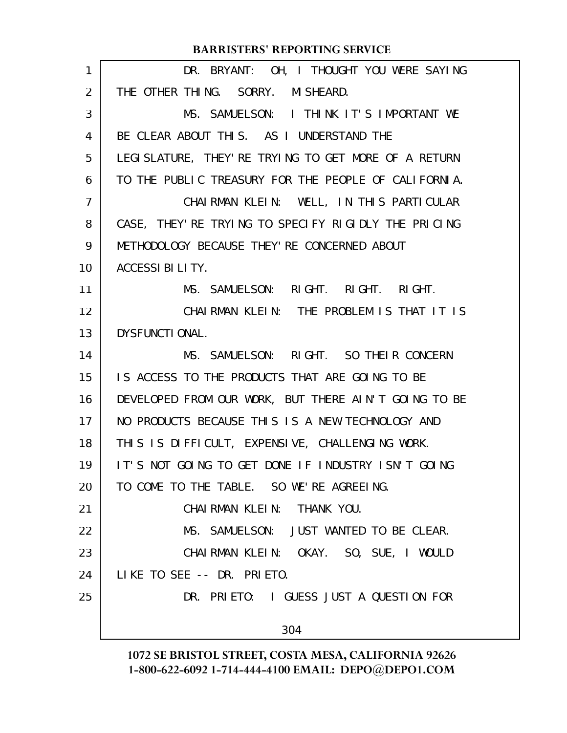| 1              | DR. BRYANT: OH, I THOUGHT YOU WERE SAYING             |
|----------------|-------------------------------------------------------|
| 2              | THE OTHER THING. SORRY. MISHEARD.                     |
| 3              | MS. SAMUELSON: I THINK IT'S IMPORTANT WE              |
| 4              | BE CLEAR ABOUT THIS. AS I UNDERSTAND THE              |
| 5              | LEGI SLATURE, THEY' RE TRYING TO GET MORE OF A RETURN |
| 6              | TO THE PUBLIC TREASURY FOR THE PEOPLE OF CALIFORNIA.  |
| $\overline{7}$ | CHAIRMAN KLEIN: WELL, IN THIS PARTICULAR              |
| 8              | CASE, THEY' RE TRYING TO SPECIFY RIGIDLY THE PRICING  |
| 9              | METHODOLOGY BECAUSE THEY' RE CONCERNED ABOUT          |
| 10             | ACCESSI BILITY.                                       |
| 11             | MS. SAMUELSON: RIGHT. RIGHT. RIGHT.                   |
| 12             | CHAIRMAN KLEIN: THE PROBLEM IS THAT IT IS             |
| 13             | DYSFUNCTIONAL.                                        |
| 14             | MS. SAMUELSON: RIGHT. SO THEIR CONCERN                |
| 15             | IS ACCESS TO THE PRODUCTS THAT ARE GOING TO BE        |
| 16             | DEVELOPED FROM OUR WORK, BUT THERE AIN'T GOING TO BE  |
| 17             | NO PRODUCTS BECAUSE THIS IS A NEW TECHNOLOGY AND      |
| 18             | THIS IS DIFFICULT, EXPENSIVE, CHALLENGING WORK.       |
| 19             | IT'S NOT GOING TO GET DONE IF INDUSTRY ISN'T GOING    |
| 20             | TO COME TO THE TABLE. SO WE'RE AGREEING.              |
| 21             | CHAIRMAN KLEIN: THANK YOU.                            |
| 22             | MS. SAMUELSON: JUST WANTED TO BE CLEAR.               |
| 23             | CHAIRMAN KLEIN: OKAY. SO, SUE, I WOULD                |
| 24             | LIKE TO SEE -- DR. PRIETO.                            |
| 25             | DR. PRIETO: I GUESS JUST A QUESTION FOR               |
|                | 304                                                   |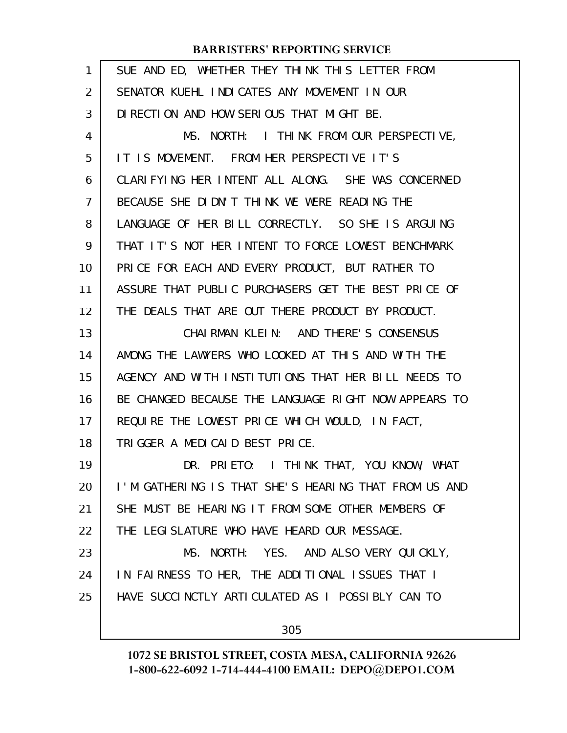| 1              | SUE AND ED, WHETHER THEY THINK THIS LETTER FROM      |
|----------------|------------------------------------------------------|
| 2              | SENATOR KUEHL INDICATES ANY MOVEMENT IN OUR          |
| 3              | DI RECTION AND HOW SERIOUS THAT MIGHT BE.            |
| 4              | MS. NORTH: I THINK FROM OUR PERSPECTIVE,             |
| 5              | IT IS MOVEMENT. FROM HER PERSPECTIVE IT'S            |
| 6              | CLARIFYING HER INTENT ALL ALONG. SHE WAS CONCERNED   |
| $\overline{7}$ | BECAUSE SHE DIDN'T THINK WE WERE READING THE         |
| 8              | LANGUAGE OF HER BILL CORRECTLY. SO SHE IS ARGUING    |
| 9              | THAT IT'S NOT HER INTENT TO FORCE LOWEST BENCHMARK   |
| 10             | PRICE FOR EACH AND EVERY PRODUCT, BUT RATHER TO      |
| 11             | ASSURE THAT PUBLIC PURCHASERS GET THE BEST PRICE OF  |
| 12             | THE DEALS THAT ARE OUT THERE PRODUCT BY PRODUCT.     |
| 13             | CHAIRMAN KLEIN: AND THERE'S CONSENSUS                |
| 14             | AMONG THE LAWYERS WHO LOOKED AT THIS AND WITH THE    |
| 15             | AGENCY AND WITH INSTITUTIONS THAT HER BILL NEEDS TO  |
| 16             | BE CHANGED BECAUSE THE LANGUAGE RIGHT NOW APPEARS TO |
| 17             | REQUIRE THE LOWEST PRICE WHICH WOULD, IN FACT,       |
| 18             | TRIGGER A MEDICAID BEST PRICE.                       |
| 19             | DR. PRIETO: I THINK THAT, YOU KNOW, WHAT             |
| 20             | I'M GATHERING IS THAT SHE'S HEARING THAT FROM US AND |
| 21             | SHE MUST BE HEARING IT FROM SOME OTHER MEMBERS OF    |
| 22             | THE LEGISLATURE WHO HAVE HEARD OUR MESSAGE.          |
| 23             | MS. NORTH: YES. AND ALSO VERY QUICKLY,               |
| 24             | IN FAIRNESS TO HER, THE ADDITIONAL ISSUES THAT I     |
| 25             | HAVE SUCCINCTLY ARTICULATED AS I POSSIBLY CAN TO     |
|                | 305                                                  |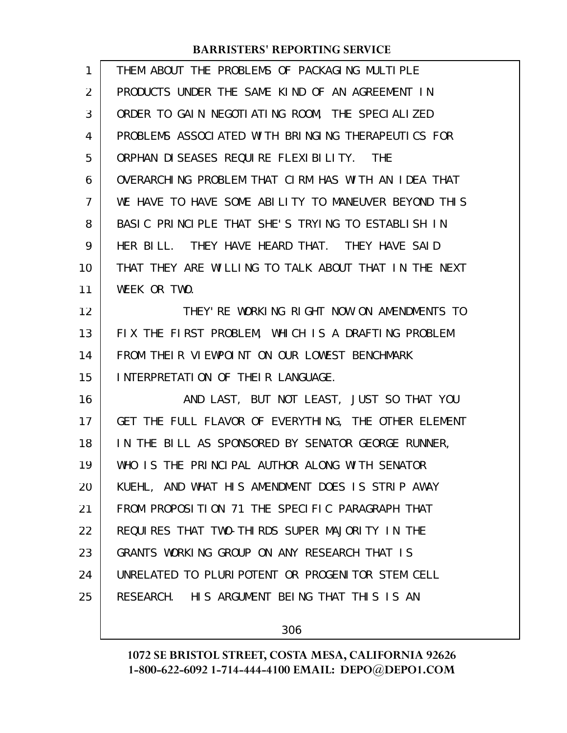| 1  | THEM ABOUT THE PROBLEMS OF PACKAGING MULTIPLE        |
|----|------------------------------------------------------|
| 2  | PRODUCTS UNDER THE SAME KIND OF AN AGREEMENT IN      |
| 3  | ORDER TO GAIN NEGOTIATING ROOM, THE SPECIALIZED      |
| 4  | PROBLEMS ASSOCIATED WITH BRINGING THERAPEUTICS FOR   |
| 5  | ORPHAN DI SEASES REQUIRE FLEXIBILITY. THE            |
| 6  | OVERARCHING PROBLEM THAT CIRM HAS WITH AN IDEA THAT  |
| 7  | WE HAVE TO HAVE SOME ABILITY TO MANEUVER BEYOND THIS |
| 8  | BASIC PRINCIPLE THAT SHE'S TRYING TO ESTABLISH IN    |
| 9  | HER BILL. THEY HAVE HEARD THAT. THEY HAVE SAID       |
| 10 | THAT THEY ARE WILLING TO TALK ABOUT THAT IN THE NEXT |
| 11 | WEEK OR TWO.                                         |
| 12 | THEY'RE WORKING RIGHT NOW ON AMENDMENTS TO           |
| 13 | FIX THE FIRST PROBLEM, WHICH IS A DRAFTING PROBLEM   |
| 14 | FROM THEIR VIEWPOINT ON OUR LOWEST BENCHMARK         |
| 15 | INTERPRETATION OF THEIR LANGUAGE.                    |
| 16 | AND LAST, BUT NOT LEAST, JUST SO THAT YOU            |
| 17 | GET THE FULL FLAVOR OF EVERYTHING, THE OTHER ELEMENT |
| 18 | IN THE BILL AS SPONSORED BY SENATOR GEORGE RUNNER,   |
| 19 | WHO IS THE PRINCIPAL AUTHOR ALONG WITH SENATOR       |
| 20 | KUEHL, AND WHAT HIS AMENDMENT DOES IS STRIP AWAY     |
| 21 | FROM PROPOSITION 71 THE SPECIFIC PARAGRAPH THAT      |
| 22 | REQUIRES THAT TWO-THIRDS SUPER MAJORITY IN THE       |
| 23 | GRANTS WORKING GROUP ON ANY RESEARCH THAT IS         |
| 24 | UNRELATED TO PLURIPOTENT OR PROGENITOR STEM CELL     |
| 25 |                                                      |
|    | RESEARCH. HIS ARGUMENT BEING THAT THIS IS AN         |

306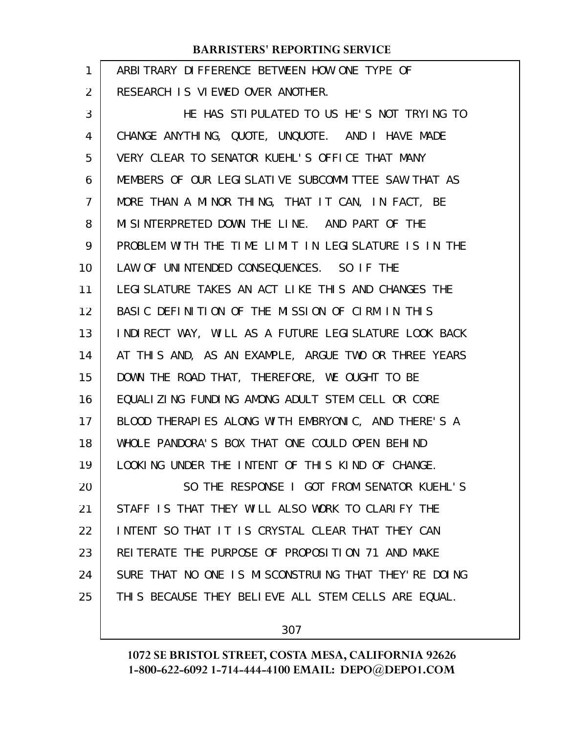| 1              | ARBITRARY DIFFERENCE BETWEEN HOW ONE TYPE OF         |
|----------------|------------------------------------------------------|
| 2              | RESEARCH IS VIEWED OVER ANOTHER.                     |
| 3              | HE HAS STIPULATED TO US HE'S NOT TRYING TO           |
| 4              | CHANGE ANYTHING, QUOTE, UNQUOTE. AND I HAVE MADE     |
| 5              | VERY CLEAR TO SENATOR KUEHL'S OFFICE THAT MANY       |
| 6              | MEMBERS OF OUR LEGISLATIVE SUBCOMMITTEE SAW THAT AS  |
| $\overline{7}$ | MORE THAN A MINOR THING, THAT IT CAN, IN FACT, BE    |
| 8              | MISINTERPRETED DOWN THE LINE. AND PART OF THE        |
| 9              | PROBLEM WITH THE TIME LIMIT IN LEGISLATURE IS IN THE |
| 10             | LAW OF UNINTENDED CONSEQUENCES. SO IF THE            |
| 11             | LEGI SLATURE TAKES AN ACT LIKE THIS AND CHANGES THE  |
| 12             | BASIC DEFINITION OF THE MISSION OF CIRM IN THIS      |
| 13             | INDIRECT WAY, WILL AS A FUTURE LEGISLATURE LOOK BACK |
| 14             | AT THIS AND, AS AN EXAMPLE, ARGUE TWO OR THREE YEARS |
| 15             | DOWN THE ROAD THAT, THEREFORE, WE OUGHT TO BE        |
| 16             | EQUALIZING FUNDING AMONG ADULT STEM CELL OR CORE     |
| 17             | BLOOD THERAPIES ALONG WITH EMBRYONIC, AND THERE'S A  |
| 18             | WHOLE PANDORA'S BOX THAT ONE COULD OPEN BEHIND       |
| 19             | LOOKING UNDER THE INTENT OF THIS KIND OF CHANGE.     |
| 20             | SO THE RESPONSE I GOT FROM SENATOR KUEHL'S           |
| 21             | STAFF IS THAT THEY WILL ALSO WORK TO CLARIFY THE     |
| 22             | INTENT SO THAT IT IS CRYSTAL CLEAR THAT THEY CAN     |
| 23             | REITERATE THE PURPOSE OF PROPOSITION 71 AND MAKE     |
| 24             | SURE THAT NO ONE IS MISCONSTRUING THAT THEY'RE DOING |
| 25             | THIS BECAUSE THEY BELIEVE ALL STEM CELLS ARE EQUAL.  |
|                |                                                      |

307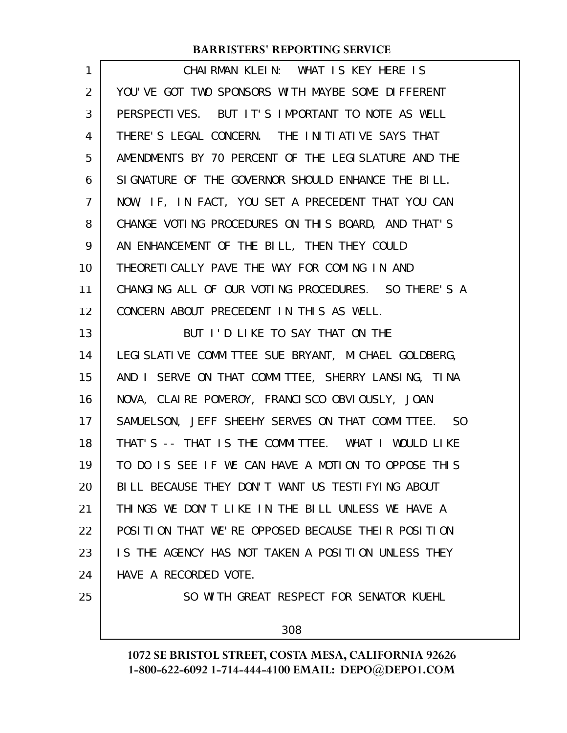| 1              | CHAIRMAN KLEIN: WHAT IS KEY HERE IS                   |
|----------------|-------------------------------------------------------|
| $\overline{2}$ | YOU'VE GOT TWO SPONSORS WITH MAYBE SOME DIFFERENT     |
| 3              | PERSPECTIVES. BUT IT'S IMPORTANT TO NOTE AS WELL      |
| 4              | THERE'S LEGAL CONCERN. THE INITIATIVE SAYS THAT       |
| 5              | AMENDMENTS BY 70 PERCENT OF THE LEGISLATURE AND THE   |
| 6              | SIGNATURE OF THE GOVERNOR SHOULD ENHANCE THE BILL.    |
| $\overline{7}$ | NOW, IF, IN FACT, YOU SET A PRECEDENT THAT YOU CAN    |
| 8              | CHANGE VOTING PROCEDURES ON THIS BOARD, AND THAT'S    |
| 9              | AN ENHANCEMENT OF THE BILL, THEN THEY COULD           |
| 10             | THEORETI CALLY PAVE THE WAY FOR COMING IN AND         |
| 11             | CHANGING ALL OF OUR VOTING PROCEDURES. SO THERE'S A   |
| 12             | CONCERN ABOUT PRECEDENT IN THIS AS WELL.              |
| 13             | BUT I'D LIKE TO SAY THAT ON THE                       |
| 14             | LEGI SLATI VE COMMITTEE SUE BRYANT, MICHAEL GOLDBERG, |
| 15             | AND I SERVE ON THAT COMMITTEE, SHERRY LANSING, TINA   |
| 16             | NOVA, CLAIRE POMEROY, FRANCISCO OBVIOUSLY, JOAN       |
| 17             | SAMUELSON, JEFF SHEEHY SERVES ON THAT COMMITTEE. SO   |
| 18             | THAT'S -- THAT IS THE COMMITTEE. WHAT I WOULD LIKE    |
| 19             | TO DO IS SEE IF WE CAN HAVE A MOTION TO OPPOSE THIS   |
| 20             | BILL BECAUSE THEY DON'T WANT US TESTIFYING ABOUT      |
| 21             | THINGS WE DON'T LIKE IN THE BILL UNLESS WE HAVE A     |
| 22             | POSITION THAT WE'RE OPPOSED BECAUSE THEIR POSITION    |
| 23             | IS THE AGENCY HAS NOT TAKEN A POSITION UNLESS THEY    |
| 24             | HAVE A RECORDED VOTE.                                 |
| 25             | SO WITH GREAT RESPECT FOR SENATOR KUEHL               |
|                | 308                                                   |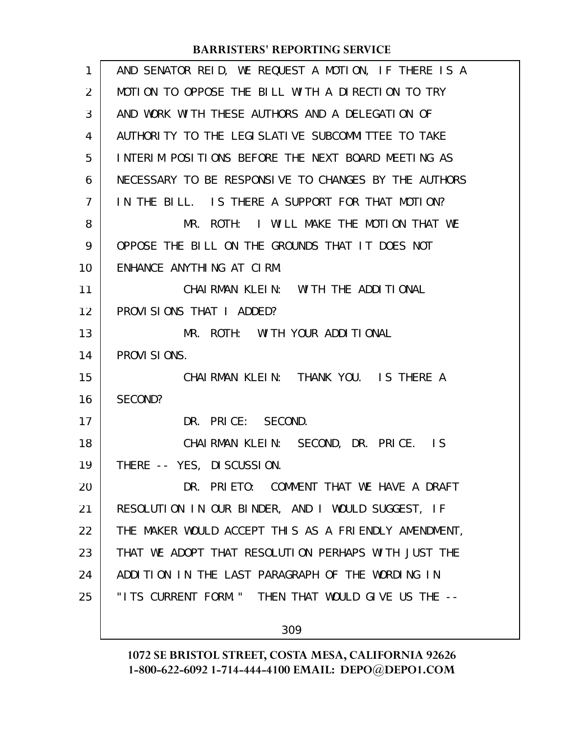| 1              | AND SENATOR REID, WE REQUEST A MOTION, IF THERE IS A |
|----------------|------------------------------------------------------|
| 2              | MOTION TO OPPOSE THE BILL WITH A DIRECTION TO TRY    |
| 3              | AND WORK WITH THESE AUTHORS AND A DELEGATION OF      |
| 4              | AUTHORITY TO THE LEGISLATIVE SUBCOMMITTEE TO TAKE    |
| 5              | INTERIM POSITIONS BEFORE THE NEXT BOARD MEETING AS   |
| 6              | NECESSARY TO BE RESPONSIVE TO CHANGES BY THE AUTHORS |
| $\overline{7}$ | IN THE BILL. IS THERE A SUPPORT FOR THAT MOTION?     |
| 8              | MR. ROTH: I WILL MAKE THE MOTION THAT WE             |
| 9              | OPPOSE THE BILL ON THE GROUNDS THAT IT DOES NOT      |
| 10             | ENHANCE ANYTHING AT CIRM.                            |
| 11             | CHAI RMAN KLEIN: WITH THE ADDITIONAL                 |
| 12             | PROVISIONS THAT I ADDED?                             |
| 13             | MR. ROTH: WITH YOUR ADDITIONAL                       |
| 14             | PROVI SIONS.                                         |
| 15             | CHAIRMAN KLEIN: THANK YOU. IS THERE A                |
| 16             | SECOND?                                              |
| 17             | DR. PRICE: SECOND.                                   |
| 18             | CHAIRMAN KLEIN: SECOND, DR. PRICE. IS                |
| 19             | THERE -- YES, DI SCUSSION.                           |
| 20             | DR. PRIETO: COMMENT THAT WE HAVE A DRAFT             |
| 21             | RESOLUTION IN OUR BINDER, AND I WOULD SUGGEST, IF    |
| 22             | THE MAKER WOULD ACCEPT THIS AS A FRIENDLY AMENDMENT, |
| 23             | THAT WE ADOPT THAT RESOLUTION PERHAPS WITH JUST THE  |
| 24             | ADDITION IN THE LAST PARAGRAPH OF THE WORDING IN     |
| 25             | "ITS CURRENT FORM. " THEN THAT WOULD GIVE US THE --  |
|                |                                                      |
|                | 309                                                  |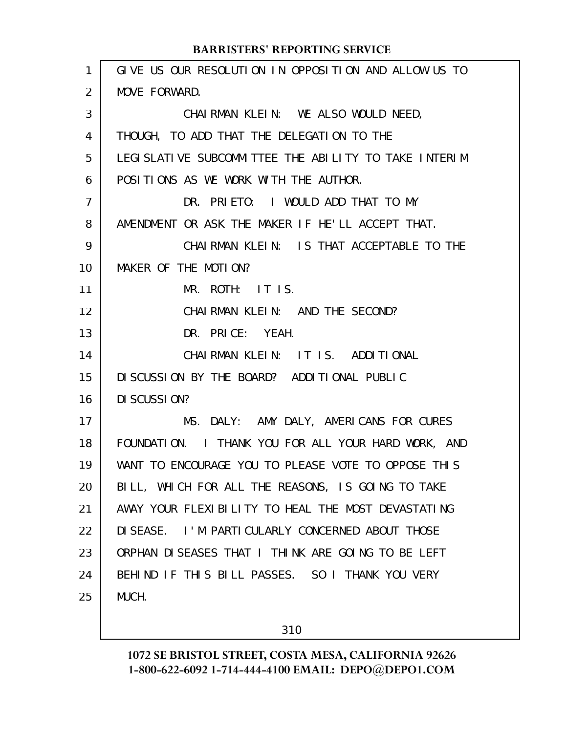| 1              | GIVE US OUR RESOLUTION IN OPPOSITION AND ALLOW US TO  |
|----------------|-------------------------------------------------------|
| $\overline{2}$ | MOVE FORWARD.                                         |
| 3              | CHAIRMAN KLEIN: WE ALSO WOULD NEED,                   |
| 4              | THOUGH, TO ADD THAT THE DELEGATION TO THE             |
| 5              | LEGI SLATIVE SUBCOMMITTEE THE ABILITY TO TAKE INTERIM |
| 6              | POSITIONS AS WE WORK WITH THE AUTHOR.                 |
| 7              | DR. PRIETO: I WOULD ADD THAT TO MY                    |
| 8              | AMENDMENT OR ASK THE MAKER IF HE'LL ACCEPT THAT.      |
| 9              | CHAIRMAN KLEIN: IS THAT ACCEPTABLE TO THE             |
| 10             | MAKER OF THE MOTION?                                  |
| 11             | MR. ROTH: IT IS.                                      |
| 12             | CHAIRMAN KLEIN: AND THE SECOND?                       |
| 13             | DR. PRICE: YEAH.                                      |
| 14             | CHAIRMAN KLEIN: IT IS. ADDITIONAL                     |
| 15             | DI SCUSSION BY THE BOARD? ADDITIONAL PUBLIC           |
| 16             | DI SCUSSION?                                          |
| 17             | MS. DALY: AMY DALY, AMERICANS FOR CURES               |
| 18             | FOUNDATION. I THANK YOU FOR ALL YOUR HARD WORK, AND   |
| 19             | WANT TO ENCOURAGE YOU TO PLEASE VOTE TO OPPOSE THIS   |
| 20             | BILL, WHICH FOR ALL THE REASONS, IS GOING TO TAKE     |
| 21             | AWAY YOUR FLEXIBILITY TO HEAL THE MOST DEVASTATING    |
| 22             | DI SEASE. I'M PARTI CULARLY CONCERNED ABOUT THOSE     |
| 23             | ORPHAN DISEASES THAT I THINK ARE GOING TO BE LEFT     |
| 24             | BEHIND IF THIS BILL PASSES. SO I THANK YOU VERY       |
| 25             | MUCH.                                                 |
|                |                                                       |

310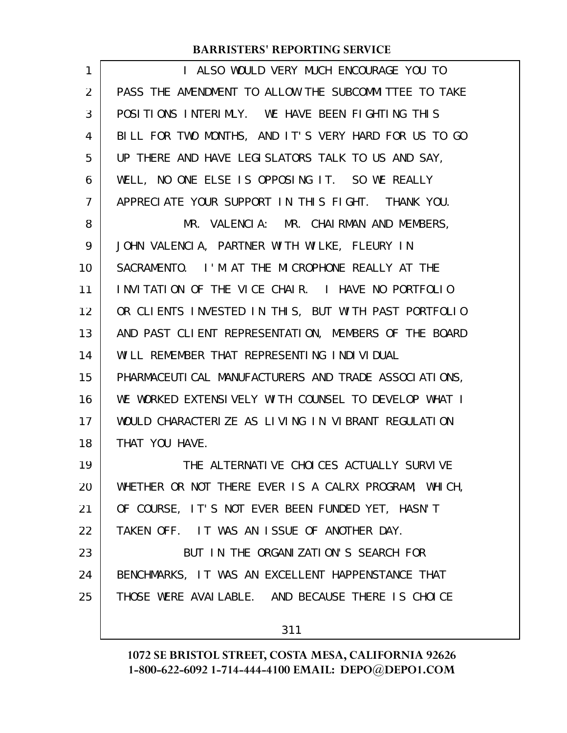| 1              | I ALSO WOULD VERY MUCH ENCOURAGE YOU TO               |
|----------------|-------------------------------------------------------|
| 2              | PASS THE AMENDMENT TO ALLOW THE SUBCOMMITTEE TO TAKE  |
| 3              | POSITIONS INTERIMLY. WE HAVE BEEN FIGHTING THIS       |
| 4              | BILL FOR TWO MONTHS, AND IT'S VERY HARD FOR US TO GO  |
| 5              | UP THERE AND HAVE LEGISLATORS TALK TO US AND SAY,     |
| 6              | WELL, NO ONE ELSE IS OPPOSING IT. SO WE REALLY        |
| $\overline{7}$ | APPRECIATE YOUR SUPPORT IN THIS FIGHT. THANK YOU.     |
| 8              | MR. VALENCIA: MR. CHAIRMAN AND MEMBERS,               |
| 9              | JOHN VALENCIA, PARTNER WITH WILKE, FLEURY IN          |
| 10             | SACRAMENTO. I'M AT THE MICROPHONE REALLY AT THE       |
| 11             | INVITATION OF THE VICE CHAIR. I HAVE NO PORTFOLIO     |
| 12             | OR CLIENTS INVESTED IN THIS, BUT WITH PAST PORTFOLIO  |
| 13             | AND PAST CLIENT REPRESENTATION, MEMBERS OF THE BOARD  |
| 14             | WILL REMEMBER THAT REPRESENTING INDIVIDUAL            |
| 15             | PHARMACEUTI CAL MANUFACTURERS AND TRADE ASSOCIATIONS, |
| 16             | WE WORKED EXTENSIVELY WITH COUNSEL TO DEVELOP WHAT I  |
| 17             | WOULD CHARACTERIZE AS LIVING IN VIBRANT REGULATION    |
| 18             | THAT YOU HAVE.                                        |
| 19             | THE ALTERNATIVE CHOICES ACTUALLY SURVIVE              |
| 20             | WHETHER OR NOT THERE EVER IS A CALRX PROGRAM, WHICH,  |
| 21             | OF COURSE, IT'S NOT EVER BEEN FUNDED YET, HASN'T      |
| 22             | TAKEN OFF. IT WAS AN ISSUE OF ANOTHER DAY.            |
| 23             | BUT IN THE ORGANIZATION'S SEARCH FOR                  |
| 24             | BENCHMARKS, IT WAS AN EXCELLENT HAPPENSTANCE THAT     |
| 25             | THOSE WERE AVAILABLE. AND BECAUSE THERE IS CHOICE     |
|                | 311                                                   |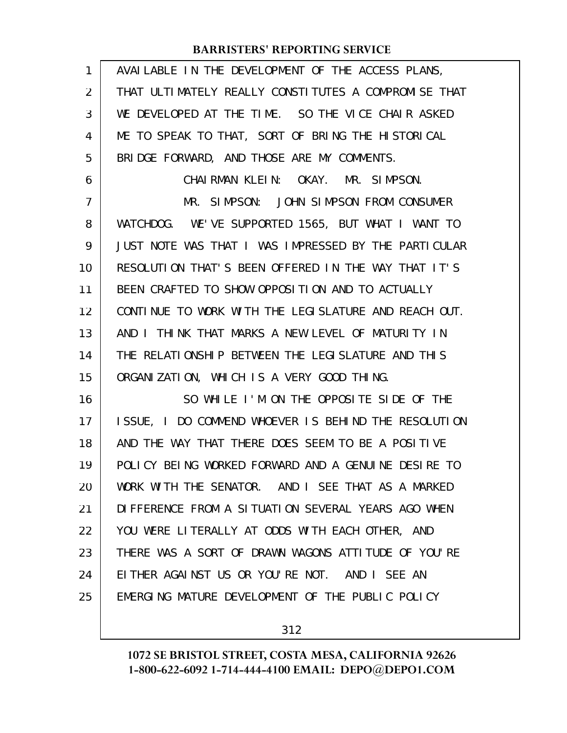| 1              | AVAILABLE IN THE DEVELOPMENT OF THE ACCESS PLANS,    |
|----------------|------------------------------------------------------|
| $\overline{2}$ | THAT ULTIMATELY REALLY CONSTITUTES A COMPROMISE THAT |
| 3              | WE DEVELOPED AT THE TIME. SO THE VICE CHAIR ASKED    |
| 4              | ME TO SPEAK TO THAT, SORT OF BRING THE HISTORICAL    |
| 5              | BRIDGE FORWARD, AND THOSE ARE MY COMMENTS.           |
| 6              | CHAIRMAN KLEIN: OKAY. MR. SIMPSON.                   |
| $\overline{7}$ | MR. SIMPSON: JOHN SIMPSON FROM CONSUMER              |
| 8              | WATCHDOG. WE'VE SUPPORTED 1565, BUT WHAT I WANT TO   |
| 9              | JUST NOTE WAS THAT I WAS IMPRESSED BY THE PARTICULAR |
| 10             | RESOLUTION THAT'S BEEN OFFERED IN THE WAY THAT IT'S  |
| 11             | BEEN CRAFTED TO SHOW OPPOSITION AND TO ACTUALLY      |
| 12             | CONTINUE TO WORK WITH THE LEGISLATURE AND REACH OUT. |
| 13             | AND I THINK THAT MARKS A NEW LEVEL OF MATURITY IN    |
| 14             | THE RELATIONSHIP BETWEEN THE LEGISLATURE AND THIS    |
| 15             | ORGANIZATION, WHICH IS A VERY GOOD THING.            |
| 16             | SO WHILE I'M ON THE OPPOSITE SIDE OF THE             |
| 17             | ISSUE, I DO COMMEND WHOEVER IS BEHIND THE RESOLUTION |
| 18             | AND THE WAY THAT THERE DOES SEEM TO BE A POSITIVE    |
| 19             | POLICY BEING WORKED FORWARD AND A GENUINE DESIRE TO  |
| 20             | WORK WITH THE SENATOR. AND I SEE THAT AS A MARKED    |
| 21             | DIFFERENCE FROM A SITUATION SEVERAL YEARS AGO WHEN   |
| 22             | YOU WERE LITERALLY AT ODDS WITH EACH OTHER, AND      |
| 23             | THERE WAS A SORT OF DRAWN WAGONS ATTITUDE OF YOU'RE  |
| 24             | EITHER AGAINST US OR YOU'RE NOT. AND I SEE AN        |
| 25             | EMERGING MATURE DEVELOPMENT OF THE PUBLIC POLICY     |
|                |                                                      |

312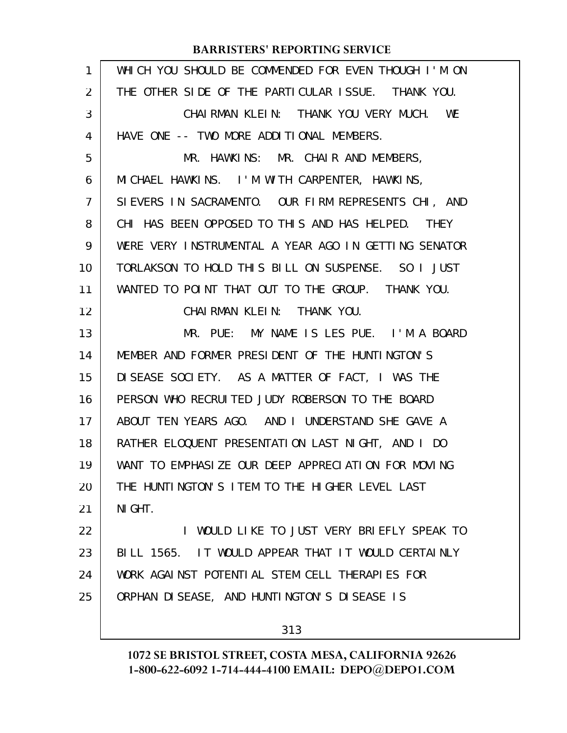| 1  | WHICH YOU SHOULD BE COMMENDED FOR EVEN THOUGH I'M ON |
|----|------------------------------------------------------|
| 2  | THE OTHER SIDE OF THE PARTICULAR ISSUE. THANK YOU.   |
| 3  | CHAIRMAN KLEIN: THANK YOU VERY MUCH. WE              |
| 4  | HAVE ONE -- TWO MORE ADDITIONAL MEMBERS.             |
| 5  | MR. HAWKINS: MR. CHAIR AND MEMBERS,                  |
| 6  | MICHAEL HAWKINS. I'M WITH CARPENTER, HAWKINS,        |
| 7  | SIEVERS IN SACRAMENTO. OUR FIRM REPRESENTS CHI, AND  |
| 8  | CHI HAS BEEN OPPOSED TO THIS AND HAS HELPED. THEY    |
| 9  | WERE VERY INSTRUMENTAL A YEAR AGO IN GETTING SENATOR |
| 10 | TORLAKSON TO HOLD THIS BILL ON SUSPENSE. SO I JUST   |
| 11 | WANTED TO POINT THAT OUT TO THE GROUP. THANK YOU.    |
| 12 | CHAIRMAN KLEIN: THANK YOU.                           |
| 13 | MR. PUE: MY NAME IS LES PUE. I'M A BOARD             |
| 14 | MEMBER AND FORMER PRESIDENT OF THE HUNTINGTON'S      |
| 15 | DISEASE SOCIETY. AS A MATTER OF FACT, I WAS THE      |
| 16 | PERSON WHO RECRUITED JUDY ROBERSON TO THE BOARD      |
| 17 | ABOUT TEN YEARS AGO. AND I UNDERSTAND SHE GAVE A     |
| 18 | RATHER ELOQUENT PRESENTATION LAST NIGHT, AND I DO    |
| 19 | WANT TO EMPHASIZE OUR DEEP APPRECIATION FOR MOVING   |
| 20 | THE HUNTINGTON'S ITEM TO THE HIGHER LEVEL LAST       |
| 21 | NI GHT.                                              |
| 22 | I WOULD LIKE TO JUST VERY BRIEFLY SPEAK TO           |
| 23 | BILL 1565. IT WOULD APPEAR THAT IT WOULD CERTAINLY   |
| 24 | WORK AGAINST POTENTIAL STEM CELL THERAPIES FOR       |
| 25 | ORPHAN DISEASE, AND HUNTINGTON'S DISEASE IS          |
|    | 313                                                  |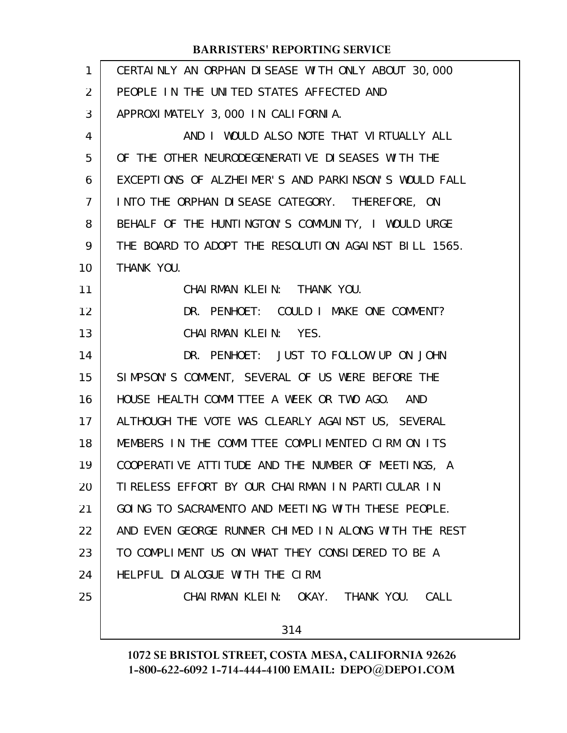| AND I WOULD ALSO NOTE THAT VIRTUALLY ALL<br>EXCEPTIONS OF ALZHEIMER'S AND PARKINSON'S WOULD FALL<br>BEHALF OF THE HUNTINGTON'S COMMUNITY, I WOULD URGE<br>THE BOARD TO ADOPT THE RESOLUTION AGAINST BILL 1565.<br>DR. PENHOET: COULD I MAKE ONE COMMENT? |
|----------------------------------------------------------------------------------------------------------------------------------------------------------------------------------------------------------------------------------------------------------|
|                                                                                                                                                                                                                                                          |
|                                                                                                                                                                                                                                                          |
|                                                                                                                                                                                                                                                          |
|                                                                                                                                                                                                                                                          |
|                                                                                                                                                                                                                                                          |
|                                                                                                                                                                                                                                                          |
|                                                                                                                                                                                                                                                          |
|                                                                                                                                                                                                                                                          |
|                                                                                                                                                                                                                                                          |
|                                                                                                                                                                                                                                                          |
|                                                                                                                                                                                                                                                          |
|                                                                                                                                                                                                                                                          |
| DR. PENHOET: JUST TO FOLLOW UP ON JOHN                                                                                                                                                                                                                   |
|                                                                                                                                                                                                                                                          |
|                                                                                                                                                                                                                                                          |
| ALTHOUGH THE VOTE WAS CLEARLY AGAINST US, SEVERAL                                                                                                                                                                                                        |
| MEMBERS IN THE COMMITTEE COMPLIMENTED CIRM ON ITS                                                                                                                                                                                                        |
| COOPERATIVE ATTITUDE AND THE NUMBER OF MEETINGS, A                                                                                                                                                                                                       |
|                                                                                                                                                                                                                                                          |
| GOING TO SACRAMENTO AND MEETING WITH THESE PEOPLE.                                                                                                                                                                                                       |
| AND EVEN GEORGE RUNNER CHIMED IN ALONG WITH THE REST                                                                                                                                                                                                     |
|                                                                                                                                                                                                                                                          |
|                                                                                                                                                                                                                                                          |
| CHAIRMAN KLEIN: OKAY. THANK YOU. CALL                                                                                                                                                                                                                    |
|                                                                                                                                                                                                                                                          |
|                                                                                                                                                                                                                                                          |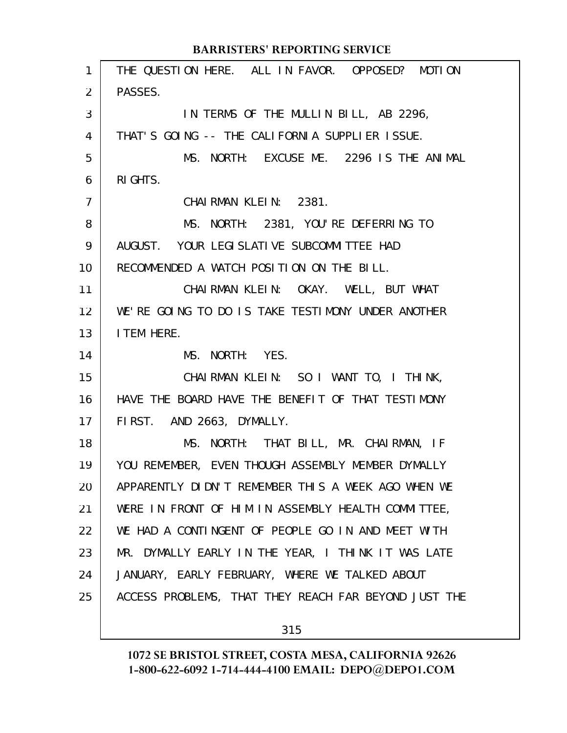|                | <b>BARRISTERS' REPORTING SERVICE</b>                 |
|----------------|------------------------------------------------------|
| 1              | THE QUESTION HERE. ALL IN FAVOR. OPPOSED? MOTION     |
| 2              | PASSES.                                              |
| 3              | IN TERMS OF THE MULLIN BILL, AB 2296,                |
| 4              | THAT'S GOING -- THE CALIFORNIA SUPPLIER ISSUE.       |
| 5              | MS. NORTH: EXCUSE ME. 2296 IS THE ANIMAL             |
| 6              | RI GHTS.                                             |
| $\overline{7}$ | CHAIRMAN KLEIN: 2381.                                |
| 8              | MS. NORTH: 2381, YOU'RE DEFERRING TO                 |
| 9              | AUGUST. YOUR LEGI SLATI VE SUBCOMMI TTEE HAD         |
| 10             | RECOMMENDED A WATCH POSITION ON THE BILL.            |
| 11             | CHAIRMAN KLEIN: OKAY. WELL, BUT WHAT                 |
| 12             | WE'RE GOING TO DO IS TAKE TESTIMONY UNDER ANOTHER    |
| 13             | I TEM HERE.                                          |
| 14             | MS. NORTH: YES.                                      |
| 15             | CHAIRMAN KLEIN: SO I WANT TO, I THINK,               |
| 16             | HAVE THE BOARD HAVE THE BENEFIT OF THAT TESTIMONY    |
| 17             | FIRST. AND 2663, DYMALLY.                            |
| 18             | MS. NORTH: THAT BILL, MR. CHAIRMAN, IF               |
| 19             | YOU REMEMBER, EVEN THOUGH ASSEMBLY MEMBER DYMALLY    |
| 20             | APPARENTLY DIDN'T REMEMBER THIS A WEEK AGO WHEN WE   |
| 21             | WERE IN FRONT OF HIM IN ASSEMBLY HEALTH COMMITTEE,   |
| 22             | WE HAD A CONTINGENT OF PEOPLE GO IN AND MEET WITH    |
| 23             | MR. DYMALLY EARLY IN THE YEAR, I THINK IT WAS LATE   |
| 24             | JANUARY, EARLY FEBRUARY, WHERE WE TALKED ABOUT       |
| 25             | ACCESS PROBLEMS, THAT THEY REACH FAR BEYOND JUST THE |
|                |                                                      |

315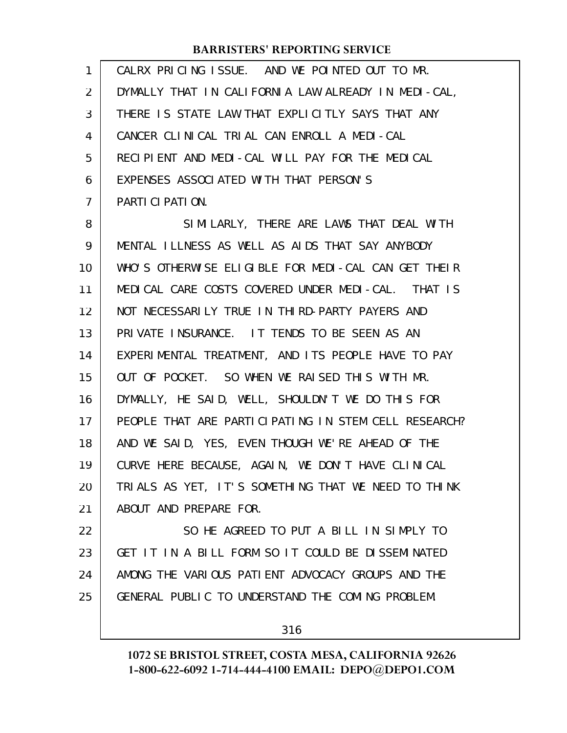| 1  | CALRX PRICING ISSUE. AND WE POINTED OUT TO MR.       |
|----|------------------------------------------------------|
| 2  | DYMALLY THAT IN CALIFORNIA LAW ALREADY IN MEDI-CAL,  |
| 3  | THERE IS STATE LAW THAT EXPLICITLY SAYS THAT ANY     |
| 4  | CANCER CLINICAL TRIAL CAN ENROLL A MEDI-CAL          |
| 5  | RECIPIENT AND MEDI-CAL WILL PAY FOR THE MEDICAL      |
| 6  | EXPENSES ASSOCIATED WITH THAT PERSON'S               |
| 7  | PARTICIPATION.                                       |
| 8  | SIMILARLY, THERE ARE LAWS THAT DEAL WITH             |
| 9  | MENTAL ILLNESS AS WELL AS AIDS THAT SAY ANYBODY      |
| 10 | WHO'S OTHERWISE ELIGIBLE FOR MEDI-CAL CAN GET THEIR  |
| 11 | MEDICAL CARE COSTS COVERED UNDER MEDI-CAL. THAT IS   |
| 12 | NOT NECESSARILY TRUE IN THIRD-PARTY PAYERS AND       |
| 13 | PRIVATE INSURANCE. IT TENDS TO BE SEEN AS AN         |
| 14 | EXPERIMENTAL TREATMENT, AND ITS PEOPLE HAVE TO PAY   |
| 15 | OUT OF POCKET. SO WHEN WE RAISED THIS WITH MR.       |
| 16 | DYMALLY, HE SAID, WELL, SHOULDN'T WE DO THIS FOR     |
| 17 | PEOPLE THAT ARE PARTICIPATING IN STEM CELL RESEARCH? |
| 18 | AND WE SAID, YES, EVEN THOUGH WE'RE AHEAD OF THE     |
| 19 | CURVE HERE BECAUSE, AGAIN, WE DON'T HAVE CLINICAL    |
| 20 | TRIALS AS YET, IT'S SOMETHING THAT WE NEED TO THINK  |
| 21 | ABOUT AND PREPARE FOR.                               |
| 22 | SO HE AGREED TO PUT A BILL IN SIMPLY TO              |
| 23 | GET IT IN A BILL FORM SO IT COULD BE DISSEMINATED    |
| 24 | AMONG THE VARIOUS PATIENT ADVOCACY GROUPS AND THE    |
| 25 | GENERAL PUBLIC TO UNDERSTAND THE COMING PROBLEM.     |
|    |                                                      |

316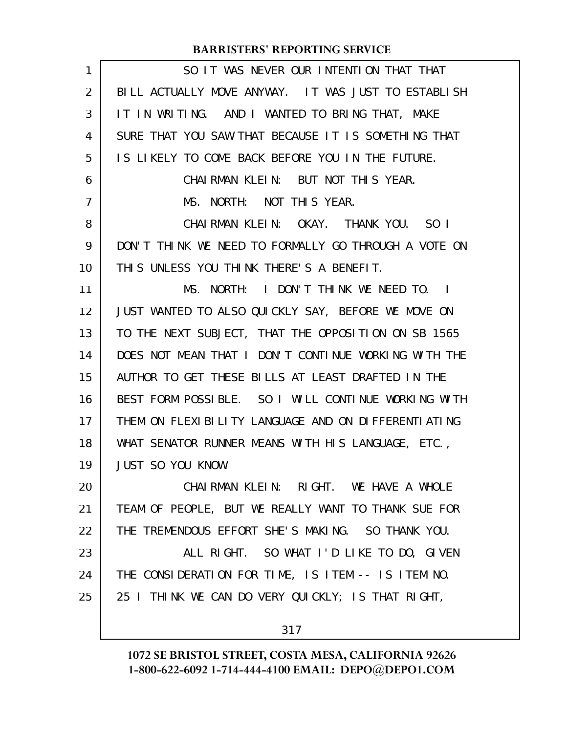| 1  | SO IT WAS NEVER OUR INTENTION THAT THAT              |
|----|------------------------------------------------------|
| 2  | BILL ACTUALLY MOVE ANYWAY. IT WAS JUST TO ESTABLISH  |
| 3  | IT IN WRITING. AND I WANTED TO BRING THAT, MAKE      |
| 4  | SURE THAT YOU SAW THAT BECAUSE IT IS SOMETHING THAT  |
| 5  | IS LIKELY TO COME BACK BEFORE YOU IN THE FUTURE.     |
| 6  | CHAIRMAN KLEIN: BUT NOT THIS YEAR.                   |
| 7  | MS. NORTH: NOT THIS YEAR.                            |
| 8  | CHAIRMAN KLEIN: OKAY. THANK YOU. SO I                |
| 9  | DON'T THINK WE NEED TO FORMALLY GO THROUGH A VOTE ON |
| 10 | THIS UNLESS YOU THINK THERE'S A BENEFIT.             |
| 11 | MS. NORTH: I DON'T THINK WE NEED TO. I               |
| 12 | JUST WANTED TO ALSO QUICKLY SAY, BEFORE WE MOVE ON   |
| 13 | TO THE NEXT SUBJECT, THAT THE OPPOSITION ON SB 1565  |
| 14 | DOES NOT MEAN THAT I DON'T CONTINUE WORKING WITH THE |
| 15 | AUTHOR TO GET THESE BILLS AT LEAST DRAFTED IN THE    |
| 16 | BEST FORM POSSIBLE. SO I WILL CONTINUE WORKING WITH  |
| 17 | THEM ON FLEXIBILITY LANGUAGE AND ON DIFFERENTIATING  |
| 18 | WHAT SENATOR RUNNER MEANS WITH HIS LANGUAGE, ETC.,   |
| 19 | <b>JUST SO YOU KNOW.</b>                             |
| 20 | CHAIRMAN KLEIN: RIGHT. WE HAVE A WHOLE               |
| 21 | TEAM OF PEOPLE, BUT WE REALLY WANT TO THANK SUE FOR  |
| 22 | THE TREMENDOUS EFFORT SHE'S MAKING. SO THANK YOU.    |
| 23 | ALL RIGHT. SO WHAT I'D LIKE TO DO, GIVEN             |
| 24 | THE CONSIDERATION FOR TIME, IS ITEM -- IS ITEM NO.   |
| 25 | 25 I THINK WE CAN DO VERY QUICKLY; IS THAT RIGHT,    |
|    |                                                      |

317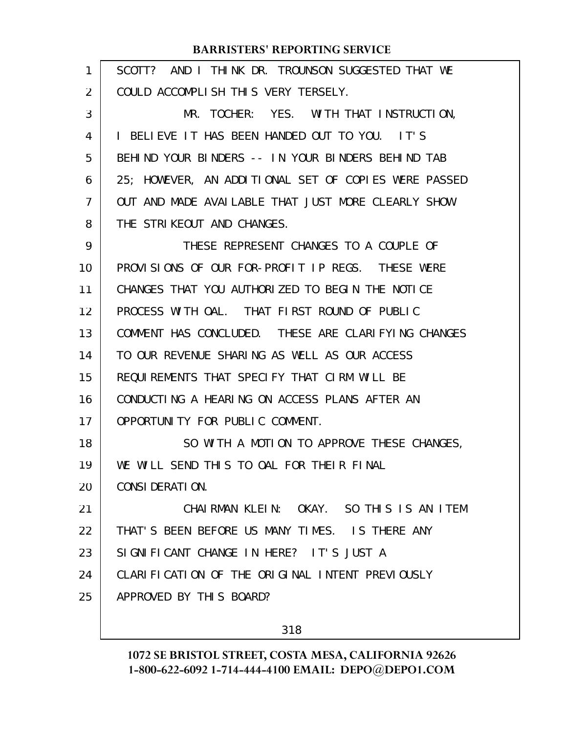| 1  | SCOTT? AND I THINK DR. TROUNSON SUGGESTED THAT WE    |
|----|------------------------------------------------------|
| 2  | COULD ACCOMPLISH THIS VERY TERSELY.                  |
| 3  | MR. TOCHER: YES. WITH THAT INSTRUCTION,              |
| 4  | I BELIEVE IT HAS BEEN HANDED OUT TO YOU. IT'S        |
| 5  | BEHIND YOUR BINDERS -- IN YOUR BINDERS BEHIND TAB    |
| 6  | 25; HOWEVER, AN ADDITIONAL SET OF COPIES WERE PASSED |
| 7  | OUT AND MADE AVAILABLE THAT JUST MORE CLEARLY SHOW   |
| 8  | THE STRIKEOUT AND CHANGES.                           |
| 9  | THESE REPRESENT CHANGES TO A COUPLE OF               |
| 10 | PROVISIONS OF OUR FOR-PROFIT IP REGS. THESE WERE     |
| 11 | CHANGES THAT YOU AUTHORIZED TO BEGIN THE NOTICE      |
| 12 | PROCESS WITH OAL. THAT FIRST ROUND OF PUBLIC         |
| 13 | COMMENT HAS CONCLUDED. THESE ARE CLARIFYING CHANGES  |
| 14 | TO OUR REVENUE SHARING AS WELL AS OUR ACCESS         |
| 15 | REQUIREMENTS THAT SPECIFY THAT CIRM WILL BE          |
| 16 | CONDUCTING A HEARING ON ACCESS PLANS AFTER AN        |
| 17 | OPPORTUNITY FOR PUBLIC COMMENT.                      |
| 18 | SO WITH A MOTION TO APPROVE THESE CHANGES,           |
| 19 | WE WILL SEND THIS TO OAL FOR THEIR FINAL             |
| 20 | CONSIDERATION.                                       |
| 21 | CHAIRMAN KLEIN: OKAY. SO THIS IS AN ITEM             |
| 22 | THAT'S BEEN BEFORE US MANY TIMES. IS THERE ANY       |
| 23 | SIGNIFICANT CHANGE IN HERE? IT'S JUST A              |
| 24 | CLARIFICATION OF THE ORIGINAL INTENT PREVIOUSLY      |
| 25 | APPROVED BY THIS BOARD?                              |
|    |                                                      |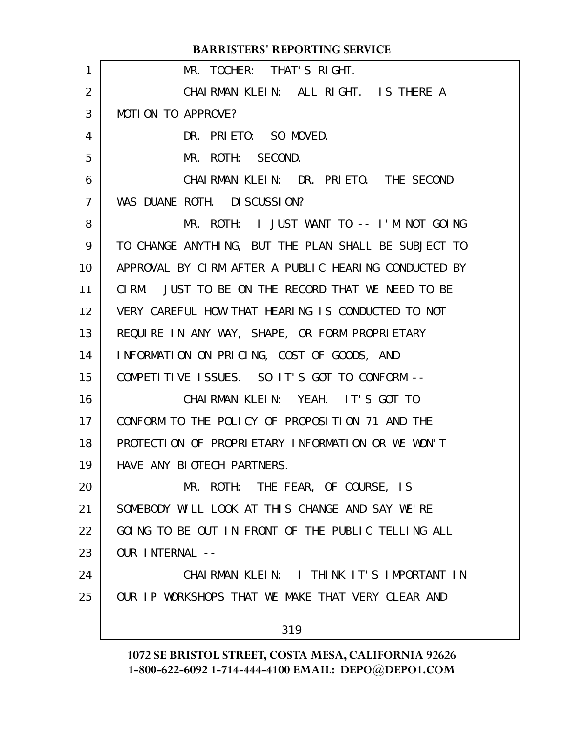| <b>BARRISTERS' REPORTING SERVICE</b>                 |
|------------------------------------------------------|
| MR. TOCHER: THAT'S RIGHT.                            |
| CHAIRMAN KLEIN: ALL RIGHT. IS THERE A                |
| MOTION TO APPROVE?                                   |
| DR. PRIETO: SO MOVED.                                |
| MR. ROTH: SECOND.                                    |
| CHAIRMAN KLEIN: DR. PRIETO. THE SECOND               |
| WAS DUANE ROTH. DISCUSSION?                          |
| MR. ROTH: I JUST WANT TO -- I'M NOT GOING            |
| TO CHANGE ANYTHING, BUT THE PLAN SHALL BE SUBJECT TO |
| APPROVAL BY CIRM AFTER A PUBLIC HEARING CONDUCTED BY |
| CIRM. JUST TO BE ON THE RECORD THAT WE NEED TO BE    |
| VERY CAREFUL HOW THAT HEARING IS CONDUCTED TO NOT    |
| REQUIRE IN ANY WAY, SHAPE, OR FORM PROPRIETARY       |
| INFORMATION ON PRICING, COST OF GOODS, AND           |
| COMPETITIVE ISSUES. SO IT'S GOT TO CONFORM --        |
| CHAIRMAN KLEIN: YEAH. IT'S GOT TO                    |
| CONFORM TO THE POLICY OF PROPOSITION 71 AND THE      |
| PROTECTION OF PROPRIETARY INFORMATION OR WE WON'T    |
| HAVE ANY BIOTECH PARTNERS.                           |
| MR. ROTH: THE FEAR, OF COURSE, IS                    |
| SOMEBODY WILL LOOK AT THIS CHANGE AND SAY WE'RE      |
| GOING TO BE OUT IN FRONT OF THE PUBLIC TELLING ALL   |
| OUR INTERNAL --                                      |
| CHAIRMAN KLEIN: I THINK IT'S IMPORTANT IN            |
| OUR IP WORKSHOPS THAT WE MAKE THAT VERY CLEAR AND    |
| 319                                                  |
|                                                      |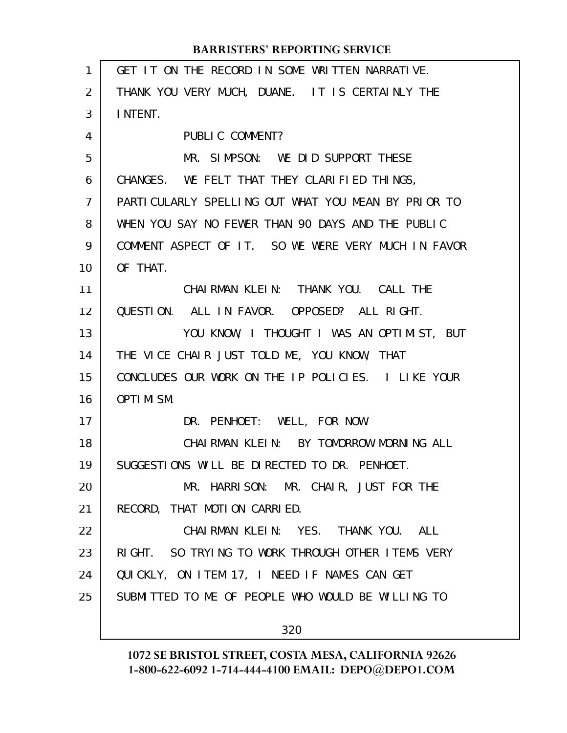| $\mathbf{1}$   | GET IT ON THE RECORD IN SOME WRITTEN NARRATIVE.     |
|----------------|-----------------------------------------------------|
| 2              | THANK YOU VERY MUCH, DUANE. IT IS CERTAINLY THE     |
| 3              | I NTENT.                                            |
| 4              | PUBLIC COMMENT?                                     |
| 5              | MR. SIMPSON: WE DID SUPPORT THESE                   |
| 6              | CHANGES. WE FELT THAT THEY CLARIFIED THINGS,        |
| $\overline{7}$ | PARTICULARLY SPELLING OUT WHAT YOU MEAN BY PRIOR TO |
| 8              | WHEN YOU SAY NO FEWER THAN 90 DAYS AND THE PUBLIC   |
| 9              | COMMENT ASPECT OF IT. SO WE WERE VERY MUCH IN FAVOR |
| 10             | OF THAT.                                            |
| 11             | CHAI RMAN KLEIN: THANK YOU. CALL THE                |
| 12             | QUESTION. ALL IN FAVOR. OPPOSED? ALL RIGHT.         |
| 13             | YOU KNOW, I THOUGHT I WAS AN OPTIMIST, BUT          |
| 14             | THE VICE CHAIR JUST TOLD ME, YOU KNOW, THAT         |
| 15             | CONCLUDES OUR WORK ON THE IP POLICIES. I LIKE YOUR  |
| 16             | OPTIMISM.                                           |
| 17             | DR. PENHOET: WELL, FOR NOW.                         |
| 18             | CHAIRMAN KLEIN: BY TOMORROW MORNING ALL             |
| 19             | SUGGESTIONS WILL BE DIRECTED TO DR. PENHOET.        |
| 20             | MR. HARRISON: MR. CHAIR, JUST FOR THE               |
| 21             | RECORD, THAT MOTION CARRIED.                        |
| 22             | CHAIRMAN KLEIN: YES. THANK YOU. ALL                 |
| 23             | RIGHT. SO TRYING TO WORK THROUGH OTHER ITEMS VERY   |
| 24             | QUICKLY, ON ITEM 17, I NEED IF NAMES CAN GET        |
| 25             | SUBMITTED TO ME OF PEOPLE WHO WOULD BE WILLING TO   |
|                |                                                     |
|                | 320                                                 |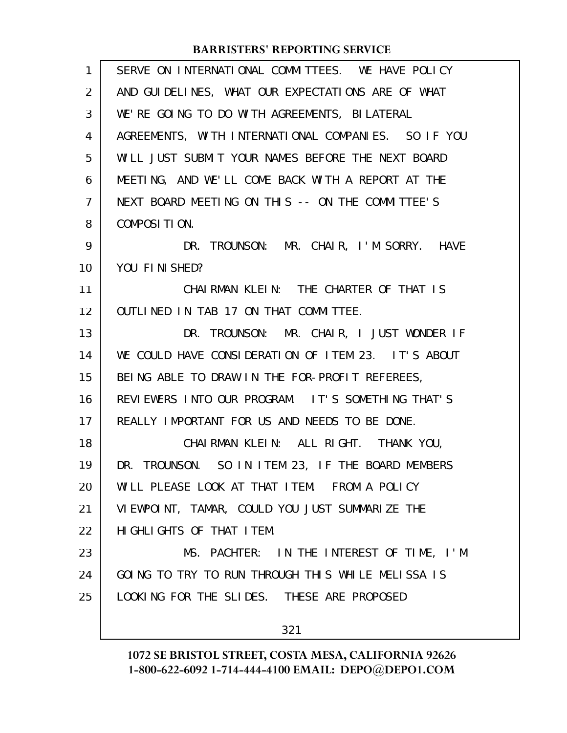| $\mathbf{1}$   | SERVE ON INTERNATIONAL COMMITTEES. WE HAVE POLICY   |
|----------------|-----------------------------------------------------|
| $\overline{2}$ | AND GUIDELINES, WHAT OUR EXPECTATIONS ARE OF WHAT   |
| 3              | WE'RE GOING TO DO WITH AGREEMENTS, BILATERAL        |
| 4              | AGREEMENTS, WITH INTERNATIONAL COMPANIES. SO IF YOU |
| 5              | WILL JUST SUBMIT YOUR NAMES BEFORE THE NEXT BOARD   |
| 6              | MEETING, AND WE'LL COME BACK WITH A REPORT AT THE   |
| 7              | NEXT BOARD MEETING ON THIS -- ON THE COMMITTEE'S    |
| 8              | COMPOSITION.                                        |
| 9              | DR. TROUNSON: MR. CHAIR, I'M SORRY. HAVE            |
| 10             | YOU FINISHED?                                       |
| 11             | CHAIRMAN KLEIN: THE CHARTER OF THAT IS              |
| 12             | OUTLINED IN TAB 17 ON THAT COMMITTEE.               |
| 13             | DR. TROUNSON: MR. CHAIR, I JUST WONDER IF           |
| 14             | WE COULD HAVE CONSIDERATION OF ITEM 23. IT'S ABOUT  |
| 15             | BEING ABLE TO DRAW IN THE FOR-PROFIT REFEREES,      |
| 16             | REVIEWERS INTO OUR PROGRAM. IT'S SOMETHING THAT'S   |
| 17             | REALLY IMPORTANT FOR US AND NEEDS TO BE DONE.       |
| 18             | CHAI RMAN KLEIN: ALL RIGHT. THANK YOU,              |
| 19             | DR. TROUNSON. SO IN ITEM 23, IF THE BOARD MEMBERS   |
| 20             | WILL PLEASE LOOK AT THAT ITEM. FROM A POLICY        |
| 21             | VIEWPOINT, TAMAR, COULD YOU JUST SUMMARIZE THE      |
| 22             | HI GHLI GHTS OF THAT I TEM.                         |
| 23             | MS. PACHTER: IN THE INTEREST OF TIME, I'M           |
| 24             | GOING TO TRY TO RUN THROUGH THIS WHILE MELISSA IS   |
| 25             | LOOKING FOR THE SLIDES. THESE ARE PROPOSED          |
|                |                                                     |
|                | 321                                                 |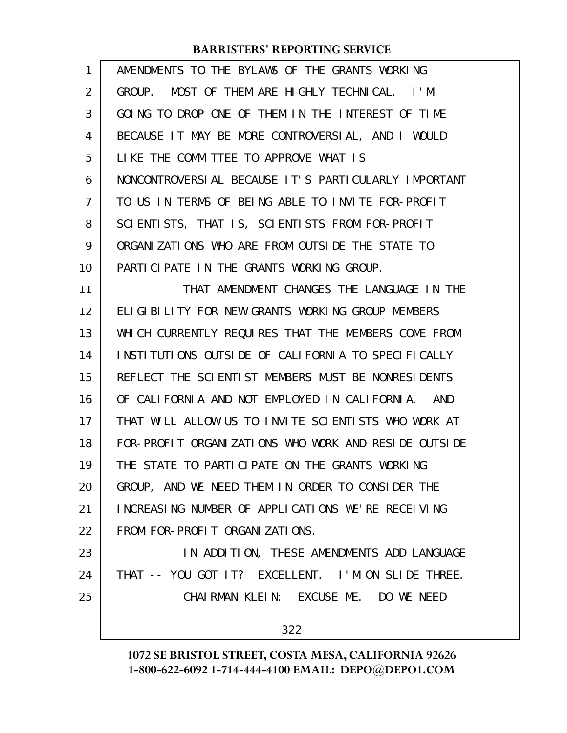| 1  | AMENDMENTS TO THE BYLAWS OF THE GRANTS WORKING       |
|----|------------------------------------------------------|
| 2  | GROUP. MOST OF THEM ARE HIGHLY TECHNICAL. I'M        |
| 3  | GOING TO DROP ONE OF THEM IN THE INTEREST OF TIME    |
| 4  | BECAUSE IT MAY BE MORE CONTROVERSIAL, AND I WOULD    |
| 5  | LIKE THE COMMITTEE TO APPROVE WHAT IS                |
| 6  | NONCONTROVERSIAL BECAUSE IT'S PARTICULARLY IMPORTANT |
| 7  | TO US IN TERMS OF BEING ABLE TO INVITE FOR-PROFIT    |
| 8  | SCIENTISTS, THAT IS, SCIENTISTS FROM FOR-PROFIT      |
| 9  | ORGANIZATIONS WHO ARE FROM OUTSIDE THE STATE TO      |
| 10 | PARTICIPATE IN THE GRANTS WORKING GROUP.             |
| 11 | THAT AMENDMENT CHANGES THE LANGUAGE IN THE           |
| 12 | ELIGIBILITY FOR NEW GRANTS WORKING GROUP MEMBERS     |
| 13 | WHICH CURRENTLY REQUIRES THAT THE MEMBERS COME FROM  |
| 14 | INSTITUTIONS OUTSIDE OF CALIFORNIA TO SPECIFICALLY   |
| 15 | REFLECT THE SCIENTIST MEMBERS MUST BE NONRESIDENTS   |
| 16 | OF CALIFORNIA AND NOT EMPLOYED IN CALIFORNIA. AND    |
| 17 | THAT WILL ALLOW US TO INVITE SCIENTISTS WHO WORK AT  |
| 18 | FOR-PROFIT ORGANIZATIONS WHO WORK AND RESIDE OUTSIDE |
| 19 | THE STATE TO PARTICIPATE ON THE GRANTS WORKING       |
| 20 | GROUP, AND WE NEED THEM IN ORDER TO CONSIDER THE     |
| 21 | INCREASING NUMBER OF APPLICATIONS WE'RE RECEIVING    |
| 22 | FROM FOR-PROFIT ORGANIZATIONS.                       |
| 23 | IN ADDITION, THESE AMENDMENTS ADD LANGUAGE           |
| 24 | THAT -- YOU GOT IT? EXCELLENT. I'M ON SLIDE THREE.   |
| 25 | CHAIRMAN KLEIN: EXCUSE ME. DO WE NEED                |
|    | 322                                                  |
|    |                                                      |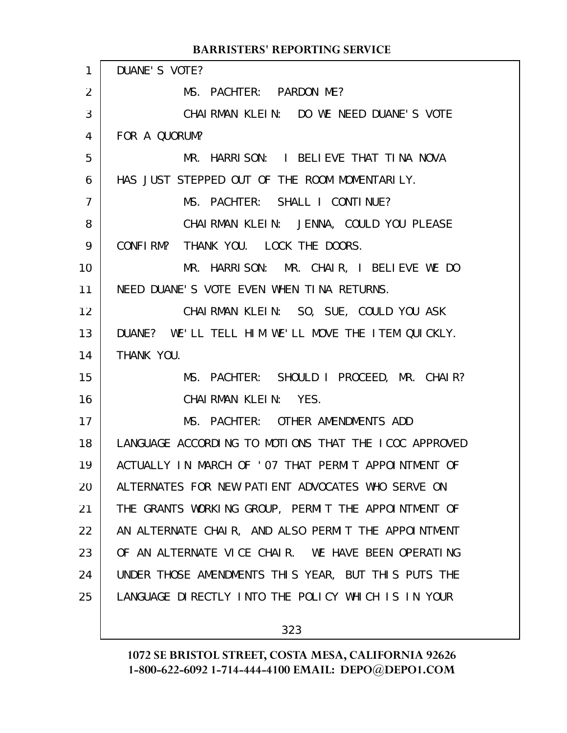| $\mathbf{1}$   | DUANE'S VOTE?                                        |
|----------------|------------------------------------------------------|
| $\overline{2}$ | MS. PACHTER: PARDON ME?                              |
| 3              | CHAIRMAN KLEIN: DO WE NEED DUANE'S VOTE              |
| $\overline{4}$ | FOR A QUORUM?                                        |
| 5              | MR. HARRISON: I BELIEVE THAT TINA NOVA               |
| 6              | HAS JUST STEPPED OUT OF THE ROOM MOMENTARILY.        |
| $\overline{7}$ | MS. PACHTER: SHALL I CONTINUE?                       |
| 8              | CHAI RMAN KLEIN: JENNA, COULD YOU PLEASE             |
| 9              | CONFIRM? THANK YOU. LOCK THE DOORS.                  |
| 10             | MR. HARRISON: MR. CHAIR, I BELIEVE WE DO             |
| 11             | NEED DUANE'S VOTE EVEN WHEN TINA RETURNS.            |
| 12             | CHAIRMAN KLEIN: SO, SUE, COULD YOU ASK               |
| 13             | DUANE? WE'LL TELL HIM WE'LL MOVE THE ITEM QUICKLY.   |
| 14             | THANK YOU.                                           |
| 15             | MS. PACHTER: SHOULD I PROCEED, MR. CHAIR?            |
| 16             | CHAIRMAN KLEIN: YES.                                 |
| 17             | MS. PACHTER: OTHER AMENDMENTS ADD                    |
| 18             | LANGUAGE ACCORDING TO MOTIONS THAT THE ICOC APPROVED |
| 19             | ACTUALLY IN MARCH OF 'O7 THAT PERMIT APPOINTMENT OF  |
| 20             | ALTERNATES FOR NEW PATIENT ADVOCATES WHO SERVE ON    |
| 21             | THE GRANTS WORKING GROUP, PERMIT THE APPOINTMENT OF  |
| 22             | AN ALTERNATE CHAIR, AND ALSO PERMIT THE APPOINTMENT  |
| 23             | OF AN ALTERNATE VICE CHAIR. WE HAVE BEEN OPERATING   |
| 24             | UNDER THOSE AMENDMENTS THIS YEAR, BUT THIS PUTS THE  |
| 25             | LANGUAGE DIRECTLY INTO THE POLICY WHICH IS IN YOUR   |
|                |                                                      |

323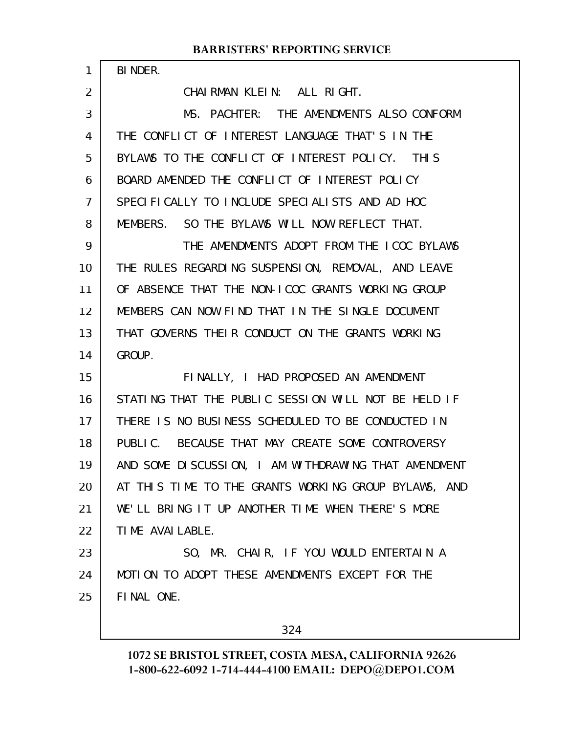BINDER.

1

2

CHAIRMAN KLEIN: ALL RIGHT.

MS. PACHTER: THE AMENDMENTS ALSO CONFORM THE CONFLICT OF INTEREST LANGUAGE THAT'S IN THE BYLAWS TO THE CONFLICT OF INTEREST POLICY. THIS BOARD AMENDED THE CONFLICT OF INTEREST POLICY SPECIFICALLY TO INCLUDE SPECIALISTS AND AD HOC MEMBERS. SO THE BYLAWS WILL NOW REFLECT THAT. THE AMENDMENTS ADOPT FROM THE ICOC BYLAWS THE RULES REGARDING SUSPENSION, REMOVAL, AND LEAVE OF ABSENCE THAT THE NON-ICOC GRANTS WORKING GROUP MEMBERS CAN NOW FIND THAT IN THE SINGLE DOCUMENT THAT GOVERNS THEIR CONDUCT ON THE GRANTS WORKING GROUP. FINALLY, I HAD PROPOSED AN AMENDMENT STATING THAT THE PUBLIC SESSION WILL NOT BE HELD IF THERE IS NO BUSINESS SCHEDULED TO BE CONDUCTED IN PUBLIC. BECAUSE THAT MAY CREATE SOME CONTROVERSY AND SOME DISCUSSION, I AM WITHDRAWING THAT AMENDMENT AT THIS TIME TO THE GRANTS WORKING GROUP BYLAWS, AND WE'LL BRING IT UP ANOTHER TIME WHEN THERE'S MORE TIME AVAILABLE. SO, MR. CHAIR, IF YOU WOULD ENTERTAIN A MOTION TO ADOPT THESE AMENDMENTS EXCEPT FOR THE FINAL ONE. 3 4 5 6 7 8 9 10 11 12 13 14 15 16 17 18 19 20 21 22 23 24 25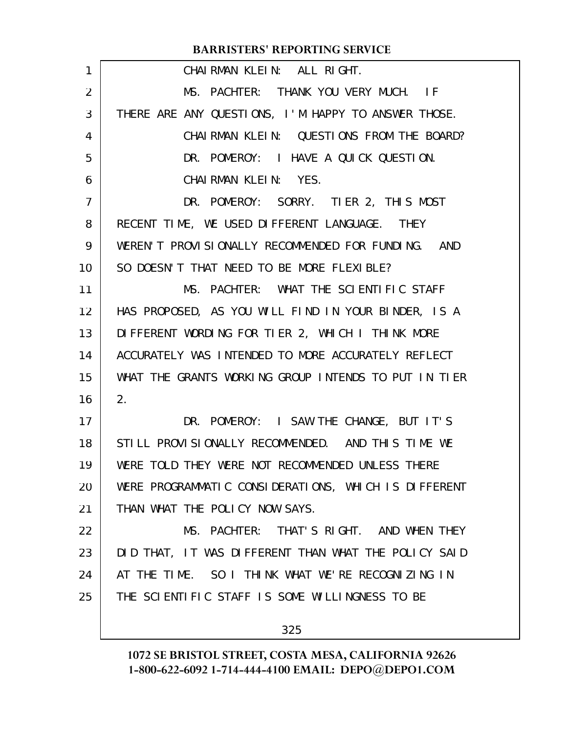| $\mathbf{1}$    | CHAIRMAN KLEIN: ALL RIGHT.                           |
|-----------------|------------------------------------------------------|
| 2               | MS. PACHTER: THANK YOU VERY MUCH. IF                 |
| 3               | THERE ARE ANY QUESTIONS, I'M HAPPY TO ANSWER THOSE.  |
| 4               | CHAIRMAN KLEIN: QUESTIONS FROM THE BOARD?            |
| 5               | DR. POMEROY: I HAVE A QUICK QUESTION.                |
| 6               | CHAIRMAN KLEIN: YES.                                 |
| 7               | DR. POMEROY: SORRY. TIER 2, THIS MOST                |
| 8               | RECENT TIME, WE USED DIFFERENT LANGUAGE. THEY        |
| 9               | WEREN'T PROVISIONALLY RECOMMENDED FOR FUNDING. AND   |
| 10              | SO DOESN'T THAT NEED TO BE MORE FLEXIBLE?            |
| 11              | MS. PACHTER: WHAT THE SCIENTIFIC STAFF               |
| 12 <sub>2</sub> | HAS PROPOSED, AS YOU WILL FIND IN YOUR BINDER, IS A  |
| 13              | DIFFERENT WORDING FOR TIER 2, WHICH I THINK MORE     |
| 14              | ACCURATELY WAS INTENDED TO MORE ACCURATELY REFLECT   |
| 15              | WHAT THE GRANTS WORKING GROUP INTENDS TO PUT IN TIER |
| 16              | 2.                                                   |
| 17              | DR. POMEROY: I SAW THE CHANGE, BUT IT'S              |
| 18              | STILL PROVISIONALLY RECOMMENDED. AND THIS TIME WE    |
| 19              | WERE TOLD THEY WERE NOT RECOMMENDED UNLESS THERE     |
| 20              | WERE PROGRAMMATIC CONSIDERATIONS, WHICH IS DIFFERENT |
| 21              | THAN WHAT THE POLICY NOW SAYS.                       |
| 22              | MS. PACHTER: THAT'S RIGHT. AND WHEN THEY             |
| 23              | DID THAT, IT WAS DIFFERENT THAN WHAT THE POLICY SAID |
| 24              | AT THE TIME. SO I THINK WHAT WE'RE RECOGNIZING IN    |
| 25              | THE SCIENTIFIC STAFF IS SOME WILLINGNESS TO BE       |
|                 | 325                                                  |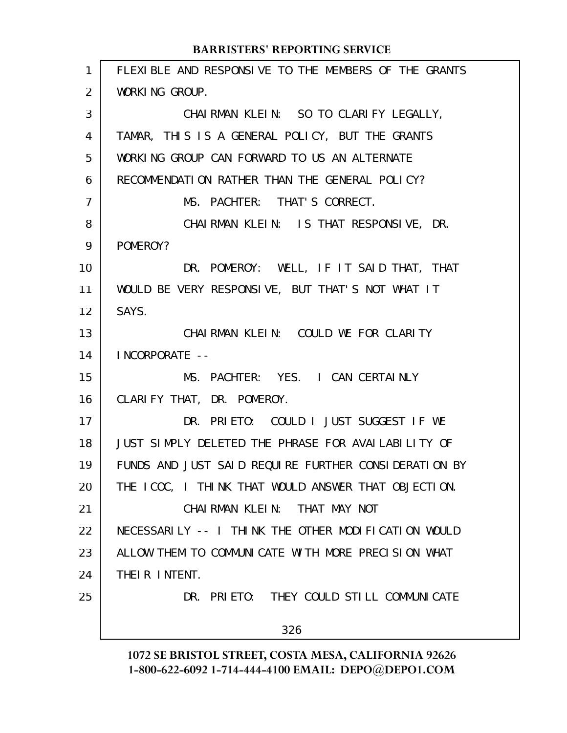FLEXIBLE AND RESPONSIVE TO THE MEMBERS OF THE GRANTS WORKING GROUP. CHAIRMAN KLEIN: SO TO CLARIFY LEGALLY, TAMAR, THIS IS A GENERAL POLICY, BUT THE GRANTS WORKING GROUP CAN FORWARD TO US AN ALTERNATE RECOMMENDATION RATHER THAN THE GENERAL POLICY? MS. PACHTER: THAT'S CORRECT. CHAIRMAN KLEIN: IS THAT RESPONSIVE, DR. POMEROY? DR. POMEROY: WELL, IF IT SAID THAT, THAT WOULD BE VERY RESPONSIVE, BUT THAT'S NOT WHAT IT SAYS. CHAIRMAN KLEIN: COULD WE FOR CLARITY INCORPORATE -- MS. PACHTER: YES. I CAN CERTAINLY CLARIFY THAT, DR. POMEROY. DR. PRIETO: COULD I JUST SUGGEST IF WE JUST SIMPLY DELETED THE PHRASE FOR AVAILABILITY OF FUNDS AND JUST SAID REQUIRE FURTHER CONSIDERATION BY THE ICOC, I THINK THAT WOULD ANSWER THAT OBJECTION. CHAIRMAN KLEIN: THAT MAY NOT NECESSARILY -- I THINK THE OTHER MODIFICATION WOULD ALLOW THEM TO COMMUNICATE WITH MORE PRECISION WHAT THEIR INTENT. DR. PRIETO: THEY COULD STILL COMMUNICATE 326 1 2 3 4 5 6 7 8 9 10 11 12 13 14 15 16 17 18 19 20 21 22 23 24 25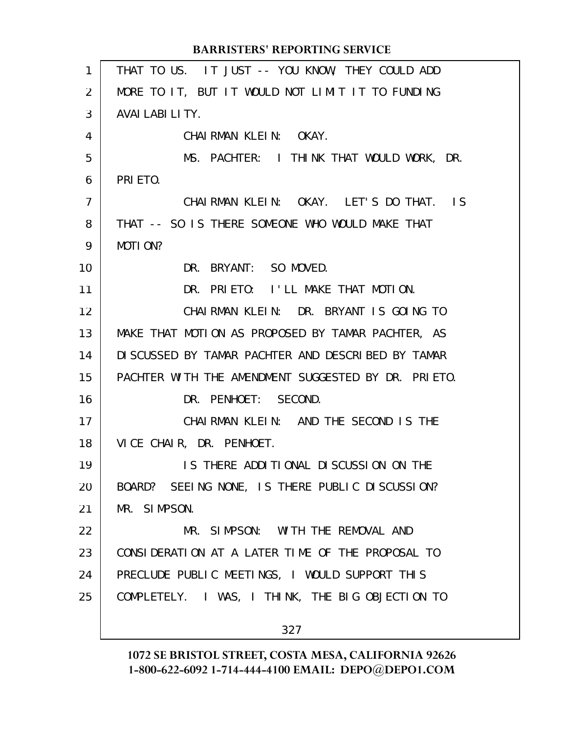THAT TO US. IT JUST -- YOU KNOW, THEY COULD ADD MORE TO IT, BUT IT WOULD NOT LIMIT IT TO FUNDING AVAILABILITY. CHAIRMAN KLEIN: OKAY. MS. PACHTER: I THINK THAT WOULD WORK, DR. PRI ETO. CHAIRMAN KLEIN: OKAY. LET'S DO THAT. IS THAT -- SO IS THERE SOMEONE WHO WOULD MAKE THAT MOTI ON? DR. BRYANT: SO MOVED. DR. PRIETO: I'LL MAKE THAT MOTION. CHAIRMAN KLEIN: DR. BRYANT IS GOING TO MAKE THAT MOTION AS PROPOSED BY TAMAR PACHTER, AS DISCUSSED BY TAMAR PACHTER AND DESCRIBED BY TAMAR PACHTER WITH THE AMENDMENT SUGGESTED BY DR. PRIETO. DR. PENHOET: SECOND. CHAIRMAN KLEIN: AND THE SECOND IS THE VICE CHAIR, DR. PENHOET. IS THERE ADDITIONAL DISCUSSION ON THE BOARD? SEEING NONE, IS THERE PUBLIC DISCUSSION? MR. SIMPSON. MR. SIMPSON: WITH THE REMOVAL AND CONSIDERATION AT A LATER TIME OF THE PROPOSAL TO PRECLUDE PUBLIC MEETINGS, I WOULD SUPPORT THIS COMPLETELY. I WAS, I THINK, THE BIG OBJECTION TO 327 **BARRISTERS' REPORTING SERVICE** 1 2 3 4 5 6 7 8 9 10 11 12 13 14 15 16 17 18 19 20 21 22 23 24 25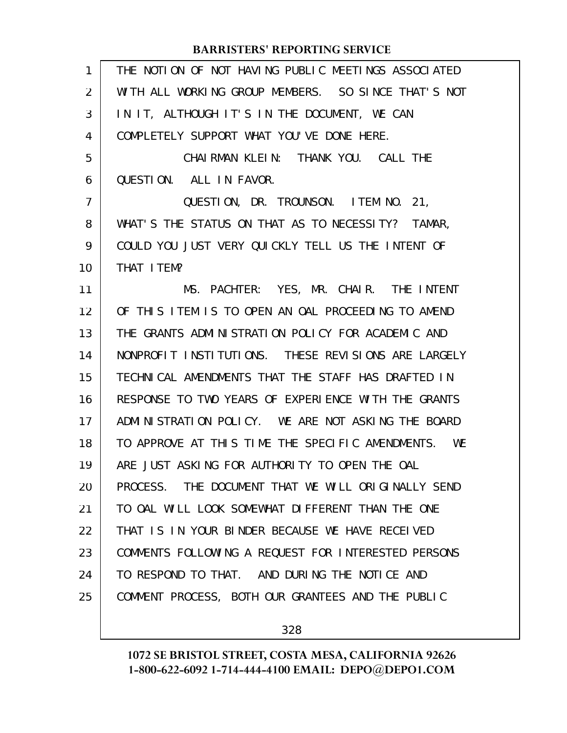| 1  | THE NOTION OF NOT HAVING PUBLIC MEETINGS ASSOCIATED |
|----|-----------------------------------------------------|
| 2  | WITH ALL WORKING GROUP MEMBERS. SO SINCE THAT'S NOT |
| 3  | IN IT, ALTHOUGH IT'S IN THE DOCUMENT, WE CAN        |
| 4  | COMPLETELY SUPPORT WHAT YOU'VE DONE HERE.           |
| 5  | CHAI RMAN KLEIN: THANK YOU. CALL THE                |
| 6  | QUESTION. ALL IN FAVOR.                             |
| 7  | QUESTION, DR. TROUNSON. ITEM NO. 21,                |
| 8  | WHAT'S THE STATUS ON THAT AS TO NECESSITY? TAMAR,   |
| 9  | COULD YOU JUST VERY QUICKLY TELL US THE INTENT OF   |
| 10 | THAT I TEM?                                         |
| 11 | MS. PACHTER: YES, MR. CHAIR. THE INTENT             |
| 12 | OF THIS ITEM IS TO OPEN AN OAL PROCEEDING TO AMEND  |
| 13 | THE GRANTS ADMINISTRATION POLICY FOR ACADEMIC AND   |
| 14 | NONPROFIT INSTITUTIONS. THESE REVISIONS ARE LARGELY |
| 15 | TECHNICAL AMENDMENTS THAT THE STAFF HAS DRAFTED IN  |
| 16 | RESPONSE TO TWO YEARS OF EXPERIENCE WITH THE GRANTS |
| 17 | ADMINISTRATION POLICY. WE ARE NOT ASKING THE BOARD  |
| 18 | TO APPROVE AT THIS TIME THE SPECIFIC AMENDMENTS. WE |
| 19 | ARE JUST ASKING FOR AUTHORITY TO OPEN THE OAL       |
| 20 | PROCESS. THE DOCUMENT THAT WE WILL ORIGINALLY SEND  |
| 21 | TO OAL WILL LOOK SOMEWHAT DIFFERENT THAN THE ONE    |
| 22 | THAT IS IN YOUR BINDER BECAUSE WE HAVE RECEIVED     |
| 23 | COMMENTS FOLLOWING A REQUEST FOR INTERESTED PERSONS |
| 24 | TO RESPOND TO THAT. AND DURING THE NOTICE AND       |
| 25 | COMMENT PROCESS, BOTH OUR GRANTEES AND THE PUBLIC   |
|    |                                                     |

328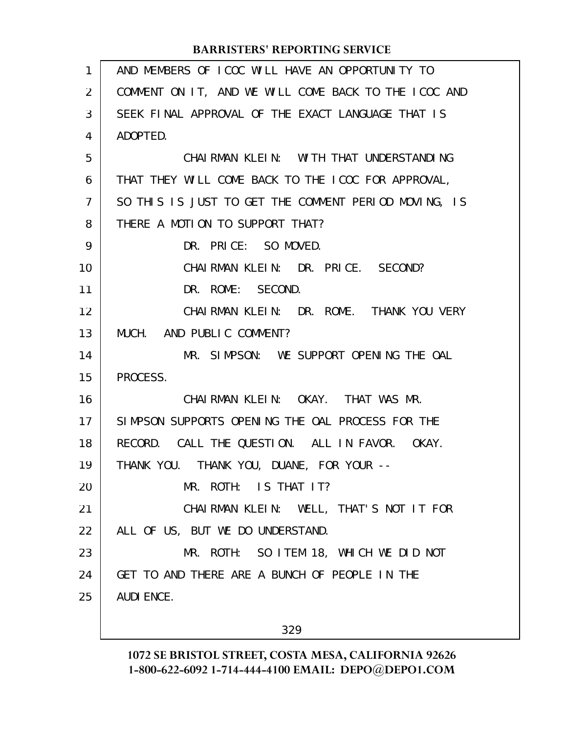| $\mathbf{1}$   | AND MEMBERS OF ICOC WILL HAVE AN OPPORTUNITY TO      |
|----------------|------------------------------------------------------|
| 2              | COMMENT ON IT, AND WE WILL COME BACK TO THE ICOC AND |
| 3              | SEEK FINAL APPROVAL OF THE EXACT LANGUAGE THAT IS    |
| 4              | ADOPTED.                                             |
| 5              | CHAI RMAN KLEIN: WITH THAT UNDERSTANDING             |
| 6              | THAT THEY WILL COME BACK TO THE ICOC FOR APPROVAL,   |
| $\overline{7}$ | SO THIS IS JUST TO GET THE COMMENT PERIOD MOVING, IS |
| 8              | THERE A MOTION TO SUPPORT THAT?                      |
| 9              | DR. PRICE: SO MOVED.                                 |
| 10             | CHAIRMAN KLEIN: DR. PRICE. SECOND?                   |
| 11             | DR. ROME: SECOND.                                    |
| 12             | CHAIRMAN KLEIN: DR. ROME. THANK YOU VERY             |
| 13             | MUCH. AND PUBLIC COMMENT?                            |
| 14             | MR. SIMPSON: WE SUPPORT OPENING THE OAL              |
| 15             | PROCESS.                                             |
| 16             | CHAIRMAN KLEIN: OKAY. THAT WAS MR.                   |
| 17             | SIMPSON SUPPORTS OPENING THE OAL PROCESS FOR THE     |
| 18             | RECORD. CALL THE QUESTION. ALL IN FAVOR. OKAY.       |
| 19             | THANK YOU. THANK YOU, DUANE, FOR YOUR --             |
| 20             | MR. ROTH: IS THAT IT?                                |
| 21             | CHAIRMAN KLEIN: WELL, THAT'S NOT IT FOR              |
| 22             | ALL OF US, BUT WE DO UNDERSTAND.                     |
| 23             | MR. ROTH: SO ITEM 18, WHICH WE DID NOT               |
| 24             | GET TO AND THERE ARE A BUNCH OF PEOPLE IN THE        |
| 25             | <b>AUDI ENCE.</b>                                    |
|                |                                                      |
|                | 329                                                  |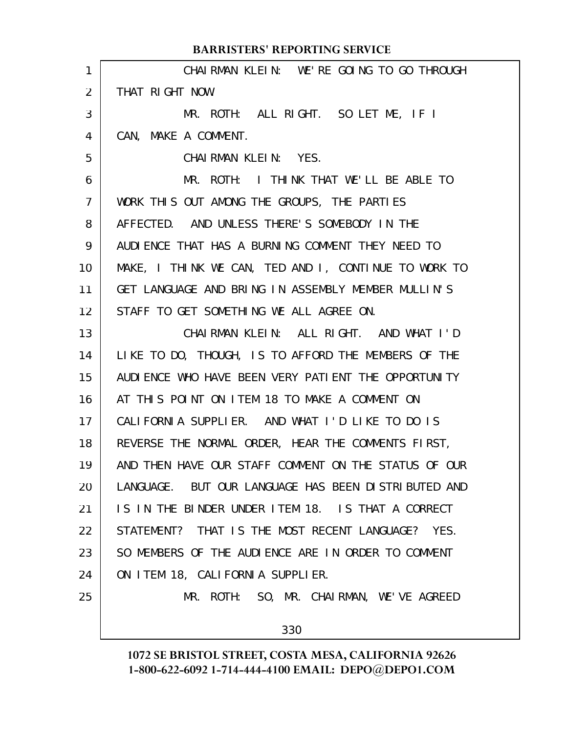|                 | <b>BARRISTERS' REPORTING SERVICE</b>                  |
|-----------------|-------------------------------------------------------|
| $\mathbf{1}$    | CHAIRMAN KLEIN: WE'RE GOING TO GO THROUGH             |
| $\overline{2}$  | THAT RIGHT NOW.                                       |
| 3               | MR. ROTH: ALL RIGHT. SO LET ME, IF I                  |
| 4               | CAN, MAKE A COMMENT.                                  |
| 5               | CHAIRMAN KLEIN: YES.                                  |
| 6               | MR. ROTH: I THINK THAT WE'LL BE ABLE TO               |
| $\overline{7}$  | WORK THIS OUT AMONG THE GROUPS, THE PARTIES           |
| 8               | AFFECTED. AND UNLESS THERE'S SOMEBODY IN THE          |
| 9               | AUDIENCE THAT HAS A BURNING COMMENT THEY NEED TO      |
| 10              | MAKE, I THINK WE CAN, TED AND I, CONTINUE TO WORK TO  |
| 11              | GET LANGUAGE AND BRING IN ASSEMBLY MEMBER MULLIN'S    |
| 12 <sup>2</sup> | STAFF TO GET SOMETHING WE ALL AGREE ON.               |
| 13              | CHAIRMAN KLEIN: ALL RIGHT. AND WHAT I'D               |
| 14              | LIKE TO DO, THOUGH, IS TO AFFORD THE MEMBERS OF THE   |
| 15              | AUDI ENCE WHO HAVE BEEN VERY PATI ENT THE OPPORTUNITY |
| 16              | AT THIS POINT ON ITEM 18 TO MAKE A COMMENT ON         |
| 17              | CALIFORNIA SUPPLIER. AND WHAT I'D LIKE TO DO IS       |
| 18              | REVERSE THE NORMAL ORDER, HEAR THE COMMENTS FIRST,    |
| 19              | AND THEN HAVE OUR STAFF COMMENT ON THE STATUS OF OUR  |
| 20              | LANGUAGE. BUT OUR LANGUAGE HAS BEEN DISTRIBUTED AND   |
| 21              | IS IN THE BINDER UNDER ITEM 18. IS THAT A CORRECT     |
| 22              | STATEMENT? THAT IS THE MOST RECENT LANGUAGE? YES.     |
| 23              | SO MEMBERS OF THE AUDIENCE ARE IN ORDER TO COMMENT    |
| 24              | ON ITEM 18, CALIFORNIA SUPPLIER.                      |
| 25              | MR. ROTH: SO, MR. CHAIRMAN, WE'VE AGREED              |
|                 | 330                                                   |
|                 |                                                       |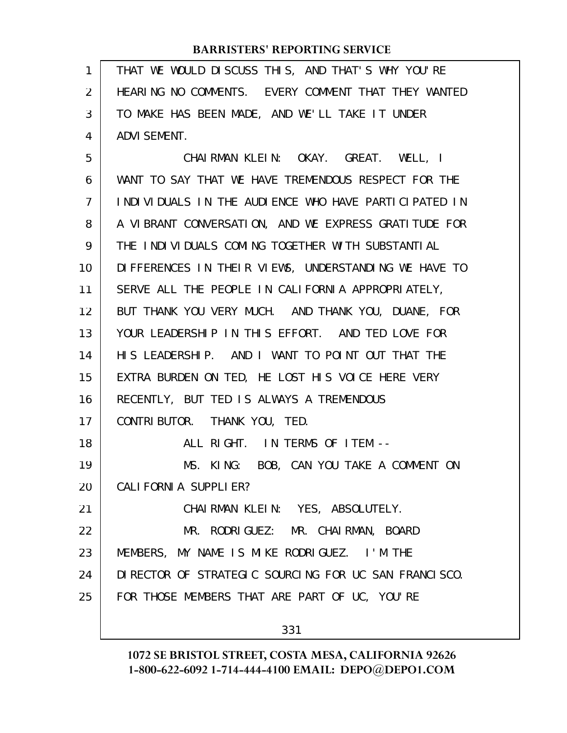| 1              | THAT WE WOULD DISCUSS THIS, AND THAT'S WHY YOU'RE     |
|----------------|-------------------------------------------------------|
| 2              | HEARING NO COMMENTS. EVERY COMMENT THAT THEY WANTED   |
| 3              | TO MAKE HAS BEEN MADE, AND WE'LL TAKE IT UNDER        |
| 4              | <b>ADVI SEMENT.</b>                                   |
| 5              | CHAIRMAN KLEIN: OKAY. GREAT. WELL, I                  |
| 6              | WANT TO SAY THAT WE HAVE TREMENDOUS RESPECT FOR THE   |
| $\overline{7}$ | INDIVIDUALS IN THE AUDIENCE WHO HAVE PARTICIPATED IN  |
| 8              | A VIBRANT CONVERSATION, AND WE EXPRESS GRATITUDE FOR  |
| 9              | THE INDIVIDUALS COMING TOGETHER WITH SUBSTANTIAL      |
| 10             | DIFFERENCES IN THEIR VIEWS, UNDERSTANDING WE HAVE TO  |
| 11             | SERVE ALL THE PEOPLE IN CALIFORNIA APPROPRIATELY,     |
| 12             | BUT THANK YOU VERY MUCH. AND THANK YOU, DUANE, FOR    |
| 13             | YOUR LEADERSHIP IN THIS EFFORT. AND TED LOVE FOR      |
| 14             | HIS LEADERSHIP. AND I WANT TO POINT OUT THAT THE      |
| 15             | EXTRA BURDEN ON TED, HE LOST HIS VOICE HERE VERY      |
| 16             | RECENTLY, BUT TED IS ALWAYS A TREMENDOUS              |
| 17             | CONTRIBUTOR. THANK YOU, TED.                          |
| 18             | ALL RIGHT. IN TERMS OF ITEM --                        |
| 19             | MS. KING: BOB, CAN YOU TAKE A COMMENT ON              |
| 20             | CALI FORNI A SUPPLI ER?                               |
| 21             | CHAIRMAN KLEIN: YES, ABSOLUTELY.                      |
| 22             | MR. RODRIGUEZ: MR. CHAIRMAN, BOARD                    |
| 23             | MEMBERS, MY NAME IS MIKE RODRIGUEZ. I'M THE           |
| 24             | DI RECTOR OF STRATEGIC SOURCING FOR UC SAN FRANCISCO. |
| 25             | FOR THOSE MEMBERS THAT ARE PART OF UC, YOU'RE         |
|                |                                                       |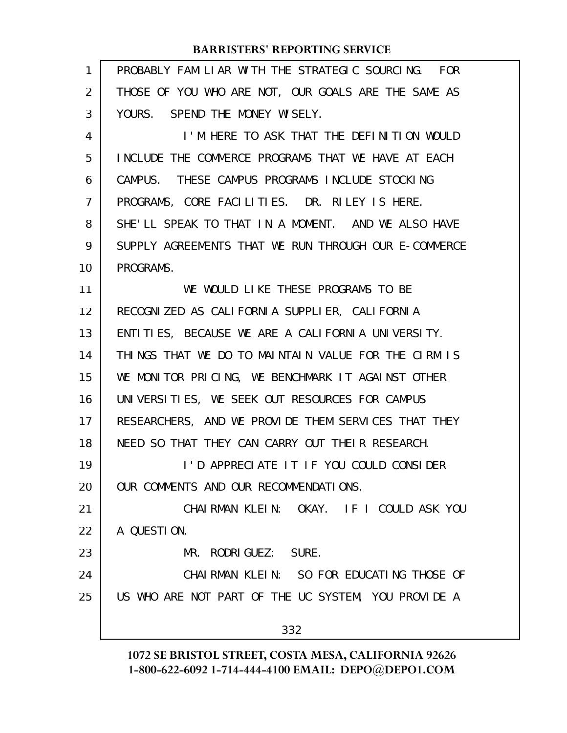| 1  | PROBABLY FAMILIAR WITH THE STRATEGIC SOURCING. FOR   |
|----|------------------------------------------------------|
| 2  | THOSE OF YOU WHO ARE NOT, OUR GOALS ARE THE SAME AS  |
| 3  | YOURS. SPEND THE MONEY WISELY.                       |
| 4  | I'M HERE TO ASK THAT THE DEFINITION WOULD            |
| 5  | INCLUDE THE COMMERCE PROGRAMS THAT WE HAVE AT EACH   |
| 6  | CAMPUS. THESE CAMPUS PROGRAMS INCLUDE STOCKING       |
| 7  | PROGRAMS, CORE FACILITIES. DR. RILEY IS HERE.        |
| 8  | SHE'LL SPEAK TO THAT IN A MOMENT. AND WE ALSO HAVE   |
| 9  | SUPPLY AGREEMENTS THAT WE RUN THROUGH OUR E-COMMERCE |
| 10 | PROGRAMS.                                            |
| 11 | WE WOULD LIKE THESE PROGRAMS TO BE                   |
| 12 | RECOGNIZED AS CALIFORNIA SUPPLIER, CALIFORNIA        |
| 13 | ENTITIES, BECAUSE WE ARE A CALIFORNIA UNIVERSITY.    |
| 14 | THINGS THAT WE DO TO MAINTAIN VALUE FOR THE CIRM IS  |
| 15 | WE MONITOR PRICING, WE BENCHMARK IT AGAINST OTHER    |
| 16 | UNIVERSITIES, WE SEEK OUT RESOURCES FOR CAMPUS       |
| 17 | RESEARCHERS, AND WE PROVIDE THEM SERVICES THAT THEY  |
| 18 | NEED SO THAT THEY CAN CARRY OUT THELR RESEARCH.      |
| 19 | I'D APPRECIATE IT IF YOU COULD CONSIDER              |
| 20 | OUR COMMENTS AND OUR RECOMMENDATIONS.                |
| 21 | CHAIRMAN KLEIN: OKAY. IF I COULD ASK YOU             |
| 22 | A QUESTION.                                          |
| 23 | MR. RODRIGUEZ: SURE.                                 |
| 24 | CHAIRMAN KLEIN: SO FOR EDUCATING THOSE OF            |
| 25 | US WHO ARE NOT PART OF THE UC SYSTEM, YOU PROVIDE A  |
|    | 332                                                  |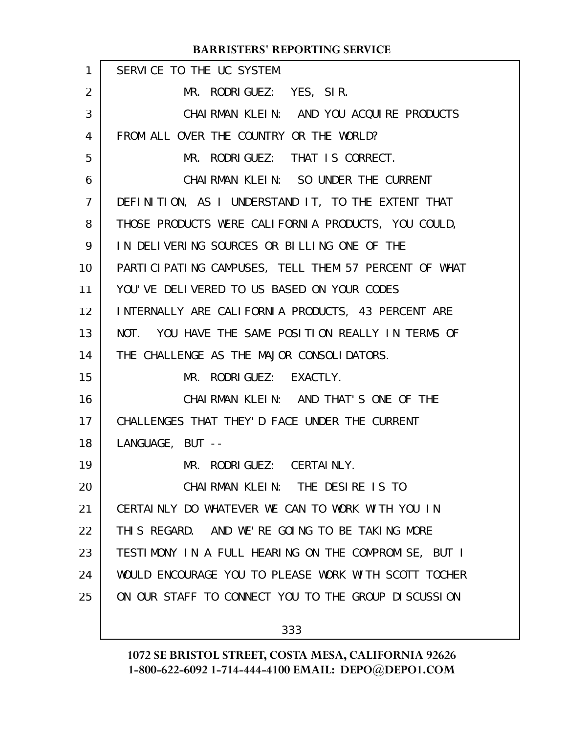| 1              | SERVICE TO THE UC SYSTEM.                            |
|----------------|------------------------------------------------------|
| $\overline{2}$ | MR. RODRIGUEZ: YES, SIR.                             |
| 3              | CHAIRMAN KLEIN: AND YOU ACQUIRE PRODUCTS             |
| $\overline{4}$ | FROM ALL OVER THE COUNTRY OR THE WORLD?              |
| 5              | MR. RODRIGUEZ: THAT IS CORRECT.                      |
| 6              | CHAIRMAN KLEIN: SO UNDER THE CURRENT                 |
| $\overline{7}$ | DEFINITION, AS I UNDERSTAND IT, TO THE EXTENT THAT   |
| 8              | THOSE PRODUCTS WERE CALIFORNIA PRODUCTS, YOU COULD,  |
| 9              | IN DELIVERING SOURCES OR BILLING ONE OF THE          |
| 10             | PARTICIPATING CAMPUSES, TELL THEM 57 PERCENT OF WHAT |
| 11             | YOU'VE DELIVERED TO US BASED ON YOUR CODES           |
| 12             | INTERNALLY ARE CALIFORNIA PRODUCTS, 43 PERCENT ARE   |
| 13             | NOT. YOU HAVE THE SAME POSITION REALLY IN TERMS OF   |
| 14             | THE CHALLENGE AS THE MAJOR CONSOLIDATORS.            |
| 15             | MR. RODRIGUEZ: EXACTLY.                              |
| 16             | CHAIRMAN KLEIN: AND THAT'S ONE OF THE                |
| 17             | CHALLENGES THAT THEY'D FACE UNDER THE CURRENT        |
| 18             | LANGUAGE, BUT --                                     |
| 19             | MR. RODRIGUEZ: CERTAINLY.                            |
| 20             | CHAIRMAN KLEIN: THE DESIRE IS TO                     |
| 21             | CERTAINLY DO WHATEVER WE CAN TO WORK WITH YOU IN     |
| 22             | THIS REGARD. AND WE'RE GOING TO BE TAKING MORE       |
| 23             | TESTIMONY IN A FULL HEARING ON THE COMPROMISE, BUT I |
| 24             | WOULD ENCOURAGE YOU TO PLEASE WORK WITH SCOTT TOCHER |
| 25             | ON OUR STAFF TO CONNECT YOU TO THE GROUP DISCUSSION  |
|                |                                                      |

333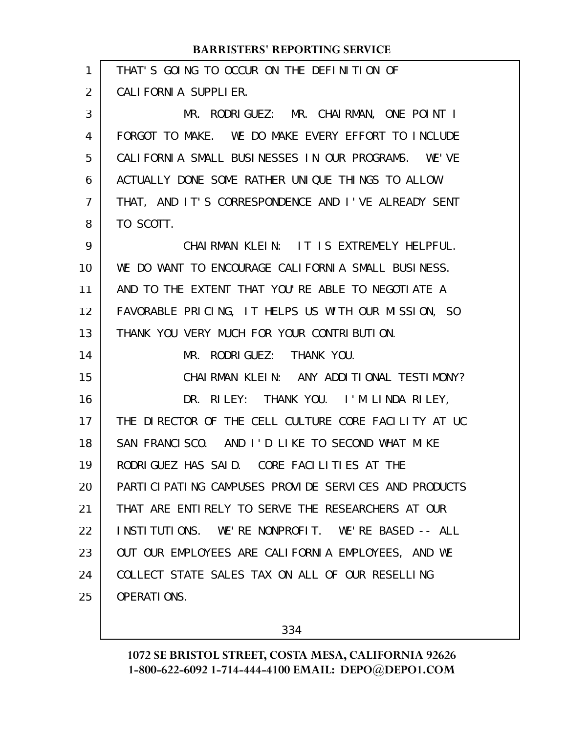| 1  | THAT'S GOING TO OCCUR ON THE DEFINITION OF           |
|----|------------------------------------------------------|
| 2  | CALIFORNIA SUPPLIER.                                 |
| 3  | MR. RODRIGUEZ: MR. CHAIRMAN, ONE POINT I             |
| 4  | FORGOT TO MAKE. WE DO MAKE EVERY EFFORT TO INCLUDE   |
| 5  | CALIFORNIA SMALL BUSINESSES IN OUR PROGRAMS. WE'VE   |
| 6  | ACTUALLY DONE SOME RATHER UNIQUE THINGS TO ALLOW     |
| 7  | THAT, AND IT'S CORRESPONDENCE AND I'VE ALREADY SENT  |
| 8  | TO SCOTT.                                            |
| 9  | CHAIRMAN KLEIN: IT IS EXTREMELY HELPFUL.             |
| 10 | WE DO WANT TO ENCOURAGE CALIFORNIA SMALL BUSINESS.   |
| 11 | AND TO THE EXTENT THAT YOU'RE ABLE TO NEGOTIATE A    |
| 12 | FAVORABLE PRICING, IT HELPS US WITH OUR MISSION, SO  |
| 13 | THANK YOU VERY MUCH FOR YOUR CONTRIBUTION.           |
| 14 | MR. RODRIGUEZ: THANK YOU.                            |
| 15 | CHAIRMAN KLEIN: ANY ADDITIONAL TESTIMONY?            |
| 16 | DR. RILEY: THANK YOU. I'M LINDA RILEY,               |
| 17 | THE DIRECTOR OF THE CELL CULTURE CORE FACILITY AT UC |
| 18 | SAN FRANCISCO. AND I'D LIKE TO SECOND WHAT MIKE      |
| 19 | RODRIGUEZ HAS SAID. CORE FACILITIES AT THE           |
| 20 | PARTICIPATING CAMPUSES PROVIDE SERVICES AND PRODUCTS |
| 21 | THAT ARE ENTIRELY TO SERVE THE RESEARCHERS AT OUR    |
| 22 | INSTITUTIONS. WE'RE NONPROFIT. WE'RE BASED -- ALL    |
| 23 | OUT OUR EMPLOYEES ARE CALIFORNIA EMPLOYEES, AND WE   |
| 24 | COLLECT STATE SALES TAX ON ALL OF OUR RESELLING      |
| 25 | <b>OPERATIONS.</b>                                   |
|    |                                                      |

334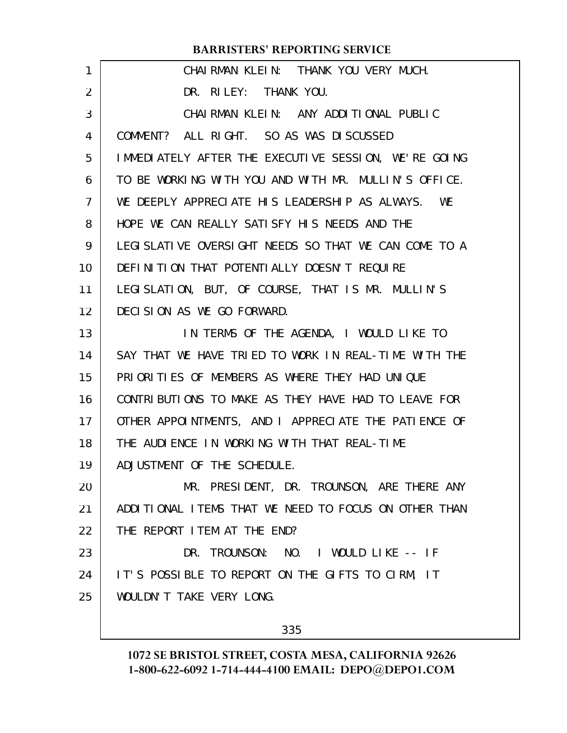| 1              | CHAIRMAN KLEIN: THANK YOU VERY MUCH.                  |
|----------------|-------------------------------------------------------|
| 2              | DR. RILEY: THANK YOU.                                 |
| 3              | CHAIRMAN KLEIN: ANY ADDITIONAL PUBLIC                 |
| 4              | COMMENT? ALL RIGHT. SO AS WAS DISCUSSED               |
| 5              | IMMEDIATELY AFTER THE EXECUTIVE SESSION, WE'RE GOING  |
| 6              | TO BE WORKING WITH YOU AND WITH MR. MULLIN'S OFFICE.  |
| $\overline{7}$ | WE DEEPLY APPRECIATE HIS LEADERSHIP AS ALWAYS. WE     |
| 8              | HOPE WE CAN REALLY SATISFY HIS NEEDS AND THE          |
| 9              | LEGI SLATIVE OVERSIGHT NEEDS SO THAT WE CAN COME TO A |
| 10             | DEFINITION THAT POTENTIALLY DOESN'T REQUIRE           |
| 11             | LEGISLATION, BUT, OF COURSE, THAT IS MR. MULLIN'S     |
| 12             | DECISION AS WE GO FORWARD.                            |
| 13             | IN TERMS OF THE AGENDA, I WOULD LIKE TO               |
| 14             | SAY THAT WE HAVE TRIED TO WORK IN REAL-TIME WITH THE  |
| 15             | PRIORITIES OF MEMBERS AS WHERE THEY HAD UNIQUE        |
| 16             | CONTRIBUTIONS TO MAKE AS THEY HAVE HAD TO LEAVE FOR   |
| 17             | OTHER APPOINTMENTS, AND I APPRECIATE THE PATIENCE OF  |
| 18             | THE AUDIENCE IN WORKING WITH THAT REAL-TIME           |
| 19             | ADJUSTMENT OF THE SCHEDULE.                           |
| 20             | MR. PRESIDENT, DR. TROUNSON, ARE THERE ANY            |
| 21             | ADDITIONAL ITEMS THAT WE NEED TO FOCUS ON OTHER THAN  |
| 22             | THE REPORT I TEM AT THE END?                          |
| 23             | DR. TROUNSON: NO. I WOULD LIKE -- IF                  |
| 24             | IT'S POSSIBLE TO REPORT ON THE GIFTS TO CIRM, IT      |
| 25             | WOULDN'T TAKE VERY LONG.                              |
|                |                                                       |

335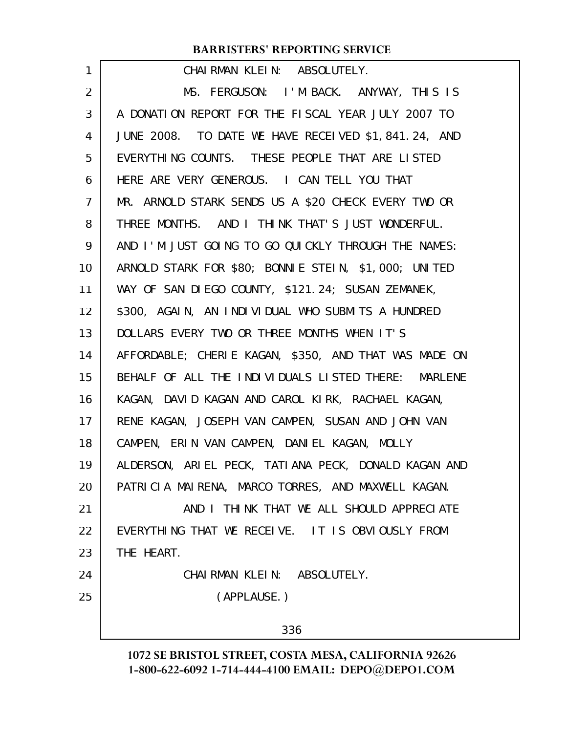| 1              | CHAIRMAN KLEIN: ABSOLUTELY.                           |
|----------------|-------------------------------------------------------|
| 2              | MS. FERGUSON: I'M BACK. ANYWAY, THIS IS               |
| 3              | A DONATION REPORT FOR THE FISCAL YEAR JULY 2007 TO    |
| 4              | JUNE 2008. TO DATE WE HAVE RECEIVED \$1,841.24, AND   |
| 5              | EVERYTHING COUNTS. THESE PEOPLE THAT ARE LISTED       |
| 6              | HERE ARE VERY GENEROUS. I CAN TELL YOU THAT           |
| $\overline{7}$ | MR. ARNOLD STARK SENDS US A \$20 CHECK EVERY TWO OR   |
| 8              | THREE MONTHS. AND I THINK THAT'S JUST WONDERFUL.      |
| 9              | AND I'M JUST GOING TO GO QUICKLY THROUGH THE NAMES:   |
| 10             | ARNOLD STARK FOR \$80; BONNIE STEIN, \$1,000; UNITED  |
| 11             | WAY OF SAN DIEGO COUNTY, \$121.24; SUSAN ZEMANEK,     |
| 12             | \$300, AGAIN, AN INDIVIDUAL WHO SUBMITS A HUNDRED     |
| 13             | DOLLARS EVERY TWO OR THREE MONTHS WHEN IT'S           |
| 14             | AFFORDABLE; CHERIE KAGAN, \$350, AND THAT WAS MADE ON |
| 15             | BEHALF OF ALL THE INDIVIDUALS LISTED THERE: MARLENE   |
| 16             | KAGAN, DAVID KAGAN AND CAROL KIRK, RACHAEL KAGAN,     |
| 17             | RENE KAGAN, JOSEPH VAN CAMPEN, SUSAN AND JOHN VAN     |
| 18             | CAMPEN, ERIN VAN CAMPEN, DANIEL KAGAN, MOLLY          |
| 19             | ALDERSON, ARIEL PECK, TATIANA PECK, DONALD KAGAN AND  |
| 20             | PATRICIA MAIRENA, MARCO TORRES, AND MAXWELL KAGAN.    |
| 21             | AND I THINK THAT WE ALL SHOULD APPRECIATE             |
| 22             | EVERYTHING THAT WE RECEIVE. IT IS OBVIOUSLY FROM      |
| 23             | THE HEART.                                            |
| 24             | CHAIRMAN KLEIN: ABSOLUTELY.                           |
| 25             | (APPLAUSE.)                                           |
|                | 336                                                   |
|                |                                                       |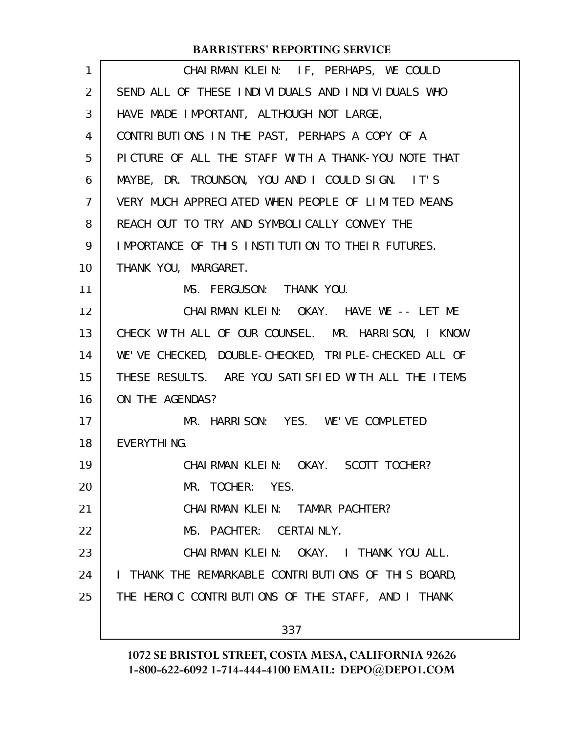| CHAIRMAN KLEIN: IF, PERHAPS, WE COULD                |
|------------------------------------------------------|
| SEND ALL OF THESE INDIVIDUALS AND INDIVIDUALS WHO    |
| HAVE MADE IMPORTANT, ALTHOUGH NOT LARGE,             |
| CONTRIBUTIONS IN THE PAST, PERHAPS A COPY OF A       |
| PICTURE OF ALL THE STAFF WITH A THANK-YOU NOTE THAT  |
| MAYBE, DR. TROUNSON, YOU AND I COULD SIGN. IT'S      |
| VERY MUCH APPRECIATED WHEN PEOPLE OF LIMITED MEANS   |
| REACH OUT TO TRY AND SYMBOLICALLY CONVEY THE         |
| IMPORTANCE OF THIS INSTITUTION TO THEIR FUTURES.     |
| THANK YOU, MARGARET.                                 |
| MS. FERGUSON: THANK YOU.                             |
| CHAIRMAN KLEIN: OKAY. HAVE WE -- LET ME              |
| CHECK WITH ALL OF OUR COUNSEL. MR. HARRISON, I KNOW  |
| WE'VE CHECKED, DOUBLE-CHECKED, TRIPLE-CHECKED ALL OF |
| THESE RESULTS. ARE YOU SATISFIED WITH ALL THE ITEMS  |
| ON THE AGENDAS?                                      |
| MR. HARRISON: YES. WE'VE COMPLETED                   |
| EVERYTHING.                                          |
| CHAI RMAN KLEIN: OKAY. SCOTT TOCHER?                 |
| MR. TOCHER: YES.                                     |
| CHAIRMAN KLEIN: TAMAR PACHTER?                       |
| MS. PACHTER: CERTAINLY.                              |
| CHAIRMAN KLEIN: OKAY. I THANK YOU ALL.               |
| I THANK THE REMARKABLE CONTRIBUTIONS OF THIS BOARD,  |
| THE HEROIC CONTRIBUTIONS OF THE STAFF, AND I THANK   |
| 337                                                  |
|                                                      |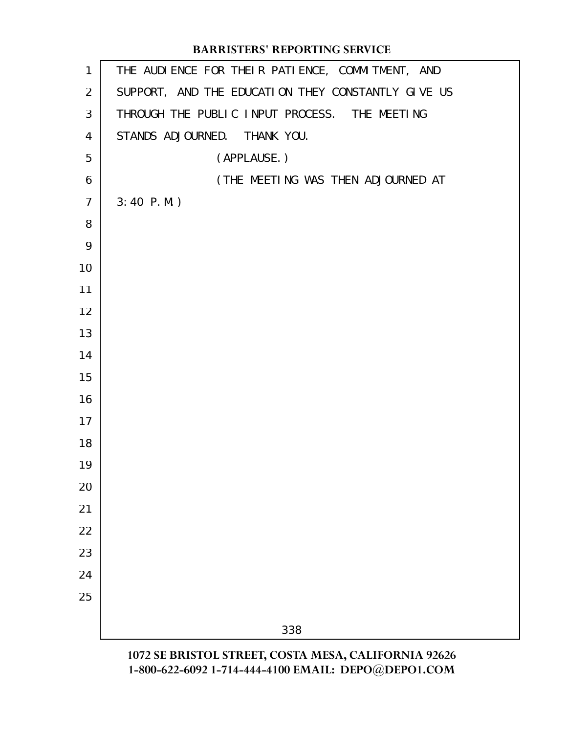# THE AUDIENCE FOR THEIR PATIENCE, COMMITMENT, AND SUPPORT, AND THE EDUCATION THEY CONSTANTLY GIVE US THROUGH THE PUBLIC INPUT PROCESS. THE MEETING STANDS ADJOURNED. THANK YOU. (APPLAUSE.) (THE MEETING WAS THEN ADJOURNED AT 3:40 P.M.) **BARRISTERS' REPORTING SERVICE**

**1072 SE BRISTOL STREET, COSTA MESA, CALIFORNIA 92626 1-800-622-6092 1-714-444-4100 EMAIL: DEPO@DEPO1.COM**